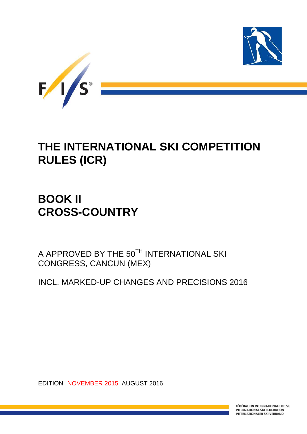

# **THE INTERNATIONAL SKI COMPETITION RULES (ICR)**

# **BOOK II CROSS-COUNTRY**

A APPROVED BY THE 50TH INTERNATIONAL SKI CONGRESS, CANCUN (MEX)

INCL. MARKED-UP CHANGES AND PRECISIONS 2016

EDITION NOVEMBER 2015 AUGUST 2016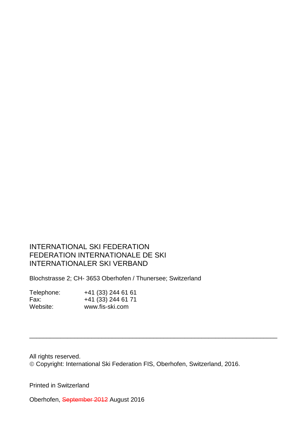## INTERNATIONAL SKI FEDERATION FEDERATION INTERNATIONALE DE SKI INTERNATIONALER SKI VERBAND

Blochstrasse 2; CH- 3653 Oberhofen / Thunersee; Switzerland

| Telephone: | +41 (33) 244 61 61 |
|------------|--------------------|
| Fax:       | +41 (33) 244 61 71 |
| Website:   | www.fis-ski.com    |

All rights reserved. Copyright: International Ski Federation FIS, Oberhofen, Switzerland, 2016.

\_\_\_\_\_\_\_\_\_\_\_\_\_\_\_\_\_\_\_\_\_\_\_\_\_\_\_\_\_\_\_\_\_\_\_\_\_\_\_\_\_\_\_\_\_\_\_\_\_\_\_\_\_\_\_\_\_\_\_\_\_\_\_\_\_\_\_\_\_\_\_\_

Printed in Switzerland

Oberhofen, September 2012 August 2016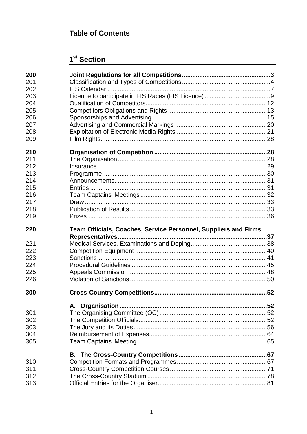## **Table of Contents**

## $1<sup>st</sup>$  Section

| 200<br>201 |                                                                  |  |
|------------|------------------------------------------------------------------|--|
| 202        |                                                                  |  |
| 203        |                                                                  |  |
| 204        |                                                                  |  |
| 205        |                                                                  |  |
| 206        |                                                                  |  |
| 207        |                                                                  |  |
| 208        |                                                                  |  |
| 209        |                                                                  |  |
| 210        |                                                                  |  |
| 211        |                                                                  |  |
| 212        |                                                                  |  |
| 213        |                                                                  |  |
| 214        |                                                                  |  |
| 215        |                                                                  |  |
| 216        |                                                                  |  |
| 217        |                                                                  |  |
| 218        |                                                                  |  |
| 219        |                                                                  |  |
| 220        | Team Officials, Coaches, Service Personnel, Suppliers and Firms' |  |
|            |                                                                  |  |
|            |                                                                  |  |
| 221        |                                                                  |  |
| 222        |                                                                  |  |
| 223        |                                                                  |  |
| 224        |                                                                  |  |
| 225        |                                                                  |  |
| 226        |                                                                  |  |
| 300        |                                                                  |  |
|            |                                                                  |  |
| 301        |                                                                  |  |
| 302        |                                                                  |  |
| 303        |                                                                  |  |
| 304        |                                                                  |  |
| 305        |                                                                  |  |
|            |                                                                  |  |
| 310        |                                                                  |  |
| 311        |                                                                  |  |
| 312        |                                                                  |  |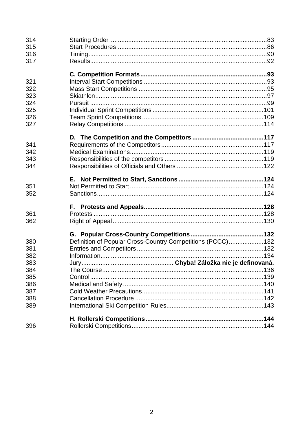| 314 |                                                            |  |
|-----|------------------------------------------------------------|--|
| 315 |                                                            |  |
| 316 |                                                            |  |
| 317 |                                                            |  |
|     |                                                            |  |
| 321 |                                                            |  |
| 322 |                                                            |  |
| 323 |                                                            |  |
| 324 |                                                            |  |
| 325 |                                                            |  |
| 326 |                                                            |  |
| 327 |                                                            |  |
|     |                                                            |  |
| 341 |                                                            |  |
| 342 |                                                            |  |
| 343 |                                                            |  |
| 344 |                                                            |  |
|     |                                                            |  |
|     |                                                            |  |
| 351 |                                                            |  |
| 352 |                                                            |  |
|     |                                                            |  |
| 361 |                                                            |  |
| 362 |                                                            |  |
|     |                                                            |  |
| 380 | Definition of Popular Cross-Country Competitions (PCCC)132 |  |
| 381 |                                                            |  |
| 382 |                                                            |  |
| 383 |                                                            |  |
| 384 |                                                            |  |
| 385 |                                                            |  |
| 386 |                                                            |  |
| 387 |                                                            |  |
| 388 |                                                            |  |
| 389 |                                                            |  |
|     |                                                            |  |
| 396 |                                                            |  |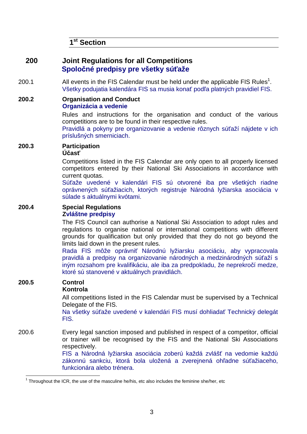**1 st Section** 

## **200 Joint Regulations for all Competitions Spoločné predpisy pre všetky súťaže**

- 200.1 All events in the FIS Calendar must be held under the applicable FIS Rules<sup>1</sup>. Všetky podujatia kalendára FIS sa musia konať podľa platných pravidiel FIS.
- **200.2 Organisation and Conduct Organizácia a vedenie**

 Rules and instructions for the organisation and conduct of the various competitions are to be found in their respective rules.

Pravidlá a pokyny pre organizovanie a vedenie rôznych súťaží nájdete v ich príslušných smerniciach.

### **200.3 Participation**

#### **Účasť**

 Competitions listed in the FIS Calendar are only open to all properly licensed competitors entered by their National Ski Associations in accordance with current quotas.

Súťaže uvedené v kalendári FIS sú otvorené iba pre všetkých riadne oprávnených súťažiacich, ktorých registruje Národná lyžiarska asociácia v súlade s aktuálnymi kvótami.

#### **200.4 Special Regulations Zvláštne predpisy**

The FIS Council can authorise a National Ski Association to adopt rules and regulations to organise national or international competitions with different grounds for qualification but only provided that they do not go beyond the limits laid down in the present rules.

 Rada FIS môže oprávniť Národnú lyžiarsku asociáciu, aby vypracovala pravidlá a predpisy na organizovanie národných a medzinárodných súťaží s iným rozsahom pre kvalifikáciu, ale iba za predpokladu, že neprekročí medze, ktoré sú stanovené v aktuálnych pravidlách.

## **200.5 Control**

l

#### **Kontrola**

All competitions listed in the FIS Calendar must be supervised by a Technical Delegate of the FIS.

Na všetky súťaže uvedené v kalendári FIS musí dohliadať Technický delegát FIS.

200.6 Every legal sanction imposed and published in respect of a competitor, official or trainer will be recognised by the FIS and the National Ski Associations respectively.

FIS a Národná lyžiarska asociácia zoberú každá zvlášť na vedomie každú zákonnú sankciu, ktorá bola uložená a zverejnená ohľadne súťažiaceho, funkcionára alebo trénera.

 $1$  Throughout the ICR, the use of the masculine he/his, etc also includes the feminine she/her, etc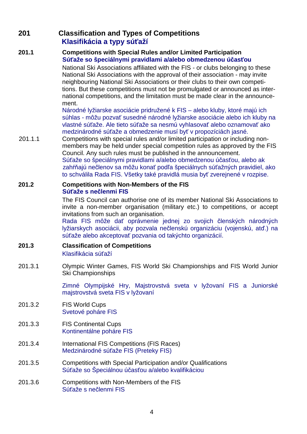## **201 Classification and Types of Competitions Klasifikácia a typy súťaží**

#### **201.1 Competitions with Special Rules and/or Limited Participation Súťaže so špeciálnymi pravidlami a/alebo obmedzenou účasťou**

National Ski Associations affiliated with the FIS - or clubs belonging to these National Ski Associations with the approval of their association - may invite neighbouring National Ski Associations or their clubs to their own competitions. But these competitions must not be promulgated or announced as international competitions, and the limitation must be made clear in the announcement.

Národné lyžiarske asociácie pridružené k FIS – alebo kluby, ktoré majú ich súhlas - môžu pozvať susedné národné lyžiarske asociácie alebo ich kluby na vlastné súťaže. Ale tieto súťaže sa nesmú vyhlasovať alebo oznamovať ako medzinárodné súťaže a obmedzenie musí byť v propozíciách jasné.

201.1.1 Competitions with special rules and/or limited participation or including nonmembers may be held under special competition rules as approved by the FIS Council. Any such rules must be published in the announcement. Súťaže so špeciálnymi pravidlami a/alebo obmedzenou účasťou, alebo ak zahŕňajú nečlenov sa môžu konať podľa špeciálnych súťažných pravidiel, ako to schválila Rada FIS. Všetky také pravidlá musia byť zverejnené v rozpise.

#### **201.2 Competitions with Non-Members of the FIS Súťaže s nečlenmi FIS**

 The FIS Council can authorise one of its member National Ski Associations to invite a non-member organisation (military etc.) to competitions, or accept invitations from such an organisation.

Rada FIS môže dať oprávnenie jednej zo svojich členských národných lyžiarskych asociácii, aby pozvala nečlenskú organizáciu (vojenskú, atď.) na súťaže alebo akceptovať pozvania od takýchto organizácií.

## **201.3 Classification of Competitions**

Klasifikácia súťaží

201.3.1 Olympic Winter Games, FIS World Ski Championships and FIS World Junior Ski Championships

> Zimné Olympijské Hry, Majstrovstvá sveta v lyžovaní FIS a Juniorské majstrovstvá sveta FIS v lyžovaní

- 201.3.2 FIS World Cups Svetové poháre FIS
- 201.3.3 FIS Continental Cups Kontinentálne poháre FIS
- 201.3.4 International FIS Competitions (FIS Races) Medzinárodné súťaže FIS (Preteky FIS)
- 201.3.5 Competitions with Special Participation and/or Qualifications Súťaže so Špeciálnou účasťou a/alebo kvalifikáciou
- 201.3.6 Competitions with Non-Members of the FIS Súťaže s nečlenmi FIS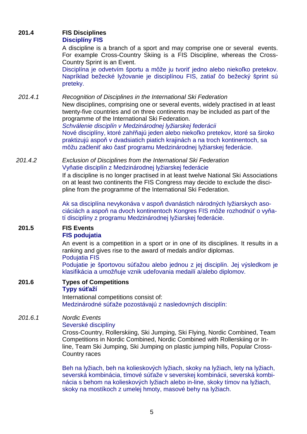## **201.4 FIS Disciplines**

#### **Disciplíny FIS**

 A discipline is a branch of a sport and may comprise one or several events. For example Cross-Country Skiing is a FIS Discipline, whereas the Cross-Country Sprint is an Event.

Disciplína je odvetvím športu a môže ju tvoriť jedno alebo niekoľko pretekov. Napríklad bežecké lyžovanie je disciplínou FIS, zatiaľ čo bežecký šprint sú preteky.

201.4.1 Recognition of Disciplines in the International Ski Federation New disciplines, comprising one or several events, widely practised in at least twenty-five countries and on three continents may be included as part of the programme of the International Ski Federation.

Schválenie disciplín v Medzinárodnej lyžiarskej federácii Nové disciplíny, ktoré zahŕňajú jeden alebo niekoľko pretekov, ktoré sa široko praktizujú aspoň v dvadsiatich piatich krajinách a na troch kontinentoch, sa môžu začleniť ako časť programu Medzinárodnej lyžiarskej federácie.

201.4.2 Exclusion of Disciplines from the International Ski Federation Vyňatie disciplín z Medzinárodnej lyžiarskej federácie

> If a discipline is no longer practised in at least twelve National Ski Associations on at least two continents the FIS Congress may decide to exclude the discipline from the programme of the International Ski Federation.

> Ak sa disciplína nevykonáva v aspoň dvanástich národných lyžiarskych asociáciách a aspoň na dvoch kontinentoch Kongres FIS môže rozhodnúť o vyňatí disciplíny z programu Medzinárodnej lyžiarskej federácie.

#### **201.5 FIS Events FIS podujatia**

 An event is a competition in a sport or in one of its disciplines. It results in a ranking and gives rise to the award of medals and/or diplomas.

Podujatia FIS

 Podujatie je športovou súťažou alebo jednou z jej disciplín. Jej výsledkom je klasifikácia a umožňuje vznik udeľovania medailí a/alebo diplomov.

**201.6 Types of Competitions Typy súťaží**

International competitions consist of: Medzinárodné súťaže pozostávajú z nasledovných disciplín:

## 201.6.1 Nordic Events

#### Severské disciplíny

Cross-Country, Rollerskiing, Ski Jumping, Ski Flying, Nordic Combined, Team Competitions in Nordic Combined, Nordic Combined with Rollerskiing or Inline, Team Ski Jumping, Ski Jumping on plastic jumping hills, Popular Cross-Country races

Beh na lyžiach, beh na kolieskových lyžiach, skoky na lyžiach, lety na lyžiach, severská kombinácia, tímové súťaže v severskej kombinácii, severská kombinácia s behom na kolieskových lyžiach alebo in-line, skoky tímov na lyžiach, skoky na mostíkoch z umelej hmoty, masové behy na lyžiach.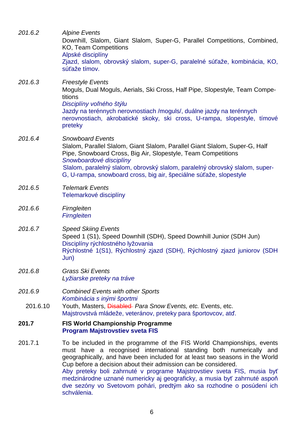| 201.6.2  | <b>Alpine Events</b><br>Downhill, Slalom, Giant Slalom, Super-G, Parallel Competitions, Combined,<br><b>KO, Team Competitions</b><br>Alpské disciplíny<br>Zjazd, slalom, obrovský slalom, super-G, paralelné súťaže, kombinácia, KO,<br>súťaže tímov.                                                                                                                                                                                                                                                                                         |
|----------|-----------------------------------------------------------------------------------------------------------------------------------------------------------------------------------------------------------------------------------------------------------------------------------------------------------------------------------------------------------------------------------------------------------------------------------------------------------------------------------------------------------------------------------------------|
| 201.6.3  | <b>Freestyle Events</b><br>Moguls, Dual Moguls, Aerials, Ski Cross, Half Pipe, Slopestyle, Team Compe-<br>titions<br>Disciplíny voľného štýlu<br>Jazdy na terénnych nerovnostiach /moguls/, duálne jazdy na terénnych<br>nerovnostiach, akrobatické skoky, ski cross, U-rampa, slopestyle, tímové<br>preteky                                                                                                                                                                                                                                  |
| 201.6.4  | <b>Snowboard Events</b><br>Slalom, Parallel Slalom, Giant Slalom, Parallel Giant Slalom, Super-G, Half<br>Pipe, Snowboard Cross, Big Air, Slopestyle, Team Competitions<br>Snowboardové disciplíny<br>Slalom, paralelný slalom, obrovský slalom, paralelný obrovský slalom, super-<br>G, U-rampa, snowboard cross, big air, špeciálne súťaže, slopestyle                                                                                                                                                                                      |
| 201.6.5  | <b>Telemark Events</b><br>Telemarkové disciplíny                                                                                                                                                                                                                                                                                                                                                                                                                                                                                              |
| 201.6.6  | Firngleiten<br><b>Firngleiten</b>                                                                                                                                                                                                                                                                                                                                                                                                                                                                                                             |
| 201.6.7  | <b>Speed Skiing Events</b><br>Speed 1 (S1), Speed Downhill (SDH), Speed Downhill Junior (SDH Jun)<br>Disciplíny rýchlostného lyžovania<br>Rýchlostné 1(S1), Rýchlostný zjazd (SDH), Rýchlostný zjazd juniorov (SDH<br>Jun)                                                                                                                                                                                                                                                                                                                    |
| 201.6.8  | <b>Grass Ski Events</b><br>Lyžiarske preteky na tráve                                                                                                                                                                                                                                                                                                                                                                                                                                                                                         |
| 201.6.9  | <b>Combined Events with other Sports</b><br>Kombinácia s inými športmi                                                                                                                                                                                                                                                                                                                                                                                                                                                                        |
| 201.6.10 | Youth, Masters, <i>Disabled Para Snow Events, etc.</i> Events, etc.<br>Majstrovstvá mládeže, veteránov, preteky para športovcov, atď.                                                                                                                                                                                                                                                                                                                                                                                                         |
| 201.7    | <b>FIS World Championship Programme</b><br><b>Program Majstrovstiev sveta FIS</b>                                                                                                                                                                                                                                                                                                                                                                                                                                                             |
| 201.7.1  | To be included in the programme of the FIS World Championships, events<br>must have a recognised international standing both numerically and<br>geographically, and have been included for at least two seasons in the World<br>Cup before a decision about their admission can be considered.<br>Aby preteky boli zahrnuté v programe Majstrovstiev sveta FIS, musia byť<br>medzinárodne uznané numericky aj geograficky, a musia byť zahrnuté aspoň<br>dve sezóny vo Svetovom pohári, predtým ako sa rozhodne o posúdení ich<br>schválenia. |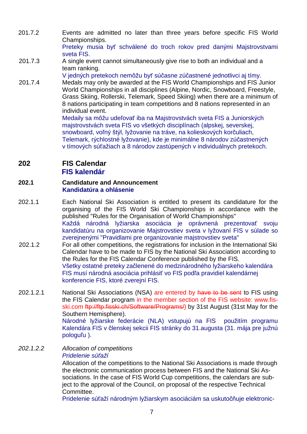201.7.2 Events are admitted no later than three years before specific FIS World Championships.

Preteky musia byť schválené do troch rokov pred danými Majstrovstvami sveta FIS.

201.7.3 A single event cannot simultaneously give rise to both an individual and a team ranking.

V jedných pretekoch nemôžu byť súčasne zúčastnené jednotlivci aj tímy.

201.7.4 Medals may only be awarded at the FIS World Championships and FIS Junior World Championships in all disciplines (Alpine, Nordic, Snowboard, Freestyle, Grass Skiing, Rollerski, Telemark, Speed Skiing) when there are a minimum of 8 nations participating in team competitions and 8 nations represented in an individual event.

Medaily sa môžu udeľovať iba na Majstrovstvách sveta FIS a Juniorských majstrovstvách sveta FIS vo všetkých disciplínach (alpskej, severskej, snowboard, voľný štýl, lyžovanie na tráve, na kolieskových korčuliach, Telemark, rýchlostné lyžovanie), kde je minimálne 8 národov zúčastnených v tímových súťažiach a 8 národov zastúpených v individuálnych pretekoch.

**202 FIS Calendar** 

### **FIS kalendár**

#### **202.1 Candidature and Announcement Kandidatúra a ohlásenie**

- 202.1.1 Each National Ski Association is entitled to present its candidature for the organising of the FIS World Ski Championships in accordance with the published "Rules for the Organisation of World Championships" Každá národná lyžiarska asociácia je oprávnená prezentovať svoju kandidatúru na organizovanie Majstrovstiev sveta v lyžovaní FIS v súlade so zverejnenými "Pravidlami pre organizovanie majstrovstiev sveta"
- 202.1.2 For all other competitions, the registrations for inclusion in the International Ski Calendar have to be made to FIS by the National Ski Association according to the Rules for the FIS Calendar Conference published by the FIS. Všetky ostatné preteky začlenené do medzinárodného lyžiarskeho kalendára FIS musí národná asociácia prihlásiť vo FIS podľa pravidiel kalendárnej konferencie FIS, ktoré zverejní FIS.
- 202.1.2.1 National Ski Associations (NSA) are entered by have to be sent to FIS using the FIS Calendar program in the member section of the FIS website: www.fisski.com ftp://ftp.fisski.ch/Software/Programs/) by 31st August (31st May for the Southern Hemisphere). Národné lyžiarske federácie (NLA) vstupujú na FIS použitím programu Kalendára FIS v členskej sekcii FIS stránky do 31.augusta (31. mája pre južnú pologuľu ).

## 202.1.2.2 Allocation of competitions Pridelenie sú*ť*aží

Allocation of the competitions to the National Ski Associations is made through the electronic communication process between FIS and the National Ski Associations. In the case of FIS World Cup competitions, the calendars are subject to the approval of the Council, on proposal of the respective Technical Committee.

Pridelenie súťaží národným lyžiarskym asociáciám sa uskutočňuje elektronic-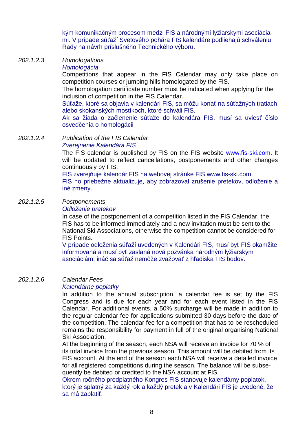kým komunikačným procesom medzi FIS a národnými lyžiarskymi asociáciami. V prípade súťaží Svetového pohára FIS kalendáre podliehajú schváleniu Rady na návrh príslušného Technického výboru.

#### 202.1.2.3 Homologations

#### **Homologácia**

Competitions that appear in the FIS Calendar may only take place on competition courses or jumping hills homologated by the FIS.

The homologation certificate number must be indicated when applying for the inclusion of competition in the FIS Calendar.

Súťaže, ktoré sa objavia v kalendári FIS, sa môžu konať na súťažných tratiach alebo skokanských mostíkoch, ktoré schváli FIS.

Ak sa žiada o začlenenie súťaže do kalendára FIS, musí sa uviesť číslo osvedčenia o homologácii

202.1.2.4 Publication of the FIS Calendar Zvereinenie Kalendára FIS

> The FIS calendar is published by FIS on the FIS website www.fis-ski.com. It will be updated to reflect cancellations, postponements and other changes continuously by FIS.

FIS zverejňuje kalendár FIS na webovej stránke FIS www.fis-ski.com.

 FIS ho priebežne aktualizuje, aby zobrazoval zrušenie pretekov, odloženie a iné zmeny.

#### 202.1.2.5 Postponements

#### Odloženie pretekov

In case of the postponement of a competition listed in the FIS Calendar, the FIS has to be informed immediately and a new invitation must be sent to the National Ski Associations, otherwise the competition cannot be considered for FIS Points.

V prípade odloženia súťaží uvedených v Kalendári FIS, musí byť FIS okamžite informovaná a musí byť zaslaná nová pozvánka národným lyžiarskym asociáciám, ináč sa súťaž nemôže zvažovať z hľadiska FIS bodov.

#### 202.1.2.6 Calendar Fees

#### Kalendárne poplatky

In addition to the annual subscription, a calendar fee is set by the FIS Congress and is due for each year and for each event listed in the FIS Calendar. For additional events, a 50% surcharge will be made in addition to the regular calendar fee for applications submitted 30 days before the date of the competition. The calendar fee for a competition that has to be rescheduled remains the responsibility for payment in full of the original organising National Ski Association.

At the beginning of the season, each NSA will receive an invoice for 70 % of its total invoice from the previous season. This amount will be debited from its FIS account. At the end of the season each NSA will receive a detailed invoice for all registered competitions during the season. The balance will be subsequently be debited or credited to the NSA account at FIS.

Okrem ročného predplatného Kongres FIS stanovuje kalendárny poplatok, ktorý je splatný za každý rok a každý pretek a v Kalendári FIS je uvedené, že sa má zaplatiť.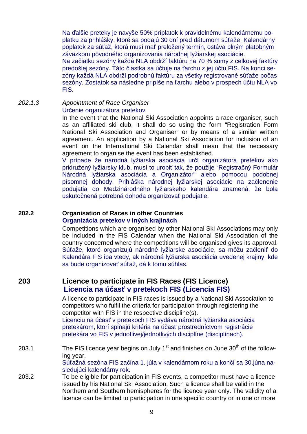Na ďalšie preteky je navyše 50% príplatok k pravidelnému kalendárnemu poplatku za prihlášky, ktoré sa podajú 30 dní pred dátumom súťaže. Kalendárny poplatok za súťaž, ktorá musí mať preložený termín, ostáva plným platobným záväzkom pôvodného organizovania národnej lyžiarskej asociácie.

Na začiatku sezóny každá NLA obdrží faktúru na 70 % sumy z celkovej faktúry predošlej sezóny. Táto čiastka sa účtuje na ťarchu z jej účtu FIS. Na konci sezóny každá NLA obdrží podrobnú faktúru za všetky registrované súťaže počas sezóny. Zostatok sa následne pripíše na ťarchu alebo v prospech účtu NLA vo FIS.

202.1.3 Appointment of Race Organiser Určenie organizátora pretekov

In the event that the National Ski Association appoints a race organiser, such as an affiliated ski club, it shall do so using the form "Registration Form National Ski Association and Organiser" or by means of a similar written agreement. An application by a National Ski Association for inclusion of an event on the International Ski Calendar shall mean that the necessary agreement to organise the event has been established.

V prípade že národná lyžiarska asociácia určí organizátora pretekov ako pridružený lyžiarsky klub, musí to urobiť tak, že použije "Registračný Formulár Národná lyžiarska asociácia a Organizátor" alebo pomocou podobnej písomnej dohody. Prihláška národnej lyžiarskej asociácie na začlenenie podujatia do Medzinárodného lyžiarskeho kalendára znamená, že bola uskutočnená potrebná dohoda organizovať podujatie.

#### **202.2 Organisation of Races in other Countries Organizácia pretekov v iných krajinách**

 Competitions which are organised by other National Ski Associations may only be included in the FIS Calendar when the National Ski Association of the country concerned where the competitions will be organised gives its approval. Súťaže, ktoré organizujú národné lyžiarske asociácie, sa môžu začleniť do Kalendára FIS iba vtedy, ak národná lyžiarska asociácia uvedenej krajiny, kde sa bude organizovať súťaž, dá k tomu súhlas.

## **203 Licence to participate in FIS Races (FIS Licence) Licencia na účasť v pretekoch FIS (Licencia FIS)**

A licence to participate in FIS races is issued by a National Ski Association to competitors who fulfil the criteria for participation through registering the competitor with FIS in the respective discipline(s).

Licenciu na účasť v pretekoch FIS vydáva národná lyžiarska asociácia pretekárom, ktorí spĺňajú kritéria na účasť prostredníctvom registrácie pretekára vo FIS v jednotlivej/jednotlivých disciplíne (disciplínach).

203.1 The FIS licence year begins on July  $1<sup>st</sup>$  and finishes on June  $30<sup>th</sup>$  of the following year.

Súťažná sezóna FIS začína 1. júla v kalendárnom roku a končí sa 30.júna nasledujúci kalendárny rok.

203.2 To be eligible for participation in FIS events, a competitor must have a licence issued by his National Ski Association. Such a licence shall be valid in the Northern and Southern hemispheres for the licence year only. The validity of a licence can be limited to participation in one specific country or in one or more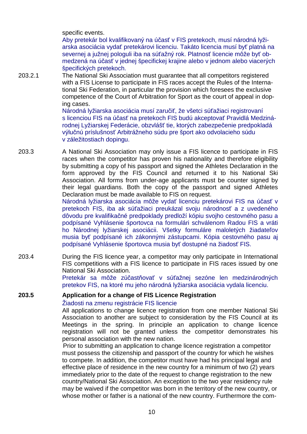specific events.

Aby pretekár bol kvalifikovaný na účasť v FIS pretekoch, musí národná lyžiarska asociácia vydať pretekárovi licenciu. Takáto licencia musí byť platná na severnej a južnej pologuli iba na súťažný rok. Platnosť licencie môže byť obmedzená na účasť v jednej špecifickej krajine alebo v jednom alebo viacerých špecifických pretekoch.

203.2.1 The National Ski Association must guarantee that all competitors registered with a FIS License to participate in FIS races accept the Rules of the International Ski Federation, in particular the provision which foresees the exclusive competence of the Court of Arbitration for Sport as the court of appeal in doping cases.

Národná lyžiarska asociácia musí zaručiť, že všetci súťažiaci registrovaní s licenciou FIS na účasť na pretekoch FIS budú akceptovať Pravidlá Medzinárodnej Lyžiarskej Federácie, obzvlášť tie, ktorých zabezpečenie predpokladá výlučnú príslušnosť Arbitrážneho súdu pre šport ako odvolacieho súdu v záležitostiach dopingu.

203.3 A National Ski Association may only issue a FIS licence to participate in FIS races when the competitor has proven his nationality and therefore eligibility by submitting a copy of his passport and signed the Athletes Declaration in the form approved by the FIS Council and returned it to his National Ski Association. All forms from under-age applicants must be counter signed by their legal guardians. Both the copy of the passport and signed Athletes Declaration must be made available to FIS on request.

Národná lyžiarska asociácia môže vydať licenciu pretekárovi FIS na účasť v pretekoch FIS, iba ak súťažiaci preukázal svoju národnosť a z uvedeného dôvodu pre kvalifikačné predpoklady predloží kópiu svojho cestovného pasu a podpísané Vyhlásenie športovca na formulári schválenom Radou FIS a vráti ho Národnej lyžiarskej asociácii. Všetky formuláre maloletých žiadateľov musia byť podpísané ich zákonnými zástupcami. Kópia cestovného pasu aj podpísané Vyhlásenie športovca musia byť dostupné na žiadosť FIS.

203.4 During the FIS licence year, a competitor may only participate in International FIS competitions with a FIS licence to participate in FIS races issued by one National Ski Association.

Pretekár sa môže zúčastňovať v súťažnej sezóne len medzinárodných pretekov FIS, na ktoré mu jeho národná lyžiarska asociácia vydala licenciu.

#### **203.5 Application for a change of FIS Licence Registration**  Žiadosti na zmenu registrácie FIS licencie

All applications to change licence registration from one member National Ski Association to another are subject to consideration by the FIS Council at its Meetings in the spring. In principle an application to change licence registration will not be granted unless the competitor demonstrates his personal association with the new nation.

Prior to submitting an application to change licence registration a competitor must possess the citizenship and passport of the country for which he wishes to compete. In addition, the competitor must have had his principal legal and effective place of residence in the new country for a minimum of two (2) years immediately prior to the date of the request to change registration to the new country/National Ski Association. An exception to the two year residency rule may be waived if the competitor was born in the territory of the new country, or whose mother or father is a national of the new country. Furthermore the com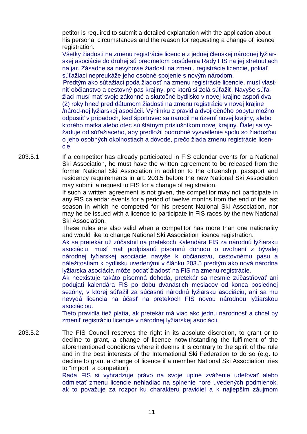petitor is required to submit a detailed explanation with the application about his personal circumstances and the reason for requesting a change of licence registration.

Všetky žiadosti na zmenu registrácie licencie z jednej členskej národnej lyžiarskej asociácie do druhej sú predmetom posúdenia Rady FIS na jej stretnutiach na jar. Zásadne sa nevyhovie žiadosti na zmenu registrácie licencie, pokiaľ súťažiaci nepreukáže jeho osobné spojenie s novým národom.

Predtým ako súťažiaci podá žiadosť na zmenu registrácie licencie, musí vlastniť občianstvo a cestovný pas krajiny, pre ktorú si želá súťažiť. Navyše súťažiaci musí mať svoje zákonné a skutočné bydlisko v novej krajine aspoň dva (2) roky hneď pred dátumom žiadosti na zmenu registrácie v novej krajine /národ-nej lyžiarskej asociácii. Výnimku z pravidla dvojročného pobytu možno odpustiť v prípadoch, keď športovec sa narodil na území novej krajiny, alebo ktorého matka alebo otec sú štátnym príslušníkom novej krajiny. Ďalej sa vyžaduje od súťažiaceho, aby predložil podrobné vysvetlenie spolu so žiadosťou o jeho osobných okolnostiach a dôvode, prečo žiada zmenu registrácie licencie.

203.5.1 If a competitor has already participated in FIS calendar events for a National Ski Association, he must have the written agreement to be released from the former National Ski Association in addition to the citizenship, passport and residency requirements in art. 203.5 before the new National Ski Association may submit a request to FIS for a change of registration.

If such a written agreement is not given, the competitor may not participate in any FIS calendar events for a period of twelve months from the end of the last season in which he competed for his present National Ski Association, nor may he be issued with a licence to participate in FIS races by the new National Ski Association.

These rules are also valid when a competitor has more than one nationality and would like to change National Ski Association licence registration.

Ak sa pretekár už zúčastnil na pretekoch Kalendára FIS za národnú lyžiarsku asociáciu, musí mať podpísanú písomnú dohodu o uvoľnení z bývalej národnej lyžiarskej asociácie navyše k občianstvu, cestovnému pasu a náležitostiam k bydlisku uvedenými v článku 203.5 predtým ako nová národná lyžiarska asociácia môže podať žiadosť na FIS na zmenu registrácie.

Ak neexistuje takáto písomná dohoda, pretekár sa nesmie zúčastňovať ani podujatí kalendára FIS po dobu dvanástich mesiacov od konca poslednej sezóny, v ktorej súťažil za súčasnú národnú lyžiarsku asociáciu, ani sa mu nevydá licencia na účasť na pretekoch FIS novou národnou lyžiarskou asociáciou.

Tieto pravidlá tiež platia, ak pretekár má viac ako jednu národnosť a chcel by zmeniť registráciu licencie v národnej lyžiarskej asociácii.

203.5.2 The FIS Council reserves the right in its absolute discretion, to grant or to decline to grant, a change of licence notwithstanding the fulfilment of the aforementioned conditions where it deems it is contrary to the spirit of the rule and in the best interests of the International Ski Federation to do so (e.g. to decline to grant a change of licence if a member National Ski Association tries to "import" a competitor).

Rada FIS si vyhradzuje právo na svoje úplné zváženie udeľovať alebo odmietať zmenu licencie nehladiac na splnenie hore uvedených podmienok, ak to považuje za rozpor ku charakteru pravidiel a k najlepším záujmom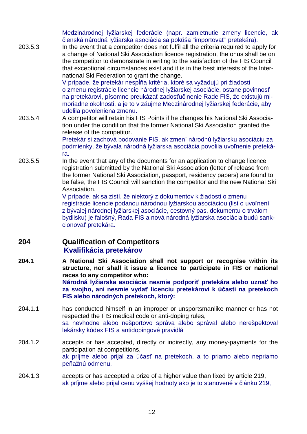Medzinárodnej lyžiarskej federácie (napr. zamietnutie zmeny licencie, ak členská národná lyžiarska asociácia sa pokúša "importovať" pretekára).

203.5.3 In the event that a competitor does not fulfil all the criteria required to apply for a change of National Ski Association licence registration, the onus shall be on the competitor to demonstrate in writing to the satisfaction of the FIS Council that exceptional circumstances exist and it is in the best interests of the International Ski Federation to grant the change.

> V prípade, že pretekár nespĺňa kritéria, ktoré sa vyžadujú pri žiadosti o zmenu registrácie licencie národnej lyžiarskej asociácie, ostane povinnosť na pretekárovi, písomne preukázať zadosťučinenie Rade FIS, že existujú mimoriadne okolnosti, a je to v záujme Medzinárodnej lyžiarskej federácie, aby udelila povoleniena zmenu.

203.5.4 A competitor will retain his FIS Points if he changes his National Ski Association under the condition that the former National Ski Association granted the release of the competitor.

Pretekár si zachová bodovanie FIS, ak zmení národnú lyžiarsku asociáciu za podmienky, že bývala národná lyžiarska asociácia povolila uvoľnenie pretekára.

203.5.5 In the event that any of the documents for an application to change licence registration submitted by the National Ski Association (letter of release from the former National Ski Association, passport, residency papers) are found to be false, the FIS Council will sanction the competitor and the new National Ski Association.

> V prípade, ak sa zistí, že niektorý z dokumentov k žiadosti o zmenu registrácie licencie podanou národnou lyžiarskou asociáciou (list o uvoľnení z bývalej národnej lyžiarskej asociácie, cestovný pas, dokumentu o trvalom bydlisku) je falošný, Rada FIS a nová národná lyžiarska asociácia budú sankcionovať pretekára.

## **204 Qualification of Competitors Kvalifikácia pretekárov**

**204.1 A National Ski Association shall not support or recognise within its structure, nor shall it issue a licence to participate in FIS or national races to any competitor who:** 

**Národná lyžiarska asociácia nesmie podporiť pretekára alebo uznať ho za svojho, ani nesmie vydať licenciu pretekárovi k účasti na pretekoch FIS alebo národných pretekoch, ktorý:** 

- 204.1.1 has conducted himself in an improper or unsportsmanlike manner or has not respected the FIS medical code or anti-doping rules, sa nevhodne alebo nešportovo správa alebo správal alebo nerešpektoval lekársky kódex FIS a antidopingové pravidlá
- 204.1.2 accepts or has accepted, directly or indirectly, any money-payments for the participation at competitions, ak príjme alebo prijal za účasť na pretekoch, a to priamo alebo nepriamo peňažnú odmenu,
- 204.1.3 accepts or has accepted a prize of a higher value than fixed by article 219, ak príjme alebo prijal cenu vyššej hodnoty ako je to stanovené v článku 219,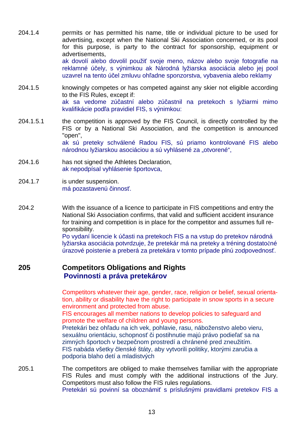- 204.1.4 permits or has permitted his name, title or individual picture to be used for advertising, except when the National Ski Association concerned, or its pool for this purpose, is party to the contract for sponsorship, equipment or advertisements, ak dovolí alebo dovolil použiť svoje meno, názov alebo svoje fotografie na reklamné účely, s výnimkou ak Národná lyžiarska asociácia alebo jej pool uzavrel na tento účel zmluvu ohľadne sponzorstva, vybavenia alebo reklamy
- 204.1.5 knowingly competes or has competed against any skier not eligible according to the FIS Rules, except if: ak sa vedome zúčastní alebo zúčastnil na pretekoch s lyžiarmi mimo kvalifikácie podľa pravidiel FIS, s výnimkou:
- 204.1.5.1 the competition is approved by the FIS Council, is directly controlled by the FIS or by a National Ski Association, and the competition is announced "open", ak sú preteky schválené Radou FIS, sú priamo kontrolované FIS alebo národnou lyžiarskou asociáciou a sú vyhlásené za "otvorené",
- 204.1.6 has not signed the Athletes Declaration, ak nepodpísal vyhlásenie športovca,
- 204.1.7 is under suspension. má pozastavenú činnosť.
- 204.2 With the issuance of a licence to participate in FIS competitions and entry the National Ski Association confirms, that valid and sufficient accident insurance for training and competition is in place for the competitor and assumes full responsibility.

Po vydaní licencie k účasti na pretekoch FIS a na vstup do pretekov národná lyžiarska asociácia potvrdzuje, že pretekár má na preteky a tréning dostatočné úrazové poistenie a preberá za pretekára v tomto prípade plnú zodpovednosť.

#### **205 Competitors Obligations and Rights Povinnosti a práva pretekárov**

 Competitors whatever their age, gender, race, religion or belief, sexual orienta tion, ability or disability have the right to participate in snow sports in a secure environment and protected from abuse.

 FIS encourages all member nations to develop policies to safeguard and promote the welfare of children and young persons.

 Pretekári bez ohľadu na ich vek, pohlavie, rasu, náboženstvo alebo vieru, sexuálnu orientáciu, schopnosť či postihnutie majú právo podieľať sa na zimných športoch v bezpečnom prostredí a chránené pred zneužitím. FIS nabáda všetky členské štáty, aby vytvorili politiky, ktorými zaručia a podporia blaho detí a mladistvých

205.1 The competitors are obliged to make themselves familiar with the appropriate FIS Rules and must comply with the additional instructions of the Jury. Competitors must also follow the FIS rules regulations. Pretekári sú povinní sa oboznámiť s príslušnými pravidlami pretekov FIS a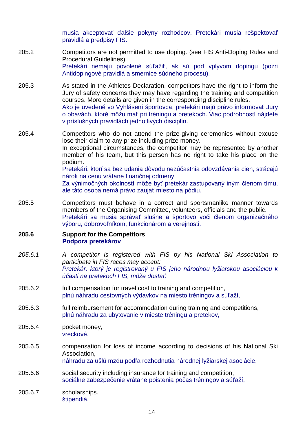musia akceptovať ďalšie pokyny rozhodcov. Pretekári musia rešpektovať pravidlá a predpisy FIS.

- 205.2 Competitors are not permitted to use doping. (see FIS Anti-Doping Rules and Procedural Guidelines). Pretekári nemajú povolené súťažiť, ak sú pod vplyvom dopingu (pozri Antidopingové pravidlá a smernice súdneho procesu).
- 205.3 As stated in the Athletes Declaration, competitors have the right to inform the Jury of safety concerns they may have regarding the training and competition courses. More details are given in the corresponding discipline rules. Ako je uvedené vo Vyhlásení športovca, pretekári majú právo informovať Jury o obavách, ktoré môžu mať pri tréningu a pretekoch. Viac podrobností nájdete v príslušných pravidlách jednotlivých disciplín.
- 205.4 Competitors who do not attend the prize-giving ceremonies without excuse lose their claim to any prize including prize money. In exceptional circumstances, the competitor may be represented by another member of his team, but this person has no right to take his place on the podium. Pretekári, ktorí sa bez udania dôvodu nezúčastnia odovzdávania cien, strácajú nárok na cenu vrátane finančnej odmeny. Za výnimočných okolností môže byť pretekár zastupovaný iným členom tímu, ale táto osoba nemá právo zaujať miesto na pódiu.
- 205.5 Competitors must behave in a correct and sportsmanlike manner towards members of the Organising Committee, volunteers, officials and the public. Pretekári sa musia správať slušne a športovo voči členom organizačného výboru, dobrovoľníkom, funkcionárom a verejnosti.

#### **205.6 Support for the Competitors Podpora pretekárov**

- 205.6.1 A competitor is registered with FIS by his National Ski Association to participate in FIS races may accept: Pretekár, ktorý je registrovaný u FIS jeho národnou lyžiarskou asociáciou k ú*č*asti na pretekoch FIS, môže dosta*ť*:
- 205.6.2 full compensation for travel cost to training and competition, plnú náhradu cestovných výdavkov na miesto tréningov a súťaží,
- 205.6.3 full reimbursement for accommodation during training and competitions, plnú náhradu za ubytovanie v mieste tréningu a pretekov,
- 205.6.4 pocket money, vreckové,
- 205.6.5 compensation for loss of income according to decisions of his National Ski Association,

náhradu za ušlú mzdu podľa rozhodnutia národnej lyžiarskej asociácie,

- 205.6.6 social security including insurance for training and competition, sociálne zabezpečenie vrátane poistenia počas tréningov a súťaží,
- 205.6.7 scholarships. štipendiá.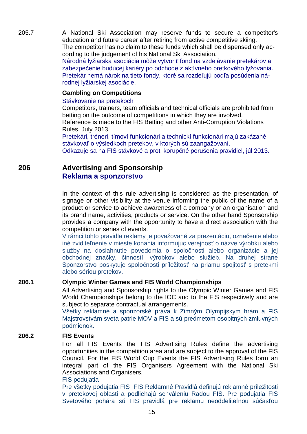205.7 A National Ski Association may reserve funds to secure a competitor's education and future career after retiring from active competitive skiing. The competitor has no claim to these funds which shall be dispensed only according to the judgement of his National Ski Association.

> Národná lyžiarska asociácia môže vytvoriť fond na vzdelávanie pretekárov a zabezpečenie budúcej kariéry po odchode z aktívneho pretkového lyžovania. Pretekár nemá nárok na tieto fondy, ktoré sa rozdeľujú podľa posúdenia národnej lyžiarskej asociácie.

#### **Gambling on Competitions**

#### Stávkovanie na pretekoch

Competitors, trainers, team officials and technical officials are prohibited from betting on the outcome of competitions in which they are involved. Reference is made to the FIS Betting and other Anti-Corruption Violations Rules, July 2013.

Pretekári, tréneri, tímoví funkcionári a technickí funkcionári majú zakázané stávkovať o výsledkoch pretekov, v ktorých sú zaangažovaní. Odkazuje sa na FIS stávkové a proti korupčné porušenia pravidiel, júl 2013.

## **206 Advertising and Sponsorship Reklama a sponzorstvo**

In the context of this rule advertising is considered as the presentation, of signage or other visibility at the venue informing the public of the name of a product or service to achieve awareness of a company or an organisation and its brand name, activities, products or service. On the other hand Sponsorship provides a company with the opportunity to have a direct association with the competition or series of events.

V rámci tohto pravidla reklamy je považované za prezentáciu, označenie alebo iné zviditeľnenie v mieste konania informujúc verejnosť o názve výrobku alebo služby na dosiahnutie povedomia o spoločnosti alebo organizácie a jej obchodnej značky, činností, výrobkov alebo služieb. Na druhej strane Sponzorstvo poskytuje spoločnosti príležitosť na priamu spojitosť s pretekmi alebo sériou pretekov.

## **206.1 Olympic Winter Games and FIS World Championships**

All Advertising and Sponsorship rights to the Olympic Winter Games and FIS World Championships belong to the IOC and to the FIS respectively and are subject to separate contractual arrangements.

Všetky reklamné a sponzorské práva k Zimným Olympijskym hrám a FIS Majstrovstvám sveta patrie MOV a FIS a sú predmetom osobitných zmluvných podmienok.

#### **206.2 FIS Events**

For all FIS Events the FIS Advertising Rules define the advertising opportunities in the competition area and are subject to the approval of the FIS Council. For the FIS World Cup Events the FIS Advertising Rules form an integral part of the FIS Organisers Agreement with the National Ski Associations and Organisers.

#### FIS podujatia

Pre všetky podujatia FIS FIS Reklamné Pravidlá definujú reklamné príležitosti v pretekovej oblasti a podliehajú schváleniu Radou FIS. Pre podujatia FIS Svetového pohára sú FIS pravidlá pre reklamu neoddeliteľnou súčasťou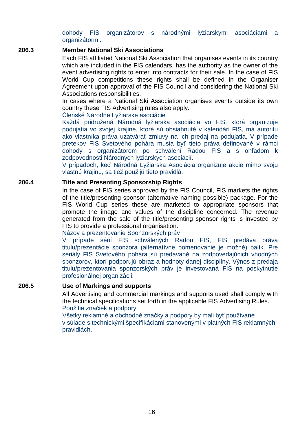#### dohody FIS organizátorov s národnými lyžiarskymi asociáciami a organizátormi.

#### **206.3 Member National Ski Associations**

Each FIS affiliated National Ski Association that organises events in its country which are included in the FIS calendars, has the authority as the owner of the event advertising rights to enter into contracts for their sale. In the case of FIS World Cup competitions these rights shall be defined in the Organiser Agreement upon approval of the FIS Council and considering the National Ski Associations responsibilities.

In cases where a National Ski Association organises events outside its own country these FIS Advertising rules also apply.

Členské Národné Lyžiarske asociácie

Každá pridružená Národná lyžiarska asociácia vo FIS, ktorá organizuje podujatia vo svojej krajine, ktoré sú obsiahnuté v kalendári FIS, má autoritu ako vlastníka práva uzatvárať zmluvy na ich predaj na podujatia. V prípade pretekov FIS Svetového pohára musia byť tieto práva definované v rámci dohody s organizátorom po schválení Radou FIS a s ohľadom k zodpovednosti Národných lyžiarskych asociácií.

V prípadoch, keď Národná Lyžiarska Asociácia organizuje akcie mimo svoju vlastnú krajinu, sa tiež použijú tieto pravidlá.

#### **206.4 Title and Presenting Sponsorship Rights**

 In the case of FIS series approved by the FIS Council, FIS markets the rights of the title/presenting sponsor (alternative naming possible) package. For the FIS World Cup series these are marketed to appropriate sponsors that promote the image and values of the discipline concerned. The revenue generated from the sale of the title/presenting sponsor rights is invested by FIS to provide a professional organisation.

Názov a prezentovanie Sponzorských práv

 V prípade sérií FIS schválených Radou FIS, FIS predáva práva titulu/prezentácie sponzora (alternatívne pomenovanie je možné) balík. Pre seriály FIS Svetového pohára sú predávané na zodpovedajúcich vhodných sponzorov, ktorí podporujú obraz a hodnoty danej disciplíny. Výnos z predaja titulu/prezentovania sponzorských práv je investovaná FIS na poskytnutie profesionálnej organizácii.

#### **206.5 Use of Markings and supports**

All Advertising and commercial markings and supports used shall comply with the technical specifications set forth in the applicable FIS Advertising Rules. Použitie značiek a podpory

Všetky reklamné a obchodné značky a podpory by mali byť používané v súlade s technickými špecifikáciami stanovenými v platných FIS reklamných pravidlách.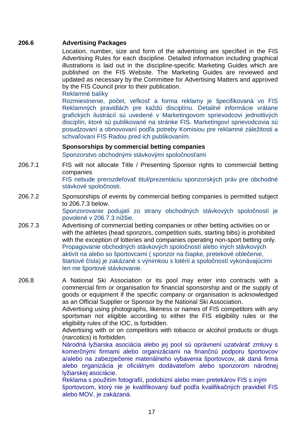#### **206.6 Advertising Packages**

Location, number, size and form of the advertising are specified in the FIS Advertising Rules for each discipline. Detailed information including graphical illustrations is laid out in the discipline-specific Marketing Guides which are published on the FIS Website. The Marketing Guides are reviewed and updated as necessary by the Committee for Advertising Matters and approved by the FIS Council prior to their publication.

Reklamné balíky

Rozmiestnenie, počet, veľkosť a forma reklamy je špecifikovaná vo FIS Reklamných pravidlách pre každú disciplínu. Detailné informácie vrátane grafických ilustrácií sú uvedené v Marketingovom sprievodcovi jednotlivých disciplín, ktoré sú publikované na stránke FIS. Marketingoví sprievodcovia sú posudzovaní a obnovovaní podľa potreby Komisiou pre reklamné záležitosti a schvaľovaní FIS Radou pred ich publikovaním.

#### **Sponsorships by commercial betting companies**

Sponzorstvo obchodnými stávkovými spoločnosťami

206.7.1 FIS will not allocate Title / Presenting Sponsor rights to commercial betting companies

FIS nebude prerozdeľovať titul/prezentáciu sponzorských práv pre obchodné stávkové spoločnosti.

206.7.2 Sponsorships of events by commercial betting companies is permitted subject to 206.7.3 below.

Sponzorovanie podujatí zo strany obchodných stávkových spoločností je povolené v 206.7.3 nižšie.

206.7.3 Advertising of commercial betting companies or other betting activities on or with the athletes (head sponzors, competition suits, starting bibs) is prohibited with the exception of lotteries and companies operating non-sport betting only. Propagovanie obchodných stávkových spoločností alebo iných stávkových aktivít na alebo so športovcami ( sponzor na čiapke, pretekové oblečenie, štartové čísla) je zakázané s výnimkou s lotérií a spoločností vykonávajúcimi len nie športové stávkovanie.

206.8 A National Ski Association or its pool may enter into contracts with a commercial firm or organisation for financial sponsorship and or the supply of goods or equipment if the specific company or organisation is acknowledged as an Official Supplier or Sponsor by the National Ski Association.

> Advertising using photographs, likeness or names of FIS competitors with any sportsman not eligible according to either the FIS eligibility rules or the eligibility rules of the IOC, is forbidden.

> Advertising with or on competitors with tobacco or alcohol products or drugs (narcotics) is forbidden.

> Národná lyžiarska asociácia alebo jej pool sú oprávnení uzatvárať zmluvy s komerčnými firmami alebo organizáciami na finančnú podporu športovcov a/alebo na zabezpečenie materiálneho vybavenia športovcov, ak daná firma alebo organizácia je oficiálnym dodávateľom alebo sponzorom národnej lyžiarskej asociácie.

> Reklama s použitím fotografií, podobizní alebo mien pretekárov FIS s iným športovcom, ktorý nie je kvalifikovaný buď podľa kvalifikačných pravidiel FIS alebo MOV, je zakázaná.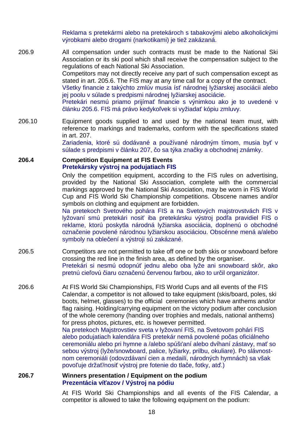Reklama s pretekármi alebo na pretekároch s tabakovými alebo alkoholickými výrobkami alebo drogami (narkotikami) je tiež zakázaná.

206.9 All compensation under such contracts must be made to the National Ski Association or its ski pool which shall receive the compensation subject to the regulations of each National Ski Association. Competitors may not directly receive any part of such compensation except as stated in art. 205.6. The FIS may at any time call for a copy of the contract. Všetky financie z takýchto zmlúv musia ísť národnej lyžiarskej asociácii alebo jej poolu v súlade s predpismi národnej lyžiarskej asociácie. Pretekári nesmú priamo prijímať financie s výnimkou ako je to uvedené v článku 205.6. FIS má právo kedykoľvek si vyžiadať kópiu zmluvy.

206.10 Equipment goods supplied to and used by the national team must, with reference to markings and trademarks, conform with the specifications stated in art. 207.

Zariadenia, ktoré sú dodávané a používané národným tímom, musia byť v súlade s predpismi v článku 207, čo sa týka značky a obchodnej známky.

#### **206.4 Competition Equipment at FIS Events Pretekársky výstroj na podujatiach FIS**

 Only the competition equipment, according to the FIS rules on advertising, provided by the National Ski Association, complete with the commercial markings approved by the National Ski Association, may be worn in FIS World Cup and FIS World Ski Championship competitions. Obscene names and/or symbols on clothing and equipment are forbidden.

Na pretekoch Svetového pohára FIS a na Svetových majstrovstvách FIS v lyžovaní smú pretekári nosiť iba pretekársku výstroj podľa pravidiel FIS o reklame, ktorú poskytla národná lyžiarska asociácia, doplnenú o obchodné označenie povolené národnou lyžiarskou asociáciou. Obscénne mená a/alebo symboly na oblečení a výstroji sú zakázané.

- 206.5 Competitors are not permitted to take off one or both skis or snowboard before crossing the red line in the finish area, as defined by the organiser. Pretekári si nesmú odopnúť jednu alebo oba lyže ani snowboard skôr, ako pretnú cieľovú čiaru označenú červenou farbou, ako to určil organizátor.
- 206.6 At FIS World Ski Championships, FIS World Cups and all events of the FIS Calendar, a competitor is not allowed to take equipment (skis/board, poles, ski boots, helmet, glasses) to the official ceremonies which have anthems and/or flag raising. Holding/carrying equipment on the victory podium after conclusion of the whole ceremony (handing over trophies and medals, national anthems) for press photos, pictures, etc. is however permitted. Na pretekoch Majstrovstiev sveta v lyžovaní FIS, na Svetovom pohári FIS alebo podujatiach kalendára FIS pretekár nemá povolené počas oficiálneho ceremoniálu alebo pri hymne a /alebo spúšťaní alebo dvíhaní zástavy, mať so sebou výstroj (lyže/snowboard, palice, lyžiarky, prilbu, okuliare). Po slávnostnom ceremoniáli (odovzdávaní cien a medailí, národných hymnách) sa však povoľuje držať/nosiť výstroj pre fotenie do tlače, fotky, atď.)

#### **206.7 Winners presentation / Equipment on the podium Prezentácia víťazov / Výstroj na pódiu**

At FIS World Ski Championships and all events of the FIS Calendar, a competitor is allowed to take the following equipment on the podium: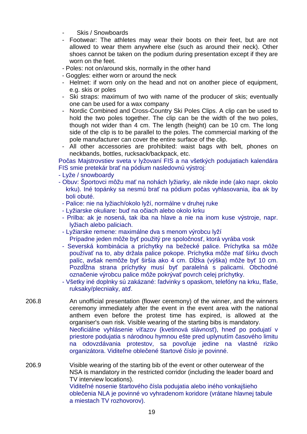- Skis / Snowboards
- Footwear: The athletes may wear their boots on their feet, but are not allowed to wear them anywhere else (such as around their neck). Other shoes cannot be taken on the podium during presentation except if they are worn on the feet.
- Poles: not on/around skis, normally in the other hand
- Goggles: either worn or around the neck
- Helmet: if worn only on the head and not on another piece of equipment, e.g. skis or poles
- Ski straps: maximum of two with name of the producer of skis; eventually one can be used for a wax company
- Nordic Combined and Cross-Country Ski Poles Clips. A clip can be used to hold the two poles together. The clip can be the width of the two poles, though not wider than 4 cm. The length (height) can be 10 cm. The long side of the clip is to be parallel to the poles. The commercial marking of the pole manufacturer can cover the entire surface of the clip.
- All other accessories are prohibited: waist bags with belt, phones on neckbands, bottles, rucksack/backpack, etc.

Počas Majstrovstiev sveta v lyžovaní FIS a na všetkých podujatiach kalendára FIS smie pretekár brať na pódium nasledovnú výstroj:

- Lyže / snowboardy
- Obuv: Športovci môžu mať na nohách lyžiarky, ale nikde inde (ako napr. okolo krku). Iné topánky sa nesmú brať na pódium počas vyhlasovania, iba ak by boli obuté.
	- Palice: nie na lyžiach/okolo lyží, normálne v druhej ruke
	- Lyžiarske okuliare: buď na očiach alebo okolo krku
	- Prilba: ak je nosená, tak iba na hlave a nie na inom kuse výstroje, napr. lyžiach alebo paliciach.
	- Lyžiarske remene: maximálne dva s menom výrobcu lyží
	- Prípadne jeden môže byť použitý pre spoločnosť, ktorá vyrába vosk
	- Severská kombinácia a príchytky na bežecké palice. Príchytka sa môže používať na to, aby držala palice pokope. Príchytka môže mať šírku dvoch palíc, avšak nemôže byť širšia ako 4 cm. Dĺžka (výška) môže byť 10 cm. Pozdĺžna strana príchytky musí byť paralelná s palicami. Obchodné označenie výrobcu palice môže pokrývať povrch celej príchytky.
- Všetky iné doplnky sú zakázané: ľadvinky s opaskom, telefóny na krku, fľaše, ruksaky/plecniaky, atď.
- 206.8 An unofficial presentation (flower ceremony) of the winner, and the winners ceremony immediately after the event in the event area with the national anthem even before the protest time has expired, is allowed at the organiser's own risk. Visible wearing of the starting bibs is mandatory. Neoficiálne vyhlásenie víťazov (kvetinová slávnosť), hneď po podujatí v priestore podujatia s národnou hymnou ešte pred uplynutím časového limitu na odovzdávania protestov, sa povoľuje jedine na vlastné riziko organizátora. Viditeľne oblečené štartové číslo je povinné.
- 206.9 Visible wearing of the starting bib of the event or other outerwear of the NSA is mandatory in the restricted corridor (including the leader board and TV interview locations). Viditeľné nosenie štartového čísla podujatia alebo iného vonkajšieho oblečenia NLA je povinné vo vyhradenom koridore (vrátane hlavnej tabule a miestach TV rozhovorov).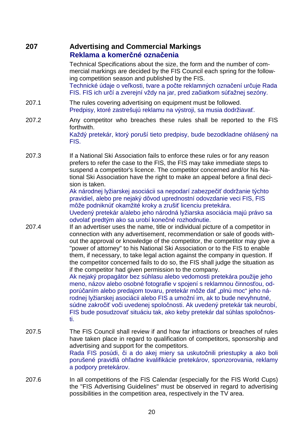## **207 Advertising and Commercial Markings Reklama a komerčné označenia**

Technical Specifications about the size, the form and the number of commercial markings are decided by the FIS Council each spring for the following competition season and published by the FIS. Technické údaje o veľkosti, tvare a počte reklamných označení určuje Rada FIS. FIS ich určí a zverejní vždy na jar, pred začiatkom súťažnej sezóny.

- 207.1 The rules covering advertising on equipment must be followed. Predpisy, ktoré zastrešujú reklamu na výstroji, sa musia dodržiavať.
- 207.2 Any competitor who breaches these rules shall be reported to the FIS forthwith. Každý pretekár, ktorý poruší tieto predpisy, bude bezodkladne ohlásený na FIS.
- 207.3 If a National Ski Association fails to enforce these rules or for any reason prefers to refer the case to the FIS, the FIS may take immediate steps to suspend a competitor's licence. The competitor concerned and/or his National Ski Association have the right to make an appeal before a final decision is taken.

Ak národnej lyžiarskej asociácii sa nepodarí zabezpečiť dodržanie týchto pravidiel, alebo pre nejaký dôvod uprednostní odovzdanie veci FIS, FIS môže podniknúť okamžité kroky a zrušiť licenciu pretekára.

Uvedený pretekár a/alebo jeho národná lyžiarska asociácia majú právo sa odvolať predtým ako sa urobí konečné rozhodnutie.

207.4 If an advertiser uses the name, title or individual picture of a competitor in connection with any advertisement, recommendation or sale of goods without the approval or knowledge of the competitor, the competitor may give a "power of attorney" to his National Ski Association or to the FIS to enable them, if necessary, to take legal action against the company in question. If the competitor concerned fails to do so, the FIS shall judge the situation as if the competitor had given permission to the company.

Ak nejaký propagátor bez súhlasu alebo vedomosti pretekára použije jeho meno, názov alebo osobné fotografie v spojení s reklamnou činnosťou, odporúčaním alebo predajom tovaru, pretekár môže dať "plnú moc" jeho národnej lyžiarskej asociácii alebo FIS a umožní im, ak to bude nevyhnutné, súdne zakročiť voči uvedenej spoločnosti. Ak uvedený pretekár tak neurobí, FIS bude posudzovať situáciu tak, ako keby pretekár dal súhlas spoločnosti.

- 207.5 The FIS Council shall review if and how far infractions or breaches of rules have taken place in regard to qualification of competitors, sponsorship and advertising and support for the competitors. Rada FIS posúdi, či a do akej miery sa uskutočnili priestupky a ako boli porušené pravidlá ohľadne kvalifikácie pretekárov, sponzorovania, reklamy a podpory pretekárov.
- 207.6 In all competitions of the FIS Calendar (especially for the FIS World Cups) the "FIS Advertising Guidelines" must be observed in regard to advertising possibilities in the competition area, respectively in the TV area.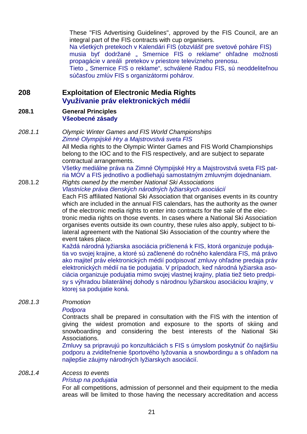These "FIS Advertising Guidelines", approved by the FIS Council, are an integral part of the FIS contracts with cup organisers. Na všetkých pretekoch v Kalendári FIS (obzvlášť pre svetové poháre FIS) musia byť dodržané " Smernice FIS o reklame" ohľadne možnosti propagácie v areáli pretekov v priestore televízneho prenosu. Tieto " Smernice FIS o reklame", schválené Radou FIS, sú neoddeliteľnou súčasťou zmlúv FIS s organizátormi pohárov.

## **208 Exploitation of Electronic Media Rights Využívanie práv elektronických médií**

#### **208.1 General Principles Všeobecné zásady**

208.1.1 Olympic Winter Games and FIS World Championships Zimné Olympijské Hry a Majstrovstvá sveta FIS All Media rights to the Olympic Winter Games and FIS World Championships

belong to the IOC and to the FIS respectively, and are subject to separate contractual arrangements.

Všetky mediálne práva na Zimné Olympijské Hry a Majstrovstvá sveta FIS patria MOV a FIS jednotlivo a podliehajú samostatným zmluvným dojednaniam. 208.1.2Rights owned by the member National Ski Associations

Vlastnícke práva *č*lenských národných lyžiarskych asociácií

Each FIS affiliated National Ski Association that organises events in its country which are included in the annual FIS calendars, has the authority as the owner of the electronic media rights to enter into contracts for the sale of the electronic media rights on those events. In cases where a National Ski Association organises events outside its own country, these rules also apply, subject to bilateral agreement with the National Ski Association of the country where the event takes place.

Každá národná lyžiarska asociácia pričlenená k FIS, ktorá organizuje podujatia vo svojej krajine, a ktoré sú začlenené do ročného kalendára FIS, má právo ako majiteľ práv elektronických médií podpisovať zmluvy ohľadne predaja práv elektronických médií na tie podujatia. V prípadoch, keď národná lyžiarska asociácia organizuje podujatia mimo svojej vlastnej krajiny, platia tiež tieto predpisy s výhradou bilaterálnej dohody s národnou lyžiarskou asociáciou krajiny, v ktorej sa podujatie koná.

#### 208.1.3 Promotion

#### Podpora

Contracts shall be prepared in consultation with the FIS with the intention of giving the widest promotion and exposure to the sports of skiing and snowboarding and considering the best interests of the National Ski Associations.

Zmluvy sa pripravujú po konzultáciách s FIS s úmyslom poskytnúť čo najširšiu podporu a zviditeľnenie športového lyžovania a snowbordingu a s ohľadom na najlepšie záujmy národných lyžiarskych asociácií.

#### 208**.**1.4 Access to events

#### Prístup na podujatia

For all competitions, admission of personnel and their equipment to the media areas will be limited to those having the necessary accreditation and access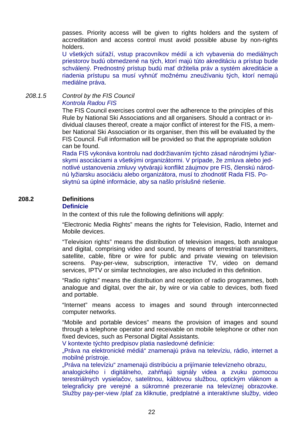passes. Priority access will be given to rights holders and the system of accreditation and access control must avoid possible abuse by non-rights holders.

U všetkých súťaží, vstup pracovníkov médií a ich vybavenia do mediálnych priestorov budú obmedzené na tých, ktorí majú túto akreditáciu a prístup bude schválený. Prednostný prístup budú mať držitelia práv a systém akreditácie a riadenia prístupu sa musí vyhnúť možnému zneužívaniu tých, ktorí nemajú mediálne práva.

#### 208.1.5 Control by the FIS Council Kontrola Radou FIS

The FIS Council exercises control over the adherence to the principles of this Rule by National Ski Associations and all organisers. Should a contract or individual clauses thereof, create a major conflict of interest for the FIS, a member National Ski Association or its organiser, then this will be evaluated by the FIS Council. Full information will be provided so that the appropriate solution can be found.

Rada FIS vykonáva kontrolu nad dodržiavaním týchto zásad národnými lyžiarskymi asociáciami a všetkými organizátormi. V prípade, že zmluva alebo jednotlivé ustanovenia zmluvy vytvárajú konflikt záujmov pre FIS, členskú národnú lyžiarsku asociáciu alebo organizátora, musí to zhodnotiť Rada FIS. Poskytnú sa úplné informácie, aby sa našlo príslušné riešenie.

#### **208.2 Definitions Definície**

In the context of this rule the following definitions will apply:

"Electronic Media Rights" means the rights for Television, Radio, Internet and Mobile devices.

"Television rights" means the distribution of television images, both analogue and digital, comprising video and sound, by means of terrestrial transmitters, satellite, cable, fibre or wire for public and private viewing on television screens. Pay-per-view, subscription, interactive TV, video on demand services, IPTV or similar technologies, are also included in this definition.

"Radio rights" means the distribution and reception of radio programmes, both analogue and digital, over the air, by wire or via cable to devices, both fixed and portable.

"Internet" means access to images and sound through interconnected computer networks.

"Mobile and portable devices" means the provision of images and sound through a telephone operator and receivable on mobile telephone or other non fixed devices, such as Personal Digital Assistants.

V kontexte týchto predpisov platia nasledovné definície:

"Práva na elektronické médiá" znamenajú práva na televíziu, rádio, internet a mobilné prístroje.

"Práva na televíziu" znamenajú distribúciu a prijímanie televízneho obrazu,

analogického i digitálneho, zahŕňajú signály videa a zvuku pomocou terestriálnych vysielačov, satelitnou, káblovou službou, optickým vláknom a telegraficky pre verejné a súkromné prezeranie na televíznej obrazovke. Služby pay-per-view /plať za kliknutie, predplatné a interaktívne služby, video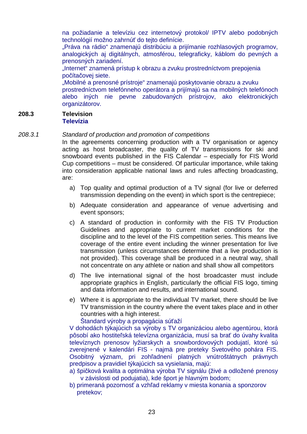na požiadanie a televíziu cez internetový protokol/ IPTV alebo podobných technológií možno zahrnúť do tejto definície.

"Práva na rádio" znamenajú distribúciu a prijímanie rozhlasových programov, analogických aj digitálnych, atmosférou, telegraficky, káblom do pevných a prenosných zariadení.

"Internet" znamená prístup k obrazu a zvuku prostredníctvom prepojenia počítačovej siete.

"Mobilné a prenosné prístroje" znamenajú poskytovanie obrazu a zvuku prostredníctvom telefónneho operátora a prijímajú sa na mobilných telefónoch alebo iných nie pevne zabudovaných prístrojov, ako elektronických organizátorov.

#### **208.3 Television Televízia**

#### 208.3.1 Standard of production and promotion of competitions

In the agreements concerning production with a TV organisation or agency acting as host broadcaster, the quality of TV transmissions for ski and snowboard events published in the FIS Calendar – especially for FIS World Cup competitions – must be considered. Of particular importance, while taking into consideration applicable national laws and rules affecting broadcasting, are:

- a) Top quality and optimal production of a TV signal (for live or deferred transmission depending on the event) in which sport is the centrepiece;
- b) Adequate consideration and appearance of venue advertising and event sponsors;
- c) A standard of production in conformity with the FIS TV Production Guidelines and appropriate to current market conditions for the discipline and to the level of the FIS competition series. This means live coverage of the entire event including the winner presentation for live transmission (unless circumstances determine that a live production is not provided). This coverage shall be produced in a neutral way, shall not concentrate on any athlete or nation and shall show all competitors
- d) The live international signal of the host broadcaster must include appropriate graphics in English, particularly the official FIS logo, timing and data information and results, and international sound.
- e) Where it is appropriate to the individual TV market, there should be live TV transmission in the country where the event takes place and in other countries with a high interest.

Štandard výroby a propagácia súťaží

 V dohodách týkajúcich sa výroby s TV organizáciou alebo agentúrou, ktorá pôsobí ako hostiteľská televízna organizácia, musí sa brať do úvahy kvalita televíznych prenosov lyžiarskych a snowbordovových podujatí, ktoré sú zverejnené v kalendári FIS - najmä pre preteky Svetového pohára FIS. Osobitný význam, pri zohľadnení platných vnútroštátnych právnych predpisov a pravidiel týkajúcich sa vysielania, majú:

- a) špičková kvalita a optimálna výroba TV signálu (živé a odložené prenosy v závislosti od podujatia), kde šport je hlavným bodom;
- b) primeraná pozornosť a vzhľad reklamy v miesta konania a sponzorov pretekov;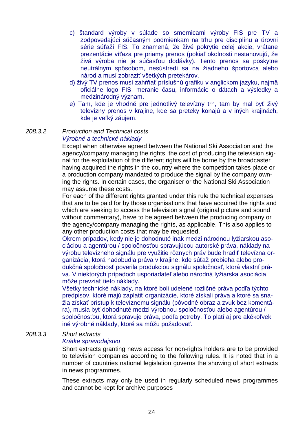- c) štandard výroby v súlade so smernicami výroby FIS pre TV a zodpovedajúci súčasným podmienkam na trhu pre disciplínu a úrovni série súťaží FIS. To znamená, že živé pokrytie celej akcie, vrátane prezentácie víťaza pre priamy prenos (pokiaľ okolnosti nestanovujú, že živá výroba nie je súčasťou dodávky). Tento prenos sa poskytne neutrálnym spôsobom, nesústredí sa na žiadneho športovca alebo národ a musí zobraziť všetkých pretekárov.
- d) živý TV prenos musí zahŕňať príslušnú grafiku v anglickom jazyku, najmä oficiálne logo FIS, meranie času, informácie o dátach a výsledky a medzinárodný význam.
- e) Tam, kde je vhodné pre jednotlivý televízny trh, tam by mal byť živý televízny prenos v krajine, kde sa preteky konajú a v iných krajinách, kde je veľký záujem.

#### 208.3.2 Production and Technical costs Výrobné a technické náklady

Except when otherwise agreed between the National Ski Association and the agency/company managing the rights, the cost of producing the television signal for the exploitation of the different rights will be borne by the broadcaster having acquired the rights in the country where the competition takes place or a production company mandated to produce the signal by the company owning the rights. In certain cases, the organiser or the National Ski Association may assume these costs.

For each of the different rights granted under this rule the technical expenses that are to be paid for by those organisations that have acquired the rights and which are seeking to access the television signal (original picture and sound without commentary), have to be agreed between the producing company or the agency/company managing the rights, as applicable. This also applies to any other production costs that may be requested.

Okrem prípadov, kedy nie je dohodnuté inak medzi národnou lyžiarskou asociáciou a agentúrou / spoločnosťou spravujúcou autorské práva, náklady na výrobu televízneho signálu pre využitie rôznych práv bude hradiť televízna organizácia, ktorá nadobudla práva v krajine, kde súťaž prebieha alebo produkčná spoločnosť poverila produkciou signálu spoločnosť, ktorá vlastní práva. V niektorých prípadoch usporiadateľ alebo národná lyžiarska asociácia môže prevziať tieto náklady.

Všetky technické náklady, na ktoré boli udelené rozličné práva podľa týchto predpisov, ktoré majú zaplatiť organizácie, ktoré získali práva a ktoré sa snažia získať prístup k televíznemu signálu (pôvodné obraz a zvuk bez komentára), musia byť dohodnuté medzi výrobnou spoločnosťou alebo agentúrou / spoločnosťou, ktorá spravuje práva, podľa potreby. To platí aj pre akékoľvek iné výrobné náklady, ktoré sa môžu požadovať.

#### 208.3.3 Short extracts

#### Krátke spravodajstvo

Short extracts granting news access for non-rights holders are to be provided to television companies according to the following rules. It is noted that in a number of countries national legislation governs the showing of short extracts in news programmes.

These extracts may only be used in regularly scheduled news programmes and cannot be kept for archive purposes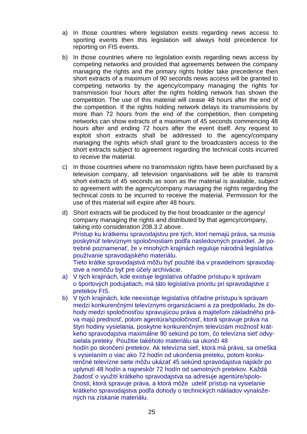- a) In those countries where legislation exists regarding news access to sporting events then this legislation will always hold precedence for reporting on FIS events.
- b) In those countries where no legislation exists regarding news access by competing networks and provided that agreements between the company managing the rights and the primary rights holder take precedence then short extracts of a maximum of 90 seconds news access will be granted to competing networks by the agency/company managing the rights for transmission four hours after the rights holding network has shown the competition. The use of this material will cease 48 hours after the end of the competition. If the rights holding network delays its transmissions by more than 72 hours from the end of the competition, then competing networks can show extracts of a maximum of 45 seconds commencing 48 hours after and ending 72 hours after the event itself. Any request to exploit short extracts shall be addressed to the agency/company managing the rights which shall grant to the broadcasters access to the short extracts subject to agreement regarding the technical costs incurred to receive the material.
- c) In those countries where no transmission rights have been purchased by a television company, all television organisations will be able to transmit short extracts of 45 seconds as soon as the material is available, subject to agreement with the agency/company managing the rights regarding the technical costs to be incurred to receive the material. Permission for the use of this material will expire after 48 hours.
- d) Short extracts will be produced by the host broadcaster or the agency/ company managing the rights and distributed by that agency/company, taking into consideration 208.3.2 above. Prístup ku krátkemu spravodajstvu pre tých, ktorí nemajú práva, sa musia poskytnúť televíznym spoločnostiam podľa nasledovných pravidiel. Je potrebné poznamenať, že v mnohých krajinách reguluje národná legislatíva používanie spravodajského materiálu. Tieto krátke spravodajstvá môžu byť použité iba v pravidelnom spravodajstve a nemôžu byť pre účely archivácie.
- a) V tých krajinách, kde existuje legislatíva ohľadne prístupu k správam o športových podujatiach, má táto legislatíva prioritu pri spravodajstve z pretekov FIS.
- b) V tých krajinách, kde neexistuje legislatíva ohľadne prístupu k správam medzi konkurenčnými televíznymi organizáciami a za predpokladu, že dohody medzi spoločnosťou spravujúcou práva a majiteľom základného práva majú prednosť, potom agentúra/spoločnosť, ktorá spravuje práva na štyri hodiny vysielania, poskytne konkurenčným televíziám možnosť krátkeho spravodajstva maximálne 90 sekúnd po tom, čo televízna sieť odvysielala preteky. Použitie takéhoto materiálu sa ukončí 48 hodín po skončení pretekov. Ak televízna sieť, ktorá má práva, sa omešká s vysielaním o viac ako 72 hodín od ukončenia preteku, potom konkurenčné televízne siete môžu ukázať 45 sekúnd spravodajstva najskôr po uplynutí 48 hodín a najneskôr 72 hodín od samotných pretekov. Každá žiadosť o využití krátkeho spravodajstva sa adresuje agentúre/spoločnosti, ktorá spravuje práva, a ktorá môže udeliť prístup na vysielanie krátkeho spravodajstva podľa dohody o technických nákladov vynaložených na získanie materiálu.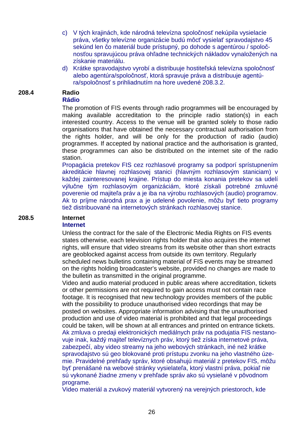- c) V tých krajinách, kde národná televízna spoločnosť nekúpila vysielacie práva, všetky televízne organizácie budú môcť vysielať spravodajstvo 45 sekúnd len čo materiál bude prístupný, po dohode s agentúrou / spoločnosťou spravujúcou práva ohľadne technických nákladov vynaložených na získanie materiálu.
- d) Krátke spravodajstvo vyrobí a distribuuje hostiteľská televízna spoločnosť alebo agentúra/spoločnosť, ktorá spravuje práva a distribuuje agentúra/spoločnosť s prihliadnutím na hore uvedené 208.3.2.

#### **208.4 Radio Rádio**

The promotion of FIS events through radio programmes will be encouraged by making available accreditation to the principle radio station(s) in each interested country. Access to the venue will be granted solely to those radio organisations that have obtained the necessary contractual authorisation from the rights holder, and will be only for the production of radio (audio) programmes. If accepted by national practice and the authorisation is granted, these programmes can also be distributed on the internet site of the radio station.

Propagácia pretekov FIS cez rozhlasové programy sa podporí sprístupnením akreditácie hlavnej rozhlasovej stanici (hlavným rozhlasovým staniciam) v každej zainteresovanej krajine. Prístup do miesta konania pretekov sa udelí výlučne tým rozhlasovým organizáciám, ktoré získali potrebné zmluvné poverenie od majiteľa práv a je iba na výrobu rozhlasových (audio) programov. Ak to príjme národná prax a je udelené povolenie, môžu byť tieto programy tiež distribuované na internetových stránkach rozhlasovej stanice.

## **208.5 Internet**

#### **Internet**

Unless the contract for the sale of the Electronic Media Rights on FIS events states otherwise, each television rights holder that also acquires the internet rights, will ensure that video streams from its website other than short extracts are geoblocked against access from outside its own territory. Regularly scheduled news bulletins containing material of FIS events may be streamed on the rights holding broadcaster's website, provided no changes are made to the bulletin as transmitted in the original programme.

Video and audio material produced in public areas where accreditation, tickets or other permissions are not required to gain access must not contain race footage. It is recognised that new technology provides members of the public with the possibility to produce unauthorised video recordings that may be posted on websites. Appropriate information advising that the unauthorised production and use of video material is prohibited and that legal proceedings could be taken, will be shown at all entrances and printed on entrance tickets. Ak zmluva o predaji elektronických mediálnych práv na podujatia FIS nestanovuje inak, každý majiteľ televíznych práv, ktorý tiež získa internetové práva, zabezpečí, aby video streamy na jeho webových stránkach, iné než krátke spravodajstvo sú geo blokované proti prístupu zvonku na jeho vlastného územie. Pravidelné prehľady správ, ktoré obsahujú materiál z pretekov FIS, môžu byť prenášané na webové stránky vysielateľa, ktorý vlastní práva, pokiaľ nie sú vykonané žiadne zmeny v prehľade správ ako sú vysielané v pôvodnom programe.

Video materiál a zvukový materiál vytvorený na verejných priestoroch, kde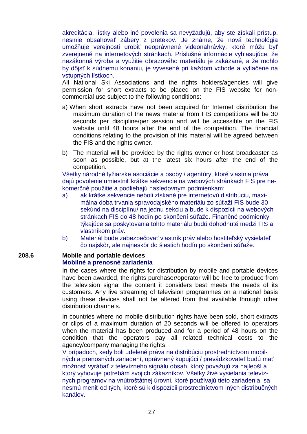akreditácia, lístky alebo iné povolenia sa nevyžadujú, aby ste získali prístup, nesmie obsahovať zábery z pretekov. Je známe, že nová technológia umožňuje verejnosti urobiť neoprávnené videonahrávky, ktoré môžu byť zverejnené na internetových stránkach. Príslušné informácie vyhlasujúce, že nezákonná výroba a využitie obrazového materiálu je zakázané, a že mohlo by dôjsť k súdnemu konaniu, je vyvesené pri každom vchode a vytlačené na vstupných lístkoch.

All National Ski Associations and the rights holders/agencies will give permission for short extracts to be placed on the FIS website for noncommercial use subject to the following conditions:

- a) When short extracts have not been acquired for Internet distribution the maximum duration of the news material from FIS competitions will be 30 seconds per discipline/per session and will be accessible on the FIS website until 48 hours after the end of the competition. The financial conditions relating to the provision of this material will be agreed between the FIS and the rights owner.
- b) The material will be provided by the rights owner or host broadcaster as soon as possible, but at the latest six hours after the end of the competition.

Všetky národné lyžiarske asociácie a osoby / agentúry, ktoré vlastnia práva dajú povolenie umiestniť krátke sekvencie na webových stránkach FIS pre nekomerčné použitie a podliehajú nasledovným podmienkam:

- a) ak krátke sekvencie neboli získané pre internetovú distribúciu, maximálna doba trvania spravodajského materiálu zo súťaží FIS bude 30 sekúnd na disciplínu/ na jednu sekciu a bude k dispozícii na webových stránkach FIS do 48 hodín po skončení súťaže. Finančné podmienky týkajúce sa poskytovania tohto materiálu budú dohodnuté medzi FIS a vlastníkom práv.
- b) Materiál bude zabezpečovať vlastník práv alebo hostiteľský vysielateľ čo najskôr, ale najneskôr do šiestich hodín po skončení súťaže.

### **208.6 Mobile and portable devices Mobilné a prenosné zariadenia**

In the cases where the rights for distribution by mobile and portable devices have been awarded, the rights purchaser/operator will be free to produce from the television signal the content it considers best meets the needs of its customers. Any live streaming of television programmes on a national basis using these devices shall not be altered from that available through other distribution channels.

In countries where no mobile distribution rights have been sold, short extracts or clips of a maximum duration of 20 seconds will be offered to operators when the material has been produced and for a period of 48 hours on the condition that the operators pay all related technical costs to the agency/company managing the rights.

V prípadoch, kedy boli udelené práva na distribúciu prostredníctvom mobilných a prenosných zariadení, oprávnený kupujúci / prevádzkovateľ budú mať možnosť vyrábať z televízneho signálu obsah, ktorý považujú za najlepší a ktorý vyhovuje potrebám svojich zákazníkov. Všetky živé vysielania televíznych programov na vnútroštátnej úrovni, ktoré používajú tieto zariadenia, sa nesmú meniť od tých, ktoré sú k dispozícii prostredníctvom iných distribučných kanálov.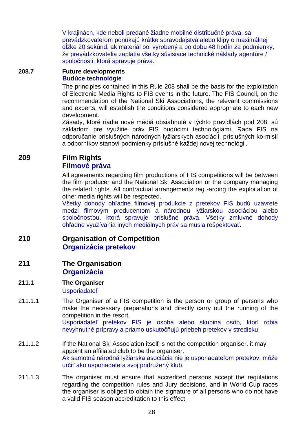V krajinách, kde neboli predané žiadne mobilné distribučné práva, sa prevádzkovateľom ponúkajú krátke spravodajstvá alebo klipy o maximálnej dĺžke 20 sekúnd, ak materiál bol vyrobený a po dobu 48 hodín za podmienky, že prevádzkovatelia zaplatia všetky súvisiace technické náklady agentúre / spoločnosti, ktorá spravuje práva.

#### **208.7 Future developments Budúce technológie**

 The principles contained in this Rule 208 shall be the basis for the exploitation of Electronic Media Rights to FIS events in the future. The FIS Council, on the recommendation of the National Ski Associations, the relevant commissions and experts, will establish the conditions considered appropriate to each new development.

 Zásady, ktoré riadia nové médiá obsiahnuté v týchto pravidlách pod 208, sú základom pre využitie práv FIS budúcimi technológiami. Rada FIS na odporúčanie príslušných národných lyžiarskych asociácií, príslušných ko-misií a odborníkov stanoví podmienky príslušné každej novej technológii.

## **209 Film Rights Filmové práva**

 All agreements regarding film productions of FIS competitions will be between the film producer and the National Ski Association or the company managing the related rights. All contractual arrangements reg -arding the exploitation of other media rights will be respected.

Všetky dohody ohľadne filmovej produkcie z pretekov FIS budú uzavreté medzi filmovým producentom a národnou lyžiarskou asociáciou alebo spoločnosťou, ktorá spravuje príslušné práva. Všetky zmluvné dohody ohľadne využívania iných mediálnych práv sa musia rešpektovať.

## **210 Organisation of Competition Organizácia pretekov**

## **211 The Organisation Organizácia**

- **211.1 The Organiser**  Usporiadateľ
- 211.1.1 The Organiser of a FIS competition is the person or group of persons who make the necessary preparations and directly carry out the running of the competition in the resort. Usporiadateľ pretekov FIS je osoba alebo skupina osôb, ktorí robia nevyhnutné prípravy a priamo uskutočňujú priebeh pretekov v stredisku.
- 211.1.2 If the National Ski Association itself is not the competition organiser, it may appoint an affiliated club to be the organiser. Ak samotná národná lyžiarska asociácia nie je usporiadateľom pretekov, môže určiť ako usporiadateľa svoj pridružený klub.
- 211.1.3 The organiser must ensure that accredited persons accept the regulations regarding the competition rules and Jury decisions, and in World Cup races the organiser is obliged to obtain the signature of all persons who do not have a valid FIS season accreditation to this effect.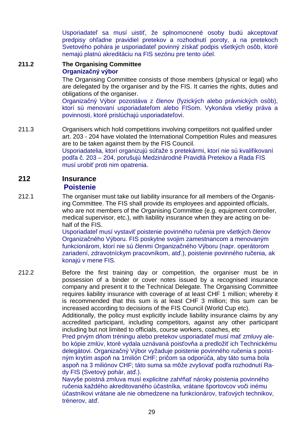Usporiadateľ sa musí uistiť, že splnomocnené osoby budú akceptovať predpisy ohľadne pravidiel pretekov a rozhodnutí poroty, a na pretekoch Svetového pohára je usporiadateľ povinný získať podpis všetkých osôb, ktoré nemajú platnú akreditáciu na FIS sezónu pre tento účel.

#### **211.2 The Organising Committee Organizačný výbor**

 The Organising Committee consists of those members (physical or legal) who are delegated by the organiser and by the FIS. It carries the rights, duties and obligations of the organiser.

Organizačný Výbor pozostáva z členov (fyzických alebo právnických osôb), ktorí sú menovaní usporiadateľom alebo FISom. Vykonáva všetky práva a povinnosti, ktoré prislúchajú usporiadateľovi.

211.3 Organisers which hold competitions involving competitors not qualified under art. 203 - 204 have violated the International Competition Rules and measures are to be taken against them by the FIS Council. Usporiadatelia, ktorí organizujú súťaže s pretekármi, ktorí nie sú kvalifikovaní podľa č. 203 – 204, porušujú Medzinárodné Pravidlá Pretekov a Rada FIS musí urobiť proti nim opatrenia.

#### **212 Insurance Poistenie**

212.1 The organiser must take out liability insurance for all members of the Organising Committee. The FIS shall provide its employees and appointed officials, who are not members of the Organising Committee (e.g. equipment controller, medical supervisor, etc.), with liability insurance when they are acting on behalf of the FIS.

> Usporiadateľ musí vystaviť poistenie povinného ručenia pre všetkých členov Organizačného Výboru. FIS poskytne svojim zamestnancom a menovaným funkcionárom, ktorí nie sú členmi Organizačného Výboru (napr. operátorom zariadení, zdravotníckym pracovníkom, atď.), poistenie povinného ručenia, ak konajú v mene FIS.

212.2 Before the first training day or competition, the organiser must be in possession of a binder or cover notes issued by a recognised insurance company and present it to the Technical Delegate. The Organising Committee requires liability insurance with coverage of at least CHF 1 million; whereby it is recommended that this sum is at least CHF 3 million; this sum can be increased according to decisions of the FIS Council (World Cup etc). Additionally, the policy must explicitly include liability insurance claims by any accredited participant, including competitors, against any other participant

including but not limited to officials, course workers, coaches, etc Pred prvým dňom tréningu alebo pretekov usporiadateľ musí mať zmluvy alebo kópie zmlúv, ktoré vydala uznávaná poisťovňa a predložiť ich Technickému delegátovi. Organizačný Výbor vyžaduje poistenie povinného ručenia s poistným krytím aspoň na 1milión CHF; pričom sa odporúča, aby táto suma bola aspoň na 3 miliónov CHF; táto suma sa môže zvyšovať podľa rozhodnutí Ra-

dy FIS (Svetový pohár, atď.).

Navyše poistná zmluva musí explicitne zahŕňať nároky poistenia povinného ručenia každého akreditovaného účastníka, vrátane športovcov voči inému účastníkovi vrátane ale nie obmedzene na funkcionárov, traťových technikov, trénerov, atď.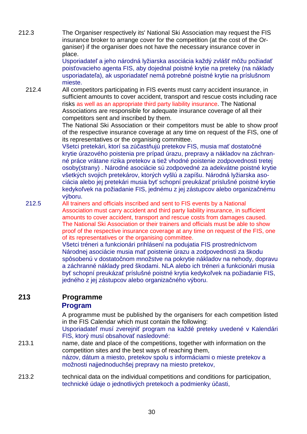212.3 The Organiser respectively its' National Ski Association may request the FIS insurance broker to arrange cover for the competition (at the cost of the Organiser) if the organiser does not have the necessary insurance cover in place.

Usporiadateľ a jeho národná lyžiarska asociácia každý zvlášť môžu požiadať poisťovacieho agenta FIS, aby dojednal poistné krytie na preteky (na náklady usporiadateľa), ak usporiadateľ nemá potrebné poistné krytie na príslušnom mieste.

212.4 All competitors participating in FIS events must carry accident insurance, in sufficient amounts to cover accident, transport and rescue costs including race risks as well as an appropriate third party liability insurance. The National Associations are responsible for adequate insurance coverage of all their competitors sent and inscribed by them.

> The National Ski Association or their competitors must be able to show proof of the respective insurance coverage at any time on request of the FIS, one of its representatives or the organising committee.

> Všetci pretekári, ktorí sa zúčastňujú pretekov FIS, musia mať dostatočné krytie úrazového poistenia pre prípad úrazu, prepravy a nákladov na záchranné práce vrátane rizika pretekov a tiež vhodné poistenie zodpovednosti tretej osoby(strany) . Národné asociácie sú zodpovedné za adekvátne poistné krytie všetkých svojich pretekárov, ktorých vyšlú a zapíšu. Národná lyžiarska asociácia alebo jej pretekári musia byť schopní preukázať príslušné poistné krytie kedykoľvek na požiadanie FIS, jednému z jej zástupcov alebo organizačnému výboru.

212.5 All trainers and officials inscribed and sent to FIS events by a National Association must carry accident and third party liability insurance, in sufficient amounts to cover accident, transport and rescue costs from damages caused. The National Ski Association or their trainers and officials must be able to show proof of the respective insurance coverage at any time on request of the FIS, one of its representatives or the organising committee.

 Všetci tréneri a funkcionári prihlásení na podujatia FIS prostredníctvom Národnej asociácie musia mať poistenie úrazu a zodpovednosti za škodu spôsobenú v dostatočnom množstve na pokrytie nákladov na nehody, dopravu a záchranné náklady pred škodami. NLA alebo ich tréneri a funkcionári musia byť schopní preukázať príslušné poistné krytia kedykoľvek na požiadanie FIS, jedného z jej zástupcov alebo organizačného výboru.

# **213 Programme**

#### **Program**

A programme must be published by the organisers for each competition listed in the FIS Calendar which must contain the following:

Usporiadateľ musí zverejniť program na každé preteky uvedené v Kalendári FIS, ktorý musí obsahovať nasledovné:

213.1 name, date and place of the competitions, together with information on the competition sites and the best ways of reaching them, názov, dátum a miesto, pretekov spolu s informáciami o mieste pretekov a možnosti najjednoduchšej prepravy na miesto pretekov,

213.2 technical data on the individual competitions and conditions for participation, technické údaje o jednotlivých pretekoch a podmienky účasti,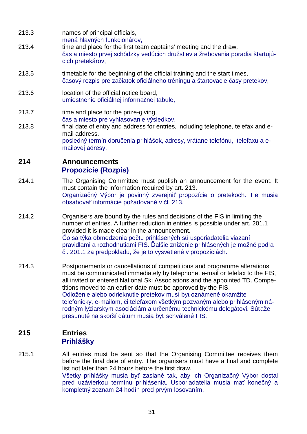- 213.3 names of principal officials,
- mená hlavných funkcionárov,
- 213.4 time and place for the first team captains' meeting and the draw, čas a miesto prvej schôdzky vedúcich družstiev a žrebovania poradia štartujúcich pretekárov,
- 213.5 timetable for the beginning of the official training and the start times, časový rozpis pre začiatok oficiálneho tréningu a štartovacie časy pretekov,
- 213.6 location of the official notice board, umiestnenie oficiálnej informačnej tabule,
- 213.7 time and place for the prize-giving, čas a miesto pre vyhlasovanie výsledkov,
- 213.8 final date of entry and address for entries, including telephone, telefax and email address. posledný termín doručenia prihlášok, adresy, vrátane telefónu, telefaxu a emailovej adresy.

## **214 Announcements Propozície (Rozpis)**

- 214.1 The Organising Committee must publish an announcement for the event. It must contain the information required by art. 213. Organizačný Výbor je povinný zverejniť propozície o pretekoch. Tie musia obsahovať informácie požadované v čl. 213.
- 214.2 Organisers are bound by the rules and decisions of the FIS in limiting the number of entries. A further reduction in entries is possible under art. 201.1 provided it is made clear in the announcement. Čo sa týka obmedzenia počtu prihlásených sú usporiadatelia viazaní pravidlami a rozhodnutiami FIS. Ďalšie zníženie prihlásených je možné podľa čl. 201.1 za predpokladu, že je to vysvetlené v propozíciách.
- 214.3 Postponements or cancellations of competitions and programme alterations must be communicated immediately by telephone, e-mail or telefax to the FIS, all invited or entered National Ski Associations and the appointed TD. Competitions moved to an earlier date must be approved by the FIS. Odloženie alebo odrieknutie pretekov musí byt oznámené okamžite telefonicky, e-mailom, či telefaxom všetkým pozvaným alebo prihláseným národným lyžiarskym asociáciám a určenému technickému delegátovi. Súťaže presunuté na skorší dátum musia byť schválené FIS.

## **215 Entries Prihlášky**

215.1 All entries must be sent so that the Organising Committee receives them before the final date of entry. The organisers must have a final and complete list not later than 24 hours before the first draw. Všetky prihlášky musia byť zaslané tak, aby ich Organizačný Výbor dostal pred uzávierkou termínu prihlásenia. Usporiadatelia musia mať konečný a kompletný zoznam 24 hodín pred prvým losovaním.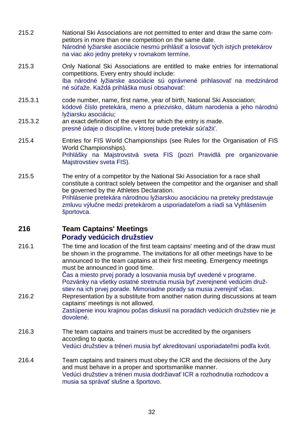- 215.2 National Ski Associations are not permitted to enter and draw the same competitors in more than one competition on the same date. Národné lyžiarske asociácie nesmú prihlásiť a losovať tých istých pretekárov na viac ako jedny preteky v rovnakom termíne.
- 215.3 Only National Ski Associations are entitled to make entries for international competitions. Every entry should include: Iba národné lyžiarske asociácie sú oprávnené prihlasovať na medzinárod né súťaže. Každá prihláška musí obsahovať:
- 215.3.1 code number, name, first name, year of birth, National Ski Association; kódové číslo pretekára, meno a priezvisko, dátum narodenia a jeho národnú lyžiarsku asociáciu;
- 215.3.2 an exact definition of the event for which the entry is made. presné údaje o disciplíne, v ktorej bude pretekár súťažiť.
- 215.4 Entries for FIS World Championships (see Rules for the Organisation of FIS World Championships). Prihlášky na Majstrovstvá sveta FIS (pozri Pravidlá pre organizovanie Majstrovstiev sveta FIS).
- 215.5 The entry of a competitor by the National Ski Association for a race shall constitute a contract solely between the competitor and the organiser and shall be governed by the Athletes Declaration. Prihlásenie pretekára národnou lyžiarskou asociáciou na preteky predstavuje zmluvu výlučne medzi pretekárom a usporiadateľom a riadi sa Vyhlásením športovca.

## **216 Team Captains' Meetings Porady vedúcich družstiev**

216.1 The time and location of the first team captains' meeting and of the draw must be shown in the programme. The invitations for all other meetings have to be announced to the team captains at their first meeting. Emergency meetings must be announced in good time.

Čas a miesto prvej porady a losovania musia byť uvedené v programe. Pozvánky na všetky ostatné stretnutia musia byť zverejnené vedúcim družstiev na ich prvej porade. Mimoriadne porady sa musia zverejniť včas.

216.2 Representation by a substitute from another nation during discussions at team captains' meetings is not allowed.

Zastúpenie inou krajinou počas diskusií na poradách vedúcich družstiev nie je dovolené.

- 216.3 The team captains and trainers must be accredited by the organisers according to quota. Vedúci družstiev a tréneri musia byť akreditovaní usporiadateľmi podľa kvót.
- 216.4 Team captains and trainers must obey the ICR and the decisions of the Jury and must behave in a proper and sportsmanlike manner. Vedúci družstiev a tréneri musia dodržiavať ICR a rozhodnutia rozhodcov a musia sa správať slušne a športovo.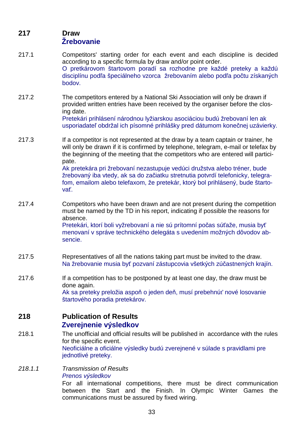## **217 Draw Žrebovanie**

- 217.1 Competitors' starting order for each event and each discipline is decided according to a specific formula by draw and/or point order. O pretkárovom štartovom poradí sa rozhodne pre každé preteky a každú disciplínu podľa špeciálneho vzorca žrebovaním alebo podľa počtu získaných bodov.
- 217.2 The competitors entered by a National Ski Association will only be drawn if provided written entries have been received by the organiser before the closing date. Pretekári prihlásení národnou lyžiarskou asociáciou budú žrebovaní len ak

usporiadateľ obdržal ich písomné prihlášky pred dátumom konečnej uzávierky.

- 217.3 If a competitor is not represented at the draw by a team captain or trainer, he will only be drawn if it is confirmed by telephone, telegram, e-mail or telefax by the beginning of the meeting that the competitors who are entered will participate. Ak pretekára pri žrebovaní nezastupuje vedúci družstva alebo tréner, bude žrebovaný iba vtedy, ak sa do začiatku stretnutia potvrdí telefonicky, telegrafom, emailom alebo telefaxom, že pretekár, ktorý bol prihlásený, bude štartovať.
- 217.4 Competitors who have been drawn and are not present during the competition must be named by the TD in his report, indicating if possible the reasons for absence. Pretekári, ktorí boli vyžrebovaní a nie sú prítomní počas súťaže, musia byť

menovaní v správe technického delegáta s uvedením možných dôvodov absencie.

- 217.5 Representatives of all the nations taking part must be invited to the draw. Na žrebovanie musia byť pozvaní zástupcovia všetkých zúčastnených krajín.
- 217.6 If a competition has to be postponed by at least one day, the draw must be done again. Ak sa preteky preložia aspoň o jeden deň, musí prebehnúť nové losovanie štartového poradia pretekárov.

### **218 Publication of Results Zverejnenie výsledkov**

- 218.1 The unofficial and official results will be published in accordance with the rules for the specific event. Neoficiálne a oficiálne výsledky budú zverejnené v súlade s pravidlami pre jednotlivé preteky.
- 218.1.1 Transmission of Results Prenos výsledkov

For all international competitions, there must be direct communication between the Start and the Finish. In Olympic Winter Games the communications must be assured by fixed wiring.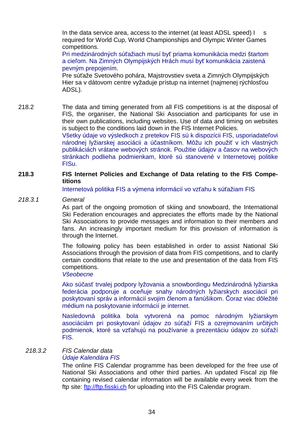In the data service area, access to the internet (at least ADSL speed) | s required for World Cup, World Championships and Olympic Winter Games competitions.

Pri medzinárodných súťažiach musí byť priama komunikácia medzi štartom a cieľom. Na Zimných Olympijských Hrách musí byť komunikácia zaistená pevným prepojením.

Pre súťaže Svetového pohára, Majstrovstiev sveta a Zimných Olympijských Hier sa v dátovom centre vyžaduje prístup na internet (najmenej rýchlosťou ADSL).

218.2 The data and timing generated from all FIS competitions is at the disposal of FIS, the organiser, the National Ski Association and participants for use in their own publications, including websites. Use of data and timing on websites is subject to the conditions laid down in the FIS Internet Policies. Všetky údaje vo výsledkoch z pretekov FIS sú k dispozícii FIS, usporiadateľovi národnej lyžiarskej asociácii a účastníkom. Môžu ich použiť v ich vlastných

publikáciách vrátane webových stránok. Použitie údajov a časov na webových stránkach podlieha podmienkam, ktoré sú stanovené v Internetovej politike FISu.

#### **218.3 FIS Internet Policies and Exchange of Data relating to the FIS Competitions**

Internetová politika FIS a výmena informácií vo vzťahu k súťažiam FIS

#### 218.3.1 General

As part of the ongoing promotion of skiing and snowboard, the International Ski Federation encourages and appreciates the efforts made by the National Ski Associations to provide messages and information to their members and fans. An increasingly important medium for this provision of information is through the Internet.

The following policy has been established in order to assist National Ski Associations through the provision of data from FIS competitions, and to clarify certain conditions that relate to the use and presentation of the data from FIS competitions.

#### Všeobecne

Ako súčasť trvalej podpory lyžovania a snowbordingu Medzinárodná lyžiarska federácia podporuje a oceňuje snahy národných lyžiarskych asociácií pri poskytovaní správ a informácií svojim členom a fanúšikom. Čoraz viac dôležité médium na poskytovanie informácií je internet.

Nasledovná politika bola vytvorená na pomoc národným lyžiarskym asociáciám pri poskytovaní údajov zo súťaží FIS a ozrejmovaním určitých podmienok, ktoré sa vzťahujú na používanie a prezentáciu údajov zo súťaží FIS.

## 218.3.2 FIS Calendar data

#### Údaje Kalendára FIS

The online FIS Calendar programme has been developed for the free use of National Ski Associations and other third parties. An updated Fiscal zip file containing revised calendar information will be available every week from the ftp site: ftp://ftp.fisski.ch for uploading into the FIS Calendar program.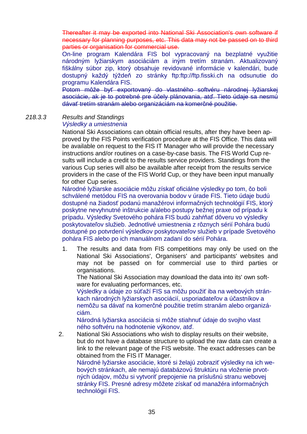Thereafter it may be exported into National Ski Association's own software if necessary for planning purposes, etc. This data may not be passed on to third parties or organisation for commercial use.

On-line program Kalendára FIS bol vypracovaný na bezplatné využitie národným lyžiarskym asociáciám a iným tretím stranám. Aktualizovaný fiškálny súbor zip, ktorý obsahuje revidované informácie v kalendári, bude dostupný každý týždeň zo stránky ftp:ftp://ftp.fisski.ch na odsunutie do programu Kalendára FIS.

Potom môže byť exportovaný do vlastného softvéru národnej lyžiarskej asociácie, ak je to potrebné pre účely plánovania, atď. Tieto údaje sa nesmú dávať tretím stranám alebo organizáciám na komerčné použitie.

218.3.3 Results and Standings

### Výsledky a umiestnenia

National Ski Associations can obtain official results, after they have been approved by the FIS Points verification procedure at the FIS Office. This data will be available on request to the FIS IT Manager who will provide the necessary instructions and/or routines on a case-by-case basis. The FIS World Cup results will include a credit to the results service providers. Standings from the various Cup series will also be available after receipt from the results service providers in the case of the FIS World Cup, or they have been input manually for other Cup series.

Národné lyžiarske asociácie môžu získať oficiálne výsledky po tom, čo boli schválené metódou FIS na overovania bodov v úrade FIS. Tieto údaje budú dostupné na žiadosť podanú manažérovi informačných technológií FIS, ktorý poskytne nevyhnutné inštrukcie a/alebo postupy bežnej praxe od prípadu k prípadu. Výsledky Svetového pohára FIS budú zahŕňať dôveru vo výsledky poskytovateľov služieb. Jednotlivé umiestnenia z rôznych sérií Pohára budú dostupné po potvrdení výsledkov poskytovateľov služieb v prípade Svetového pohára FIS alebo po ich manuálnom zadaní do sérií Pohára.

1. The results and data from FIS competitions may only be used on the National Ski Associations', Organisers' and participants' websites and may not be passed on for commercial use to third parties or organisations.

The National Ski Association may download the data into its' own software for evaluating performances, etc.

Výsledky a údaje zo súťaží FIS sa môžu použiť iba na webových stránkach národných lyžiarskych asociácií, usporiadateľov a účastníkov a nemôžu sa dávať na komerčné použitie tretím stranám alebo organizáciám.

Národná lyžiarska asociácia si môže stiahnuť údaje do svojho vlast ného softvéru na hodnotenie výkonov, atď.

2. National Ski Associations who wish to display results on their website, but do not have a database structure to upload the raw data can create a link to the relevant page of the FIS website. The exact addresses can be obtained from the FIS IT Manager. Národné lyžiarske asociácie, ktoré si želajú zobraziť výsledky na ich we-

bových stránkach, ale nemajú databázovú štruktúru na vloženie prvotných údajov, môžu si vytvoriť prepojenie na príslušnú stranu webovej stránky FIS. Presné adresy môžete získať od manažéra informačných technológií FIS.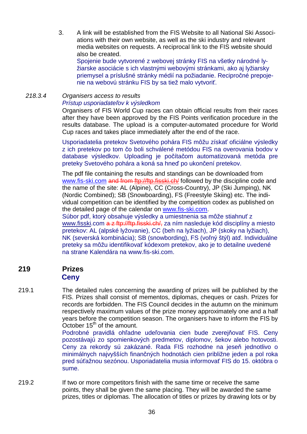3. A link will be established from the FIS Website to all National Ski Associations with their own website, as well as the ski industry and relevant media websites on requests. A reciprocal link to the FIS website should also be created.

Spojenie bude vytvorené z webovej stránky FIS na všetky národné lyžiarske asociácie s ich vlastnými webovými stránkami, ako aj lyžiarsky priemysel a príslušné stránky médií na požiadanie. Recipročné prepojenie na webovú stránku FIS by sa tiež malo vytvoriť.

# 218.3.4 Organisers access to results Prístup usporiadate*ľ*ov k výsledkom

Organisers of FIS World Cup races can obtain official results from their races after they have been approved by the FIS Points verification procedure in the results database. The upload is a computer-automated procedure for World Cup races and takes place immediately after the end of the race.

Usporiadatelia pretekov Svetového pohára FIS môžu získať oficiálne výsledky z ich pretekov po tom čo boli schválené metódou FIS na overovania bodov v database výsledkov. Uploading je počítačom automatizovaná metóda pre preteky Svetového pohára a koná sa hneď po ukončení pretekov.

The pdf file containing the results and standings can be downloaded from www.fis-ski.com and from ftp://ftp.fisski.ch/ followed by the discipline code and the name of the site: AL (Alpine), CC (Cross-Country), JP (Ski Jumping), NK (Nordic Combined); SB (Snowboarding), FS (Freestyle Skiing) etc. The individual competition can be identified by the competition codex as published on the detailed page of the calendar on www.fis-ski.com.

Súbor pdf, ktorý obsahuje výsledky a umiestnenia sa môže stiahnuť z www.fisski.com a z ftp://ftp.fisski.ch/, za ním nasleduje kód disciplíny a miesto pretekov: AL (alpské lyžovanie), CC (beh na lyžiach), JP (skoky na lyžiach), NK (severská kombinácia); SB (snowbording), FS (voľný štýl) atď. Individuálne preteky sa môžu identifikovať kódexom pretekov, ako je to detailne uvedené na strane Kalendára na www.fis-ski.com.

# **219 Prizes Ceny**

219.1 The detailed rules concerning the awarding of prizes will be published by the FIS. Prizes shall consist of mementos, diplomas, cheques or cash. Prizes for records are forbidden. The FIS Council decides in the autumn on the minimum respectively maximum values of the prize money approximately one and a half years before the competition season. The organisers have to inform the FIS by October  $15<sup>th</sup>$  of the amount.

> Podrobné pravidlá ohľadne udeľovania cien bude zverejňovať FIS. Ceny pozostávajú zo spomienkových predmetov, diplomov, šekov alebo hotovosti. Ceny za rekordy sú zakázané. Rada FIS rozhodne na jeseň jednotlivo o minimálnych najvyšších finančných hodnotách cien približne jeden a pol roka pred súťažnou sezónou. Usporiadatelia musia informovať FIS do 15. októbra o sume.

219.2 If two or more competitors finish with the same time or receive the same points, they shall be given the same placing. They will be awarded the same prizes, titles or diplomas. The allocation of titles or prizes by drawing lots or by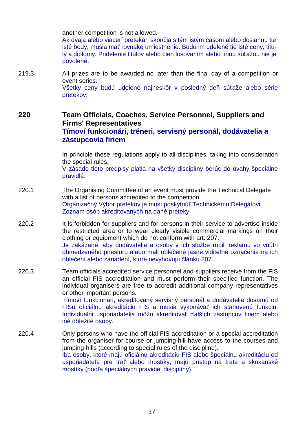another competition is not allowed.

Ak dvaja alebo viacerí pretekári skončia s tým istým časom alebo dosiahnu tie isté body, musia mať rovnaké umiestnenie. Budú im udelené tie isté ceny, tituly a diplomy. Pridelenie titulov alebo cien losovaním alebo inou súťažou nie je povolené.

219.3 All prizes are to be awarded no later than the final day of a competition or event series. Všetky ceny budú udelené najneskôr v posledný deň súťaže alebo série pretekov.

# **220 Team Officials, Coaches, Service Personnel, Suppliers and Firms' Representatives Tímoví funkcionári, tréneri, servisný personál, dodávatelia a zástupcovia firiem**

In principle these regulations apply to all disciplines, taking into consideration the special rules.

V zásade tieto predpisy platia na všetky disciplíny berúc do úvahy špeciálne pravidlá.

- 220.1 The Organising Committee of an event must provide the Technical Delegate with a list of persons accredited to the competition. Organizačný Výbor pretekov je musí poskytnúť Technickému Delegátovi Zoznam osôb akreditovaných na dané preteky.
- 220.2 It is forbidden for suppliers and for persons in their service to advertise inside the restricted area or to wear clearly visible commercial markings on their clothing or equipment which do not conform with art. 207. Je zakázané, aby dodávatelia a osoby v ich službe robili reklamu vo vnútri obmedzeného priestoru alebo mali oblečené jasne viditeľné označenia na ich oblečení alebo zariadení, ktoré nevyhovujú článku 207.
- 220.3 Team officials accredited service personnel and suppliers receive from the FIS an official FIS accreditation and must perform their specified function. The individual organisers are free to accredit additional company representatives or other important persons.

Tímoví funkcionári, akreditovaný servisný personál a dodávatelia dostanú od FISu oficiálnu akreditáciu FIS a musia vykonávať ich stanovenú funkciu. Individuálni usporiadatelia môžu akreditovať ďalších zástupcov firiem alebo iné dôležité osoby.

220.4 Only persons who have the official FIS accreditation or a special accreditation from the organiser for course or jumping-hill have access to the courses and jumping-hills (according to special rules of the discipline). Iba osoby, ktoré majú oficiálnu akreditáciu FIS alebo špeciálnu akreditáciu od usporiadateľa pre trať alebo mostíky, majú prístup na trate a skokanské mostíky (podľa špeciálnych pravidiel disciplíny).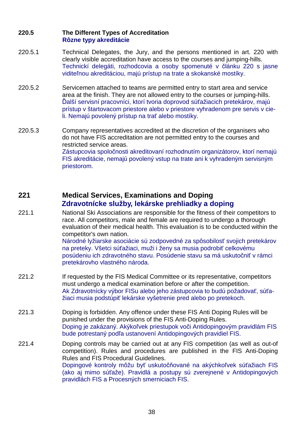## **220.5 The Different Types of Accreditation Rôzne typy akreditácie**

- 220.5.1 Technical Delegates, the Jury, and the persons mentioned in art. 220 with clearly visible accreditation have access to the courses and jumping-hills. Technickí delegáti, rozhodcovia a osoby spomenuté v článku 220 s jasne viditeľnou akreditáciou, majú prístup na trate a skokanské mostíky.
- 220.5.2 Servicemen attached to teams are permitted entry to start area and service area at the finish. They are not allowed entry to the courses or jumping-hills. Ďalší servisní pracovníci, ktorí tvoria doprovod súťažiacich pretekárov, majú prístup v štartovacom priestore alebo v priestore vyhradenom pre servis v cieli. Nemajú povolený prístup na trať alebo mostíky.
- 220.5.3 Company representatives accredited at the discretion of the organisers who do not have FIS accreditation are not permitted entry to the courses and restricted service areas. Zástupcovia spoločnosti akreditovaní rozhodnutím organizátorov, ktorí nemajú FIS akreditácie, nemajú povolený vstup na trate ani k vyhradeným servisným priestorom.

## **221 Medical Services, Examinations and Doping Zdravotnícke služby, lekárske prehliadky a doping**

221.1 National Ski Associations are responsible for the fitness of their competitors to race. All competitors, male and female are required to undergo a thorough evaluation of their medical health. This evaluation is to be conducted within the competitor's own nation. Národné lyžiarske asociácie sú zodpovedné za spôsobilosť svojich pretekárov

na preteky. Všetci súťažiaci, muži i ženy sa musia podrobiť celkovému posúdeniu ich zdravotného stavu. Posúdenie stavu sa má uskutočniť v rámci pretekárovho vlastného národa.

- 221.2 If requested by the FIS Medical Committee or its representative, competitors must undergo a medical examination before or after the competition. Ak Zdravotnícky výbor FISu alebo jeho zástupcovia to budú požadovať, súťažiaci musia podstúpiť lekárske vyšetrenie pred alebo po pretekoch.
- 221.3 Doping is forbidden. Any offence under these FIS Anti Doping Rules will be punished under the provisions of the FIS Anti-Doping Rules. Doping je zakázaný. Akýkoľvek priestupok voči Antidopingovým pravidlám FIS bude potrestaný podľa ustanovení Antidopingových pravidiel FIS.
- 221.4 Doping controls may be carried out at any FIS competition (as well as out-of competition). Rules and procedures are published in the FIS Anti-Doping Rules and FIS Procedural Guidelines. Dopingové kontroly môžu byť uskutočňované na akýchkoľvek súťažiach FIS (ako aj mimo súťaže). Pravidlá a postupy sú zverejnené v Antidopingových pravidlách FIS a Procesných smerniciach FIS.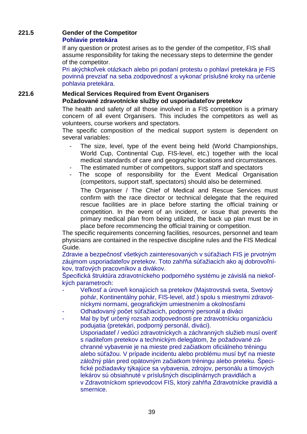## **221.5 Gender of the Competitor Pohlavie pretekára**

If any question or protest arises as to the gender of the competitor, FIS shall assume responsibility for taking the necessary steps to determine the gender of the competitor.

Pri akýchkoľvek otázkach alebo pri podaní protestu o pohlaví pretekára je FIS povinná prevziať na seba zodpovednosť a vykonať príslušné kroky na určenie pohlavia pretekára.

# **221.6 Medical Services Required from Event Organisers Požadované zdravotnícke služby od usporiadateľov pretekov**

The health and safety of all those involved in a FIS competition is a primary concern of all event Organisers. This includes the competitors as well as volunteers, course workers and spectators.

The specific composition of the medical support system is dependent on several variables:

- The size, level, type of the event being held (World Championships, World Cup, Continental Cup, FIS-level, etc.) together with the local medical standards of care and geographic locations and circumstances.
- The estimated number of competitors, support staff and spectators
- The scope of responsibility for the Event Medical Organisation (competitors, support staff, spectators) should also be determined.

The Organiser / The Chief of Medical and Rescue Services must confirm with the race director or technical delegate that the required rescue facilities are in place before starting the official training or competition. In the event of an incident, or issue that prevents the primary medical plan from being utilized, the back up plan must be in place before recommencing the official training or competition.

The specific requirements concerning facilities, resources, personnel and team physicians are contained in the respective discipline rules and the FIS Medical Guide.

Zdravie a bezpečnosť všetkých zainteresovaných v súťažiach FIS je prvotným záujmom usporiadateľov pretekov. Toto zahŕňa súťažiacich ako aj dobrovoľníkov, traťových pracovníkov a divákov.

Špecifická štruktúra zdravotníckeho podporného systému je závislá na niekoľkých parametroch:

- Veľkosť a úroveň konajúcich sa pretekov (Majstrovstvá sveta, Svetový pohár, Kontinentálny pohár, FIS-level, atď.) spolu s miestnymi zdravotníckymi normami, geografickým umiestnením a okolnosťami
- Odhadovaný počet súťažiacich, podporný personál a diváci
- Mal by byť určený rozsah zodpovednosti pre zdravotnícku organizáciu podujatia (pretekári, podporný personál, diváci). Usporiadateľ / vedúci zdravotníckych a záchranných služieb musí overiť s riaditeľom pretekov a technickým delegátom, že požadované záchranné vybavenie je na mieste pred začiatkom oficiálneho tréningu alebo súťažou. V prípade incidentu alebo problému musí byť na mieste záložný plán pred opätovným začiatkom tréningu alebo preteku. Špecifické požiadavky týkajúce sa vybavenia, zdrojov, personálu a tímových lekárov sú obsiahnuté v príslušných disciplinárnych pravidlách a v Zdravotníckom sprievodcovi FIS, ktorý zahŕňa Zdravotnícke pravidlá a smernice.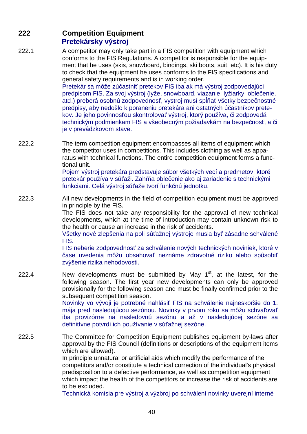# **222 Competition Equipment Pretekársky výstroj**

222.1 A competitor may only take part in a FIS competition with equipment which conforms to the FIS Regulations. A competitor is responsible for the equipment that he uses (skis, snowboard, bindings, ski boots, suit, etc). It is his duty to check that the equipment he uses conforms to the FIS specifications and general safety requirements and is in working order.

Pretekár sa môže zúčastniť pretekov FIS iba ak má výstroj zodpovedajúci predpisom FIS. Za svoj výstroj (lyže, snowboard, viazanie, lyžiarky, oblečenie, atď.) preberá osobnú zodpovednosť, vystroj musí spĺňať všetky bezpečnostné predpisy, aby nedošlo k poraneniu pretekára ani ostatných účastníkov pretekov. Je jeho povinnosťou skontrolovať výstroj, ktorý používa, či zodpovedá technickým podmienkam FIS a všeobecným požiadavkám na bezpečnosť, a či je v prevádzkovom stave.

222.2 The term competition equipment encompasses all items of equipment which the competitor uses in competitions. This includes clothing as well as apparatus with technical functions. The entire competition equipment forms a functional unit.

Pojem výstroj pretekára predstavuje súbor všetkých vecí a predmetov, ktoré pretekár používa v súťaži. Zahŕňa oblečenie ako aj zariadenie s technickými funkciami. Celá výstroj súťaže tvorí funkčnú jednotku.

222.3 All new developments in the field of competition equipment must be approved in principle by the FIS.

> The FIS does not take any responsibility for the approval of new technical developments, which at the time of introduction may contain unknown risk to the health or cause an increase in the risk of accidents.

> Všetky nové zlepšenia na poli súťažnej výstroje musia byť zásadne schválené FIS.

> FIS neberie zodpovednosť za schválenie nových technických noviniek, ktoré v čase uvedenia môžu obsahovať neznáme zdravotné riziko alebo spôsobiť zvýšenie rizika nehodovosti.

222.4 New developments must be submitted by May  $1<sup>st</sup>$ , at the latest, for the following season. The first year new developments can only be approved provisionally for the following season and must be finally confirmed prior to the subsequent competition season.

> Novinky vo vývoji je potrebné nahlásiť FIS na schválenie najneskoršie do 1. mája pred nasledujúcou sezónou. Novinky v prvom roku sa môžu schvaľovať iba provizórne na nasledovnú sezónu a až v nasledujúcej sezóne sa definitívne potvrdí ich používanie v súťažnej sezóne.

222.5 The Committee for Competition Equipment publishes equipment by-laws after approval by the FIS Council (definitions or descriptions of the equipment items which are allowed).

In principle unnatural or artificial aids which modify the performance of the competitors and/or constitute a technical correction of the individual's physical predisposition to a defective performance, as well as competition equipment which impact the health of the competitors or increase the risk of accidents are to be excluded.

Technická komisia pre výstroj a výzbroj po schválení novinky uverejní interné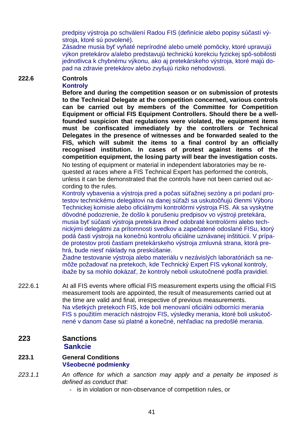predpisy výstroja po schválení Radou FIS (definície alebo popisy súčastí výstroja, ktoré sú povolené).

Zásadne musia byť vyňaté neprírodné alebo umelé pomôcky, ktoré upravujú výkon pretekárov a/alebo predstavujú technickú korekciu fyzickej spô-sobilosti jednotlivca k chybnému výkonu, ako aj pretekárskeho výstroja, ktoré majú dopad na zdravie pretekárov alebo zvyšujú riziko nehodovosti.

### **222.6 Controls Kontroly**

**Before and during the competition season or on submission of protests to the Technical Delegate at the competition concerned, various controls can be carried out by members of the Committee for Competition Equipment or official FIS Equipment Controllers. Should there be a wellfounded suspicion that regulations were violated, the equipment items must be confiscated immediately by the controllers or Technical Delegates in the presence of witnesses and be forwarded sealed to the FIS, which will submit the items to a final control by an officially recognised institution. In cases of protest against items of the competition equipment, the losing party will bear the investigation costs.**  No testing of equipment or material in independent laboratories may be requested at races where a FIS Technical Expert has performed the controls, unless it can be demonstrated that the controls have not been carried out ac-

cording to the rules.

Kontroly vybavenia a výstroja pred a počas súťažnej sezóny a pri podaní protestov technickému delegátovi na danej súťaži sa uskutočňujú členmi Výboru Technickej komisie alebo oficiálnymi kontrolórmi výstroja FIS. Ak sa vyskytne dôvodné podozrenie, že došlo k porušeniu predpisov vo výstroji pretekára, musia byť súčasti výstroja pretekára ihneď odobraté kontrolórmi alebo technickými delegátmi za prítomnosti svedkov a zapečatené odoslané FISu, ktorý podá časti výstroja na konečnú kontrolu oficiálne uznávanej inštitúcii. V prípade protestov proti častiam pretekárskeho výstroja zmluvná strana, ktorá prehrá, bude niesť náklady na preskúšanie.

Žiadne testovanie výstroja alebo materiálu v nezávislých laboratóriách sa nemôže požadovať na pretekoch, kde Technický Expert FIS vykonal kontroly, ibaže by sa mohlo dokázať, že kontroly neboli uskutočnené podľa pravidiel.

222.6.1 At all FIS events where official FIS measurement experts using the official FIS measurement tools are appointed, the result of measurements carried out at the time are valid and final, irrespective of previous measurements. Na všetkých pretekoch FIS, kde boli menovaní oficiálni odborníci merania FIS s použitím meracích nástrojov FIS, výsledky merania, ktoré boli uskutočnené v danom čase sú platné a konečné, nehľadiac na predošlé merania.

## **223 Sanctions Sankcie**

### **223.1 General Conditions Všeobecné podmienky**

- 223.1.1 An offence for which a sanction may apply and a penalty be imposed is defined as conduct that:
	- is in violation or non-observance of competition rules, or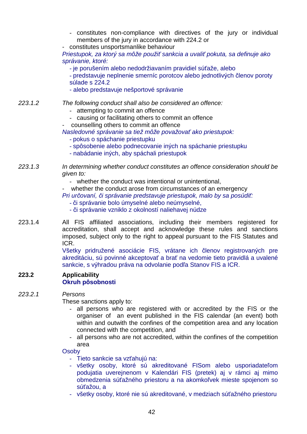- constitutes non-compliance with directives of the jury or individual members of the jury in accordance with 224.2 or
- constitutes unsportsmanlike behaviour

Priestupok, za ktorý sa môže použi*ť* sankcia a uvali*ť* pokuta, sa definuje ako správanie, ktoré:

- je porušením alebo nedodržiavaním pravidiel súťaže, alebo
- predstavuje neplnenie smerníc porotcov alebo jednotlivých členov poroty súlade s 224.2
- alebo predstavuje nešportové správanie
- 223.1.2 The following conduct shall also be considered an offence:
	- attempting to commit an offence
	- causing or facilitating others to commit an offence
	- counselling others to commit an offence
	- Nasledovné správanie sa tiež môže považova*ť* ako priestupok:
		- pokus o spáchanie priestupku
		- spôsobenie alebo podnecovanie iných na spáchanie priestupku
		- nabádanie iných, aby spáchali priestupok
- 223.1.3 In determining whether conduct constitutes an offence consideration should be given to:
	- *-* whether the conduct was intentional or unintentional,
	- whether the conduct arose from circumstances of an emergency
	- Pri ur*č*ovaní, *č*i správanie predstavuje priestupok, malo by sa posúdi*ť*:
		- či správanie bolo úmyselné alebo neúmyselné,
		- či správanie vzniklo z okolností naliehavej núdze
- 223.1.4 All FIS affiliated associations, including their members registered for accreditation, shall accept and acknowledge these rules and sanctions imposed, subject only to the right to appeal pursuant to the FIS Statutes and ICR.

Všetky pridružené asociácie FIS, vrátane ich členov registrovaných pre akreditáciu, sú povinné akceptovať a brať na vedomie tieto pravidlá a uvalené sankcie, s výhradou práva na odvolanie podľa Stanov FIS a ICR.

### **223.2 Applicability Okruh pôsobnosti**

#### 223.2.1 Persons

These sanctions apply to:

- all persons who are registered with or accredited by the FIS or the organiser of an event published in the FIS calendar (an event) both within and outwith the confines of the competition area and any location connected with the competition, and
- all persons who are not accredited, within the confines of the competition area

#### **Osoby**

- Tieto sankcie sa vzťahujú na:
- všetky osoby, ktoré sú akreditované FISom alebo usporiadateľom podujatia uverejnenom v Kalendári FIS (pretek) aj v rámci aj mimo obmedzenia súťažného priestoru a na akomkoľvek mieste spojenom so súťažou, a
- všetky osoby, ktoré nie sú akreditované, v medziach súťažného priestoru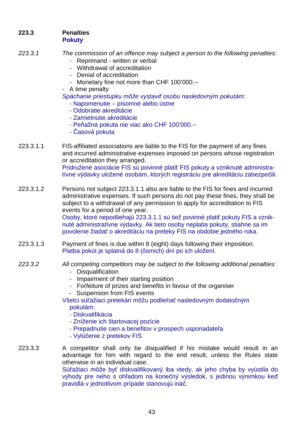### **223.3 Penalties Pokuty**

- 223.3.1 The commission of an offence may subject a person to the following penalties:
	- Reprimand written or verbal
	- Withdrawal of accreditation
	- Denial of accreditation
	- Monetary fine not more than CHF 100'000.--
	- A time penalty
	- Spáchanie priestupku môže vystavi*ť* osobu nasledovným pokutám:
		- Napomenutie písomné alebo ústne
		- Odobratie akreditácie
		- Zamietnutie akreditácie
		- Peňažná pokuta nie viac ako CHF 100'000.--
		- Časová pokuta

223.3.1.1 FIS-affiliated associations are liable to the FIS for the payment of any fines and incurred administrative expenses imposed on persons whose registration or accreditation they arranged. Pridružené asociácie FIS sú povinné platiť FIS pokuty a vzniknuté administratívne výdavky uložené osobám, ktorých registráciu pre akreditáciu zabezpečili.

223.3.1.2 Persons not subject 223.3.1.1 also are liable to the FIS for fines and incurred administrative expenses. If such persons do not pay these fines, they shall be subject to a withdrawal of any permission to apply for accreditation to FIS events for a period of one year.

Osoby, ktoré nepodliehajú 223.3.1.1 sú tiež povinné platiť pokuty FIS a vzniknuté administratívne výdavky. Ak tieto osoby neplatia pokuty, stiahne sa im povolenie žiadať o akreditáciu na preteky FIS na obdobie jedného roka.

223.3.1.3 Payment of fines is due within 8 (eight) days following their imposition. Platba pokút je splatná do 8 (ôsmich) dní po ich uložení.

## 223.3.2 All competing competitors may be subject to the following additional penalties:

- Disqualification
- Impairment of their starting position
- Forfeiture of prizes and benefits in favour of the organiser
- Suspension from FIS events
- Všetci súťažiaci pretekári môžu podliehať nasledovným dodatočným pokutám:
	- Diskvalifikácia
	- Zníženie ich štartovacej pozície
	- Prepadnutie cien a benefitov v prospech usporiadateľa
	- Vylúčenie z pretekov FIS

223.3.3 A competitor shall only be disqualified if his mistake would result in an advantage for him with regard to the end result, unless the Rules state otherwise in an individual case.

Súťažiaci môže byť diskvalifikovaný iba vtedy, ak jeho chyba by vyústila do výhody pre neho s ohľadom na konečný výsledok, s jedinou výnimkou keď pravidlá v jednotlivom prípade stanovujú ináč.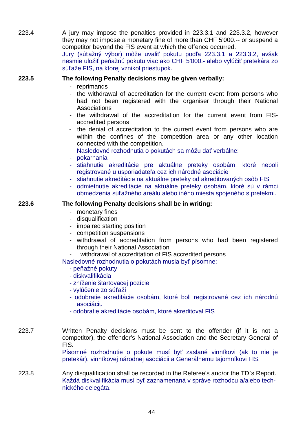223.4 A jury may impose the penalties provided in 223.3.1 and 223.3.2, however they may not impose a monetary fine of more than CHF 5'000.-- or suspend a competitor beyond the FIS event at which the offence occurred.

Jury (súťažný výbor) môže uvaliť pokutu podľa 223.3.1 a 223.3.2, avšak nesmie uložiť peňažnú pokutu viac ako CHF 5'000.- alebo vylúčiť pretekára zo súťaže FIS, na ktorej vznikol priestupok.

## **223.5 The following Penalty decisions may be given verbally:**

- reprimands
- the withdrawal of accreditation for the current event from persons who had not been registered with the organiser through their National Associations
- the withdrawal of the accreditation for the current event from FISaccredited persons
- the denial of accreditation to the current event from persons who are within the confines of the competition area or any other location connected with the competition.
	- Nasledovné rozhodnutia o pokutách sa môžu dať verbálne:
- pokarhania
- stiahnutie akreditácie pre aktuálne preteky osobám, ktoré neboli registrované u usporiadateľa cez ich národné asociácie
- stiahnutie akreditácie na aktuálne preteky od akreditovaných osôb FIS
- odmietnutie akreditácie na aktuálne preteky osobám, ktoré sú v rámci obmedzenia súťažného areálu alebo iného miesta spojeného s pretekmi.

### **223.6 The following Penalty decisions shall be in writing:**

- monetary fines
- disqualification
- impaired starting position
- competition suspensions
- withdrawal of accreditation from persons who had been registered through their National Association
- withdrawal of accreditation of FIS accredited persons

Nasledovné rozhodnutia o pokutách musia byť písomne:

- peňažné pokuty
- diskvalifikácia
- zníženie štartovacej pozície
- vylúčenie zo súťaží
- odobratie akreditácie osobám, ktoré boli registrované cez ich národnú asociáciu
- odobratie akreditácie osobám, ktoré akreditoval FIS
- 223.7 Written Penalty decisions must be sent to the offender (if it is not a competitor), the offender's National Association and the Secretary General of FIS.

Písomné rozhodnutie o pokute musí byť zaslané vinníkovi (ak to nie je pretekár), vinníkovej národnej asociácii a Generálnemu tajomníkovi FIS.

223.8 Any disqualification shall be recorded in the Referee's and/or the TD`s Report. Každá diskvalifikácia musí byť zaznamenaná v správe rozhodcu a/alebo technického delegáta.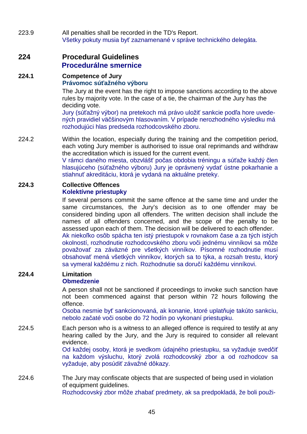223.9 All penalties shall be recorded in the TD's Report. Všetky pokuty musia byť zaznamenané v správe technického delegáta.

## **224 Procedural Guidelines Procedurálne smernice**

# **224.1 Competence of Jury Právomoc súťažného výboru**

The Jury at the event has the right to impose sanctions according to the above rules by majority vote. In the case of a tie, the chairman of the Jury has the deciding vote.

Jury (súťažný výbor) na pretekoch má právo uložiť sankcie podľa hore uvedených pravidiel väčšinovým hlasovaním. V prípade nerozhodného výsledku má rozhodujúci hlas predseda rozhodcovského zboru.

224.2 Within the location, especially during the training and the competition period, each voting Jury member is authorised to issue oral reprimands and withdraw the accreditation which is issued for the current event.

V rámci daného miesta, obzvlášť počas obdobia tréningu a súťaže každý člen hlasujúceho (súťažného výboru) Jury je oprávnený vydať ústne pokarhanie a stiahnuť akreditáciu, ktorá je vydaná na aktuálne preteky.

#### **224.3 Collective Offences Kolektívne priestupky**

If several persons commit the same offence at the same time and under the same circumstances, the Jury's decision as to one offender may be considered binding upon all offenders. The written decision shall include the names of all offenders concerned, and the scope of the penalty to be assessed upon each of them. The decision will be delivered to each offender. Ak niekoľko osôb spácha ten istý priestupok v rovnakom čase a za tých istých okolností, rozhodnutie rozhodcovského zboru voči jednému vinníkovi sa môže považovať za záväzné pre všetkých vinníkov. Písomné rozhodnutie musí obsahovať mená všetkých vinníkov, ktorých sa to týka, a rozsah trestu, ktorý

## **224.4 Limitation**

## **Obmedzenie**

A person shall not be sanctioned if proceedings to invoke such sanction have not been commenced against that person within 72 hours following the offence.

sa vymeral každému z nich. Rozhodnutie sa doručí každému vinníkovi.

Osoba nesmie byť sankcionovaná, ak konanie, ktoré uplatňuje takúto sankciu, nebolo začaté voči osobe do 72 hodín po vykonaní priestupku.

224.5 Each person who is a witness to an alleged offence is required to testify at any hearing called by the Jury, and the Jury is required to consider all relevant evidence.

Od každej osoby, ktorá je svedkom údajného priestupku, sa vyžaduje svedčiť na každom výsluchu, ktorý zvolá rozhodcovský zbor a od rozhodcov sa vyžaduje, aby posúdiť závažné dôkazy.

224.6 The Jury may confiscate objects that are suspected of being used in violation of equipment guidelines. Rozhodcovský zbor môže zhabať predmety, ak sa predpokladá, že boli použi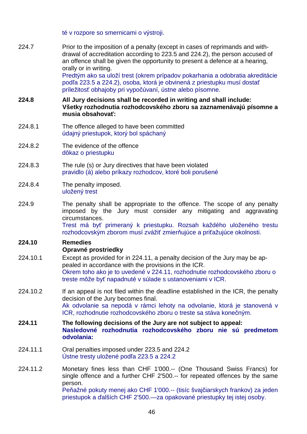té v rozpore so smernicami o výstroji.

224.7 Prior to the imposition of a penalty (except in cases of reprimands and withdrawal of accreditation according to 223.5 and 224.2), the person accused of an offence shall be given the opportunity to present a defence at a hearing, orally or in writing.

Predtým ako sa uloží trest (okrem prípadov pokarhania a odobratia akreditácie podľa 223.5 a 224.2), osoba, ktorá je obvinená z priestupku musí dostať príležitosť obhajoby pri vypočúvaní, ústne alebo písomne.

- **224.8 All Jury decisions shall be recorded in writing and shall include: Všetky rozhodnutia rozhodcovského zboru sa zaznamenávajú písomne a musia obsahovať:**
- 224.8.1 The offence alleged to have been committed údajný priestupok, ktorý bol spáchaný
- 224.8.2 The evidence of the offence dôkaz o priestupku
- 224.8.3 The rule (s) or Jury directives that have been violated pravidlo (á) alebo príkazy rozhodcov, ktoré boli porušené
- 224.8.4 The penalty imposed. uložený trest
- 224.9 The penalty shall be appropriate to the offence. The scope of any penalty imposed by the Jury must consider any mitigating and aggravating circumstances.

Trest má byť primeraný k priestupku. Rozsah každého uloženého trestu rozhodcovským zborom musí zvážiť zmierňujúce a priťažujúce okolnosti.

## **224.10 Remedies Opravné prostriedky**

- 224.10.1 Except as provided for in 224.11, a penalty decision of the Jury may be appealed in accordance with the provisions in the ICR. Okrem toho ako je to uvedené v 224.11, rozhodnutie rozhodcovského zboru o treste môže byť napadnuté v súlade s ustanoveniami v ICR.
- 224.10.2 If an appeal is not filed within the deadline established in the ICR, the penalty decision of the Jury becomes final. Ak odvolanie sa nepodá v rámci lehoty na odvolanie, ktorá je stanovená v ICR, rozhodnutie rozhodcovského zboru o treste sa stáva konečným.
- **224.11 The following decisions of the Jury are not subject to appeal: Nasledovné rozhodnutia rozhodcovského zboru nie sú predmetom odvolania:**
- 224.11.1 Oral penalties imposed under 223.5 and 224.2 Ústne tresty uložené podľa 223.5 a 224.2
- 224.11.2 Monetary fines less than CHF 1'000.-- (One Thousand Swiss Francs) for single offence and a further CHF 2'500.-- for repeated offences by the same person. Peňažné pokuty menej ako CHF 1'000.-- (tisíc švajčiarskych frankov) za jeden priestupok a ďalších CHF 2'500.—za opakované priestupky tej istej osoby.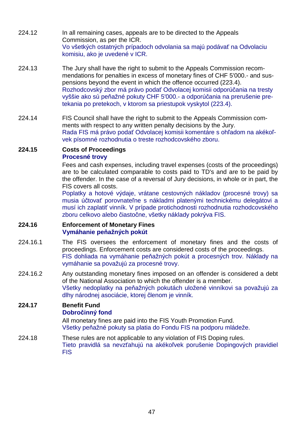- 224.12 In all remaining cases, appeals are to be directed to the Appeals Commission, as per the ICR. Vo všetkých ostatných prípadoch odvolania sa majú podávať na Odvolaciu komisiu, ako je uvedené v ICR.
- 224.13 The Jury shall have the right to submit to the Appeals Commission recommendations for penalties in excess of monetary fines of CHF 5'000.- and suspensions beyond the event in which the offence occurred (223.4). Rozhodcovský zbor má právo podať Odvolacej komisii odporúčania na tresty vyššie ako sú peňažné pokuty CHF 5'000.- a odporúčania na prerušenie pretekania po pretekoch, v ktorom sa priestupok vyskytol (223.4).
- 224.14 FIS Council shall have the right to submit to the Appeals Commission comments with respect to any written penalty decisions by the Jury. Rada FIS má právo podať Odvolacej komisii komentáre s ohľadom na akékoľvek písomné rozhodnutia o treste rozhodcovského zboru.

### **224.15 Costs of Proceedings Procesné trovy**

Fees and cash expenses, including travel expenses (costs of the proceedings) are to be calculated comparable to costs paid to TD's and are to be paid by the offender. In the case of a reversal of Jury decisions, in whole or in part, the FIS covers all costs.

Poplatky a hotové výdaje, vrátane cestovných nákladov (procesné trovy) sa musia účtovať porovnateľne s nákladmi platenými technickému delegátovi a musí ich zaplatiť vinník. V prípade protichodnosti rozhodnutia rozhodcovského zboru celkovo alebo čiastočne, všetky náklady pokrýva FIS.

#### **224.16 Enforcement of Monetary Fines Vymáhanie peňažných pokút**

- 224.16.1 The FIS oversees the enforcement of monetary fines and the costs of proceedings. Enforcement costs are considered costs of the proceedings. FIS dohliada na vymáhanie peňažných pokút a procesných trov. Náklady na vymáhanie sa považujú za procesné trovy.
- 224.16.2 Any outstanding monetary fines imposed on an offender is considered a debt of the National Association to which the offender is a member. Všetky nedoplatky na peňažných pokutách uložené vinníkovi sa považujú za dlhy národnej asociácie, ktorej členom je vinník.

#### **224.17 Benefit Fund Dobročinný fond**

All monetary fines are paid into the FIS Youth Promotion Fund. Všetky peňažné pokuty sa platia do Fondu FIS na podporu mládeže.

224.18 These rules are not applicable to any violation of FIS Doping rules. Tieto pravidlá sa nevzťahujú na akékoľvek porušenie Dopingových pravidiel FIS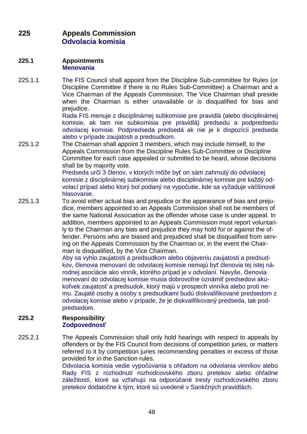# **225 Appeals Commission Odvolacia komisia**

#### **225.1 Appointments Menovania**

225.1.1 The FIS Council shall appoint from the Discipline Sub-committee for Rules (or Discipline Committee if there is no Rules Sub-Committee) a Chairman and a Vice Chairman of the Appeals Commission. The Vice Chairman shall preside when the Chairman is either unavailable or is disqualified for bias and prejudice.

Rada FIS menuje z disciplinárnej subkomisie pre pravidlá (alebo disciplinárnej komisie, ak tam nie subkomisia pre pravidlá) predsedu a podpredsedu odvolacej komisie. Podpredseda predsedá ak nie je k dispozícii predseda alebo v prípade zaujatosti a predsudkom.

225.1.2 The Chairman shall appoint 3 members, which may include himself, to the Appeals Commission from the Discipline Rules Sub-Committee or Discipline Committee for each case appealed or submitted to be heard, whose decisions shall be by majority vote.

Predseda určí 3 členov, v ktorých môže byť on sám zahrnutý do odvolacej komisie z disciplinárnej subkomisie alebo disciplinárnej komisie pre každý odvolací prípad alebo ktorý bol podaný na vypočutie, kde sa vyžaduje väčšinové hlasovanie.

225.1.3 To avoid either actual bias and prejudice or the appearance of bias and prejudice, members appointed to an Appeals Commission shall not be members of the same National Association as the offender whose case is under appeal. In addition, members appointed to an Appeals Commission must report voluntarily to the Chairman any bias and prejudice they may hold for or against the offender. Persons who are biased and prejudiced shall be disqualified from serving on the Appeals Commission by the Chairman or, in the event the Chairman is disqualified, by the Vice Chairman.

Aby sa vyhlo zaujatosti a predsudkom alebo objaveniu zaujatosti a predsudkov, členovia menovaní do odvolacej komisie nemajú byť členovia tej istej národnej asociácie ako vinník, ktorého prípad je v odvolaní. Navyše, členovia menovaní do odvolacej komisie musia dobrovoľne oznámiť predsedovi akúkoľvek zaujatosť a predsudok, ktorý majú v prospech vinníka alebo proti nemu. Zaujaté osoby a osoby s predsudkami budú diskvalifikované predsedom z odvolacej komisie alebo v prípade, že je diskvalifikovaný predseda, tak podpredsedom.

### **225.2 Responsibility Zodpovednosť**

225.2.1 The Appeals Commission shall only hold hearings with respect to appeals by offenders or by the FIS Council from decisions of competition juries, or matters referred to it by competition juries recommending penalties in excess of those provided for in the Sanction rules.

Odvolacia komisia vedie vypočúvania s ohľadom na odvolania vinníkov alebo Rady FIS z rozhodnutí rozhodcovského zboru pretekov alebo ohľadne záležitostí, ktoré sa vzťahujú na odporúčané tresty rozhodcovského zboru pretekov dodatočne k tým, ktoré sú uvedené v Sankčných pravidlách.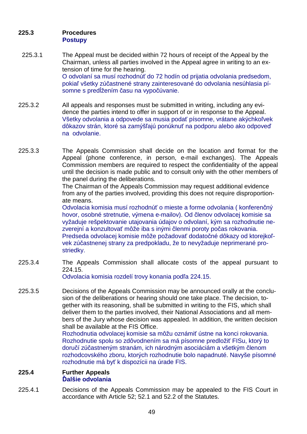## **225.3 Procedures Postupy**

- 225.3.1 The Appeal must be decided within 72 hours of receipt of the Appeal by the Chairman, unless all parties involved in the Appeal agree in writing to an extension of time for the hearing. O odvolaní sa musí rozhodnúť do 72 hodín od prijatia odvolania predsedom, pokiaľ všetky zúčastnené strany zainteresované do odvolania nesúhlasia písomne s predĺžením času na vypočúvanie.
- 225.3.2 All appeals and responses must be submitted in writing, including any evidence the parties intend to offer in support of or in response to the Appeal. Všetky odvolania a odpovede sa musia podať písomne, vrátane akýchkoľvek dôkazov strán, ktoré sa zamýšľajú ponúknuť na podporu alebo ako odpoveď na odvolanie.
- 225.3.3 The Appeals Commission shall decide on the location and format for the Appeal (phone conference, in person, e-mail exchanges). The Appeals Commission members are required to respect the confidentiality of the appeal until the decision is made public and to consult only with the other members of the panel during the deliberations.

The Chairman of the Appeals Commission may request additional evidence from any of the parties involved, providing this does not require disproportionate means.

Odvolacia komisia musí rozhodnúť o mieste a forme odvolania ( konferenčný hovor, osobné stretnutie, výmena e-mailov). Od členov odvolacej komisie sa vyžaduje rešpektovanie utajovania údajov o odvolaní, kým sa rozhodnutie nezverejní a konzultovať môže iba s inými členmi poroty počas rokovania. Predseda odvolacej komisie môže požadovať dodatočné dôkazy od ktorejkoľvek zúčastnenej strany za predpokladu, že to nevyžaduje neprimerané prostriedky.

225.3.4 The Appeals Commission shall allocate costs of the appeal pursuant to 224.15. Odvolacia komisia rozdelí trovy konania podľa 224.15.

225.3.5 Decisions of the Appeals Commission may be announced orally at the conclusion of the deliberations or hearing should one take place. The decision, together with its reasoning, shall be submitted in writing to the FIS, which shall deliver them to the parties involved, their National Associations and all members of the Jury whose decision was appealed. In addition, the written decision shall be available at the FIS Office.

Rozhodnutia odvolacej komisie sa môžu oznámiť ústne na konci rokovania. Rozhodnutie spolu so zdôvodnením sa má písomne predložiť FISu, ktorý to doručí zúčastneným stranám, ich národným asociáciám a všetkým členom rozhodcovského zboru, ktorých rozhodnutie bolo napadnuté. Navyše písomné rozhodnutie má byť k dispozícii na úrade FIS.

### **225.4 Further Appeals Ďalšie odvolania**

225.4.1 Decisions of the Appeals Commission may be appealed to the FIS Court in accordance with Article 52; 52.1 and 52.2 of the Statutes.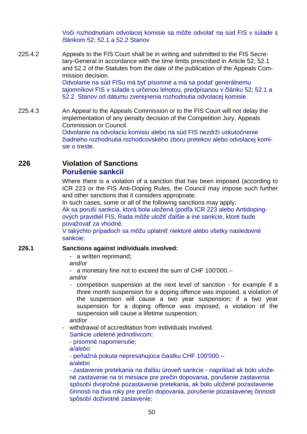Voči rozhodnutiam odvolacej komisie sa môže odvolať na súd FIS v súlade s článkom 52; 52.1 a 52.2 Stanov

225.4.2 Appeals to the FIS Court shall be in writing and submitted to the FIS Secretary-General in accordance with the time limits prescribed in Article 52; 52.1 and 52.2 of the Statutes from the date of the publication of the Appeals Commission decision. Odvolanie na súd FISu má byť písomné a má sa podať generálnemu tajomníkovi FIS v súlade s určenou lehotou, predpísanou v článku 52; 52.1 a 52.2 Stanov od dátumu zverejnenia rozhodnutia odvolacej komisie.

225.4.3 An Appeal to the Appeals Commission or to the FIS Court will not delay the implementation of any penalty decision of the Competition Jury, Appeals Commission or Council.

Odvolanie na odvolaciu komisiu alebo na súd FIS nezdrží uskutočnenie žiadneho rozhodnutia rozhodcovského zboru pretekov alebo odvolacej komisie o treste.

## **226 Violation of Sanctions Porušenie sankcií**

Where there is a violation of a sanction that has been imposed (according to ICR 223 or the FIS Anti-Doping Rules, the Council may impose such further and other sanctions that it considers appropriate.

In such cases, some or all of the following sanctions may apply:

Ak sa poruší sankcia, ktorá bola uložená (podľa ICR 223 alebo Antidopingových pravidiel FIS, Rada môže uložiť ďalšie a iné sankcie, ktoré bude považovať za vhodné.

V takýchto prípadoch sa môžu uplatniť niektoré alebo všetky nasledovné sankcie:

### **226.1 Sanctions against individuals involved:**

- a written reprimand;

and/or

- a monetary fine not to exceed the sum of CHF 100'000.- and/or

- competition suspension at the next level of sanction - for example if a three month suspension for a doping offence was imposed, a violation of the suspension will cause a two year suspension; if a two year suspension for a doping offence was imposed, a violation of the suspension will cause a lifetime suspension;

and/or

- withdrawal of accreditation from individuals involved.

Sankcie udelené jednotlivcom:

- písomné napomenutie;

a/alebo

- peňažná pokuta nepresahujúca čiastku CHF 100'000.- a/alebo

- zastavenie pretekania na ďalšiu úroveň sankcie - napríklad ak bolo uložené zastavenie na tri mesiace pre prečin dopovania, porušenie zastavenia spôsobí dvojročné pozastavenie pretekania, ak bolo uložené pozastavenie činnosti na dva roky pre prečin dopovania, porušenie pozastavenej činnosti spôsobí doživotné zastavenie;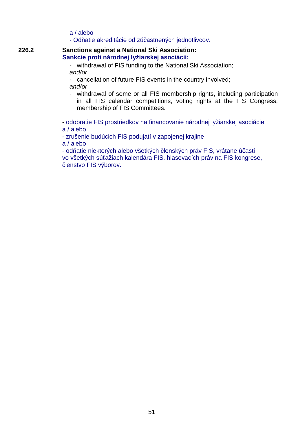- a / alebo
- Odňatie akreditácie od zúčastnených jednotlivcov.

#### **226.2 Sanctions against a National Ski Association: Sankcie proti národnej lyžiarskej asociácii:**

- withdrawal of FIS funding to the National Ski Association; and/or
- cancellation of future FIS events in the country involved; and/or
- withdrawal of some or all FIS membership rights, including participation in all FIS calendar competitions, voting rights at the FIS Congress, membership of FIS Committees.

- odobratie FIS prostriedkov na financovanie národnej lyžiarskej asociácie a / alebo

- zrušenie budúcich FIS podujatí v zapojenej krajine

a / alebo

- odňatie niektorých alebo všetkých členských práv FIS, vrátane účasti vo všetkých súťažiach kalendára FIS, hlasovacích práv na FIS kongrese, členstvo FIS výborov.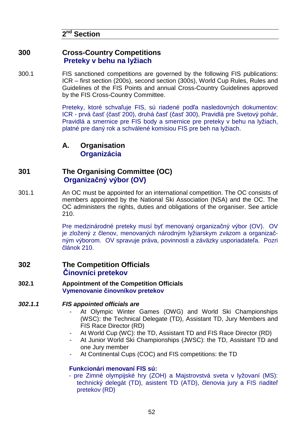# **2 nd Section**

## **300 Cross-Country Competitions Preteky v behu na lyžiach**

300.1 FIS sanctioned competitions are governed by the following FIS publications: ICR – first section (200s), second section (300s), World Cup Rules, Rules and Guidelines of the FIS Points and annual Cross-Country Guidelines approved by the FIS Cross-Country Committee.

> Preteky, ktoré schvaľuje FIS, sú riadené podľa nasledovných dokumentov: ICR - prvá časť (časť 200), druhá časť (časť 300), Pravidlá pre Svetový pohár, Pravidlá a smernice pre FIS body a smernice pre preteky v behu na lyžiach, platné pre daný rok a schválené komisiou FIS pre beh na lyžiach.

**A. Organisation Organizácia**

# **301 The Organising Committee (OC) Organizačný výbor (OV)**

301.1 An OC must be appointed for an international competition. The OC consists of members appointed by the National Ski Association (NSA) and the OC. The OC administers the rights, duties and obligations of the organiser. See article 210.

> Pre medzinárodné preteky musí byť menovaný organizačný výbor (OV). OV je zložený z členov, menovaných národným lyžiarskym zväzom a organizačným výborom. OV spravuje práva, povinnosti a záväzky usporiadateľa. Pozri článok 210.

## **302 The Competition Officials Činovníci pretekov**

- **302.1 Appointment of the Competition Officials Vymenovanie činovníkov pretekov**
- **302.1.1 FIS appointed officials are**
	- At Olympic Winter Games (OWG) and World Ski Championships (WSC): the Technical Delegate (TD), Assistant TD, Jury Members and FIS Race Director (RD)
	- At World Cup (WC): the TD, Assistant TD and FIS Race Director (RD)
	- At Junior World Ski Championships (JWSC): the TD, Assistant TD and one Jury member
	- At Continental Cups (COC) and FIS competitions: the TD

## **Funkcionári menovaní FIS sú:**

- pre Zimné olympijské hry (ZOH) a Majstrovstvá sveta v lyžovaní (MS): technický delegát (TD), asistent TD (ATD), členovia jury a FIS riaditeľ pretekov (RD)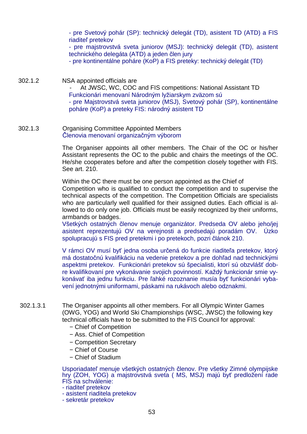- pre Svetový pohár (SP): technický delegát (TD), asistent TD (ATD) a FIS riaditeľ pretekov

- pre majstrovstvá sveta juniorov (MSJ): technický delegát (TD), asistent technického delegáta (ATD) a jeden člen jury

- pre kontinentálne poháre (KoP) a FIS preteky: technický delegát (TD)

302.1.2 NSA appointed officials are

At JWSC, WC, COC and FIS competitions: National Assistant TD Funkcionári menovaní Národným lyžiarskym zväzom sú

- pre Majstrovstvá sveta juniorov (MSJ), Svetový pohár (SP), kontinentálne poháre (KoP) a preteky FIS: národný asistent TD

302.1.3 Organising Committee Appointed Members Členovia menovaní organizačným výborom

> The Organiser appoints all other members. The Chair of the OC or his/her Assistant represents the OC to the public and chairs the meetings of the OC. He/she cooperates before and after the competition closely together with FIS. See art. 210.

> Within the OC there must be one person appointed as the Chief of Competition who is qualified to conduct the competition and to supervise the technical aspects of the competition. The Competition Officials are specialists who are particularly well qualified for their assigned duties. Each official is allowed to do only one job. Officials must be easily recognized by their uniforms, armbands or badges.

> Všetkých ostatných členov menuje organizátor. Predseda OV alebo jeho/jej asistent reprezentujú OV na verejnosti a predsedajú poradám OV. Úzko spolupracujú s FIS pred pretekmi i po pretekoch, pozri článok 210.

> V rámci OV musí byť jedna osoba určená do funkcie riaditeľa pretekov, ktorý má dostatočnú kvalifikáciu na vedenie pretekov a pre dohľad nad technickými aspektmi pretekov. Funkcionári pretekov sú špecialisti, ktorí sú obzvlášť dobre kvalifikovaní pre vykonávanie svojich povinností. Každý funkcionár smie vykonávať iba jednu funkciu. Pre ľahké rozoznanie musía byť funkcionári vybavení jednotnými uniformami, páskami na rukávoch alebo odznakmi.

- 302.1.3.1 The Organiser appoints all other members. For all Olympic Winter Games (OWG, YOG) and World Ski Championships (WSC, JWSC) the following key technical officials have to be submitted to the FIS Council for approval:
	- − Chief of Competition
	- − Ass. Chief of Competition
	- − Competition Secretary
	- − Chief of Course
	- − Chief of Stadium

Usporiadateľ menuje všetkých ostatných členov. Pre všetky Zimné olympijske hry (ZOH, YOG) a majstrovstvá sveta ( MS, MSJ) majú byť predložení rade FIS na schválenie:

- riaditeľ pretekov
- asistent riaditela pretekov
- sekretár pretekov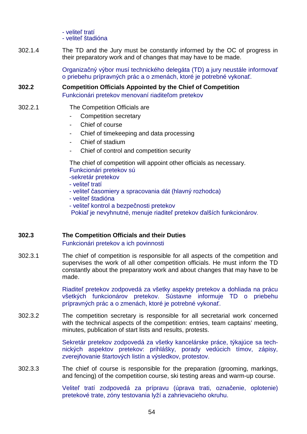- veliteľ tratí - veliteľ štadióna

302.1.4 The TD and the Jury must be constantly informed by the OC of progress in their preparatory work and of changes that may have to be made.

> Organizačný výbor musí technického delegáta (TD) a jury neustále informovať o priebehu prípravných prác a o zmenách, ktoré je potrebné vykonať.

**302.2 Competition Officials Appointed by the Chief of Competition**  Funkcionári pretekov menovaní riaditeľom pretekov

### 302.2.1 The Competition Officials are

- Competition secretary
- Chief of course
- Chief of timekeeping and data processing
- Chief of stadium
- Chief of control and competition security

 The chief of competition will appoint other officials as necessary. Funkcionári pretekov sú

- -sekretár pretekov
- veliteľ tratí
- veliteľ časomiery a spracovania dát (hlavný rozhodca)
- veliteľ štadióna
- veliteľ kontrol a bezpečnosti pretekov

Pokiaľ je nevyhnutné, menuje riaditeľ pretekov ďalších funkcionárov.

#### **302.3 The Competition Officials and their Duties**

Funkcionári pretekov a ich povinnosti

302.3.1 The chief of competition is responsible for all aspects of the competition and supervises the work of all other competition officials. He must inform the TD constantly about the preparatory work and about changes that may have to be made.

> Riaditeľ pretekov zodpovedá za všetky aspekty pretekov a dohliada na prácu všetkých funkcionárov pretekov. Sústavne informuje TD o priebehu prípravných prác a o zmenách, ktoré je potrebné vykonať.

302.3.2 The competition secretary is responsible for all secretarial work concerned with the technical aspects of the competition: entries, team captains' meeting, minutes, publication of start lists and results, protests.

> Sekretár pretekov zodpovedá za všetky kancelárske práce, týkajúce sa technických aspektov pretekov: prihlášky, porady vedúcich tímov, zápisy, zverejňovanie štartových listín a výsledkov, protestov.

302.3.3 The chief of course is responsible for the preparation (grooming, markings, and fencing) of the competition course, ski testing areas and warm-up course.

> Veliteľ tratí zodpovedá za prípravu (úprava trati, označenie, oplotenie) pretekové trate, zóny testovania lyží a zahrievacieho okruhu.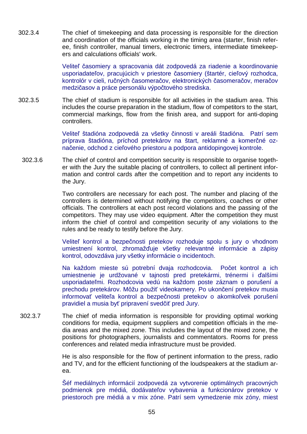302.3.4 The chief of timekeeping and data processing is responsible for the direction and coordination of the officials working in the timing area (starter, finish referee, finish controller, manual timers, electronic timers, intermediate timekeepers and calculations officials' work.

> Veliteľ časomiery a spracovania dát zodpovedá za riadenie a koordinovanie usporiadateľov, pracujúcich v priestore časomiery (štartér, cieľový rozhodca, kontrolór v cieli, ručných časomeračov, elektronických časomeračov, meračov medzičasov a práce personálu výpočtového strediska.

302.3.5 The chief of stadium is responsible for all activities in the stadium area. This includes the course preparation in the stadium, flow of competitors to the start, commercial markings, flow from the finish area, and support for anti-doping controllers.

> Veliteľ štadióna zodpovedá za všetky činnosti v areáli štadióna. Patrí sem príprava štadióna, príchod pretekárov na štart, reklamné a komerčné označenie, odchod z cieľového priestoru a podpora antidopingovej kontrole.

302.3.6 The chief of control and competition security is responsible to organise together with the Jury the suitable placing of controllers, to collect all pertinent information and control cards after the competition and to report any incidents to the Jury.

> Two controllers are necessary for each post. The number and placing of the controllers is determined without notifying the competitors, coaches or other officials. The controllers at each post record violations and the passing of the competitors. They may use video equipment. After the competition they must inform the chief of control and competition security of any violations to the rules and be ready to testify before the Jury.

> Veliteľ kontrol a bezpečnosti pretekov rozhoduje spolu s jury o vhodnom umiestnení kontrol, zhromažďuje všetky relevantné informácie a zápisy kontrol, odovzdáva jury všetky informácie o incidentoch.

> Na každom mieste sú potrební dvaja rozhodcovia. Počet kontrol a ich umiestnenie je urdžované v tajnosti pred pretekármi, trénermi i ďalšími usporiadateľmi. Rozhodcovia vedú na každom poste záznam o porušení a prechodu pretekárov. Môžu použiť videokamery. Po ukončení pretekov musia informovať veliteľa kontrol a bezpečnosti pretekov o akomkoľvek porušení pravidiel a musia byť pripravení svedčiť pred Jury.

 302.3.7 The chief of media information is responsible for providing optimal working conditions for media, equipment suppliers and competition officials in the media areas and the mixed zone. This includes the layout of the mixed zone, the positions for photographers, journalists and commentators. Rooms for press conferences and related media infrastructure must be provided.

> He is also responsible for the flow of pertinent information to the press, radio and TV, and for the efficient functioning of the loudspeakers at the stadium area.

> Šéf mediálnych informácií zodpovedá za vytvorenie optimálnych pracovných podmienok pre médiá, dodávateľov vybavenia a funkcionárov pretekov v priestoroch pre médiá a v mix zóne. Patrí sem vymedzenie mix zóny, miest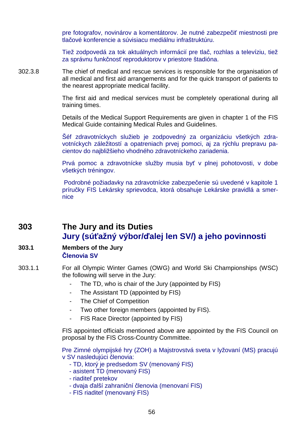pre fotografov, novinárov a komentátorov. Je nutné zabezpečiť miestnosti pre tlačové konferencie a súvisiacu mediálnu infraštruktúru.

Tiež zodpovedá za tok aktuálnych informácií pre tlač, rozhlas a televíziu, tiež za správnu funkčnosť reproduktorov v priestore štadióna.

302.3.8 The chief of medical and rescue services is responsible for the organisation of all medical and first aid arrangements and for the quick transport of patients to the nearest appropriate medical facility.

> The first aid and medical services must be completely operational during all training times.

> Details of the Medical Support Requirements are given in chapter 1 of the FIS Medical Guide containing Medical Rules and Guidelines.

> Šéf zdravotníckych služieb je zodpovedný za organizáciu všetkých zdravotníckych záležitostí a opatreniach prvej pomoci, aj za rýchlu prepravu pacientov do najbližšieho vhodného zdravotníckeho zariadenia.

> Prvá pomoc a zdravotnícke služby musia byť v plnej pohotovosti, v dobe všetkých tréningov.

> Podrobné požiadavky na zdravotnícke zabezpečenie sú uvedené v kapitole 1 príručky FIS Lekársky sprievodca, ktorá obsahuje Lekárske pravidlá a smernice

# **303 The Jury and its Duties Jury (súťažný výbor/ďalej len SV/) a jeho povinnosti**

### **303.1 Members of the Jury Členovia SV**

- 303.1.1 For all Olympic Winter Games (OWG) and World Ski Championships (WSC) the following will serve in the Jury:
	- The TD, who is chair of the Jury (appointed by FIS)
	- The Assistant TD (appointed by FIS)
	- The Chief of Competition
	- Two other foreign members (appointed by FIS).
	- FIS Race Director (appointed by FIS)

FIS appointed officials mentioned above are appointed by the FIS Council on proposal by the FIS Cross-Country Committee.

Pre Zimné olympijské hry (ZOH) a Majstrovstvá sveta v lyžovaní (MS) pracujú v SV nasledujúci členovia:

- TD, ktorý je predsedom SV (menovaný FIS)
- asistent TD (menovaný FIS)
- riaditeľ pretekov
- dvaja ďalší zahraniční členovia (menovaní FIS)
- FIS riaditeľ (menovaný FIS)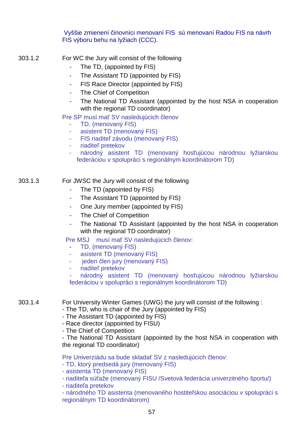Vyššie zmienení činovníci menovaní FIS sú menovaní Radou FIS na návrh FIS výboru behu na lyžiach (CCC).

- 303.1.2 For WC the Jury will consist of the following
	- The TD, (appointed by FIS)
	- The Assistant TD (appointed by FIS)
	- FIS Race Director (appointed by FIS)
	- The Chief of Competition
	- The National TD Assistant (appointed by the host NSA in cooperation with the regional TD coordinator)

Pre SP musí mať SV nasledujúcich členov

- TD, (menovaný FIS)
- asistent TD (menovaný FIS)
- FIS riaditeľ závodu (menovaný FIS)
- riaditeľ pretekov
- národný asistent TD (menovaný hosťujúcou národnou lyžiarskou federáciou v spolupráci s regionálnym koordinátorom TD)

## 303.1.3 For JWSC the Jury will consist of the following

- The TD (appointed by FIS)
- The Assistant TD (appointed by FIS)
- One Jury member (appointed by FIS)
- The Chief of Competition
- The National TD Assistant (appointed by the host NSA in cooperation with the regional TD coordinator)

Pre MSJ musí mať SV nasledujúcich členov:

- TD, (menovaný FIS)
- asistent TD (menovaný FIS)
- jeden člen jury (menovaný FIS)
- riaditeľ pretekov

národný asistent TD (menovaný hosťujúcou národnou lyžiarskou federáciou v spolupráci s regionálnym koordinátorom TD)

- 303.1.4 For University Winter Games (UWG) the jury will consist of the following :
	- The TD, who is chair of the Jury (appointed by FIS)
	- The Assistant TD (appointed by FIS)
	- Race director (appointed by FISU)
	- The Chief of Competition

- The National TD Assistant (appointed by the host NSA in cooperation with the regional TD coordinator)

Pre Univerziádu sa bude skladať SV z nasledujúcich členov:

- TD, ktorý predsedá jury (menovaný FIS)
- asistenta TD (menovaný FIS)
- riaditeľa súťaže (menovaný FISU /Svetová federácia univerzitného športu/)
- riaditeľa pretekov

- národného TD asistenta (menovaného hostiteľskou asociáciou v spolupráci s regionálnym TD koordinátorom)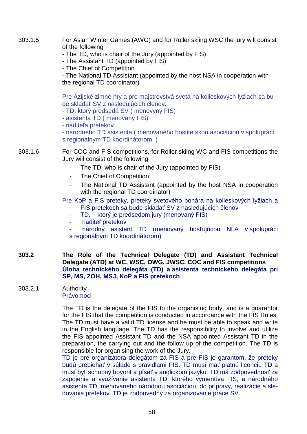303.1.5 For Asian Winter Games (AWG) and for Roller skiing WSC the jury will consist of the following :

- The TD, who is chair of the Jury (appointed by FIS)

- The Assistant TD (appointed by FIS)

- The Chief of Competition

- The National TD Assistant (appointed by the host NSA in cooperation with the regional TD coordinator)

Pre Ázijské zimné hry a pre majstrovstvá sveta na kolieskových lyžiach sa bude skladať SV z nasledujúcich členov:

- TD, ktorý predsedá SV ( menovyný FIS)

- asistenta TD ( menovaný FIS)

- riaditeľa pretekov

- národného TD asistenta ( menovaného hostiteľskou asociáciou v spolupráci s regionálnym TD koordinátorom )

### 303.1.6 For COC and FIS competitions, for Roller skiing WC and FIS competitions the Jury will consist of the following

- The TD, who is chair of the Jury (appointed by FIS)
- The Chief of Competition
- The National TD Assistant (appointed by the host NSA in cooperation with the regional TD coordinator)

Pre KoP a FIS preteky, preteky svetového pohára na kolieskových lyžiach a FIS pretekoch sa bude skladať SV z nasledujúcich členov

- TD, ktorý je predsedom jury (menovaný FIS)
- riaditeľ pretekov
- národný asistent TD (menovaný hosťujúcou NLA v spolupráci s regionálnym TD koordinátorom)
- **303.2 The Role of the Technical Delegate (TD) and Assistant Technical Delegate (ATD) at WC, WSC, OWG, JWSC, COC and FIS competitions Úloha technického delegáta (TD) a asistenta technického delegáta pri SP, MS, ZOH, MSJ, KoP a FIS pretekoch**

#### 303.2.1 Authority Právomoci

 The TD is the delegate of the FIS to the organising body, and is a guarantor for the FIS that the competition is conducted in accordance with the FIS Rules. The TD must have a valid TD license and he must be able to speak and write in the English language. The TD has the responsibility to involve and utilize the FIS appointed Assistant TD and the NSA appointed Assistant TD in the preparation, the carrying out and the follow up of the competition. The TD is responsible for organising the work of the Jury.

TD je pre organizátora delegátom za FIS a pre FIS je garantom, že preteky budú prebiehať v súlade s pravidlami FIS. TD musí mať platnú licenciu TD a musí byť schopný hovorit a písať v anglickom jazyku. TD má zodpovednosť za zapojenie a využívanie asistenta TD, ktorého vymenúva FIS, a národného asistenta TD, menovaného národnou asociáciou, do prípravy, realizácie a sledovania pretekov. TD je zodpovedný za organizovanie práce SV.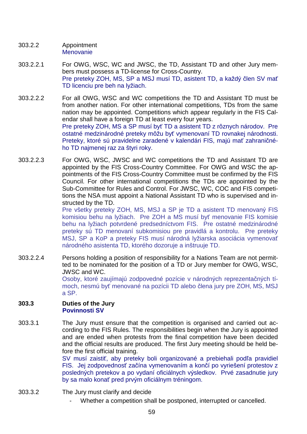- 303.2.2 Appointment **Menovanie**
- 303.2.2.1 For OWG, WSC, WC and JWSC, the TD, Assistant TD and other Jury members must possess a TD-license for Cross-Country. Pre preteky ZOH, MS, SP a MSJ musí TD, asistent TD, a každý člen SV mať TD licenciu pre beh na lyžiach.
- 303.2.2.2 For all OWG, WSC and WC competitions the TD and Assistant TD must be from another nation. For other international competitions, TDs from the same nation may be appointed. Competitions which appear regularly in the FIS Calendar shall have a foreign TD at least every four years. Pre preteky ZOH, MS a SP musí byť TD a asistent TD z rôznych národov. Pre ostatné medzinárodné preteky môžu byť vymenovaní TD rovnakej národnosti. Preteky, ktoré sú pravidelne zaradené v kalendári FIS, majú mať zahraničného TD najmenej raz za štyri roky.
- 303.2.2.3 For OWG, WSC, JWSC and WC competitions the TD and Assistant TD are appointed by the FIS Cross-Country Committee. For OWG and WSC the appointments of the FIS Cross-Country Committee must be confirmed by the FIS Council. For other international competitions the TDs are appointed by the Sub-Committee for Rules and Control. For JWSC, WC, COC and FIS competitions the NSA must appoint a National Assistant TD who is supervised and instructed by the TD.

Pre všetky preteky ZOH, MS, MSJ a SP je TD a asistent TD menovaný FIS komisiou behu na lyžiach. Pre ZOH a MS musí byť menovanie FIS komisie behu na lyžiach potvrdené predsedníctvom FIS. Pre ostatné medzinárodné preteky sú TD menovaní subkomisiou pre pravidlá a kontrolu. Pre preteky MSJ, SP a KoP a preteky FIS musí národná lyžiarska asociácia vymenovať národného asistenta TD, ktorého dozoruje a inštruuje TD.

303.2.2.4 Persons holding a position of responsibility for a Nations Team are not permitted to be nominated for the position of a TD or Jury member for OWG, WSC, JWSC and WC. Osoby, ktoré zaujímajú zodpovedné pozície v národných reprezentačných tí-

moch, nesmú byť menované na pozícii TD alebo člena jury pre ZOH, MS, MSJ a SP.

#### **303.3 Duties of the Jury Povinnosti SV**

303.3.1 The Jury must ensure that the competition is organised and carried out according to the FIS Rules. The responsibilities begin when the Jury is appointed and are ended when protests from the final competition have been decided and the official results are produced. The first Jury meeting should be held before the first official training.

> SV musí zaistiť, aby preteky boli organizované a prebiehali podľa pravidiel FIS. Jej zodpovednosť začína vymenovaním a končí po vyriešení protestov z posledných pretekov a po vydaní oficiálnych výsledkov. Prvé zasadnutie jury by sa malo konať pred prvým oficiálnym tréningom.

- 303.3.2 The Jury must clarify and decide
	- Whether a competition shall be postponed, interrupted or cancelled.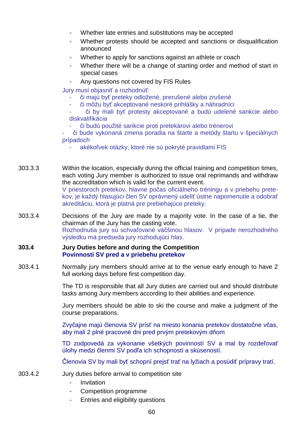- Whether late entries and substitutions may be accepted
- Whether protests should be accepted and sanctions or disqualification announced
- Whether to apply for sanctions against an athlete or coach
- Whether there will be a change of starting order and method of start in special cases
- Any questions not covered by FIS Rules

Jury musí objasniť a rozhodnúť:

- či majú byť preteky odložené, prerušené alebo zrušené
- či môžu byť akceptované neskoré prihlášky a náhradníci
- či by mali byť protesty akceptované a budú udelené sankcie alebo diskvalifikácia
	- či budú použité sankcie proti pretekárovi alebo trénerovi
- či bude vykonaná zmena poradia na štarte a metódy štartu v špeciálnych prípadoch
	- akékoľvek otázky, ktoré nie sú pokryté pravidlami FIS
- 303.3.3 Within the location, especially during the official training and competition times, each voting Jury member is authorized to issue oral reprimands and withdraw the accreditation which is valid for the current event. V priestoroch pretekov, hlavne počas oficiálneho tréningu a v priebehu pretekov, je každý hlasujúci člen SV oprávnený udeliť ústne napomenutie a odobrať akreditáciu, ktorá je platná pre prebiehajúce preteky.
- 303.3.4 Decisions of the Jury are made by a majority vote. In the case of a tie, the chairman of the Jury has the casting vote. Rozhodnutia jury sú schvaľované väčšinou hlasov. V prípade nerozhodného výsledku má predseda jury rozhodujúci hlas.

### **303.4 Jury Duties before and during the Competition Povinnosti SV pred a v priebehu pretekov**

303.4.1 Normally jury members should arrive at to the venue early enough to have 2 full working days before first competition day.

> The TD is responsible that all Jury duties are carried out and should distribute tasks among Jury members according to their abilities and experience.

> Jury members should be able to ski the course and make a judgment of the course preparations.

> Zvyčajne majú členovia SV prísť na miesto konania pretekov dostatočne včas, aby mali 2 plné pracovné dni pred prvým pretekovým dňom

> TD zodpovedá za vykonanie všetkých povinností SV a mal by rozdeľovať úlohy medzi členmi SV podľa ich schopností a skúseností.

Členovia SV by mali byť schopní prejsť trať na lyžiach a posúdiť prípravy tratí.

- 303.4.2 Jury duties before arrival to competition site
	- Invitation
	- Competition programme
	- Entries and eligibility questions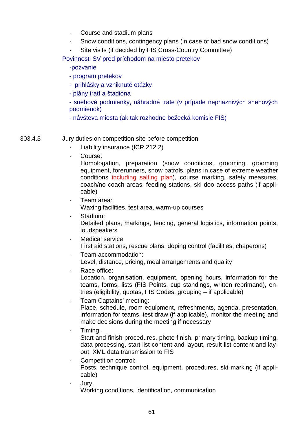- Course and stadium plans
- Snow conditions, contingency plans (in case of bad snow conditions)
- Site visits (if decided by FIS Cross-Country Committee)

Povinnosti SV pred príchodom na miesto pretekov

### -pozvanie

- program pretekov
- prihlášky a vzniknuté otázky
- plány tratí a štadióna
- snehové podmienky, náhradné trate (v prípade nepriaznivých snehových podmienok)
- návšteva miesta (ak tak rozhodne bežecká komisie FIS)

303.4.3 Jury duties on competition site before competition

- Liability insurance (ICR 212.2)
- Course:

Homologation, preparation (snow conditions, grooming, grooming equipment, forerunners, snow patrols, plans in case of extreme weather conditions including salting plan), course marking, safety measures, coach/no coach areas, feeding stations, ski doo access paths (if applicable)

- Team area: Waxing facilities, test area, warm-up courses
- Stadium: Detailed plans, markings, fencing, general logistics, information points, loudspeakers
- Medical service First aid stations, rescue plans, doping control (facilities, chaperons)
- Team accommodation: Level, distance, pricing, meal arrangements and quality
- Race office:

Location, organisation, equipment, opening hours, information for the teams, forms, lists (FIS Points, cup standings, written reprimand), entries (eligibility, quotas, FIS Codes, grouping – if applicable)

- Team Captains' meeting: Place, schedule, room equipment, refreshments, agenda, presentation, information for teams, test draw (if applicable), monitor the meeting and make decisions during the meeting if necessary
- Timing:

Start and finish procedures, photo finish, primary timing, backup timing, data processing, start list content and layout, result list content and layout, XML data transmission to FIS

- Competition control: Posts, technique control, equipment, procedures, ski marking (if applicable)
- Jury: Working conditions, identification, communication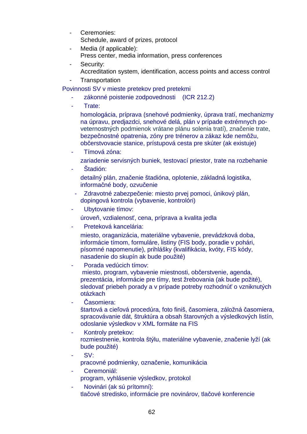- Ceremonies: Schedule, award of prizes, protocol
- Media (if applicable): Press center, media information, press conferences
- Security: Accreditation system, identification, access points and access control
- **Transportation**

Povinnosti SV v mieste pretekov pred pretekmi

- zákonné poistenie zodpovednosti (ICR 212.2)
- Trate:

homologácia, príprava (snehové podmienky, úprava tratí, mechanizmy na úpravu, predjazdci, snehové delá, plán v prípade extrémnych poveternostných podmienok vrátane plánu solenia tratí), značenie trate, bezpečnostné opatrenia, zóny pre trénerov a zákaz kde nemôžu, občerstvovacie stanice, prístupová cesta pre skúter (ak existuje)

- Tímová zóna:

zariadenie servisných buniek, testovací priestor, trate na rozbehanie

- Štadión: detailný plán, značenie štadióna, oplotenie, základná logistika, informačné body, ozvučenie
- Zdravotné zabezpečenie: miesto prvej pomoci, únikový plán, dopingová kontrola (vybavenie, kontrolóri)
- Ubytovanie tímov:

úroveň, vzdialenosť, cena, príprava a kvalita jedla

- Preteková kancelária:

miesto, oraganizácia, materiálne vybavenie, prevádzková doba, informácie tímom, formuláre, listiny (FIS body, poradie v pohári, písomné napomenutie), prihlášky (kvalifikácia, kvóty, FIS kódy, nasadenie do skupín ak bude použité)

- Porada vedúcich tímov: miesto, program, vybavenie miestnosti, občerstvenie, agenda, prezentácia, informácie pre tímy, test žrebovania (ak bude požité), sledovať priebeh porady a v prípade potreby rozhodnúť o vzniknutých otázkach
- Časomiera: štartová a cieľová procedúra, foto finiš, časomiera, záložná časomiera, spracovávanie dát, štruktúra a obsah štarovných a výsledkových listín, odoslanie výsledkov v XML formáte na FIS
- Kontroly pretekov: rozmiestnenie, kontrola štýlu, materiálne vybavenie, značenie lyží (ak bude použité)
- SV: pracovné podmienky, označenie, komunikácia
- Ceremoniál: program, vyhlásenie výsledkov, protokol
- Novinári (ak sú prítomní): tlačové stredisko, informácie pre novinárov, tlačové konferencie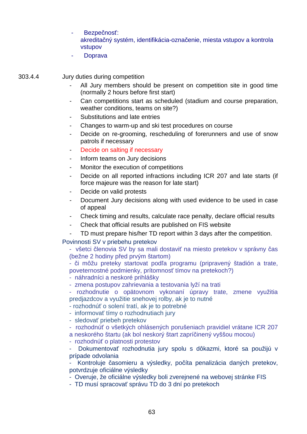- Bezpečnosť: akreditačný systém, identifikácia-označenie, miesta vstupov a kontrola vstupov
- **Doprava**

303.4.4 Jury duties during competition

- All Jury members should be present on competition site in good time (normally 2 hours before first start)
- Can competitions start as scheduled (stadium and course preparation, weather conditions, teams on site?)
- Substitutions and late entries
- Changes to warm-up and ski test procedures on course
- Decide on re-grooming, rescheduling of forerunners and use of snow patrols if necessary
- Decide on salting if necessary
- Inform teams on Jury decisions
- Monitor the execution of competitions
- Decide on all reported infractions including ICR 207 and late starts (if force majeure was the reason for late start)
- Decide on valid protests
- Document Jury decisions along with used evidence to be used in case of appeal
- Check timing and results, calculate race penalty, declare official results
- Check that official results are published on FIS website
- TD must prepare his/her TD report within 3 days after the competition.

Povinnosti SV v priebehu pretekov

- všetci členovia SV by sa mali dostaviť na miesto pretekov v správny čas (bežne 2 hodiny před prvým štartom)
- či môžu preteky startovat podľa programu (pripravený štadión a trate, poveternostné podmienky, prítomnosť tímov na pretekoch?)
- náhradníci a neskoré prihlášky
- zmena postupov zahrievania a testovania lyží na trati
- rozhodnutie o opätovnom vykonaní úpravy trate, zmene využitia predjazdcov a využitie snehovej rolby, ak je to nutné
- rozhodnúť o solení tratí, ak je to potrebné
- informovať tímy o rozhodnutiach jury
- sledovať priebeh pretekov
- rozhodnúť o všetkých ohlásených porušeniach pravidiel vrátane ICR 207
- a neskorého štartu (ak bol neskorý štart zapríčinený vyššou mocou)
- rozhodnúť o platnosti protestov
- Dokumentovať rozhodnutia jury spolu s dôkazmi, ktoré sa použijú v prípade odvolania

Kontroluje časomieru a výsledky, počíta penalizácia daných pretekov, potvrdzuje oficiálne výsledky

- Overuje, že oficiálne výsledky boli zverejnené na webovej stránke FIS
- TD musí spracovať správu TD do 3 dní po pretekoch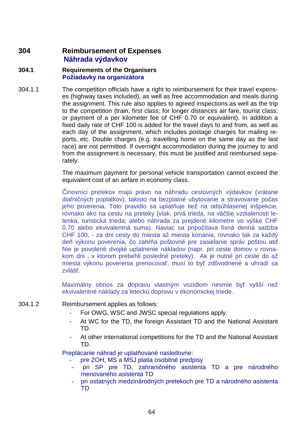## **304 Reimbursement of Expenses Náhrada výdavkov**

### **304.1 Requirements of the Organisers Požiadavky na organizátora**

304.1.1 The competition officials have a right to reimbursement for their travel expenses (highway taxes included), as well as free accommodation and meals during the assignment. This rule also applies to agreed inspections as well as the trip to the competition (train, first class; for longer distances air fare, tourist class; or payment of a per kilometer fee of CHF 0.70 or equivalent). In addition a fixed daily rate of CHF 100 is added for the travel days to and from, as well as each day of the assignment, which includes postage charges for mailing reports, etc. Double charges (e.g. travelling home on the same day as the last race) are not permitted. If overnight accommodation during the journey to and from the assignment is necessary, this must be justified and reimbursed separately.

> The maximum payment for personal vehicle transportation cannot exceed the equivalent cost of an airfare in economy class.

> Činovníci pretekov majú právo na náhradu cestovných výdavkov (vrátane diaľničných poplatkov), takisto na bezplatné ubytovanie a stravovanie počas jeho poverenia. Toto pravidlo sa uplatňuje tiež na odsúhlasenej inšpekcie, rovnako ako na cestu na preteky (vlak, prvá trieda, na väčšie vzdialenosti letenka, turistická trieda; alebo náhrada za prejdené kilometre vo výške CHF 0.70 alebo ekvivalentná suma). Naviac sa pripočítava fixná denná sadzba CHF 100, - za dni cesty do miesta až miesta konania, rovnako tak za každý deň výkonu poverenia, čo zahŕňa poštovné pre zasielanie správ poštou atď Nie je povolené dvojité uplatnenie nákladov (napr. pri ceste domov v rovnakom dni , v ktorom prebehli posledné preteky). Ak je nutné pri ceste do až miesta výkonu poverenia prenocovať, musí to byť zdôvodnené a uhradí sa zvlášť.

> Maximálny obnos za dopravu vlastným vozidlom nesmie byť vyšší než ekvivalentné náklady za leteckú dopravu v ekonomickej triede.

- 304.1.2 Reimbursement applies as follows:
	- For OWG, WSC and JWSC special regulations apply.
	- At WC for the TD, the foreign Assistant TD and the National Assistant TD.
	- At other international competitions for the TD and the National Assistant TD.

Preplácanie náhrad je uplatňované nasledovne:

- pre ZOH, MS a MSJ platia osobitné predpisy
- pri SP pre TD, zahraničného asistenta TD a pre národného menovaného asistenta TD
- pri ostatných medzinárodných pretekoch pre TD a národného asistenta TD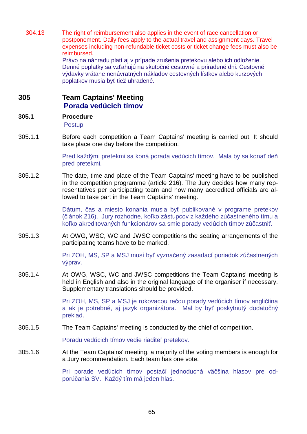304.13 The right of reimbursement also applies in the event of race cancellation or postponement. Daily fees apply to the actual travel and assignment days. Travel expenses including non-refundable ticket costs or ticket change fees must also be reimbursed.

Právo na náhradu platí aj v prípade zrušenia pretekovu alebo ich odloženie. Denné poplatky sa vzťahujú na skutočné cestovné a priradené dni. Cestovné výdavky vrátane nenávratných nákladov cestovných lístkov alebo kurzových poplatkov musia byť tiež uhradené.

## **305 Team Captains' Meeting Porada vedúcich tímov**

## **305.1 Procedure**

Postup

305.1.1 Before each competition a Team Captains' meeting is carried out. It should take place one day before the competition.

> Pred každými pretekmi sa koná porada vedúcich tímov. Mala by sa konať deň pred pretekmi.

305.1.2 The date, time and place of the Team Captains' meeting have to be published in the competition programme (article 216). The Jury decides how many representatives per participating team and how many accredited officials are allowed to take part in the Team Captains' meeting.

> Dátum, čas a miesto konania musia byť publikované v programe pretekov (článok 216). Jury rozhodne, koľko zástupcov z každého zúčastneného tímu a koľko akreditovaných funkcionárov sa smie porady vedúcich tímov zúčastniť.

305.1.3 At OWG, WSC, WC and JWSC competitions the seating arrangements of the participating teams have to be marked.

> Pri ZOH, MS, SP a MSJ musí byť vyznačený zasadací poriadok zúčastnených výprav.

305.1.4 At OWG, WSC, WC and JWSC competitions the Team Captains' meeting is held in English and also in the original language of the organiser if necessary. Supplementary translations should be provided.

> Pri ZOH, MS, SP a MSJ je rokovacou rečou porady vedúcich tímov angličtina a ak je potrebné, aj jazyk organizátora. Mal by byť poskytnutý dodatočný preklad.

305.1.5 The Team Captains' meeting is conducted by the chief of competition.

Poradu vedúcich tímov vedie riaditeľ pretekov.

305.1.6 At the Team Captains' meeting, a majority of the voting members is enough for a Jury recommendation. Each team has one vote.

> Pri porade vedúcich tímov postačí jednoduchá väčšina hlasov pre odporúčania SV. Každý tím má jeden hlas.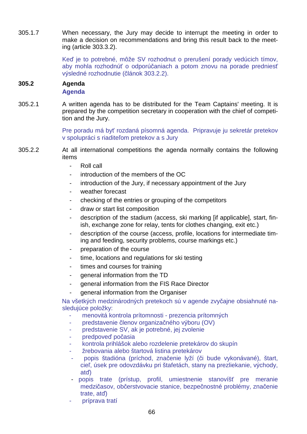305.1.7 When necessary, the Jury may decide to interrupt the meeting in order to make a decision on recommendations and bring this result back to the meeting (article 303.3.2).

> Keď je to potrebné, môže SV rozhodnut o prerušení porady vedúcich tímov, aby mohla rozhodnúť o odporúčaniach a potom znovu na porade predniesť výsledné rozhodnutie (článok 303.2.2).

### **305.2 Agenda Agenda**

305.2.1 A written agenda has to be distributed for the Team Captains' meeting. It is prepared by the competition secretary in cooperation with the chief of competition and the Jury.

> Pre poradu má byť rozdaná písomná agenda. Pripravuje ju sekretár pretekov v spolupráci s riaditeľom pretekov a s Jury

- 305.2.2 At all international competitions the agenda normally contains the following items
	- Roll call
	- introduction of the members of the OC
	- introduction of the Jury, if necessary appointment of the Jury
	- weather forecast
	- checking of the entries or grouping of the competitors
	- draw or start list composition
	- description of the stadium (access, ski marking [if applicable], start, finish, exchange zone for relay, tents for clothes changing, exit etc.)
	- description of the course (access, profile, locations for intermediate timing and feeding, security problems, course markings etc.)
	- preparation of the course
	- time, locations and regulations for ski testing
	- times and courses for training
	- general information from the TD
	- general information from the FIS Race Director
	- general information from the Organiser

Na všetkých medzinárodných pretekoch sú v agende zvyčajne obsiahnuté nasledujúce položky:

- menovitá kontrola prítomnosti prezencia prítomných
- predstavenie členov organizačného výboru (OV)
- predstavenie SV, ak je potrebné, jej zvolenie
- predpoveď počasia
- kontrola prihlášok alebo rozdelenie pretekárov do skupín
- žrebovania alebo štartová listina pretekárov
- popis štadióna (príchod, značenie lyží (či bude vykonávané), štart, cieľ, úsek pre odovzdávku pri štafetách, stany na prezliekanie, východy, atď)
- popis trate (prístup, profil, umiestnenie stanovíšť pre meranie medzičasov, občerstvovacie stanice, bezpečnostné problémy, značenie trate, atď)
- príprava tratí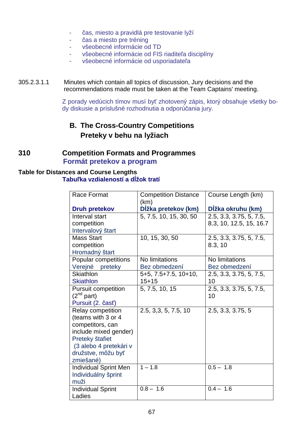- čas, miesto a pravidlá pre testovanie lyží
- čas a miesto pre tréning
- všeobecné informácie od TD
- všeobecné informácie od FIS riaditeľa disciplíny
- všeobecné informácie od usporiadateľa

### 305.2.3.1.1 Minutes which contain all topics of discussion, Jury decisions and the recommendations made must be taken at the Team Captains' meeting.

Z porady vedúcich tímov musí byť zhotovený zápis, ktorý obsahuje všetky body diskusie a príslušné rozhodnutia a odporúčania jury.

# **B. The Cross-Country Competitions Preteky v behu na lyžiach**

## **310 Competition Formats and Programmes Formát pretekov a program**

## **Table for Distances and Course Lengths Tabuľka vzdialeností a dĺžok tratí**

| Race Format                  | <b>Competition Distance</b> | Course Length (km)      |
|------------------------------|-----------------------------|-------------------------|
|                              | (km)                        |                         |
| <b>Druh pretekov</b>         | Dĺžka pretekov (km)         | Dĺžka okruhu (km)       |
| Interval start               | 5, 7.5, 10, 15, 30, 50      | 2.5, 3.3, 3.75, 5, 7.5, |
| competition                  |                             | 8.3, 10, 12.5, 15, 16.7 |
| Intervalový štart            |                             |                         |
| <b>Mass Start</b>            | 10, 15, 30, 50              | 2.5, 3.3, 3.75, 5, 7.5, |
| competition                  |                             | 8.3, 10                 |
| Hromadný štart               |                             |                         |
| Popular competitions         | No limitations              | No limitations          |
| Verejné<br>preteky           | Bez obmedzení               | Bez obmedzení           |
| <b>Skiathlon</b>             | 5+5, 7.5+7.5, 10+10,        | 2.5, 3.3, 3.75, 5, 7.5, |
| <b>Skiathlon</b>             | $15 + 15$                   | 10                      |
| Pursuit competition          | 5, 7.5, 10, 15              | 2.5, 3.3, 3.75, 5, 7.5, |
| $(2^{nd}$ part)              |                             | 10                      |
| Pursuit (2. časť)            |                             |                         |
| Relay competition            | 2.5, 3,3, 5, 7.5, 10        | 2.5, 3.3, 3.75, 5       |
| (teams with 3 or 4           |                             |                         |
| competitors, can             |                             |                         |
| include mixed gender)        |                             |                         |
| Preteky štafiet              |                             |                         |
| (3 alebo 4 pretekári v       |                             |                         |
| družstve, môžu byť           |                             |                         |
| zmiešané)                    |                             |                         |
| <b>Individual Sprint Men</b> | $1 - 1.8$                   | $0.5 - 1.8$             |
| Individuálny šprint          |                             |                         |
| muži                         |                             |                         |
| <b>Individual Sprint</b>     | $0.8 - 1.6$                 | $0.4 - 1.6$             |
| Ladies                       |                             |                         |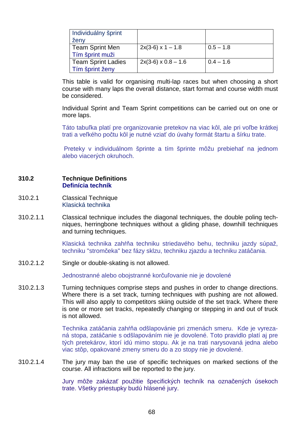| Individuálny šprint<br>ženy                  |                            |             |
|----------------------------------------------|----------------------------|-------------|
| <b>Team Sprint Men</b><br>Tím šprint muži    | $2x(3-6)$ x 1 – 1.8        | $0.5 - 1.8$ |
| <b>Team Sprint Ladies</b><br>Tím šprint ženy | $2x(3-6) \times 0.8 - 1.6$ | $0.4 - 1.6$ |

 This table is valid for organising multi-lap races but when choosing a short course with many laps the overall distance, start format and course width must be considered.

 Individual Sprint and Team Sprint competitions can be carried out on one or more laps.

Táto tabuľka platí pre organizovanie pretekov na viac kôl, ale pri voľbe krátkej trati a veľkého počtu kôl je nutné vziať do úvahy formát štartu a šírku trate.

 Preteky v individuálnom šprinte a tím šprinte môžu prebiehať na jednom alebo viacerých okruhoch.

### **310.2 Technique Definitions Definícia techník**

- 310.2.1 Classical Technique Klasická technika
- 310.2.1.1 Classical technique includes the diagonal techniques, the double poling techniques, herringbone techniques without a gliding phase, downhill techniques and turning techniques.

Klasická technika zahŕňa techniku striedavého behu, techniku jazdy súpaž, techniku "stromčeka" bez fázy sklzu, techniku zjazdu a techniku zatáčania.

310.2.1.2 Single or double-skating is not allowed.

Jednostranné alebo obojstranné korčuľovanie nie je dovolené

310.2.1.3 Turning techniques comprise steps and pushes in order to change directions. Where there is a set track, turning techniques with pushing are not allowed. This will also apply to competitors skiing outside of the set track. Where there is one or more set tracks, repeatedly changing or stepping in and out of truck is not allowed.

> Technika zatáčania zahŕňa odšlapovánie pri zmenách smeru. Kde je vyrezaná stopa, zatáčanie s odšlapováním nie je dovolené. Toto pravidlo platí aj pre tých pretekárov, ktorí idú mimo stopu. Ak je na trati narysovaná jedna alebo viac stôp, opakované zmeny smeru do a zo stopy nie je dovolené.

310.2.1.4 The jury may ban the use of specific techniques on marked sections of the course. All infractions will be reported to the jury.

> Jury môže zakázať použitie špecifických techník na označených úsekoch trate. Všetky priestupky budú hlásené jury.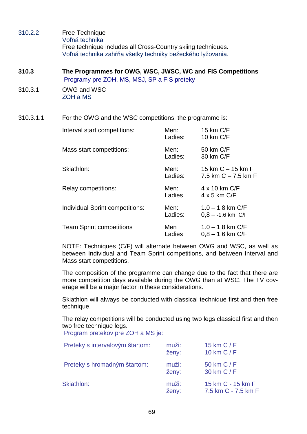- 310.2.2 Free Technique Voľná technika Free technique includes all Cross-Country skiing techniques. Voľná technika zahŕňa všetky techniky bežeckého lyžovania.
- **310.3 The Programmes for OWG, WSC, JWSC, WC and FIS Competitions**  Programy pre ZOH, MS, MSJ, SP a FIS preteky
- 310.3.1 OWG and WSC ZOH a MS

310.3.1.1 For the OWG and the WSC competitions, the programme is:

| Interval start competitions:    | Men:<br>Ladies: | 15 km C/F<br>10 km C/F                         |
|---------------------------------|-----------------|------------------------------------------------|
| Mass start competitions:        | Men:<br>Ladies: | 50 km C/F<br>30 km C/F                         |
| Skiathlon:                      | Men:<br>Ladies: | 15 km $C - 15$ km $F$<br>7.5 km $C - 7.5$ km F |
| Relay competitions:             | Men:<br>Ladies  | 4 x 10 km C/F<br>$4 \times 5$ km C/F           |
| Individual Sprint competitions: | Men:<br>Ladies: | $1.0 - 1.8$ km C/F<br>$0.8 - -1.6$ km C/F      |
| <b>Team Sprint competitions</b> | Men<br>Ladies   | $1.0 - 1.8$ km C/F<br>$0.8 - 1.6$ km C/F       |

 NOTE: Techniques (C/F) will alternate between OWG and WSC, as well as between Individual and Team Sprint competitions, and between Interval and Mass start competitions.

 The composition of the programme can change due to the fact that there are more competition days available during the OWG than at WSC. The TV coverage will be a major factor in these considerations.

 Skiathlon will always be conducted with classical technique first and then free technique.

The relay competitions will be conducted using two legs classical first and then two free technique legs.

Program pretekov pre ZOH a MS je:

| Preteky s intervalovým štartom: | muži:<br>ženy: | 15 km $C/F$<br>10 km $C/F$               |
|---------------------------------|----------------|------------------------------------------|
| Preteky s hromadným štartom:    | muži:<br>ženy: | 50 km C / F<br>30 km C / F               |
| Skiathlon:                      | muži:<br>ženy: | 15 km C - 15 km F<br>7.5 km C - 7.5 km F |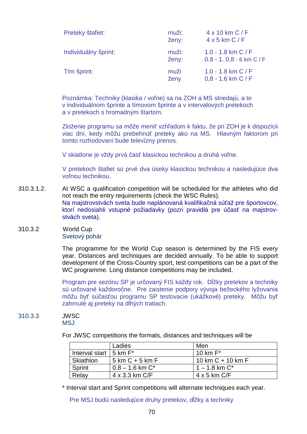| Preteky štafiet:     | muži:<br>ženy: | $4 \times 10$ km C / F<br>$4 \times 5$ km C / F   |
|----------------------|----------------|---------------------------------------------------|
| Individuálny šprint: | muži:<br>ženy: | 1.0 - 1.8 km $C/F$<br>$0.8 - 1.0, 8 - 6$ km C / F |
| Tím šprint:          | muži<br>ženy   | 1.0 - 1.8 km $C/F$<br>$0,8 - 1.6$ km C / F        |

 Poznámka: Techniky (klasika / voľne) sa na ZOH a MS striedajú, a to v individuálnom šprinte a tímovom šprinte a v intervalových pretekoch a v pretekoch s hromadným štartom.

 Zloženie programu sa môže meniť vzhľadom k faktu, že pri ZOH je k dispozícii viac dní, kedy môžu prebehnúť preteky ako na MS. Hlavným faktorom pri tomto rozhodovaní bude televízny prenos.

V skiatlone je vždy prvá časť klasickou technikou a druhá voľne.

V pretekoch štafiet sú prvé dva úseky klasickou technikou a nasledujúce dva voľnou technikou.

- 310.3.1.2. At WSC a qualification competition will be scheduled for the athletes who did not reach the entry requirements (check the WSC Rules). Na majstrovstvách sveta bude naplánovaná kvalifikačná súťaž pre športovcov, ktorí nedosiahli vstupné požiadavky (pozri pravidlá pre účasť na majstrovstvách sveta).
- 310.3.2 World Cup Svetový pohár

 The programme for the World Cup season is determined by the FIS every year. Distances and techniques are decided annually. To be able to support development of the Cross-Country sport, test competitions can be a part of the WC programme. Long distance competitions may be included.

Program pre sezónu SP je určovaný FIS každý rok. Dĺžky pretekov a techniky sú určované každoročne. Pre zaistenie podpory vývoja bežeckého lyžovania môžu byť súčasťou programu SP testovacie (ukážkové) preteky. Môžu byť zahrnuté aj preteky na dlhých tratiach.

#### 310.3.3 JWSC MSJ

For JWSC competitions the formats, distances and techniques will be

|                                   | Ladies                            | Men                   |
|-----------------------------------|-----------------------------------|-----------------------|
| Interval start $\vert$ 5 km $F^*$ |                                   | 10 km $F^*$           |
| Skiathlon                         | $5 \text{ km C} + 5 \text{ km F}$ | 10 km $C + 10$ km $F$ |
| <b>Sprint</b>                     | $0.8 - 1.6$ km $C^*$              | $1 - 1.8$ km $C^*$    |
| Relay                             | 4 x 3.3 km C/F                    | $4 \times 5$ km C/F   |

\* Interval start and Sprint competitions will alternate techniques each year.

Pre MSJ budú nasledujúce druhy pretekov, dĺžky a techniky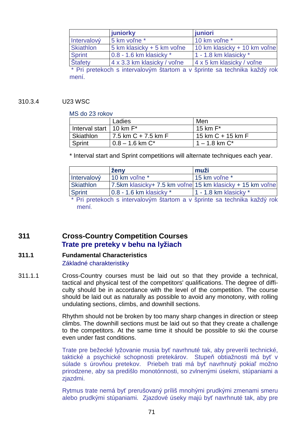|                  | juniorky                    | juniori                                                                                  |
|------------------|-----------------------------|------------------------------------------------------------------------------------------|
| Intervalový      | 5 km voľne*                 | 10 km voľne*                                                                             |
| <b>Skiathlon</b> | 5 km klasicky + 5 km voľne  | 10 km klasicky + 10 km voľne                                                             |
| <b>Sprint</b>    | $0.8 - 1.6$ km klasicky $*$ | 1 - 1.8 km klasicky $*$                                                                  |
| Štafety          | 4 x 3.3 km klasicky / voľne | 4 x 5 km klasicky / voľne                                                                |
|                  |                             | . A construction of the state of the Machine and Machine and a construction Milk Machine |

Pri pretekoch s intervalovým štartom a v šprinte sa technika každý rok mení.

#### 310.3.4 U23 WSC

#### MS do 23 rokov

|                              | Ladies                | Men                   |
|------------------------------|-----------------------|-----------------------|
| Interval start   10 km $F^*$ |                       | 15 km $F^*$           |
| Skiathlon                    | 7.5 km $C + 7.5$ km F | 15 km $C$ + 15 km $F$ |
| Sprint                       | $0.8 - 1.6$ km $C^*$  | $1 - 1.8$ km $C^*$    |

\* Interval start and Sprint competitions will alternate techniques each year.

|                  | ženy                                                      | muži                    |
|------------------|-----------------------------------------------------------|-------------------------|
| Intervalový      | 10 km voľne *                                             | 15 km volne *           |
| <b>Skiathlon</b> | 7.5km klasicky+ 7.5 km voľne 15 km klasicky + 15 km voľne |                         |
| <b>Sprint</b>    | $0.8 - 1.6$ km klasicky $*$                               | 1 - 1.8 km klasicky $*$ |

\* Pri pretekoch s intervalovým štartom a v šprinte sa technika každý rok mení.

## **311 Cross-Country Competition Courses Trate pre preteky v behu na lyžiach**

## **311.1 Fundamental Characteristics**

Základné charakteristiky

311.1.1 Cross-Country courses must be laid out so that they provide a technical, tactical and physical test of the competitors' qualifications. The degree of difficulty should be in accordance with the level of the competition. The course should be laid out as naturally as possible to avoid any monotony, with rolling undulating sections, climbs, and downhill sections.

> Rhythm should not be broken by too many sharp changes in direction or steep climbs. The downhill sections must be laid out so that they create a challenge to the competitors. At the same time it should be possible to ski the course even under fast conditions.

> Trate pre bežecké lyžovanie musia byť navrhnuté tak, aby preverili technické, taktické a psychické schopnosti pretekárov. Stupeň obtiažnosti má byť v súlade s úrovňou pretekov. Priebeh trati má byť navrhnutý pokiaľ možno prirodzene, aby sa predišlo monotónnosti, so zvlnenými úsekmi, stúpaniami a zjazdmi.

> Rytmus trate nemá byť prerušovaný príliš mnohými prudkými zmenami smeru alebo prudkými stúpaniami. Zjazdové úseky majú byť navrhnuté tak, aby pre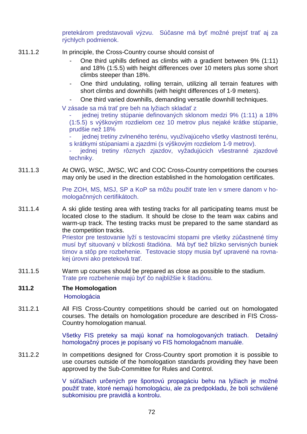pretekárom predstavovali výzvu. Súčasne má byť možné prejsť trať aj za rýchlych podmienok.

- 311.1.2 In principle, the Cross-Country course should consist of
	- One third uphills defined as climbs with a gradient between 9% (1:11) and 18% (1:5.5) with height differences over 10 meters plus some short climbs steeper than 18%.
	- One third undulating, rolling terrain, utilizing all terrain features with short climbs and downhills (with height differences of 1-9 meters).
	- One third varied downhills, demanding versatile downhill techniques.
	- V zásade sa má trať pre beh na lyžiach skladať z

jednej tretiny stúpanie definovaných sklonom medzi 9% (1:11) a 18% (1:5.5) s výškovým rozdielom cez 10 metrov plus nejaké krátke stúpanie, prudšie než 18%

jednej tretiny zvlneného terénu, využívajúceho všetky vlastnosti terénu, s krátkymi stúpaniami a zjazdmi (s výškovým rozdielom 1-9 metrov).

jednej tretiny rôznych zjazdov, vyžadujúcich všestranné zjazdové techniky.

311.1.3 At OWG, WSC, JWSC, WC and COC Cross-Country competitions the courses may only be used in the direction established in the homologation certificates.

> Pre ZOH, MS, MSJ, SP a KoP sa môžu použiť trate len v smere danom v homologačnných certifikátoch.

311.1.4 A ski glide testing area with testing tracks for all participating teams must be located close to the stadium. It should be close to the team wax cabins and warm-up track. The testing tracks must be prepared to the same standard as the competition tracks.

> Priestor pre testovanie lyží s testovacími stopami pre všetky zúčastnené tímy musí byť situovaný v blízkosti štadióna. Má byť tiež blízko servisných buniek tímov a stôp pre rozbehenie. Testovacie stopy musia byť upravené na rovnakej úrovni ako preteková trať.

311.1.5 Warm up courses should be prepared as close as possible to the stadium. Trate pre rozbehenie majú byť čo najbližšie k štadiónu.

# **311.2 The Homologation**

Homologácia

311.2.1 All FIS Cross-Country competitions should be carried out on homologated courses. The details on homologation procedure are described in FIS Cross-Country homologation manual.

> Všetky FIS preteky sa majú konať na homologovaných tratiach. Detailný homologačný proces je popísaný vo FIS homologačnom manuále.

311.2.2 In competitions designed for Cross-Country sport promotion it is possible to use courses outside of the homologation standards providing they have been approved by the Sub-Committee for Rules and Control.

> V súťažiach určených pre športovú propagáciu behu na lyžiach je možné použiť trate, ktoré nemajú homologáciu, ale za predpokladu, že boli schválené subkomisiou pre pravidlá a kontrolu.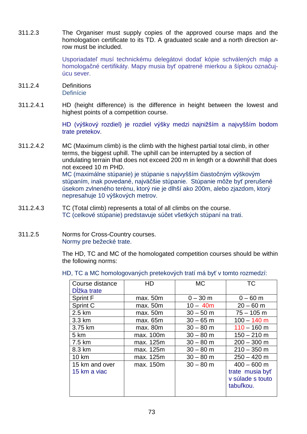311.2.3 The Organiser must supply copies of the approved course maps and the homologation certificate to its TD. A graduated scale and a north direction arrow must be included.

> Usporiadateľ musí technickému delegátovi dodať kópie schválených máp a homologačné certifikáty. Mapy musia byť opatrené mierkou a šípkou označujúcu sever.

- 311.2.4 Definitions **Definície**
- 311.2.4.1 HD (height difference) is the difference in height between the lowest and highest points of a competition course.

HD (výškový rozdiel) je rozdiel výšky medzi najnižším a najvyšším bodom trate pretekov.

- 311.2.4.2 MC (Maximum climb) is the climb with the highest partial total climb, in other terms, the biggest uphill. The uphill can be interrupted by a section of undulating terrain that does not exceed 200 m in length or a downhill that does not exceed 10 m PHD. MC (maximálne stúpanie) je stúpanie s najvyšším čiastočným výškovým stúpaním, inak povedané, najväčšie stúpanie. Stúpanie môže byť prerušené úsekom zvlneného terénu, ktorý nie je dlhší ako 200m, alebo zjazdom, ktorý nepresahuje 10 výškových metrov.
- 311.2.4.3 TC (Total climb) represents a total of all climbs on the course. TC (celkové stúpanie) predstavuje súčet všetkých stúpaní na trati.
- 311.2.5 Norms for Cross-Country courses. Normy pre bežecké trate.

The HD, TC and MC of the homologated competition courses should be within the following norms:

HD, TC a MC homologovaných pretekových tratí má byť v tomto rozmedzí:

| Course distance<br>Dĺžka trate | HD        | <b>MC</b>   | TC                                                                |
|--------------------------------|-----------|-------------|-------------------------------------------------------------------|
| <b>Sprint F</b>                | max. 50m  | $0 - 30$ m  | $0 - 60$ m                                                        |
| Sprint C                       | max. 50m  | $10 - 40m$  | $20 - 60$ m                                                       |
| 2.5 km                         | max. 50m  | $30 - 50$ m | $75 - 105$ m                                                      |
| 3.3 km                         | max. 65m  | $30 - 65$ m | $100 - 140$ m                                                     |
| 3.75 km                        | max. 80m  | $30 - 80$ m | $110 - 160$ m                                                     |
| 5 km                           | max. 100m | $30 - 80$ m | $150 - 210$ m                                                     |
| 7.5 km                         | max. 125m | $30 - 80$ m | $200 - 300$ m                                                     |
| 8.3 km                         | max. 125m | $30 - 80$ m | $210 - 350$ m                                                     |
| 10 km                          | max. 125m | $30 - 80$ m | $250 - 420$ m                                                     |
| 15 km and over<br>15 km a viac | max. 150m | $30 - 80$ m | $400 - 600$ m<br>trate musia byť<br>v súlade s touto<br>tabuľkou. |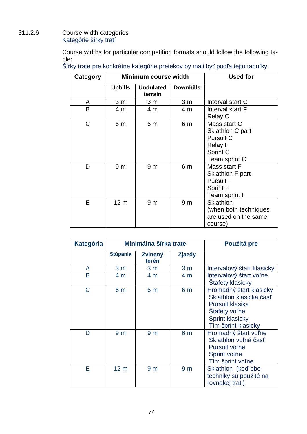# 311.2.6 Course width categories Kategórie šírky tratí

Course widths for particular competition formats should follow the following table:

| Category |                 | <b>Minimum course width</b> |                  | <b>Used for</b>                                                                              |
|----------|-----------------|-----------------------------|------------------|----------------------------------------------------------------------------------------------|
|          | <b>Uphills</b>  | <b>Undulated</b><br>terrain | <b>Downhills</b> |                                                                                              |
| A        | 3 <sub>m</sub>  | 3 <sub>m</sub>              | 3 <sub>m</sub>   | Interval start C                                                                             |
| B        | 4 m             | 4 m                         | 4 m              | Interval start F<br>Relay C                                                                  |
| C        | 6 m             | 6 m                         | 6 m              | Mass start C<br>Skiathlon C part<br>Pursuit C<br><b>Relay F</b><br>Sprint C<br>Team sprint C |
| D        | 9 <sub>m</sub>  | 9 <sub>m</sub>              | 6 m              | Mass start F<br>Skiathlon F part<br><b>Pursuit F</b><br><b>Sprint F</b><br>Team sprint F     |
| Е        | 12 <sub>m</sub> | 9 <sub>m</sub>              | 9 <sub>m</sub>   | <b>Skiathlon</b><br>(when both techniques<br>are used on the same<br>course)                 |

| <b>Kategória</b> |                 | Minimálna šírka trate   |                | Použitá pre                                                                                                                                    |
|------------------|-----------------|-------------------------|----------------|------------------------------------------------------------------------------------------------------------------------------------------------|
|                  | <b>Stúpania</b> | <b>Zvlnený</b><br>terén | <b>Zjazdy</b>  |                                                                                                                                                |
| A                | 3 <sub>m</sub>  | 3 <sub>m</sub>          | 3 <sub>m</sub> | Intervalový štart klasicky                                                                                                                     |
| B                | 4 m             | 4 m                     | 4 <sub>m</sub> | Intervalový štart voľne<br><b>Štafety klasicky</b>                                                                                             |
| C                | 6 <sub>m</sub>  | 6 m                     | 6 <sub>m</sub> | Hromadný štart klasicky<br>Skiathlon klasická časť<br><b>Pursuit klasika</b><br>Stafety voľne<br><b>Sprint klasicky</b><br>Tím šprint klasicky |
| D                | 9 <sub>m</sub>  | 9 <sub>m</sub>          | 6 m            | Hromadný štart voľne<br>Skiathlon voľná časť<br><b>Pursuit volne</b><br>Sprint voľne<br>Tím šprint voľne                                       |
| F                | 12 <sub>m</sub> | 9 <sub>m</sub>          | 9 <sub>m</sub> | Skiathlon (keď obe<br>techniky sú použité na<br>rovnakej trati)                                                                                |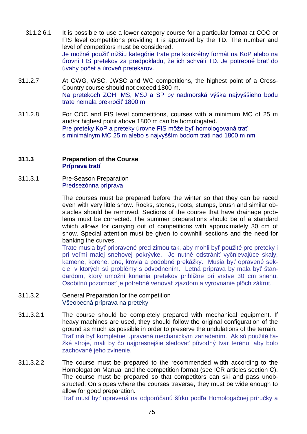- 311.2.6.1 It is possible to use a lower category course for a particular format at COC or FIS level competitions providing it is approved by the TD. The number and level of competitors must be considered. Je možné použiť nižšiu kategórie trate pre konkrétny formát na KoP alebo na úrovni FIS pretekov za predpokladu, že ich schváli TD. Je potrebné brať do úvahy počet a úroveň pretekárov.
- 311.2.7 At OWG, WSC, JWSC and WC competitions, the highest point of a Cross-Country course should not exceed 1800 m. Na pretekoch ZOH, MS, MSJ a SP by nadmorská výška najvyššieho bodu trate nemala prekročiť 1800 m
- 311.2.8 For COC and FIS level competitions, courses with a minimum MC of 25 m and/or highest point above 1800 m can be homologated. Pre preteky KoP a preteky úrovne FIS môže byť homologovaná trať s minimálnym MC 25 m alebo s najvyšším bodom trati nad 1800 m nm

#### **311.3 Preparation of the Course Príprava tratí**

311.3.1 Pre-Season Preparation Predsezónna príprava

> The courses must be prepared before the winter so that they can be raced even with very little snow. Rocks, stones, roots, stumps, brush and similar obstacles should be removed. Sections of the course that have drainage problems must be corrected. The summer preparations should be of a standard which allows for carrying out of competitions with approximately 30 cm of snow. Special attention must be given to downhill sections and the need for banking the curves.

> Trate musia byť pripravené pred zimou tak, aby mohli byť použité pre preteky i pri veľmi malej snehovej pokrývke. Je nutné odstrániť vyčnievajúce skaly, kamene, korene, pne, krovia a podobné prekážky. Musia byť opravené sekcie, v ktorých sú problémy s odvodnením. Letná príprava by mala byť štandardom, ktorý umožní konania pretekov približne pri vrstve 30 cm snehu. Osobitnú pozornosť je potrebné venovať zjazdom a vyrovnanie plôch zákrut.

- 311.3.2 General Preparation for the competition Všeobecná príprava na preteky
- 311.3.2.1 The course should be completely prepared with mechanical equipment. If heavy machines are used, they should follow the original configuration of the ground as much as possible in order to preserve the undulations of the terrain. Trať má byť kompletne upravená mechanickým zariadením. Ak sú použité ťažké stroje, mali by čo najpresnejšie sledovať pôvodný tvar terénu, aby bolo zachované jeho zvlnenie.
- 311.3.2.2 The course must be prepared to the recommended width according to the Homologation Manual and the competition format (see ICR articles section C). The course must be prepared so that competitors can ski and pass unobstructed. On slopes where the courses traverse, they must be wide enough to allow for good preparation.

Trať musí byť upravená na odporúčanú šírku podľa Homologačnej príručky a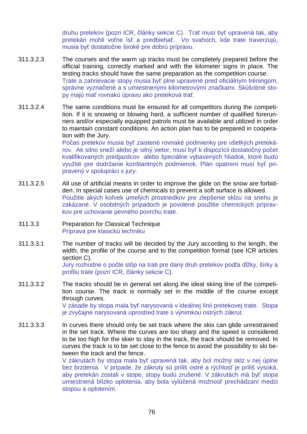druhu pretekov (pozri ICR, články sekcie C). Trať musí byť upravená tak, aby pretekári mohli voľne ísť a predbiehať. Vo svahoch, kde trate traverzujú, musia byť dostatočne široké pre dobrú prípravu.

- 311.3.2.3 The courses and the warm up tracks must be completely prepared before the official training, correctly marked and with the kilometer signs in place. The testing tracks should have the same preparation as the competition course. Trate a zahrievacie stopy musia byť plne upravené pred oficiálnym tréningom, správne vyznačené a s umiestnenými kilometrovými značkami. Skúšobné stopy majú mať rovnakú úpravu ako preteková trať.
- 311.3.2.4 The same conditions must be ensured for all competitors during the competition. If it is snowing or blowing hard, a sufficient number of qualified forerunners and/or especially equipped patrols must be available and utilized in order to maintain constant conditions. An action plan has to be prepared in cooperation with the Jury.

Počas pretekov musia byť zaistené rovnaké podmienky pre všetkých pretekárov. Ak silno sneží alebo je silný vietor, musí byť k dispozícii dostatočný počet kvalifikovaných predjazdcov alebo špeciálne vybavených hliadok, ktoré budú využité pre dodržanie konštantných podmienok. Plán opatrení musí byť pripravený v spolupráci s jury.

- 311.3.2.5 All use of artificial means in order to improve the glide on the snow are forbidden. In special cases use of chemicals to prevent a soft surface is allowed. Použitie akých koľvek umelých prostriedkov pre zlepšenie sklzu na snehu je zakázané. V osobitných prípadoch je povolené použitie chemických prípravkov pre uchovanie pevného povrchu trate.
- 311.3.3 Preparation for Classical Technique Príprava pre klasickú techniku
- 311.3.3.1 The number of tracks will be decided by the Jury according to the length, the width, the profile of the course and to the competition format (see ICR articles section C).

Jury rozhodne o počte stôp na trati pre daný druh pretekov podľa dĺžky, šírky a profilu trate (pozri ICR, články sekcie C).

- 311.3.3.2 The tracks should be in general set along the ideal skiing line of the competition course. The track is normally set in the middle of the course except through curves. V zásade by stopa mala byť narysovaná v ideálnej línii pretekovej trate. Stopa je zvyčajne narysovaná uprostred trate s výnimkou ostrých zákrut.
- 311.3.3.3 In curves there should only be set track where the skis can glide unrestrained in the set track. Where the curves are too sharp and the speed is considered to be too high for the skier to stay in the track, the track should be removed. In curves the track is to be set close to the fence to avoid the possibility to ski between the track and the fence.

V zákrutách by stopa mala byť upravená tak, aby bol možný sklz v nej úplne bez brzdenia. V prípade, že zákruty sú príliš ostré a rýchlosť je príliš vysoká, aby pretekári zostali v stope, stopy budú zrušené. V zákrutách má byť stopa umiestnená blízko oplotenia, aby bola vylúčená možnosť prechádzaní medzi stopou a oplotením.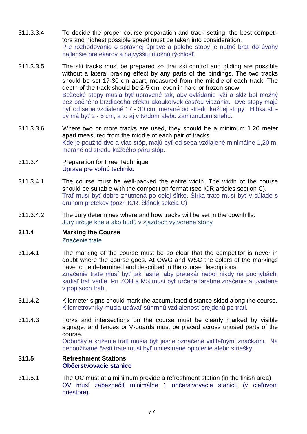- 311.3.3.4 To decide the proper course preparation and track setting, the best competitors and highest possible speed must be taken into consideration. Pre rozhodovanie o správnej úprave a polohe stopy je nutné brať do úvahy najlepšie pretekárov a najvyššiu možnú rýchlosť.
- 311.3.3.5 The ski tracks must be prepared so that ski control and gliding are possible without a lateral braking effect by any parts of the bindings. The two tracks should be set 17-30 cm apart, measured from the middle of each track. The depth of the track should be 2-5 cm, even in hard or frozen snow. Bežecké stopy musia byť upravené tak, aby ovládanie lyží a sklz bol možný bez bočného brzdiaceho efektu akoukoľvek časťou viazania. Dve stopy majú byť od seba vzdialené 17 - 30 cm, merané od stredu každej stopy. Hĺbka stopy má byť 2 - 5 cm, a to aj v tvrdom alebo zamrznutom snehu.
- 311.3.3.6 Where two or more tracks are used, they should be a minimum 1.20 meter apart measured from the middle of each pair of tracks. Kde je použité dve a viac stôp, majú byť od seba vzdialené minimálne 1,20 m, merané od stredu každého páru stôp.
- 311.3.4 Preparation for Free Technique Úprava pre voľnú techniku
- 311.3.4.1 The course must be well-packed the entire width. The width of the course should be suitable with the competition format (see ICR articles section C). Trať musí byť dobre zhutnená po celej šírke. Šírka trate musí byť v súlade s druhom pretekov (pozri ICR, článok sekcia C)
- 311.3.4.2 The Jury determines where and how tracks will be set in the downhills. Jury určuje kde a ako budú v zjazdoch vytvorené stopy

# **311.4 Marking the Course**

Značenie trate

- 311.4.1 The marking of the course must be so clear that the competitor is never in doubt where the course goes. At OWG and WSC the colors of the markings have to be determined and described in the course descriptions. Značenie trate musí byť tak jasné, aby pretekár nebol nikdy na pochybách, kadiaľ trať vedie. Pri ZOH a MS musí byť určené farebné značenie a uvedené v popisoch tratí.
- 311.4.2 Kilometer signs should mark the accumulated distance skied along the course. Kilometrovníky musia udávať súhrnnú vzdialenosť prejdenú po trati.
- 311.4.3 Forks and intersections on the course must be clearly marked by visible signage, and fences or V-boards must be placed across unused parts of the course. Odbočky a kríženie tratí musia byť jasne označené viditeľnými značkami. Na

nepoužívané časti trate musí byť umiestnené oplotenie alebo striešky.

#### **311.5 Refreshment Stations Občerstvovacie stanice**

311.5.1 The OC must at a minimum provide a refreshment station (in the finish area). OV musí zabezpečiť minimálne 1 občerstvovacie stanicu (v cieľovom priestore).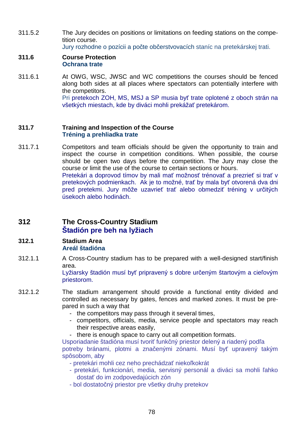311.5.2 The Jury decides on positions or limitations on feeding stations on the competition course.

Jury rozhodne o pozícii a počte občerstvovacích staníc na pretekárskej trati.

## **311.6 Course Protection Ochrana trate**

311.6.1 At OWG, WSC, JWSC and WC competitions the courses should be fenced along both sides at all places where spectators can potentially interfere with the competitors. Pri pretekoch ZOH, MS, MSJ a SP musia byť trate oplotené z oboch strán na všetkých miestach, kde by diváci mohli prekážať pretekárom.

## **311.7 Training and Inspection of the Course Tréning a prehliadka trate**

311.7.1 Competitors and team officials should be given the opportunity to train and inspect the course in competition conditions. When possible, the course should be open two days before the competition. The Jury may close the course or limit the use of the course to certain sections or hours. Pretekári a doprovod tímov by mali mať možnosť trénovať a prezrieť si trať v pretekových podmienkach. Ak je to možné, trať by mala byť otvorená dva dni pred pretekmi. Jury môže uzavrieť trať alebo obmedziť tréning v určitých úsekoch alebo hodinách.

# **312 The Cross-Country Stadium Štadión pre beh na lyžiach**

## **312.1 Stadium Area Areál štadióna**

312.1.1 A Cross-Country stadium has to be prepared with a well-designed start/finish area.

Lyžiarsky štadión musí byť pripravený s dobre určeným štartovým a cieľovým priestorom.

- 312.1.2 The stadium arrangement should provide a functional entity divided and controlled as necessary by gates, fences and marked zones. It must be prepared in such a way that
	- the competitors may pass through it several times,
	- competitors, officials, media, service people and spectators may reach their respective areas easily,
	- there is enough space to carry out all competition formats.

Usporiadanie štadióna musí tvoriť funkčný priestor delený a riadený podľa potreby bránami, plotmi a značenými zónami. Musí byť upravený takým spôsobom, aby

- pretekári mohli cez neho prechádzať niekoľkokrát
- pretekári, funkcionári, media, servisný personál a diváci sa mohli ľahko dostať do im zodpovedajúcich zón
- bol dostatočný priestor pre všetky druhy pretekov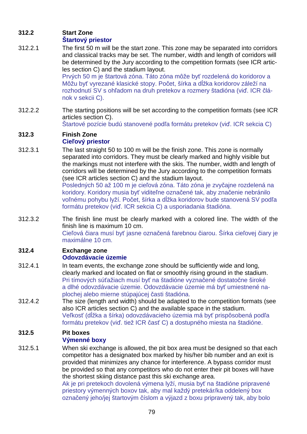# **312.2 Start Zone**

# **Štartový priestor**

312.2.1 The first 50 m will be the start zone. This zone may be separated into corridors and classical tracks may be set. The number, width and length of corridors will be determined by the Jury according to the competition formats (see ICR articles section C) and the stadium layout.

Prvých 50 m je štartová zóna. Táto zóna môže byť rozdelená do koridorov a Môžu byť vyrezané klasické stopy. Počet, šírka a dĺžka koridorov záleží na rozhodnutí SV s ohľadom na druh pretekov a rozmery štadióna (viď. ICR článok v sekcii C).

312.2.2 The starting positions will be set according to the competition formats (see ICR articles section C).

Štartové pozície budú stanovené podľa formátu pretekov (viď. ICR sekcia C)

## **312.3 Finish Zone Cieľový priestor**

312.3.1 The last straight 50 to 100 m will be the finish zone. This zone is normally separated into corridors. They must be clearly marked and highly visible but the markings must not interfere with the skis. The number, width and length of corridors will be determined by the Jury according to the competition formats (see ICR articles section C) and the stadium layout.

Posledných 50 až 100 m je cieľová zóna. Táto zóna je zvyčajne rozdelená na koridory. Koridory musia byť viditeľne označené tak, aby značenie nebránilo voľnému pohybu lyží. Počet, šírka a dĺžka koridorov bude stanovená SV podľa formátu pretekov (viď. ICR sekcia C) a usporiadania štadióna.

312.3.2 The finish line must be clearly marked with a colored line. The width of the finish line is maximum 10 cm. Cieľová čiara musí byť jasne označená farebnou čiarou. Šírka cieľovej čiary je maximálne 10 cm.

## **312.4 Exchange zone Odovzdávacie územie**

- 312.4.1 In team events, the exchange zone should be sufficiently wide and long, clearly marked and located on flat or smoothly rising ground in the stadium. Pri tímových súťažiach musí byť na štadióne vyznačené dostatočne široké a dlhé odovzdávacie územie. Odovzdávacie územie má byť umiestnené naplochej alebo mierne stúpajúcej časti štadióna.
- 312.4.2 The size (length and width) should be adapted to the competition formats (see also ICR articles section C) and the available space in the stadium. Veľkosť (dĺžka a šírka) odovzdávacieho územia má byť prispôsobená podľa formátu pretekov (viď. tiež ICR časť C) a dostupného miesta na štadióne.

## **312.5 Pit boxes Výmenné boxy**

312.5.1 When ski exchange is allowed, the pit box area must be designed so that each competitor has a designated box marked by his/her bib number and an exit is provided that minimizes any chance for interference. A bypass corridor must be provided so that any competitors who do not enter their pit boxes will have the shortest skiing distance past this ski exchange area.

Ak je pri pretekoch dovolená výmena lyží, musia byť na štadióne pripravené priestory výmenných boxov tak, aby mal každý pretekár/ka oddelený box označený jeho/jej štartovým číslom a výjazd z boxu pripravený tak, aby bolo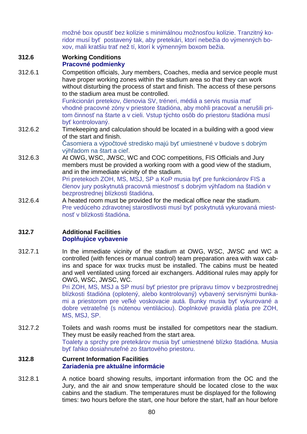možné box opustiť bez kolízie s minimálnou možnosťou kolízie. Tranzitný koridor musí byť postavený tak, aby pretekári, ktorí nebežia do výmenných boxov, mali kratšiu trať než tí, ktorí k výmenným boxom bežia.

# **312.6 Working Conditions**

# **Pracovné podmienky**

312.6.1 Competition officials, Jury members, Coaches, media and service people must have proper working zones within the stadium area so that they can work without disturbing the process of start and finish. The access of these persons to the stadium area must be controlled.

Funkcionári pretekov, členovia SV, tréneri, médiá a servis musia mať vhodné pracovné zóny v priestore štadióna, aby mohli pracovať a nerušili pritom činnosť na štarte a v cieli. Vstup týchto osôb do priestoru štadióna musí byť kontrolovaný.

312.6.2 Timekeeping and calculation should be located in a building with a good view of the start and finish.

Časomiera a výpočtové stredisko majú byť umiestnené v budove s dobrým výhľadom na štart a cieľ.

- 312.6.3 At OWG, WSC, JWSC, WC and COC competitions, FIS Officials and Jury members must be provided a working room with a good view of the stadium, and in the immediate vicinity of the stadium. Pri pretekoch ZOH, MS, MSJ, SP a KoP musia byť pre funkcionárov FIS a členov jury poskytnutá pracovná miestnosť s dobrým výhľadom na štadión v bezprostrednej blízkosti štadióna.
- 312.6.4 A heated room must be provided for the medical office near the stadium. Pre vedúceho zdravotnej starostlivosti musí byť poskytnutá vykurovaná miestnosť v blízkosti štadióna.

## **312.7 Additional Facilities Doplňujúce vybavenie**

312.7.1 In the immediate vicinity of the stadium at OWG, WSC, JWSC and WC a controlled (with fences or manual control) team preparation area with wax cabins and space for wax trucks must be installed. The cabins must be heated and well ventilated using forced air exchangers. Additional rules may apply for OWG, WSC, JWSC, WC.

Pri ZOH, MS, MSJ a SP musí byť priestor pre prípravu tímov v bezprostrednej blízkosti štadióna (oplotený, alebo kontrolovaný) vybavený servisnými bunkami a priestorom pre veľké voskovacie autá. Bunky musia byť vykurované a dobre vetrateľné (s nútenou ventiláciou). Doplnkové pravidlá platia pre ZOH, MS, MSJ, SP.

312.7.2 Toilets and wash rooms must be installed for competitors near the stadium. They must be easily reached from the start area. Toalety a sprchy pre pretekárov musia byť umiestnené blízko štadióna. Musia byť ľahko dosiahnuteľné zo štartového priestoru.

## **312.8 Current Information Facilities Zariadenia pre aktuálne informácie**

312.8.1 A notice board showing results, important information from the OC and the Jury, and the air and snow temperature should be located close to the wax cabins and the stadium. The temperatures must be displayed for the following times: two hours before the start, one hour before the start, half an hour before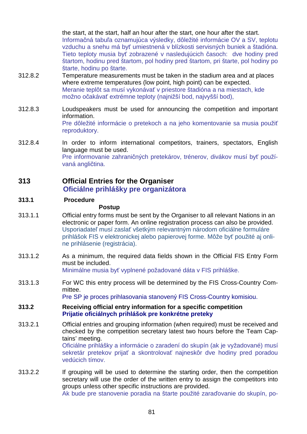the start, at the start, half an hour after the start, one hour after the start. Informačná tabuľa oznamujúca výsledky, dôležité informácie OV a SV, teplotu vzduchu a snehu má byť umiestnená v blízkosti servisných buniek a štadióna. Tieto teploty musia byť zobrazené v nasledujúcich časoch: dve hodiny pred štartom, hodinu pred štartom, pol hodiny pred štartom, pri štarte, pol hodiny po štarte, hodinu po štarte.

- 312.8.2 Temperature measurements must be taken in the stadium area and at places where extreme temperatures (low point, high point) can be expected. Meranie teplôt sa musí vykonávať v priestore štadióna a na miestach, kde možno očakávať extrémne teploty (najnižší bod, najvyšší bod),
- 312.8.3 Loudspeakers must be used for announcing the competition and important information. Pre dôležité informácie o pretekoch a na jeho komentovanie sa musia použiť reproduktory.
- 312.8.4 In order to inform international competitors, trainers, spectators, English language must be used. Pre informovanie zahraničných pretekárov, trénerov, divákov musí byť používaná angličtina.

## **313 Official Entries for the Organiser Oficiálne prihlášky pre organizátora**

## **313.1 Procedure**

## **Postup**

- 313.1.1 Official entry forms must be sent by the Organiser to all relevant Nations in an electronic or paper form. An online registration process can also be provided. Usporiadateľ musí zaslať všetkým relevantným národom oficiálne formuláre prihlášok FIS v elektronickej alebo papierovej forme. Môže byť použité aj online prihlásenie (registrácia).
- 313.1.2 As a minimum, the required data fields shown in the Official FIS Entry Form must be included. Minimálne musia byť vyplnené požadované dáta v FIS prihláške.

313.1.3 For WC this entry process will be determined by the FIS Cross-Country Committee.

Pre SP je proces prihlasovania stanovený FIS Cross-Country komisiou.

- **313.2 Receiving official entry information for a specific competition Prijatie oficiálnych prihlášok pre konkrétne preteky**
- 313.2.1 Official entries and grouping information (when required) must be received and checked by the competition secretary latest two hours before the Team Captains' meeting.

Oficiálne prihlášky a informácie o zaradení do skupín (ak je vyžadované) musí sekretár pretekov prijať a skontrolovať najneskôr dve hodiny pred poradou vedúcich tímov.

313.2.2 If grouping will be used to determine the starting order, then the competition secretary will use the order of the written entry to assign the competitors into groups unless other specific instructions are provided. Ak bude pre stanovenie poradia na štarte použité zaraďovanie do skupín, po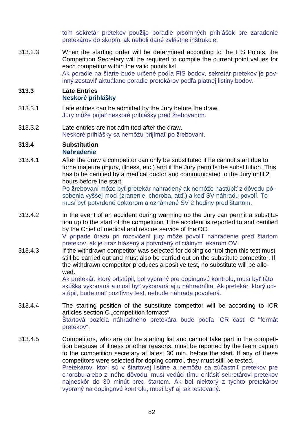tom sekretár pretekov použije poradie písomných prihlášok pre zaradenie pretekárov do skupín, ak neboli dané zvláštne inštrukcie.

313.2.3 When the starting order will be determined according to the FIS Points, the Competition Secretary will be required to compile the current point values for each competitor within the valid points list. Ak poradie na štarte bude určené podľa FIS bodov, sekretár pretekov je povinný zostaviť aktuálane poradie pretekárov podľa platnej listiny bodov.

#### **313.3 Late Entries Neskoré prihlášky**

- 313.3.1 Late entries can be admitted by the Jury before the draw. Jury môže prijať neskoré prihlášky pred žrebovaním.
- 313.3.2 Late entries are not admitted after the draw. Neskoré prihlášky sa nemôžu prijímať po žrebovaní.

# **313.4 Substitution**

## **Nahradenie**

313.4.1 After the draw a competitor can only be substituted if he cannot start due to force majeure (injury, illness, etc.) and if the Jury permits the substitution. This has to be certified by a medical doctor and communicated to the Jury until 2 hours before the start.

Po žrebovaní môže byť pretekár nahradený ak nemôže nastúpiť z dôvodu pôsobenia vyššej moci (zranenie, choroba, atď.) a keď SV náhradu povolí. To musí byť potvrdené doktorom a oznámené SV 2 hodiny pred štartom.

- 313.4.2 In the event of an accident during warming up the Jury can permit a substitution up to the start of the competition if the accident is reported to and certified by the Chief of medical and rescue service of the OC. V prípade úrazu pri rozcvičení jury môže povoliť nahradenie pred štartom
- pretekov, ak je úraz hlásený a potvrdený oficiálnym lekárom OV. 313.4.3 If the withdrawn competitor was selected for doping control then this test must still be carried out and must also be carried out on the substitute competitor. If the withdrawn competitor produces a positive test, no substitute will be allowed.

Ak pretekár, ktorý odstúpil, bol vybraný pre dopingovú kontrolu, musí byť táto skúška vykonaná a musí byť vykonaná aj u náhradníka. Ak pretekár, ktorý odstúpil, bude mať pozitívny test, nebude náhrada povolená.

- 313.4.4 The starting position of the substitute competitor will be according to ICR articles section C "competition formats" Štartová pozícia náhradného pretekára bude podľa ICR časti C "formát pretekov".
- 313.4.5 Competitors, who are on the starting list and cannot take part in the competition because of illness or other reasons, must be reported by the team captain to the competition secretary at latest 30 min. before the start. If any of these competitors were selected for doping control, they must still be tested. Pretekárov, ktorí sú v štartovej listine a nemôžu sa zúčastniť pretekov pre chorobu alebo z iného dôvodu, musí vedúci tímu ohlásiť sekretárovi pretekov najneskôr do 30 minút pred štartom. Ak bol niektorý z týchto pretekárov vybraný na dopingovú kontrolu, musí byť aj tak testovaný.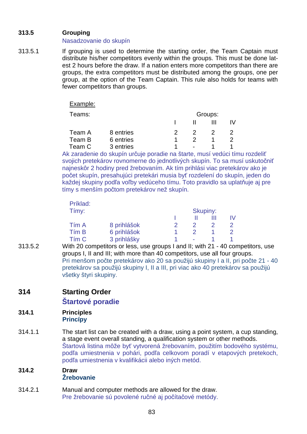# **313.5 Grouping**

## Nasadzovanie do skupín

313.5.1 If grouping is used to determine the starting order, the Team Captain must distribute his/her competitors evenly within the groups. This must be done latest 2 hours before the draw. If a nation enters more competitors than there are groups, the extra competitors must be distributed among the groups, one per group, at the option of the Team Captain. This rule also holds for teams with fewer competitors than groups.

Example:

| eams: |
|-------|
|-------|

| Teams: |           | Groups: |        |  |  |
|--------|-----------|---------|--------|--|--|
|        |           |         |        |  |  |
| Team A | 8 entries |         |        |  |  |
| Team B | 6 entries |         |        |  |  |
| Team C | 3 entries |         | $\sim$ |  |  |

Ak zaradenie do skupín určuje poradie na štarte, musí vedúci tímu rozdeliť svojich pretekárov rovnomerne do jednotlivých skupín. To sa musí uskutočniť najneskôr 2 hodiny pred žrebovaním. Ak tím prihlási viac pretekárov ako je počet skupín, presahujúci pretekári musia byť rozdelení do skupín, jeden do každej skupiny podľa voľby vedúceho tímu. Toto pravidlo sa uplatňuje aj pre tímy s menším počtom pretekárov než skupín.

| Príklad:<br>Tímy: |             | Skupiny: |  |  |
|-------------------|-------------|----------|--|--|
|                   |             |          |  |  |
| Tím A             | 8 prihlášok |          |  |  |
| Tím B             | 6 prihlášok |          |  |  |
| Tím C             | 3 prihlášky | $\sim$   |  |  |

313.5.2 With 20 competitors or less, use groups I and II; with 21 - 40 competitors, use groups I, II and III; with more than 40 competitors, use all four groups. Pri menšom počte pretekárov ako 20 sa použijú skupiny I a II, pri počte 21 - 40 pretekárov sa použijú skupiny I, II a III, pri viac ako 40 pretekárov sa použijú všetky štyri skupiny.

# **314 Starting Order**

# **Štartové poradie**

#### **314.1 Principles Princípy**

314.1.1 The start list can be created with a draw, using a point system, a cup standing, a stage event overall standing, a qualification system or other methods. Štartová listina môže byť vytvorená žrebovaním, použitím bodového systému, podľa umiestnenia v pohári, podľa celkovom poradí v etapových pretekoch, podľa umiestnenia v kvalifikácii alebo iných metód.

## **314.2 Draw Žrebovanie**

314.2.1 Manual and computer methods are allowed for the draw. Pre žrebovanie sú povolené ručné aj počítačové metódy.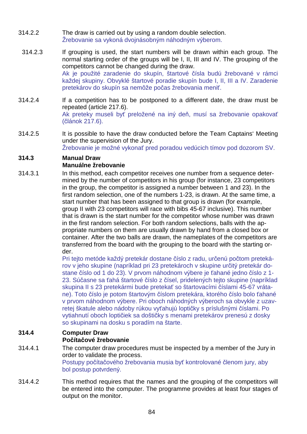- 314.2.2 The draw is carried out by using a random double selection. Žrebovanie sa vykoná dvojnásobným náhodným výberom.
- 314.2.3 If grouping is used, the start numbers will be drawn within each group. The normal starting order of the groups will be I, II, III and IV. The grouping of the competitors cannot be changed during the draw. Ak je použité zaradenie do skupín, štartové čísla budú žrebované v rámci každej skupiny. Obvyklé štartové poradie skupín bude I, II, III a IV. Zaradenie pretekárov do skupín sa nemôže počas žrebovania meniť.
- 314.2.4 If a competition has to be postponed to a different date, the draw must be repeated (article 217.6). Ak preteky museli byť preložené na iný deň, musí sa žrebovanie opakovať (článok 217.6).
- 314.2.5 It is possible to have the draw conducted before the Team Captains' Meeting under the supervision of the Jury. Žrebovanie je možné vykonať pred poradou vedúcich tímov pod dozorom SV.

# **314.3 Manual Draw**

# **Manuálne žrebovanie**

314.3.1 In this method, each competitor receives one number from a sequence determined by the number of competitors in his group (for instance, 23 competitors in the group, the competitor is assigned a number between 1 and 23). In the first random selection, one of the numbers 1-23, is drawn. At the same time, a start number that has been assigned to that group is drawn (for example, group II with 23 competitors will race with bibs 45-67 inclusive). This number that is drawn is the start number for the competitor whose number was drawn in the first random selection. For both random selections, balls with the appropriate numbers on them are usually drawn by hand from a closed box or container. After the two balls are drawn, the nameplates of the competitors are transferred from the board with the grouping to the board with the starting order.

Pri tejto metóde každý pretekár dostane číslo z radu, určenú počtom pretekárov v jeho skupine (napríklad pri 23 pretekároch v skupine určitý pretekár dostane číslo od 1 do 23). V prvom náhodnom výbere je ťahané jedno číslo z 1- 23. Súčasne sa ťahá štartové číslo z čísel, pridelených tejto skupine (napríklad skupina II s 23 pretekármi bude pretekať so štartovacími číslami 45-67 vrátane). Toto číslo je potom štartovým číslom pretekára, ktorého číslo bolo ťahané v prvom náhodnom výbere. Pri oboch náhodných výberoch sa obvykle z uzavretej škatule alebo nádoby rúkou vyťahujú loptičky s príslušnými číslami. Po vytiahnutí oboch loptičiek sa doštičky s menami pretekárov prenesú z dosky so skupinami na dosku s poradím na štarte.

## **314.4 Computer Draw Počítačové žrebovanie**

- 314.4.1 The computer draw procedures must be inspected by a member of the Jury in order to validate the process. Postupy počítačového žrebovania musia byť kontrolované členom jury, aby bol postup potvrdený.
- 314.4.2 This method requires that the names and the grouping of the competitors will be entered into the computer. The programme provides at least four stages of output on the monitor.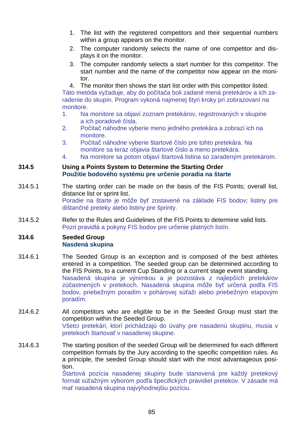- 1. The list with the registered competitors and their sequential numbers within a group appears on the monitor.
- 2. The computer randomly selects the name of one competitor and displays it on the monitor.
- 3. The computer randomly selects a start number for this competitor. The start number and the name of the competitor now appear on the monitor.
- 4. The monitor then shows the start list order with this competitor listed.

Táto metóda vyžaduje, aby do počítača boli zadané mená pretekárov a ich zaradenie do skupín. Program vykoná najmenej štyri kroky pri zobrazovaní na monitore.

- 1. Na monitore sa objaví zoznam pretekárov, registrovaných v skupine a ich poradové čísla.
- 2. Počítač náhodne vyberie meno jedného pretekára a zobrazí ich na monitore.
- 3. Počítač náhodne vyberie štartové číslo pre tohto pretekára. Na monitore sa teraz objavia štartové číslo a meno pretekára.
- 4. Na monitore sa potom objaví štartová listina so zaradeným pretekárom.

#### **314.5 Using a Points System to Determine the Starting Order Použitie bodového systému pre určenie poradia na štarte**

- 314.5.1 The starting order can be made on the basis of the FIS Points; overall list, distance list or sprint list. Poradie na štarte je môže byť zostavené na základe FIS bodov; listiny pre dištančné preteky alebo listiny pre šprinty.
- 314.5.2 Refer to the Rules and Guidelines of the FIS Points to determine valid lists. Pozri pravidlá a pokyny FIS bodov pre určenie platných listín.

#### **314.6 Seeded Group Nasdená skupina**

- 314.6.1 The Seeded Group is an exception and is composed of the best athletes entered in a competition. The seeded group can be determined according to the FIS Points, to a current Cup Standing or a current stage event standing. Nasadená skupina je výnimkou a je pozostáva z najlepších pretekárov zúčastnených v pretekoch. Nasadená skupina môže byť určená podľa FIS bodov, priebežným poradím v pohárovej súťaži alebo priebežným etapovým poradím.
- 314.6.2 All competitors who are eligible to be in the Seeded Group must start the competition within the Seeded Group. Všetci pretekári, ktorí prichádzajú do úvahy pre nasadenú skupinu, musia v pretekoch štartovať v nasadenej skupine.
- 314.6.3 The starting position of the seeded Group will be determined for each different competition formats by the Jury according to the specific competition rules. As a principle, the seeded Group should start with the most advantageous position.

Štartová pozícia nasadenej skupiny bude stanovená pre každý pretekový formát súťažným výborom podľa špecifických pravidiel pretekov. V zásade má mať nasadená skupina najvýhodnejšiu pozíciu.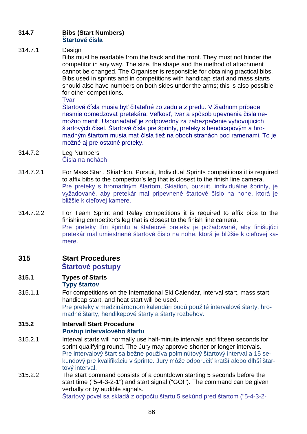## **314.7 Bibs (Start Numbers) Štartové čísla**

## 314.7.1 Design

Bibs must be readable from the back and the front. They must not hinder the competitor in any way. The size, the shape and the method of attachment cannot be changed. The Organiser is responsible for obtaining practical bibs. Bibs used in sprints and in competitions with handicap start and mass starts should also have numbers on both sides under the arms; this is also possible for other competitions.

Tvar

Štartové čísla musia byť čitateľné zo zadu a z predu. V žiadnom prípade nesmie obmedzovať pretekára. Veľkosť, tvar a spôsob upevnenia čísla nemožno meniť. Usporiadateľ je zodpovedný za zabezpečenie vyhovujúcich štartových čísel. Štartové čísla pre šprinty, preteky s hendicapovým a hromadným štartom musia mať čísla tiež na oboch stranách pod ramenami. To je možné aj pre ostatné preteky.

- 314.7.2 Leg Numbers Čísla na nohách
- 314.7.2.1 For Mass Start, Skiathlon, Pursuit, Individual Sprints competitions it is required to affix bibs to the competitor's leg that is closest to the finish line camera. Pre preteky s hromadným štartom, Skiatlon, pursuit, individuálne šprinty, je vyžadované, aby pretekár mal pripevnené štartové číslo na nohe, ktorá je bližšie k cieľovej kamere.
- 314.7.2.2 For Team Sprint and Relay competitions it is required to affix bibs to the finishing competitor's leg that is closest to the finish line camera. Pre preteky tím šprintu a štafetové preteky je požadované, aby finišujúci pretekár mal umiestnené štartové číslo na nohe, ktorá je bližšie k cieľovej kamere.

## **315 Start Procedures Štartové postupy**

#### **315.1 Types of Starts Typy štartov**

315.1.1 For competitions on the International Ski Calendar, interval start, mass start, handicap start, and heat start will be used. Pre preteky v medzinárodnom kalendári budú použité intervalové štarty, hromadné štarty, hendikepové štarty a štarty rozbehov.

## **315.2 Intervall Start Procedure Postup intervalového štartu**

- 315.2.1 Interval starts will normally use half-minute intervals and fifteen seconds for sprint qualifying round. The Jury may approve shorter or longer intervals. Pre intervalový štart sa bežne používa polminútový štartový interval a 15 sekundový pre kvalifikáciu v šprinte. Jury môže odporučiť kratší alebo dlhší štartový interval.
- 315.2.2 The start command consists of a countdown starting 5 seconds before the start time ("5-4-3-2-1") and start signal ("GO!"). The command can be given verbally or by audible signals. Štartový povel sa skladá z odpočtu štartu 5 sekúnd pred štartom ("5-4-3-2-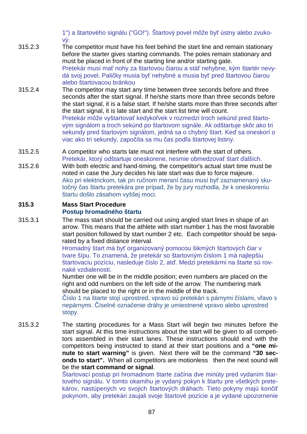1") a štartového signálu ("GO!"). Štartový povel môže byť ústny alebo zvukový.

- 315.2.3 The competitor must have his feet behind the start line and remain stationary before the starter gives starting commands. The poles remain stationary and must be placed in front of the starting line and/or starting gate. Pretekár musí mať nohy za štartovou čiarou a stáť nehybne, kým štartér nevydá svoj povel. Paličky musia byť nehybné a musia byť pred štartovou čiarou alebo štartovacou bránkou
- 315.2.4 The competitor may start any time between three seconds before and three seconds after the start signal. If he/she starts more than three seconds before the start signal, it is a false start. If he/she starts more than three seconds after the start signal, it is late start and the start list time will count. Pretekár môže vyštartovať kedykoľvek v rozmedzí troch sekúnd pred štartovým signálom a troch sekúnd po štartovom signále. Ak odštartuje skôr ako tri sekundy pred štartovým signálom, jedná sa o chybný štart. Keď sa oneskorí o viac ako tri sekundy, započíta sa mu čas podľa štartovej listiny.
- 315.2.5 A competitor who starts late must not interfere with the start of others. Pretekár, ktorý odštartuje oneskorene, nesmie obmedzovať štart ďalších.
- 315.2.6 With both electric and hand-timing, the competitor's actual start time must be noted in case the Jury decides his late start was due to force majeure. Ako pri elektrickom, tak pri ručnom meraní času musí byť zaznamenaný skutočný čas štartu pretekára pre prípad, že by jury rozhodla, že k oneskoreniu štartu došlo zásahom vyššej moci.

## **315.3 Mass Start Procedure Postup hromadného štartu**

315.3.1 The mass start should be carried out using angled start lines in shape of an arrow. This means that the athlete with start number 1 has the most favorable start position followed by start number 2 etc. Each competitor should be separated by a fixed distance interval.

Hromadný štart má byť organizovaný pomocou šikmých štartových čiar v tvare šípu. To znamená, že pretekár so štartovným číslom 1 má najlepšiu štartovaciu pozíciu, nasleduje číslo 2, atď. Medzi pretekármi na štarte sú rovnaké vzdialenosti.

Number one will be in the middle position; even numbers are placed on the right and odd numbers on the left side of the arrow. The numbering mark should be placed to the right or in the middle of the track.

Číslo 1 na štarte stojí uprostred, vpravo sú pretekári s párnymi číslami, vľavo s nepárnymi. Číselné označenie dráhy je umiestnené vpravo alebo uprostred stopy.

315.3.2 The starting procedures for a Mass Start will begin two minutes before the start signal. At this time instructions about the start will be given to all competitors assembled in their start lanes. These instructions should end with the competitors being instructed to stand at their start positions and a **"one minute to start warning"** is given. Next there will be the command **"30 seconds to start".** When all competitors are motionless then the next sound will be the **start command or signal**.

> Štartovací postup pri hromadnom štarte začína dve minúty pred vydaním štartového signálu. V tomto okamihu je vydaný pokyn k štartu pre všetkých pretekárov, nastúpených vo svojich štartových dráhach. Tieto pokyny majú končiť pokynom, aby pretekári zaujali svoje štartové pozície a je vydané upozornenie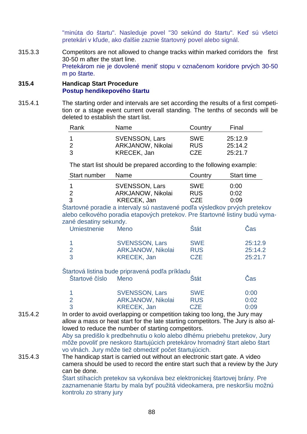"minúta do štartu". Nasleduje povel "30 sekúnd do štartu". Keď sú všetci pretekári v kľude, ako ďalšie zaznie štartovný povel alebo signál.

315.3.3 Competitors are not allowed to change tracks within marked corridors the first 30-50 m after the start line. Pretekárom nie je dovolené meniť stopu v označenom koridore prvých 30-50 m po štarte.

#### **315.4 Handicap Start Procedure Postup hendikepového štartu**

315.4.1 The starting order and intervals are set according the results of a first competition or a stage event current overall standing. The tenths of seconds will be deleted to establish the start list.

| Rank | <b>Name</b>           | Country    | Final   |
|------|-----------------------|------------|---------|
|      | <b>SVENSSON, Lars</b> | <b>SWE</b> | 25:12.9 |
|      | ARKJANOW, Nikolai     | <b>RUS</b> | 25:14.2 |
|      | <b>KRECEK, Jan</b>    | <b>CZE</b> | 25:21.7 |

The start list should be prepared according to the following example:

| Start number | <b>Name</b>           | Country    | <b>Start time</b> |
|--------------|-----------------------|------------|-------------------|
|              | <b>SVENSSON, Lars</b> | <b>SWE</b> | 0:00              |
|              | ARKJANOW, Nikolai     | <b>RUS</b> | 0:02              |
|              | <b>KRECEK, Jan</b>    | CZE        | 0:09              |

Štartovné poradie a intervaly sú nastavené podľa výsledkov prvých pretekov alebo celkového poradia etapových pretekov. Pre štartovné listiny budú vymazané desatiny sekundy. Umiestnenie Meno Štát Čas

| <b>SVENSSON, Lars</b> | <b>SWE</b> | 25:12.9 |
|-----------------------|------------|---------|
| ARKJANOW, Nikolai     | <b>RUS</b> | 25:14.2 |
| <b>KRECEK, Jan</b>    | <b>CZE</b> | 25:21.7 |

#### Štartová listina bude pripravená podľa príkladu Štartové číslo Meno Štát Čas

| <b>SVENSSON, Lars</b>    | <b>SWE</b> | 0:00 |
|--------------------------|------------|------|
| <b>ARKJANOW, Nikolai</b> | <b>RUS</b> | 0:02 |
| <b>KRECEK, Jan</b>       | <b>CZE</b> | 0:09 |

315.4.2 In order to avoid overlapping or competition taking too long, the Jury may allow a mass or heat start for the late starting competitors. The Jury is also allowed to reduce the number of starting competitors.

Aby sa predišlo k predbehnutiu o kolo alebo dlhému priebehu pretekov, Jury môže povoliť pre neskoro štartujúcich pretekárov hromadný štart alebo štart vo vlnách. Jury môže tiež obmedziť počet štartujúcich.

315.4.3 The handicap start is carried out without an electronic start gate. A video camera should be used to record the entire start such that a review by the Jury can be done.

Štart stíhacích pretekov sa vykonáva bez elektronickej štartovej brány. Pre zaznamenanie štartu by mala byť použitá videokamera, pre neskoršiu možnú kontrolu zo strany jury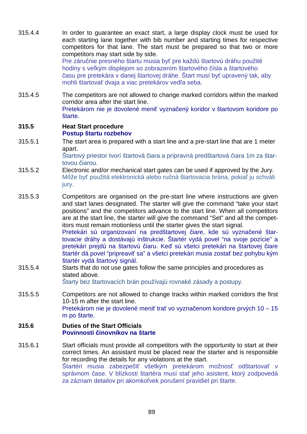- 315.4.4 In order to guarantee an exact start, a large display clock must be used for each starting lane together with bib number and starting times for respective competitors for that lane. The start must be prepared so that two or more competitors may start side by side. Pre záručnie presného štartu musia byť pre každú štartovú dráhu použité hodiny s veľkým displejom so zobrazením štartového čísla a štartového času pre pretekára v danej štartovej dráhe. Štart musí byť upravený tak, aby mohli štartovať dvaja a viac pretekárov vedľa seba.
- 315.4.5 The competitors are not allowed to change marked corridors within the marked corridor area after the start line. Pretekárom nie je dovolené meniť vyznačený koridor v štartovom koridore po štarte.

#### **315.5 Heat Start procedure Postup štartu rozbehov**

315.5.1 The start area is prepared with a start line and a pre-start line that are 1 meter apart.

> Štartový priestor tvorí štartová čiara a prípravná predštartová čiara 1m za štartovou čiarou.

- 315.5.2 Electronic and/or mechanical start gates can be used if approved by the Jury. Môže byť použitá elektronická alebo ručná štartovacia brána, pokiaľ ju schváli jury.
- 315.5.3 Competitors are organised on the pre-start line where instructions are given and start lanes designated. The starter will give the command "take your start positions" and the competitors advance to the start line. When all competitors are at the start line, the starter will give the command "Set" and all the competitors must remain motionless until the starter gives the start signal. Pretekári sú organizovaní na predštartovej čiare, kde sú vyznačené štartovacie dráhy a dostávajú inštrukcie. Štartér vydá povel "na svoje pozície" a

pretekári prejdú na štartovú čiaru. Keď sú všetci pretekári na štartovej čiare štartér dá povel "pripreaviť sa" a všetci pretekári musia zostať bez pohybu kým štartér vydá štartový signál.

## 315.5.4 Starts that do not use gates follow the same principles and procedures as stated above.

Štarty bez štartovacích brán používajú rovnaké zásady a postupy.

315.5.5 Competitors are not allowed to change tracks within marked corridors the first 10-15 m after the start line. Pretekárom nie je dovolené meniť trať vo vyznačenom koridore prvých 10 – 15 m po štarte.

## **315.6 Duties of the Start Officials Povinnosti činovníkov na štarte**

315.6.1 Start officials must provide all competitors with the opportunity to start at their correct times. An assistant must be placed near the starter and is responsible for recording the details for any violations at the start. Štartéri musia zabezpečiť všetkým pretekárom možnosť odštartovať v správnom čase. V blízkosti štartéra musí stať jeho asistent, ktorý zodpovedá za záznam detailov pri akomkoľvek porušení pravidiel pri štarte.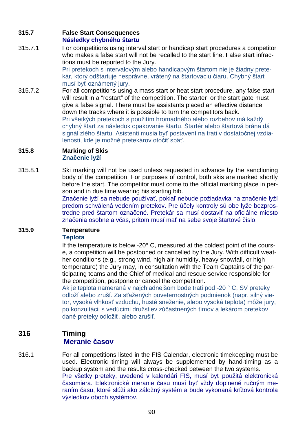## **315.7 False Start Consequences Následky chybného štartu**

315.7.1 For competitions using interval start or handicap start procedures a competitor who makes a false start will not be recalled to the start line. False start infractions must be reported to the Jury.

Pri pretekoch s intervalovým alebo handicapvým štartom nie je žiadny pretekár, ktorý odštartuje nesprávne, vrátený na štartovaciu čiaru. Chybný štart musí byť oznámený jury.

315.7.2 For all competitions using a mass start or heat start procedure, any false start will result in a "restart" of the competition. The starter or the start gate must give a false signal. There must be assistants placed an effective distance down the tracks where it is possible to turn the competitors back. Pri všetkých pretekoch s použitím hromadného alebo rozbehov má každý chybný štart za následok opakovanie štartu. Štartér alebo štartová brána dá signál zlého štartu. Asistenti musia byť postavení na trati v dostatočnej vzdialenosti, kde je možné pretekárov otočiť späť.

## **315.8 Marking of Skis Značenie lyží**

315.8.1 Ski marking will not be used unless requested in advance by the sanctioning body of the competition. For purposes of control, both skis are marked shortly before the start. The competitor must come to the official marking place in person and in due time wearing his starting bib.

Značenie lyží sa nebude používať, pokiaľ nebude požiadavka na značenie lyží predom schválená vedením pretekov. Pre účely kontroly sú obe lyže bezprostredne pred štartom označené. Pretekár sa musí dostaviť na oficiálne miesto značenia osobne a včas, pritom musí mať na sebe svoje štartové číslo.

# **315.9 Temperature**

## **Teplota**

If the temperature is below -20° C, measured at the coldest point of the course, a competition will be postponed or cancelled by the Jury. With difficult weather conditions (e.g., strong wind, high air humidity, heavy snowfall, or high temperature) the Jury may, in consultation with the Team Captains of the participating teams and the Chief of medical and rescue service responsible for the competition, postpone or cancel the competition.

Ak je teplota nameraná v najchladnejšom bode trati pod -20 ° C, SV preteky odloží alebo zruší. Za sťažených poveternostných podmienok (napr. silný vietor, vysoká vlhkosť vzduchu, husté sneženie, alebo vysoká teplota) môže jury, po konzultácii s vedúcimi družstiev zúčastnených tímov a lekárom pretekov dané preteky odložiť, alebo zrušiť.

# **316 Timing Meranie časov**

316.1 For all competitions listed in the FIS Calendar, electronic timekeeping must be used. Electronic timing will always be supplemented by hand-timing as a backup system and the results cross-checked between the two systems. Pre všetky preteky, uvedené v kalendári FIS, musí byť použitá elektronická časomiera. Elektronické meranie času musí byť vždy doplnené ručným meraním času, ktoré slúži ako záložný systém a bude vykonaná krížová kontrola výsledkov oboch systémov.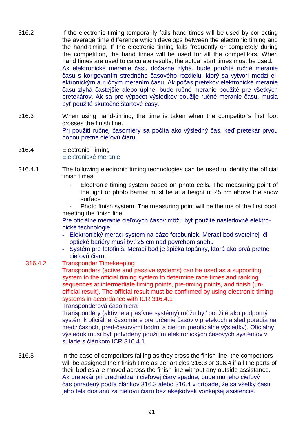- 316.2 If the electronic timing temporarily fails hand times will be used by correcting the average time difference which develops between the electronic timing and the hand-timing. If the electronic timing fails frequently or completely during the competition, the hand times will be used for all the competitors. When hand times are used to calculate results, the actual start times must be used. Ak elektronické meranie času dočasne zlyhá, bude použité ručné meranie času s korigovaním stredného časového rozdielu, ktorý sa vytvorí medzi elektronickým a ručným meraním času. Ak počas pretekov elektronické meranie času zlyhá častejšie alebo úplne, bude ručné meranie použité pre všetkých pretekárov. Ak sa pre výpočet výsledkov použije ručné meranie času, musia byť použité skutočné štartové časy.
- 316.3 When using hand-timing, the time is taken when the competitor's first foot crosses the finish line. Pri použití ručnej časomiery sa počíta ako výsledný čas, keď pretekár prvou nohou pretne cieľovú čiaru.
- 316.4 Electronic Timing Elektronické meranie
- 316.4.1 The following electronic timing technologies can be used to identify the official finish times:
	- Electronic timing system based on photo cells. The measuring point of the light or photo barrier must be at a height of 25 cm above the snow surface
	- Photo finish system. The measuring point will be the toe of the first boot meeting the finish line.

Pre oficiálne meranie cieľových časov môžu byť použité nasledovné elektronické technológie:

- Elektronický merací system na báze fotobuniek. Merací bod svetelnej či optické bariéry musí byť 25 cm nad povrchom snehu
- Systém pre fotofiniš. Merací bod je špička topánky, ktorá ako prvá pretne cieľovú čiaru.
- 316.4.2 Transponder Timekeeping

Transponders (active and passive systems) can be used as a supporting system to the official timing system to determine race times and ranking sequences at intermediate timing points, pre-timing points, and finish (unofficial result). The official result must be confirmed by using electronic timing systems in accordance with ICR 316.4.1

Transponderová časomiera

Transpondéry (aktívne a pasívne systémy) môžu byť použité ako podporný systém k oficiálnej časomiere pre určenie časov v pretekoch a sled poradia na medzičasoch, pred-časovými bodmi a cieľom (neoficiálne výsledky). Oficiálny výsledok musí byť potvrdený použitím elektronických časových systémov v súlade s článkom ICR 316.4.1

316.5 In the case of competitors falling as they cross the finish line, the competitors will be assigned their finish time as per articles 316.3 or 316.4 if all the parts of their bodies are moved across the finish line without any outside assistance. Ak pretekár pri prechádzaní cieľovej čiary spadne, bude mu jeho cieľový čas priradený podľa článkov 316.3 alebo 316.4 v prípade, že sa všetky časti jeho tela dostanú za cieľovú čiaru bez akejkoľvek vonkajšej asistencie.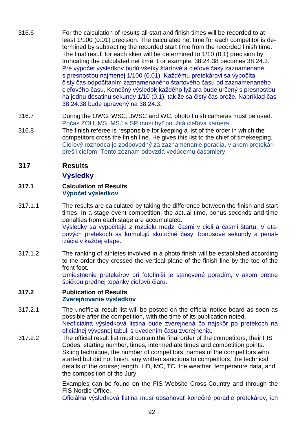- 316.6 For the calculation of results all start and finish times will be recorded to at least 1/100 (0.01) precision. The calculated net time for each competitor is determined by subtracting the recorded start time from the recorded finish time. The final result for each skier will be determined to 1/10 (0.1) precision by truncating the calculated net time. For example, 38:24.38 becomes 38:24.3. Pre výpočet výsledkov budú všetky štartové a cieľové časy zaznamenané s presnosťou najmenej 1/100 (0.01). Každému pretekárovi sa vypočíta čistý čas odpočítaním zaznamenaného štartového času od zaznamenaného cieľového času. Konečný výsledok každého lyžiara bude určený s presnosťou na jednu desatinu sekundy 1/10 (0.1), tak že sa čistý čas oreže. Napríklad čas 38:24.38 bude upravený na 38:24.3.
- 316.7 During the OWG, WSC, JWSC and WC, photo finish cameras must be used. Počas ZOH, MS, MSJ a SP musí byť použitá cieľová kamera.
- 316.8 The finish referee is responsible for keeping a list of the order in which the competitors cross the finish line. He gives this list to the chief of timekeeping. Cieľový rozhodca je zodpovedný za zaznamenanie poradia, v akom pretekári prešli cieľom. Tento zoznam odovzdá vedúcemu časomiery.
- **317 Results**

# **Výsledky**

- **317.1 Calculation of Results Výpočet výsledkov**
- 317.1.1 The results are calculated by taking the difference between the finish and start times. In a stage event competition, the actual time, bonus seconds and time penalties from each stage are accumulated. Výsledky sa vypočítajú z rozdielu medzi časmi v cieli a časmi štartu. V etapových pretekoch sa kumulujú skutočné časy, bonusové sekundy a penalizácia v každej etape.
- 317.1.2 The ranking of athletes involved in a photo finish will be established according to the order they crossed the vertical plane of the finish line by the toe of the front foot.

Umiestnenie pretekárov pri fotofiniši je stanovené poradím, v akom pretne špičkou prednej topánky cieľovú čiaru.

#### **317.2 Publication of Results Zverejňovanie výsledkov**

- 317.2.1 The unofficial result list will be posted on the official notice board as soon as possible after the competition, with the time of its publication noted. Neoficiálna výsledková listina bude zverejnená čo najskôr po pretekoch na oficiálnej vývesnej tabuli s uvedením času zverejnenia.
- 317.2.2 The official result list must contain the final order of the competitors, their FIS Codes, starting number, times, intermediate times and competition points. Skiing technique, the number of competitors, names of the competitors who started but did not finish, any written sanctions to competitors, the technical details of the course; length, HD, MC, TC, the weather, temperature data, and the composition of the Jury.

 Examples can be found on the FIS Website Cross-Country and through the FIS Nordic Office.

Oficiálna výsledková listina musí obsahovať konečné poradie pretekárov, ich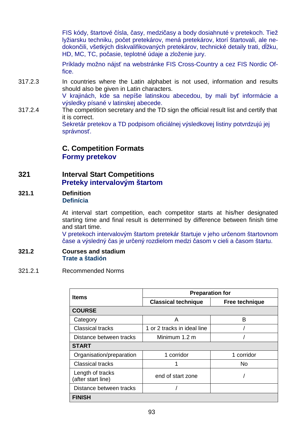FIS kódy, štartové čísla, časy, medzičasy a body dosiahnuté v pretekoch. Tiež lyžiarsku techniku, počet pretekárov, mená pretekárov, ktorí štartovali, ale nedokončili, všetkých diskvalifikovaných pretekárov, technické detaily trati, dĺžku, HD, MC, TC, počasie, teplotné údaje a zloženie jury.

Príklady možno nájsť na webstránke FIS Cross-Country a cez FIS Nordic Office.

- 317.2.3 In countries where the Latin alphabet is not used, information and results should also be given in Latin characters. V krajinách, kde sa nepíše latinskou abecedou, by mali byť informácie a výsledky písané v latinskej abecede.
- 317.2.4 The competition secretary and the TD sign the official result list and certify that it is correct. Sekretár pretekov a TD podpisom oficiálnej výsledkovej listiny potvrdzujú jej správnosť.

**C. Competition Formats Formy pretekov**

- **321 Interval Start Competitions Preteky intervalovým štartom**
- **321.1 Definition Definícia**

 At interval start competition, each competitor starts at his/her designated starting time and final result is determined by difference between finish time and start time.

V pretekoch intervalovým štartom pretekár štartuje v jeho určenom štartovnom čase a výsledný čas je určený rozdielom medzi časom v cieli a časom štartu.

#### **321.2 Courses and stadium Trate a štadión**

321.2.1 Recommended Norms

| <b>Items</b>                           | <b>Preparation for</b>      |                |  |
|----------------------------------------|-----------------------------|----------------|--|
|                                        | <b>Classical technique</b>  | Free technique |  |
| <b>COURSE</b>                          |                             |                |  |
| Category                               | A                           | в              |  |
| <b>Classical tracks</b>                | 1 or 2 tracks in ideal line |                |  |
| Distance between tracks                | Minimum 1.2 m               |                |  |
| <b>START</b>                           |                             |                |  |
| Organisation/preparation               | 1 corridor                  | 1 corridor     |  |
| <b>Classical tracks</b>                |                             | No             |  |
| Length of tracks<br>(after start line) | end of start zone           |                |  |
| Distance between tracks                |                             |                |  |
| <b>FINISH</b>                          |                             |                |  |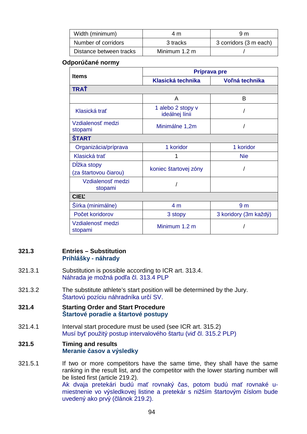| Width (minimum)         | 4 m           | 9 m                    |
|-------------------------|---------------|------------------------|
| Number of corridors     | 3 tracks      | 3 corridors (3 m each) |
| Distance between tracks | Minimum 1.2 m |                        |

### **Odporúčané normy**

| <b>Items</b>                         | Príprava pre                        |                       |  |
|--------------------------------------|-------------------------------------|-----------------------|--|
|                                      | <b>Klasická technika</b>            | Voľná technika        |  |
| TRAŤ                                 |                                     |                       |  |
|                                      | A                                   | B                     |  |
| Klasická trať                        | 1 alebo 2 stopy v<br>ideálnej línii |                       |  |
| Vzdialenosť medzi<br>stopami         | Minimálne 1,2m                      |                       |  |
| <b>START</b>                         |                                     |                       |  |
| Organizácia/príprava                 | 1 koridor                           | 1 koridor             |  |
| Klasická trať                        | 1                                   | <b>Nie</b>            |  |
| Dĺžka stopy<br>(za štartovou čiarou) | koniec štartovej zóny               |                       |  |
| Vzdialenosť medzi<br>stopami         |                                     |                       |  |
| <b>CIEL'</b>                         |                                     |                       |  |
| Šírka (minimálne)                    | 4 <sub>m</sub>                      | 9 <sub>m</sub>        |  |
| Počet koridorov                      | 3 stopy                             | 3 koridory (3m každý) |  |
| Vzdialenosť medzi<br>stopami         | Minimum 1.2 m                       |                       |  |

## **321.3 Entries – Substitution Prihlášky - náhrady**

- 321.3.1 Substitution is possible according to ICR art. 313.4. Náhrada je možná podľa čl. 313.4 PLP
- 321.3.2 The substitute athlete's start position will be determined by the Jury. Štartovú pozíciu náhradníka určí SV.
- **321.4 Starting Order and Start Procedure Štartové poradie a štartové postupy**
- 321.4.1 Interval start procedure must be used (see ICR art. 315.2) Musí byť použitý postup intervalového štartu (viď čl. 315.2 PLP)

## **321.5 Timing and results Meranie časov a výsledky**

321.5.1 If two or more competitors have the same time, they shall have the same ranking in the result list, and the competitor with the lower starting number will be listed first (article 219.2). Ak dvaja pretekári budú mať rovnaký čas, potom budú mať rovnaké umiestnenie vo výsledkovej listine a pretekár s nižším štartovým číslom bude uvedený ako prvý (článok 219.2).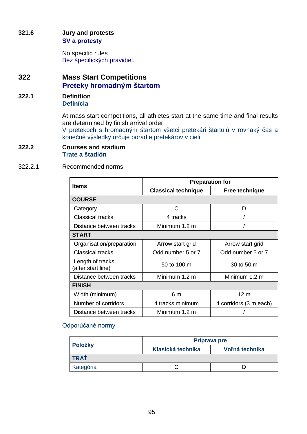## **321.6 Jury and protests SV a protesty**

 No specific rules Bez špecifických pravidiel.

# **322 Mass Start Competitions Preteky hromadným štartom**

**322.1 Definition Definícia** 

> At mass start competitions, all athletes start at the same time and final results are determined by finish arrival order.

> V pretekoch s hromadným štartom všetci pretekári štartujú v rovnaký čas a konečné výsledky určuje poradie pretekárov v cieli.

#### **322.2 Courses and stadium Trate a štadión**

## 322.2.1 Recommended norms

| <b>Items</b>                           | <b>Preparation for</b>     |                        |  |
|----------------------------------------|----------------------------|------------------------|--|
|                                        | <b>Classical technique</b> | Free technique         |  |
| <b>COURSE</b>                          |                            |                        |  |
| Category                               | C                          | D                      |  |
| <b>Classical tracks</b>                | 4 tracks                   |                        |  |
| Distance between tracks                | Minimum 1.2 m              |                        |  |
| <b>START</b>                           |                            |                        |  |
| Organisation/preparation               | Arrow start grid           | Arrow start grid       |  |
| <b>Classical tracks</b>                | Odd number 5 or 7          | Odd number 5 or 7      |  |
| Length of tracks<br>(after start line) | 50 to 100 m                | 30 to 50 m             |  |
| Distance between tracks                | Minimum 1.2 m              | Minimum 1.2 m          |  |
| <b>FINISH</b>                          |                            |                        |  |
| Width (minimum)                        | 6 m                        | 12 <sub>m</sub>        |  |
| Number of corridors                    | 4 tracks minimum           | 4 corridors (3 m each) |  |
| Distance between tracks                | Minimum 1.2 m              |                        |  |

## Odporúčané normy

| Položky     |                   | Príprava pre   |  |  |
|-------------|-------------------|----------------|--|--|
|             | Klasická technika | Voľná technika |  |  |
| <b>TRAŤ</b> |                   |                |  |  |
| Kategória   |                   |                |  |  |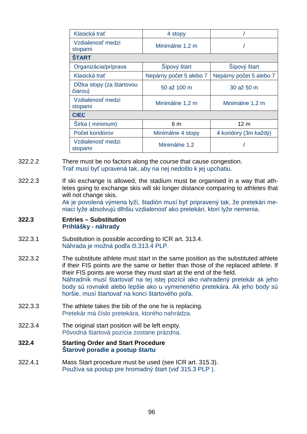| Klasická trať                        | 4 stopy                 |                         |
|--------------------------------------|-------------------------|-------------------------|
| Vzdialenosť medzi<br>stopami         | Minimálne 1,2 m         |                         |
| <b>START</b>                         |                         |                         |
| Organizácia/príprava                 | Šípový štart            | Šípový štart            |
| Klasická trať                        | Nepárny počet 5 alebo 7 | Nepárny počet 5 alebo 7 |
| Dĺžka stopy (za štartovou<br>čiarou) | 50 až 100 m             | 30 až 50 m              |
| Vzdialenosť medzi<br>stopami         | Minimálne 1,2 m         | Minimálne 1,2 m         |
| <b>CIEL</b>                          |                         |                         |
| Šírka (minimum)                      | 6 m                     | 12 <sub>m</sub>         |
| Počet koridórov                      | Minimálne 4 stopy       | 4 koridory (3m každý)   |
| Vzdialenosť medzi<br>stopami         | Minimálne 1,2           |                         |

- 322.2.2 There must be no factors along the course that cause congestion. Trať musí byť upravená tak, aby na nej nedošlo k jej upchatiu.
- 322.2.3 If ski exchange is allowed, the stadium must be organised in a way that athletes going to exchange skis will ski longer distance comparing to athletes that will not change skis.

Ak je povolená výmena lyží, štadión musí byť pripravený tak, že pretekári meniaci lyže absolvujú dlhšiu vzdialenosť ako pretekári, ktorí lyže nemenia.

#### **322.3 Entries – Substitution Prihlášky - náhrady**

- 322.3.1 Substitution is possible according to ICR art. 313.4. Náhrada je možná podľa čl.313.4 PLP.
- 322.3.2 The substitute athlete must start in the same position as the substituted athlete if their FIS points are the same or better than those of the replaced athlete. If their FIS points are worse they must start at the end of the field. Náhradník musí štartovať na tej istej pozícii ako nahradený pretekár ak jeho body sú rovnaké alebo lepšie ako u vymeneného pretekára. Ak jeho body sú horšie, musí štartovať na konci štartového poľa.
- 322.3.3 The athlete takes the bib of the one he is replacing. Pretekár má číslo pretekára, ktorého nahrádza.
- 322.3.4 The original start position will be left empty. Pôvodná štartová pozícia zostane prázdna.

#### **322.4 Starting Order and Start Procedure Štarové poradie a postup štartu**

322.4.1 Mass Start procedure must be used (see ICR art. 315.3). Používa sa postup pre hromadný štart (viď 315.3 PLP ).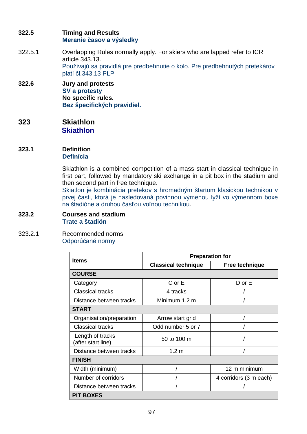## **322.5 Timing and Results Meranie časov a výsledky**

- 322.5.1 Overlapping Rules normally apply. For skiers who are lapped refer to ICR article 343.13. Používajú sa pravidlá pre predbehnutie o kolo. Pre predbehnutých pretekárov platí čl.343.13 PLP
- **322.6 Jury and protests SV a protesty No specific rules. Bez špecifických pravidiel.**
- **323 Skiathlon Skiathlon**
- **323.1 Definition Definícia**

 Skiathlon is a combined competition of a mass start in classical technique in first part, followed by mandatory ski exchange in a pit box in the stadium and then second part in free technique.

Skiatlon je kombinácia pretekov s hromadným štartom klasickou technikou v prvej časti, ktorá je nasledovaná povinnou výmenou lyží vo výmennom boxe na štadióne a druhou časťou voľnou technikou.

#### **323.2 Courses and stadium Trate a štadión**

323.2.1 Recommended norms Odporúčané normy

| <b>Items</b>                           | <b>Preparation for</b>     |                        |  |
|----------------------------------------|----------------------------|------------------------|--|
|                                        | <b>Classical technique</b> | Free technique         |  |
| <b>COURSE</b>                          |                            |                        |  |
| Category                               | $C$ or $E$                 | $D$ or $E$             |  |
| <b>Classical tracks</b>                | 4 tracks                   |                        |  |
| Distance between tracks                | Minimum 1.2 m              |                        |  |
| <b>START</b>                           |                            |                        |  |
| Organisation/preparation               | Arrow start grid           |                        |  |
| <b>Classical tracks</b>                | Odd number 5 or 7          |                        |  |
| Length of tracks<br>(after start line) | 50 to 100 m                |                        |  |
| Distance between tracks                | 1.2 <sub>m</sub>           |                        |  |
| <b>FINISH</b>                          |                            |                        |  |
| Width (minimum)                        |                            | 12 m minimum           |  |
| Number of corridors                    |                            | 4 corridors (3 m each) |  |
| Distance between tracks                |                            |                        |  |
| <b>PIT BOXES</b>                       |                            |                        |  |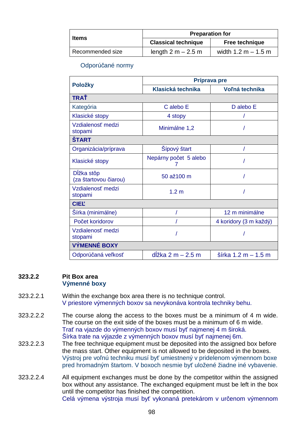|                  | <b>Preparation for</b>     |                       |  |
|------------------|----------------------------|-----------------------|--|
| <b>Items</b>     | <b>Classical technique</b> | Free technique        |  |
| Recommended size | length $2 m - 2.5 m$       | width $1.2 m - 1.5 m$ |  |

## Odporúčané normy

|                                     | Príprava pre                |                        |  |
|-------------------------------------|-----------------------------|------------------------|--|
| Položky                             | Klasická technika           | Voľná technika         |  |
| <b>TRAŤ</b>                         |                             |                        |  |
| Kategória                           | C alebo E                   | D alebo E              |  |
| Klasické stopy                      | 4 stopy                     |                        |  |
| Vzdialenosť medzi<br>stopami        | Minimálne 1,2               |                        |  |
| <b>ŠTART</b>                        |                             |                        |  |
| Organizácia/príprava                | Šípový štart                |                        |  |
| Klasické stopy                      | Nepárny počet 5 alebo       |                        |  |
| Dĺžka stôp<br>(za štartovou čiarou) | 50 až100 m                  |                        |  |
| Vzdialenosť medzi<br>stopami        | 1.2 <sub>m</sub>            |                        |  |
| <b>CIEL</b>                         |                             |                        |  |
| Sírka (minimálne)                   |                             | 12 m minimálne         |  |
| Počet koridorov                     |                             | 4 koridory (3 m každý) |  |
| Vzdialenosť medzi<br>stopami        |                             |                        |  |
| <b>VÝMENNÉ BOXY</b>                 |                             |                        |  |
| Odporúčaná veľkosť                  | $d\tilde{z}$ ka 2 m – 2.5 m | šírka 1.2 m - 1.5 m    |  |

#### **323.2.2 Pit Box area Výmenné boxy**

- 323.2.2.1 Within the exchange box area there is no technique control. V priestore výmenných boxov sa nevykonáva kontrola techniky behu.
- 323.2.2.2 The course along the access to the boxes must be a minimum of 4 m wide. The course on the exit side of the boxes must be a minimum of 6 m wide. Trať na vjazde do výmenných boxov musí byť najmenej 4 m široká. Šírka trate na výjazde z výmenných boxov musí byť najmenej 6m.
- 323.2.2.3 The free technique equipment must be deposited into the assigned box before the mass start. Other equipment is not allowed to be deposited in the boxes. Výstroj pre voľnú techniku musí byť umiestnený v pridelenom výmennom boxe pred hromadným štartom. V boxoch nesmie byť uložené žiadne iné vybavenie.
- 323.2.2.4 All equipment exchanges must be done by the competitor within the assigned box without any assistance. The exchanged equipment must be left in the box until the competitor has finished the competition. Celá výmena výstroja musí byť vykonaná pretekárom v určenom výmennom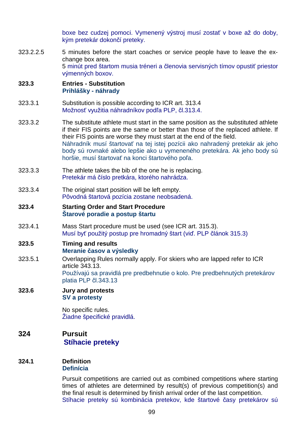boxe bez cudzej pomoci. Vymenený výstroj musí zostať v boxe až do doby, kým pretekár dokončí preteky.

323.2.2.5 5 minutes before the start coaches or service people have to leave the exchange box area. 5 minút pred štartom musia tréneri a členovia servisných tímov opustiť priestor výmenných boxov.

#### **323.3 Entries - Substitution Prihlášky - náhrady**

- 323.3.1 Substitution is possible according to ICR art. 313.4 Možnosť využitia náhradníkov podľa PLP, čl.313.4.
- 323.3.2 The substitute athlete must start in the same position as the substituted athlete if their FIS points are the same or better than those of the replaced athlete. If their FIS points are worse they must start at the end of the field. Náhradník musí štartovať na tej istej pozícii ako nahradený pretekár ak jeho body sú rovnaké alebo lepšie ako u vymeneného pretekára. Ak jeho body sú horšie, musí štartovať na konci štartového poľa.
- 323.3.3 The athlete takes the bib of the one he is replacing. Pretekár má číslo pretkára, ktorého nahrádza.
- 323.3.4 The original start position will be left empty. Pôvodná štartová pozícia zostane neobsadená.

### **323.4 Starting Order and Start Procedure Štarové poradie a postup štartu**

- 323.4.1 Mass Start procedure must be used (see ICR art. 315.3). Musí byť použitý postup pre hromadný štart (viď. PLP článok 315.3)
- **323.5 Timing and results Meranie časov a výsledky**
- 323.5.1 Overlapping Rules normally apply. For skiers who are lapped refer to ICR article 343.13. Používajú sa pravidlá pre predbehnutie o kolo. Pre predbehnutých pretekárov platia PLP čl.343.13
- **323.6 Jury and protests SV a protesty**

 No specific rules. Žiadne špecifické pravidlá.

# **324 Pursuit Stíhacie preteky**

#### **324.1 Definition Definícia**

 Pursuit competitions are carried out as combined competitions where starting times of athletes are determined by result(s) of previous competition(s) and the final result is determined by finish arrival order of the last competition. Stíhacie preteky sú kombinácia pretekov, kde štartové časy pretekárov sú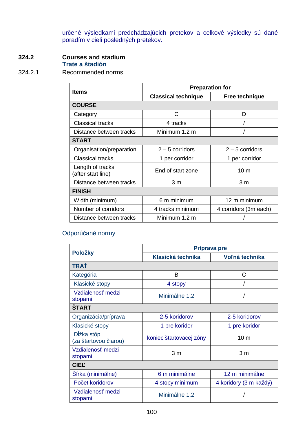určené výsledkami predchádzajúcich pretekov a celkové výsledky sú dané poradím v cieli posledných pretekov.

# **324.2 Courses and stadium**

# **Trate a štadión**

# 324.2.1 Recommended norms

| <b>Items</b>                           | <b>Preparation for</b>     |                       |  |
|----------------------------------------|----------------------------|-----------------------|--|
|                                        | <b>Classical technique</b> | Free technique        |  |
| <b>COURSE</b>                          |                            |                       |  |
| Category                               | C                          | D                     |  |
| <b>Classical tracks</b>                | 4 tracks                   |                       |  |
| Distance between tracks                | Minimum 1.2 m              |                       |  |
| <b>START</b>                           |                            |                       |  |
| Organisation/preparation               | $2 - 5$ corridors          | $2 - 5$ corridors     |  |
| <b>Classical tracks</b>                | 1 per corridor             | 1 per corridor        |  |
| Length of tracks<br>(after start line) | End of start zone          | 10 <sub>m</sub>       |  |
| Distance between tracks                | 3 <sub>m</sub>             | 3 <sub>m</sub>        |  |
| <b>FINISH</b>                          |                            |                       |  |
| Width (minimum)                        | 6 m minimum                | 12 m minimum          |  |
| Number of corridors                    | 4 tracks minimum           | 4 corridors (3m each) |  |
| Distance between tracks                | Minimum 1.2 m              |                       |  |

# Odporúčané normy

|                                     |                         | Príprava pre           |
|-------------------------------------|-------------------------|------------------------|
| Položky                             | Klasická technika       | Voľná technika         |
| <b>TRAŤ</b>                         |                         |                        |
| Kategória                           | В                       | C                      |
| Klasické stopy                      | 4 stopy                 |                        |
| Vzdialenosť medzi<br>stopami        | Minimálne 1,2           |                        |
| <b>ŠTART</b>                        |                         |                        |
| Organizácia/príprava                | 2-5 koridorov           | 2-5 koridorov          |
| Klasické stopy                      | 1 pre koridor           | 1 pre koridor          |
| Dĺžka stôp<br>(za štartovou čiarou) | koniec štartovacej zóny | 10 <sub>m</sub>        |
| Vzdialenosť medzi<br>stopami        | 3 <sub>m</sub>          | 3 <sub>m</sub>         |
| <b>CIEL</b>                         |                         |                        |
| Sírka (minimálne)                   | 6 m minimálne           | 12 m minimálne         |
| Počet koridorov                     | 4 stopy minimum         | 4 koridory (3 m každý) |
| Vzdialenosť medzi<br>stopami        | Minimálne 1,2           |                        |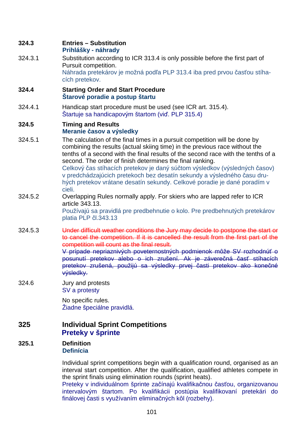#### **324.3 Entries – Substitution Prihlášky - náhrady**

324.3.1 Substitution according to ICR 313.4 is only possible before the first part of Pursuit competition. Náhrada pretekárov je možná podľa PLP 313.4 iba pred prvou časťou stíhacích pretekov.

### **324.4 Starting Order and Start Procedure Štarové poradie a postup štartu**

324.4.1 Handicap start procedure must be used (see ICR art. 315.4). Štartuje sa handicapovým štartom (viď. PLP 315.4)

### **324.5 Timing and Results Meranie časov a výsledky**

- 324.5.1 The calculation of the final times in a pursuit competition will be done by combining the results (actual skiing time) in the previous race without the tenths of a second with the final results of the second race with the tenths of a second. The order of finish determines the final ranking. Celkový čas stíhacích pretekov je daný súčtom výsledkov (výsledných časov) v predchádzajúcich pretekoch bez desatín sekundy a výsledného času druhých pretekov vrátane desatín sekundy. Celkové poradie je dané poradím v cieli.
- 324.5.2 Overlapping Rules normally apply. For skiers who are lapped refer to ICR article 343.13.

Používajú sa pravidlá pre predbehnutie o kolo. Pre predbehnutých pretekárov platia PLP čl.343.13

324.5.3 Under difficult weather conditions the Jury may decide to postpone the start or to cancel the competition. If it is cancelled the result from the first part of the competition will count as the final result.

V prípade nepriaznivých poveternostných podmienok môže SV rozhodnúť o posunutí pretekov alebo o ich zrušení. Ak je záverečná časť stíhacích pretekov zrušená, použijú sa výsledky prvej časti pretekov ako konečné výsledky.

324.6 Jury and protests SV a protesty

> No specific rules. Žiadne špeciálne pravidlá.

# **325 Individual Sprint Competitions Preteky v šprinte**

## **325.1 Definition Definícia**

 Individual sprint competitions begin with a qualification round, organised as an interval start competition. After the qualification, qualified athletes compete in the sprint finals using elimination rounds (sprint heats).

Preteky v individuálnom šprinte začínajú kvalifikačnou časťou, organizovanou intervalovým štartom. Po kvalifikácii postúpia kvalifikovaní pretekári do finálovej časti s využívaním eliminačných kôl (rozbehy).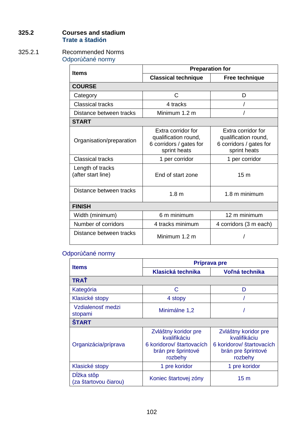# **325.2 Courses and stadium Trate a štadión**

# 325.2.1 Recommended Norms

Odporúčané normy

| <b>Items</b>                           | <b>Preparation for</b>                                                                |                                                                                       |  |  |
|----------------------------------------|---------------------------------------------------------------------------------------|---------------------------------------------------------------------------------------|--|--|
|                                        | <b>Classical technique</b>                                                            | Free technique                                                                        |  |  |
| <b>COURSE</b>                          |                                                                                       |                                                                                       |  |  |
| Category                               | C                                                                                     | D                                                                                     |  |  |
| <b>Classical tracks</b>                | 4 tracks                                                                              |                                                                                       |  |  |
| Distance between tracks                | Minimum 1.2 m                                                                         |                                                                                       |  |  |
| <b>START</b>                           |                                                                                       |                                                                                       |  |  |
| Organisation/preparation               | Extra corridor for<br>qualification round,<br>6 corridors / gates for<br>sprint heats | Extra corridor for<br>qualification round,<br>6 corridors / gates for<br>sprint heats |  |  |
| <b>Classical tracks</b>                | 1 per corridor                                                                        | 1 per corridor                                                                        |  |  |
| Length of tracks<br>(after start line) | End of start zone                                                                     | 15 <sub>m</sub>                                                                       |  |  |
| Distance between tracks                | 1.8 <sub>m</sub>                                                                      | 1.8 m minimum                                                                         |  |  |
| <b>FINISH</b>                          |                                                                                       |                                                                                       |  |  |
| Width (minimum)                        | 6 m minimum                                                                           | 12 m minimum                                                                          |  |  |
| Number of corridors                    | 4 tracks minimum                                                                      | 4 corridors (3 m each)                                                                |  |  |
| Distance between tracks                | Minimum 1.2 m                                                                         |                                                                                       |  |  |

# Odporúčané normy

| <b>Items</b>                        | Príprava pre                                                                                       |                                                                                                    |  |  |  |
|-------------------------------------|----------------------------------------------------------------------------------------------------|----------------------------------------------------------------------------------------------------|--|--|--|
|                                     | Klasická technika                                                                                  | Voľná technika                                                                                     |  |  |  |
| TRAŤ                                |                                                                                                    |                                                                                                    |  |  |  |
| Kategória                           | C                                                                                                  | D                                                                                                  |  |  |  |
| Klasické stopy                      | 4 stopy                                                                                            |                                                                                                    |  |  |  |
| Vzdialenosť medzi<br>stopami        | Minimálne 1,2                                                                                      |                                                                                                    |  |  |  |
| <b>START</b>                        |                                                                                                    |                                                                                                    |  |  |  |
| Organizácia/príprava                | Zvláštny koridor pre<br>kvalifikáciu<br>6 koridorov/ štartovacích<br>brán pre šprintové<br>rozbehy | Zvláštny koridor pre<br>kvalifikáciu<br>6 koridorov/ štartovacích<br>brán pre šprintové<br>rozbehy |  |  |  |
| Klasické stopy                      | 1 pre koridor                                                                                      | 1 pre koridor                                                                                      |  |  |  |
| Dĺžka stôp<br>(za štartovou čiarou) | Koniec štartovej zóny                                                                              | 15 <sub>m</sub>                                                                                    |  |  |  |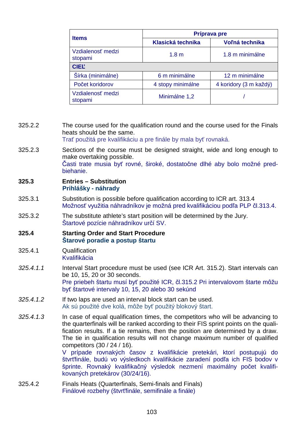| <b>Items</b>                 | Príprava pre                        |                        |  |  |
|------------------------------|-------------------------------------|------------------------|--|--|
|                              | Klasická technika                   | Voľná technika         |  |  |
| Vzdialenosť medzi<br>stopami | 1.8 m minimálne<br>1.8 <sub>m</sub> |                        |  |  |
| <b>CIEL</b>                  |                                     |                        |  |  |
| Šírka (minimálne)            | 6 m minimálne                       | 12 m minimálne         |  |  |
| Počet koridorov              | 4 stopy minimálne                   | 4 koridory (3 m každý) |  |  |
| Vzdialenosť medzi<br>stopami | Minimálne 1,2                       |                        |  |  |

325.2.2 The course used for the qualification round and the course used for the Finals heats should be the same.

Trať použitá pre kvalifikáciu a pre finále by mala byť rovnaká.

325.2.3 Sections of the course must be designed straight, wide and long enough to make overtaking possible. Časti trate musia byť rovné, široké, dostatočne dlhé aby bolo možné predbiehanie.

#### **325.3 Entries – Substitution Prihlášky - náhrady**

- 325.3.1 Substitution is possible before qualification according to ICR art. 313.4 Možnosť využitia náhradníkov je možná pred kvalifikáciou podľa PLP čl.313.4.
- 325.3.2 The substitute athlete's start position will be determined by the Jury. Štartové pozície náhradníkov určí SV.

#### **325.4 Starting Order and Start Procedure Štarové poradie a postup štartu**

- 325.4.1 Qualification Kvalifikácia
- 325.4.1.1 Interval Start procedure must be used (see ICR Art. 315.2). Start intervals can be 10, 15, 20 or 30 seconds. Pre priebeh štartu musí byť použité ICR, čl.315.2 Pri intervalovom štarte môžu byť štartové intervaly 10, 15, 20 alebo 30 sekúnd
- 325.4.1.2 If two laps are used an interval block start can be used. Ak sú použité dve kolá, môže byť použitý blokový štart.
- 325.4.1.3 In case of equal qualification times, the competitors who will be advancing to the quarterfinals will be ranked according to their FIS sprint points on the qualification results. If a tie remains, then the position are determined by a draw. The tie in qualification results will not change maximum number of qualified competitors (30 / 24 / 16).

V prípade rovnakých časov z kvalifikácie pretekári, ktorí postupujú do štvrťfinále, budú vo výsledkoch kvalifikácie zaradení podľa ich FIS bodov v šprinte. Rovnaký kvalifikačný výsledok nezmení maximálny počet kvalifikovaných pretekárov (30/24/16).

325.4.2 Finals Heats (Quarterfinals, Semi-finals and Finals) Finálové rozbehy (štvrťfinále, semifinále a finále)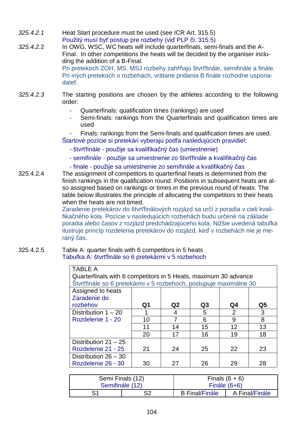- 325.4.2.1 Heat Start procedure must be used (see ICR Art. 315.5) Použitý musí byť postup pre rozbehy (viď PLP čl. 315.5)
- 325.4.2.2 In OWG, WSC, WC heats will include quarterfinals, semi-finals and the A-Final. In other competitions the heats will be decided by the organiser including the addition of a B-Final. Pri pretekoch ZOH, MS, MSJ rozbehy zahŕňajú štvrťfinále, semifinále a finále. Pri iných pretekoch o rozbehách, vrátane pridania B finále rozhodne usporiadateľ.
- 325.4.2.3 The starting positions are chosen by the athletes according to the following order:
	- Quarterfinals: qualification times (rankings) are used
	- Semi-finals: rankings from the Quarterfinals and qualification times are used
	- Finals: rankings from the Semi-finals and qualification times are used. Štartové pozície si pretekári vyberajú podľa nasledujúcich pravidiel:
		- štvrťfinále použije sa kvalifikačný čas (umiestnenie)
		- semifinále použije sa umiestnenie zo štvrťfinále a kvalifikačný čas
		- finale použije sa umiestnenie zo semifinále a kvalifikačný čas
- 325.4.2.4 The assignment of competitors to quarterfinal heats is determined from the finish rankings in the qualification round. Positions in subsequent heats are also assigned based on rankings or times in the previous round of heats. The table below illustrates the principle of allocating the competitors to their heats when the heats are not timed.

Zaradenie pretekárov do štvrťfinálových rozjázd sa určí z poradia v cieli kvalifikačného kola. Pozície v nasledujúcich rozbehách budú určené na základe poradia alebo časov z rozjázd predchádzajúceho kola. Nižšie uvedená tabuľka ilustruje princíp rozdelenia pretekárov do rozjázd, keď v rozbehách nie je meraný čas.

#### 325.4.2.5 Table A: quarter finals with 6 competitors in 5 heats Tabuľka A: štvrťfinále so 6 pretekármi v 5 rozbehoch

| <b>TABLE A</b>                                                    |                                                                 |                |    |                |    |
|-------------------------------------------------------------------|-----------------------------------------------------------------|----------------|----|----------------|----|
|                                                                   | Quarterfinals with 6 competitors in 5 Heats, maximum 30 advance |                |    |                |    |
| Štvrťfinále so 6 pretekármi v 5 rozbehoch, postupuje maximálne 30 |                                                                 |                |    |                |    |
| Assigned to heats                                                 |                                                                 |                |    |                |    |
| Zaradenie do                                                      |                                                                 |                |    |                |    |
| rozbehov                                                          | Q1                                                              | Q <sub>2</sub> | Q3 | Q4             | Q5 |
| Distribution $1 - 20$                                             |                                                                 | 4              | 5  | $\overline{2}$ | 3  |
| Rozdelenie 1 - 20                                                 | 10                                                              | 7              | 6  | 9              | 8  |
|                                                                   | 11                                                              | 14             | 15 | 12             | 13 |
|                                                                   | 20                                                              | 17             | 16 | 19             | 18 |
| Distribution $21 - 25$                                            |                                                                 |                |    |                |    |
| Rozdelenie 21 - 25                                                | 21                                                              | 24             | 25 | 22             | 23 |
| Distribution 26 - 30                                              |                                                                 |                |    |                |    |
| Rozdelenie 26 - 30                                                | 30                                                              | 27             | 26 | 29             | 28 |

| Semi Finals (12) |    | Finals $(6 + 6)$      |                |
|------------------|----|-----------------------|----------------|
| Semifinále (12)  |    | Finále $(6+6)$        |                |
| S1               | ິດ | <b>B</b> Final/Finale | A Final/Finále |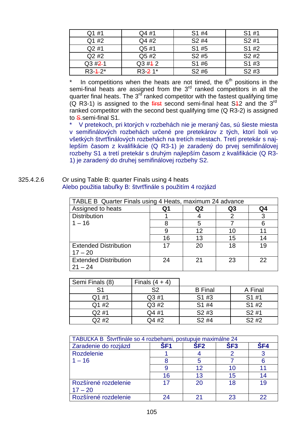| Q1 #1       | Q4 #1       | S1 #4             | S1 #1             |
|-------------|-------------|-------------------|-------------------|
| Q1 #2       | Q4 #2       | S2#4              | S2#1              |
| Q2 #1       | Q5 #1       | S1 #5             | S1 #2             |
| Q2 #2       | Q5 #2       | S <sub>2</sub> #5 | S <sub>2</sub> #2 |
| $Q3#2-1$    | $Q3 \#12$   | S1 #6             | S1 #3             |
| $R3 - 12^*$ | $R3 - 21$ * | S <sub>2</sub> #6 | S2#3              |

In competitions when the heats are not timed, the  $6<sup>th</sup>$  positions in the semi-final heats are assigned from the 3<sup>rd</sup> ranked competitors in all the quarter final heats. The  $3^{rd}$  ranked competitor with the fastest qualifying time (Q R3-1) is assigned to the *first* second semi-final heat  $S42$  and the  $3<sup>rd</sup>$ ranked competitor with the second best qualifying time (Q R3-2) is assigned to S.semi-final S1.

V pretekoch, pri ktorých v rozbehách nie je meraný čas, sú šieste miesta v semifinálových rozbehách určené pre pretekárov z tých, ktorí boli vo všetkých štvrťfinálových rozbehách na tretích miestach. Tretí pretekár s najlepším časom z kvalifikácie (Q R3-1) je zaradený do prvej semifinálovej rozbehy S1 a tretí pretekár s druhým najlepším časom z kvalifikácie (Q R3- 1) je zaradený do druhej semifinálovej rozbehy S2.

#### 325.4.2.6 Or using Table B: quarter Finals using 4 heats Alebo použitia tabuľky B: štvrťfinále s použitím 4 rozjázd

| TABLE B Quarter Finals using 4 Heats, maximum 24 advance |    |                   |    |    |
|----------------------------------------------------------|----|-------------------|----|----|
| Assigned to heats                                        | Q1 | Q2                | Q3 | Q4 |
| <b>Distribution</b>                                      |    |                   | 2  |    |
| $1 - 16$                                                 | 8  | 5                 |    |    |
|                                                          |    | $12 \overline{ }$ | 10 |    |
|                                                          | 16 | 13                | 15 | 14 |
| <b>Extended Distribution</b>                             | 17 | 20                | 18 | 19 |
| $17 - 20$                                                |    |                   |    |    |
| <b>Extended Distribution</b>                             | 24 | 21                | 23 | 22 |
| $21 - 24$                                                |    |                   |    |    |

| Semi Finals (8) | Finals $(4 + 4)$ |                   |                   |
|-----------------|------------------|-------------------|-------------------|
| S <sub>1</sub>  | S <sub>2</sub>   | <b>B</b> Final    | A Final           |
| Q1 #1           | Q3#1             | S1 #3             | S1 #1             |
| Q1 #2           | Q3 #2            | S1 #4             | S1 #2             |
| Q2#1            | Q4 #1            | S <sub>2</sub> #3 | S2#1              |
| Q2 #2           | Q4 #2            | S <sub>2</sub> #4 | S <sub>2</sub> #2 |

| TABUĽKA B Štvrťfinále so 4 rozbehami, postupuje maximálne 24 |     |                 |                 |                 |  |
|--------------------------------------------------------------|-----|-----------------|-----------------|-----------------|--|
| Zaradenie do rozjázd                                         | SF1 | SF <sub>2</sub> | SF <sub>3</sub> | SF <sub>4</sub> |  |
| Rozdelenie                                                   |     |                 |                 |                 |  |
| $1 - 16$                                                     |     | 5               |                 |                 |  |
|                                                              |     | 12              |                 |                 |  |
|                                                              | 16  | 13              | 15              |                 |  |
| Rozšírené rozdelenie<br>$17 - 20$                            | 17  | 20              | 18              | 19              |  |
|                                                              |     |                 |                 |                 |  |
| Rozšírené rozdelenie                                         | 24  | 21              | 23              | 22              |  |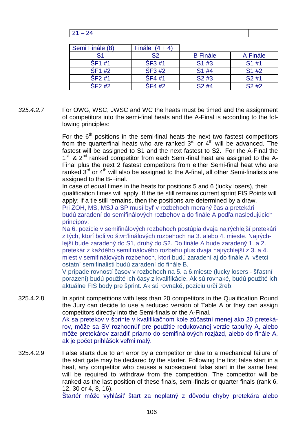| Semi Finále (8) | Finále $(4 + 4)$ |                   |          |
|-----------------|------------------|-------------------|----------|
| S1              | S <sub>2</sub>   | <b>B</b> Finále   | A Finále |
| <b>SF1#1</b>    | <b>SF3#1</b>     | S <sub>1</sub> #3 | S1#1     |
| ŠF1 #2          | SF3#2            | S1 #4             | S1 #2    |
| SF2#1           | <b>SF4#1</b>     | S2#3              | S2#1     |
| SF2#2           | <b>SF4#2</b>     | S <sub>2</sub> #4 | S2#2     |

325.4.2.7 For OWG, WSC, JWSC and WC the heats must be timed and the assignment of competitors into the semi-final heats and the A-Final is according to the following principles:

> For the  $6<sup>th</sup>$  positions in the semi-final heats the next two fastest competitors from the quarterfinal heats who are ranked  $3<sup>rd</sup>$  or  $4<sup>th</sup>$  will be advanced. The fastest will be assigned to S1 and the next fastest to S2. For the A-Final the 1<sup>st</sup> & 2<sup>nd</sup> ranked competitor from each Semi-final heat are assigned to the A-Final plus the next 2 fastest competitors from either Semi-final heat who are ranked  $3^{rd}$  or  $4^{th}$  will also be assigned to the A-final, all other Semi-finalists are assigned to the B-Final.

> In case of equal times in the heats for positions 5 and 6 (lucky losers), their qualification times will apply. If the tie still remains current sprint FIS Points will apply; if a tie still remains, then the positions are determined by a draw. Pri ZOH, MS, MSJ a SP musí byť v rozbehoch meraný čas a pretekári

budú zaradení do semifinálových rozbehov a do finále A podľa nasledujúcich princípov:

Na 6. pozície v semifinálových rozbehoch postúpia dvaja najrýchlejší pretekári z tých, ktorí boli vo štvrťfinálových rozbehoch na 3. alebo 4. mieste. Najrýchlejší bude zaradený do S1, druhý do S2. Do finále A bude zaradený 1. a 2. pretekár z každého semifinálového rozbehu plus dvaja najrýchlejší z 3. a 4. miest v semifinálových rozbehoch, ktorí budú zaradení aj do finále A, všetci ostatní semifinalisti budú zaradení do finále B.

V prípade rovností časov v rozbehoch na 5. a 6.mieste (lucky losers - šťastní porazení) budú použité ich časy z kvalifikácie. Ak sú rovnaké, budú použité ich aktuálne FIS body pre šprint. Ak sú rovnaké, pozíciu určí žreb.

- 325.4.2.8 In sprint competitions with less than 20 competitors in the Qualification Round the Jury can decide to use a reduced version of Table A or they can assign competitors directly into the Semi-finals or the A-Final. Ak sa pretekov v šprinte v kvalifikačnom kole zúčastní menej ako 20 pretekárov, môže sa SV rozhodnúť pre použitie redukovanej verzie tabuľky A, alebo môže pretekárov zaradiť priamo do semifinálových rozjázd, alebo do finále A, ak je počet prihlášok veľmi malý.
- 325.4.2.9 False starts due to an error by a competitor or due to a mechanical failure of the start gate may be declared by the starter. Following the first false start in a heat, any competitor who causes a subsequent false start in the same heat will be required to withdraw from the competition. The competitor will be ranked as the last position of these finals, semi-finals or quarter finals (rank 6, 12, 30 or 4, 8, 16).

Štartér môže vyhlásiť štart za neplatný z dôvodu chyby pretekára alebo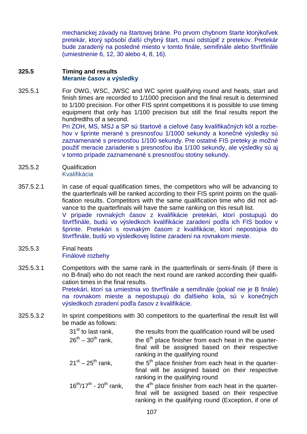mechanickej závady na štartovej bráne. Po prvom chybnom štarte ktorýkoľvek pretekár, ktorý spôsobí ďalší chybný štart, musí odstúpiť z pretekov. Pretekár bude zaradený na posledné miesto v tomto finále, semifinále alebo štvrťfinále (umiestnenie 6, 12, 30 alebo 4, 8, 16).

### **325.5 Timing and results Meranie časov a výsledky**

325.5.1 For OWG, WSC, JWSC and WC sprint qualifying round and heats, start and finish times are recorded to 1/1000 precision and the final result is determined to 1/100 precision. For other FIS sprint competitions it is possible to use timing equipment that only has 1/100 precision but still the final results report the hundredths of a second.

> Pri ZOH, MS, MSJ a SP sú štartové a cieľové časy kvalifikačných kôl a rozbehov v šprinte merané s presnosťou 1/1000 sekundy a konečné výsledky sú zaznamenané s presnosťou 1/100 sekundy. Pre ostatné FIS preteky je možné použiť meracie zariadenie s presnosťou iba 1/100 sekundy, ale výsledky sú aj v tomto prípade zaznamenané s presnosťou stotiny sekundy.

- 325.5.2 Qualification Kvalifikácia
- 357.5.2.1 In case of equal qualification times, the competitors who will be advancing to the quarterfinals will be ranked according to their FIS sprint points on the qualification results. Competitors with the same qualification time who did not advance to the quarterfinals will have the same ranking on this result list. V prípade rovnakých časov z kvalifikácie pretekári, ktorí postupujú do štvrťfinále, budú vo výsledkoch kvalifikácie zaradení podľa ich FIS bodov v šprinte. Pretekári s rovnakým časom z kvalifikácie, ktorí nepostúpia do štvrťfinále, budú vo výsledkovej listine zaradení na rovnakom mieste.
- 325.5.3 Final heats Finálové rozbehy
- 325.5.3.1 Competitors with the same rank in the quarterfinals or semi-finals (if there is no B-final) who do not reach the next round are ranked according their qualification times in the final results. Pretekári, ktorí sa umiestnia vo štvrťfinále a semifinále (pokiaľ nie je B finále) na rovnakom mieste a nepostupujú do ďalšieho kola, sú v konečných výsledkoch zoradení podľa časov z kvalifikácie.
- 325.5.3.2 In sprint competitions with 30 competitors to the quarterfinal the result list will be made as follows:

| 31 <sup>st</sup> to last rank,<br>$26^{th} - 30^{th}$ rank, | the results from the qualification round will be used<br>the 6 <sup>th</sup> place finisher from each heat in the quarter-<br>final will be assigned based on their respective<br>ranking in the qualifying round |
|-------------------------------------------------------------|-------------------------------------------------------------------------------------------------------------------------------------------------------------------------------------------------------------------|
| $21^{st} - 25^{th}$ rank,                                   | the 5 <sup>th</sup> place finisher from each heat in the quarter-<br>final will be assigned based on their respective<br>ranking in the qualifying round                                                          |
| $16^{th}/17^{th}$ - $20^{th}$ rank,                         | the 4 <sup>th</sup> place finisher from each heat in the quarter-<br>final will be assigned based on their respective<br>ranking in the qualifying round (Exception, if one of                                    |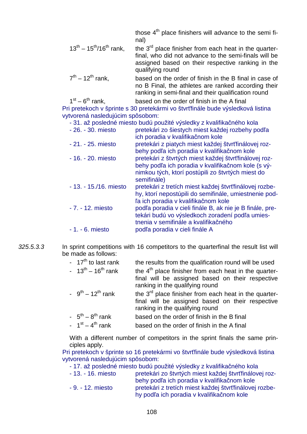those  $4<sup>th</sup>$  place finishers will advance to the semi final)

- $13<sup>th</sup> 15<sup>th</sup>/16<sup>th</sup>$  rank, the  $3<sup>rd</sup>$  place finisher from each heat in the quarterfinal, who did not advance to the semi-finals will be assigned based on their respective ranking in the qualifying round
- $7<sup>th</sup> 12<sup>th</sup>$  rank. based on the order of finish in the B final in case of no B Final, the athletes are ranked according their ranking in semi-final and their qualification round

 $1<sup>st</sup> - 6<sup>th</sup>$  rank. based on the order of finish in the A final Pri pretekoch v šprinte s 30 pretekármi vo štvrťfinále bude výsledková listina vytvorená nasledujúcim spôsobom:

- 31. až posledné miesto budú použité výsledky z kvalifikačného kola - 26. - 30. miesto pretekári zo šiestych miest každej rozbehy podľa ich poradia v kvalifikačnom kole - 21. - 25. miesto pretekári z piatych miest každej štvrťfinálovej rozbehy podľa ich poradia v kvalifikačnom kole - 16. - 20. miesto pretekári z štvrtých miest každej štvrťfinálovej rozbehy podľa ich poradia v kvalifikačnom kole (s výnimkou tých, ktorí postúpili zo štvrtých miest do semifinále) - 13. - 15./16. miesto pretekári z tretích miest každej štvrťfinálovej rozbehy, ktorí nepostúpili do semifinále, umiestnenie podľa ich poradia v kvalifikačnom kole - 7. - 12. miesto podľa poradia v cieli finále B, ak nie je B finále, pretekári budú vo výsledkoch zoradení podľa umiestnenia v semifinále a kvalifikačného - 1. - 6. miesto podľa poradia v cieli finále A

325.5.3.3 In sprint competitions with 16 competitors to the quarterfinal the result list will be made as follows:

| $-17th$ to last rank | the results from the qualification round will be used |
|----------------------|-------------------------------------------------------|
|                      |                                                       |

- $13<sup>th</sup> 16<sup>th</sup>$  rank the 4<sup>th</sup> place finisher from each heat in the quarterfinal will be assigned based on their respective ranking in the qualifying round
- $9<sup>th</sup> 12<sup>th</sup>$  rank the 3<sup>rd</sup> place finisher from each heat in the quarterfinal will be assigned based on their respective ranking in the qualifying round
- $-5<sup>th</sup> 8<sup>th</sup>$  rank based on the order of finish in the B final
- $1^{st} 4^{th}$  rank based on the order of finish in the A final

With a different number of competitors in the sprint finals the same principles apply.

Pri pretekoch v šprinte so 16 pretekármi vo štvrťfinále bude výsledková listina vytvorená nasledujúcim spôsobom:

- 17. až posledné miesto budú použité výsledky z kvalifikačného kola
- 13. 16. miesto pretekári zo štvrtých miest každej štvrťfinálovej rozbehy podľa ich poradia v kvalifikačnom kole - 9. - 12. miesto pretekári z tretích miest každej štvrťfinálovej rozbehy podľa ich poradia v kvalifikačnom kole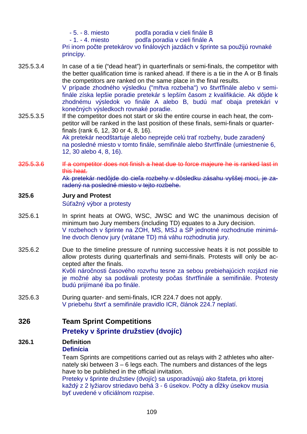- 5. - 8. miesto podľa poradia v cieli finále B - 1. - 4. miesto podľa poradia v cieli finále A Pri inom počte pretekárov vo finálových jazdách v šprinte sa použijú rovnaké princípy.

- 325.5.3.4 In case of a tie ("dead heat") in quarterfinals or semi-finals, the competitor with the better qualification time is ranked ahead. If there is a tie in the A or B finals the competitors are ranked on the same place in the final results. V prípade zhodného výsledku ("mŕtva rozbeha") vo štvrťfinále alebo v semifinále získa lepšie poradie pretekár s lepším časom z kvalifikácie. Ak dôjde k zhodnému výsledok vo finále A alebo B, budú mať obaja pretekári v konečných výsledkoch rovnaké poradie.
- 325.5.3.5 If the competitor does not start or ski the entire course in each heat, the competitor will be ranked in the last position of these finals, semi-finals or quarterfinals (rank 6, 12, 30 or 4, 8, 16). Ak pretekár neodštartuje alebo neprejde celú trať rozbehy, bude zaradený na posledné miesto v tomto finále, semifinále alebo štvrťfinále (umiestnenie 6,
- 325.5.3.6 If a competitor does not finish a heat due to force majeure he is ranked last in this heat. Ak pretekár nedôjde do cieľa rozbehy v dôsledku zásahu vyššej moci, je zaradený na posledné miesto v tejto rozbehe.

### **325.6 Jury and Protest**

Súťažný výbor a protesty

12, 30 alebo 4, 8, 16).

- 325.6.1 In sprint heats at OWG, WSC, JWSC and WC the unanimous decision of minimum two Jury members (including TD) equates to a Jury decision. V rozbehoch v šprinte na ZOH, MS, MSJ a SP jednotné rozhodnutie minimálne dvoch členov jury (vrátane TD) má váhu rozhodnutia jury.
- 325.6.2 Due to the timeline pressure of running successive heats it is not possible to allow protests during quarterfinals and semi-finals. Protests will only be accepted after the finals. Kvôli náročnosti časového rozvrhu tesne za sebou prebiehajúcich rozjázd nie

je možné aby sa podávali protesty počas štvrťfinále a semifinále. Protesty budú prijímané iba po finále.

325.6.3 During quarter- and semi-finals, ICR 224.7 does not apply. V priebehu štvrť a semifinále pravidlo ICR, článok 224.7 neplatí.

**326 Team Sprint Competitions** 

## **Preteky v šprinte družstiev (dvojíc)**

#### **326.1 Definition Definícia**

Team Sprints are competitions carried out as relays with 2 athletes who alternately ski between 3 – 6 legs each. The numbers and distances of the legs have to be published in the official invitation.

Preteky v šprinte družstiev (dvojíc) sa usporadúvajú ako štafeta, pri ktorej každý z 2 lyžiarov striedavo behá 3 - 6 úsekov. Počty a dĺžky úsekov musia byť uvedené v oficiálnom rozpise.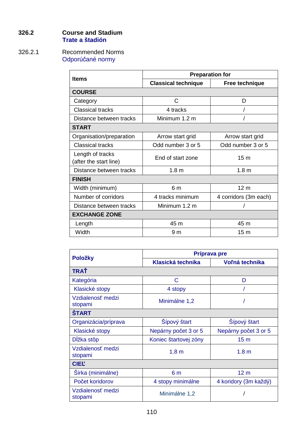### **326.2 Course and Stadium Trate a štadión**

### 326.2.1 Recommended Norms Odporúčané normy

| <b>Items</b>             |                            | <b>Preparation for</b> |  |
|--------------------------|----------------------------|------------------------|--|
|                          | <b>Classical technique</b> | <b>Free technique</b>  |  |
| <b>COURSE</b>            |                            |                        |  |
| Category                 | C                          | D                      |  |
| <b>Classical tracks</b>  | 4 tracks                   |                        |  |
| Distance between tracks  | Minimum 1.2 m              |                        |  |
| <b>START</b>             |                            |                        |  |
| Organisation/preparation | Arrow start grid           | Arrow start grid       |  |
| <b>Classical tracks</b>  | Odd number 3 or 5          | Odd number 3 or 5      |  |
| Length of tracks         | End of start zone          | 15 <sub>m</sub>        |  |
| (after the start line)   |                            |                        |  |
| Distance between tracks  | 1.8 <sub>m</sub>           | 1.8 <sub>m</sub>       |  |
| <b>FINISH</b>            |                            |                        |  |
| Width (minimum)          | 6 m                        | 12 <sub>m</sub>        |  |
| Number of corridors      | 4 tracks minimum           | 4 corridors (3m each)  |  |
| Distance between tracks  | Minimum 1.2 m              |                        |  |
| <b>EXCHANGE ZONE</b>     |                            |                        |  |
| Length                   | 45 m                       | 45 m                   |  |
| Width                    | 9 <sub>m</sub>             | 15 <sub>m</sub>        |  |

|                              | Príprava pre          |                       |  |  |  |
|------------------------------|-----------------------|-----------------------|--|--|--|
| <b>Položky</b>               | Klasická technika     | Voľná technika        |  |  |  |
| TRAŤ                         |                       |                       |  |  |  |
| Kategória                    | C                     | D                     |  |  |  |
| Klasické stopy               | 4 stopy               |                       |  |  |  |
| Vzdialenosť medzi<br>stopami | Minimálne 1,2         |                       |  |  |  |
| <b>START</b>                 |                       |                       |  |  |  |
| Organizácia/príprava         | Sípový štart          | Šípový štart          |  |  |  |
| Klasické stopy               | Nepárny počet 3 or 5  | Nepárny počet 3 or 5  |  |  |  |
| Dĺžka stôp                   | Koniec štartovej zóny | 15 <sub>m</sub>       |  |  |  |
| Vzdialenosť medzi<br>stopami | 1.8 <sub>m</sub>      | 1.8 <sub>m</sub>      |  |  |  |
| <b>CIEL</b>                  |                       |                       |  |  |  |
| Šírka (minimálne)            | 6 <sub>m</sub>        | 12 <sub>m</sub>       |  |  |  |
| Počet koridorov              | 4 stopy minimálne     | 4 koridory (3m každý) |  |  |  |
| Vzdialenosť medzi<br>stopami | Minimálne 1,2         |                       |  |  |  |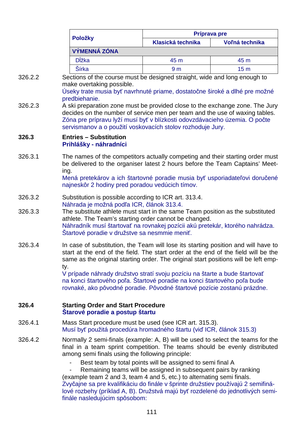|         |                                                                                                                                                                                                                                                                                                         | Príprava pre                                                                                                                                                                                                                                                             |                 |  |  |  |  |  |
|---------|---------------------------------------------------------------------------------------------------------------------------------------------------------------------------------------------------------------------------------------------------------------------------------------------------------|--------------------------------------------------------------------------------------------------------------------------------------------------------------------------------------------------------------------------------------------------------------------------|-----------------|--|--|--|--|--|
|         | Položky                                                                                                                                                                                                                                                                                                 | Klasická technika                                                                                                                                                                                                                                                        | Voľná technika  |  |  |  |  |  |
|         | <b>VÝMENNÁ ZÓNA</b>                                                                                                                                                                                                                                                                                     |                                                                                                                                                                                                                                                                          |                 |  |  |  |  |  |
|         | <b>D</b> ĺžka                                                                                                                                                                                                                                                                                           | 45 m                                                                                                                                                                                                                                                                     | 45 m            |  |  |  |  |  |
|         | Šírka                                                                                                                                                                                                                                                                                                   | 9 <sub>m</sub>                                                                                                                                                                                                                                                           | 15 <sub>m</sub> |  |  |  |  |  |
| 326.2.2 | Sections of the course must be designed straight, wide and long enough to<br>make overtaking possible.<br>Úseky trate musia byť navrhnuté priame, dostatočne široké a dlhé pre možné<br>predbiehanie.                                                                                                   |                                                                                                                                                                                                                                                                          |                 |  |  |  |  |  |
| 326.2.3 | A ski preparation zone must be provided close to the exchange zone. The Jury<br>decides on the number of service men per team and the use of waxing tables.<br>Zóna pre prípravu lyží musí byť v blízkosti odovzdávacieho územia. O počte<br>servismanov a o použití voskovacích stolov rozhoduje Jury. |                                                                                                                                                                                                                                                                          |                 |  |  |  |  |  |
| 326.3   | <b>Entries - Substitution</b><br>Prihlášky - náhradníci                                                                                                                                                                                                                                                 |                                                                                                                                                                                                                                                                          |                 |  |  |  |  |  |
| 326.3.1 | The names of the competitors actually competing and their starting order must<br>be delivered to the organiser latest 2 hours before the Team Captains' Meet-<br>ing.<br>Mená pretekárov a ich štartovné poradie musia byť usporiadateľovi doručené<br>najneskôr 2 hodiny pred poradou vedúcich tímov.  |                                                                                                                                                                                                                                                                          |                 |  |  |  |  |  |
| 326.3.2 |                                                                                                                                                                                                                                                                                                         | Substitution is possible according to ICR art. 313.4.<br>Náhrada je možná podľa ICR, článok 313.4.                                                                                                                                                                       |                 |  |  |  |  |  |
| 326.3.3 |                                                                                                                                                                                                                                                                                                         | The substitute athlete must start in the same Team position as the substituted<br>athlete. The Team's starting order cannot be changed.<br>Náhradník musí štartovať na rovnakej pozícii akú pretekár, ktorého nahrádza.<br>Startové poradie v družstve sa nesmmie meniť. |                 |  |  |  |  |  |
| 326.3.4 | In case of substitution, the Team will lose its starting position and will have to<br>start at the end of the field. The start order at the end of the field will be the<br>same as the original starting order. The original start positions will be left emp-<br>ty.                                  |                                                                                                                                                                                                                                                                          |                 |  |  |  |  |  |
|         | V prípade náhrady družstvo stratí svoju pozíciu na štarte a bude štartovať<br>na konci štartového poľa. Štartové poradie na konci štartového poľa bude<br>rovnaké, ako pôvodné poradie. Pôvodné štartové pozície zostanú prázdne.                                                                       |                                                                                                                                                                                                                                                                          |                 |  |  |  |  |  |
| 326.4   | <b>Starting Order and Start Procedure</b><br>Starové poradie a postup štartu                                                                                                                                                                                                                            |                                                                                                                                                                                                                                                                          |                 |  |  |  |  |  |
| 326.4.1 | Mass Start procedure must be used (see ICR art. 315.3).<br>Musí byť použitá procedúra hromadného štartu (viď ICR, článok 315.3)                                                                                                                                                                         |                                                                                                                                                                                                                                                                          |                 |  |  |  |  |  |
| 326.4.2 | Normally 2 semi-finals (example: A, B) will be used to select the teams for the<br>final in a team sprint competition. The teams should be evenly distributed<br>among semi finals using the following principle:                                                                                       |                                                                                                                                                                                                                                                                          |                 |  |  |  |  |  |
|         | (example team 2 and 3, team 4 and 5, etc.) to alternating semi finals.<br>Zvyčajne sa pre kvalifikáciu do finále v šprinte družstiev používajú 2 semifiná-<br>lové rozbehy (príklad A, B). Družstvá majú byť rozdelené do jednotlivých semi-<br>finále nasledujúcim spôsobom:                           | Best team by total points will be assigned to semi final A<br>Remaining teams will be assigned in subsequent pairs by ranking                                                                                                                                            |                 |  |  |  |  |  |

**326.3 Entries – Substitution** 

**326.4 Starting Order and Start Procedure**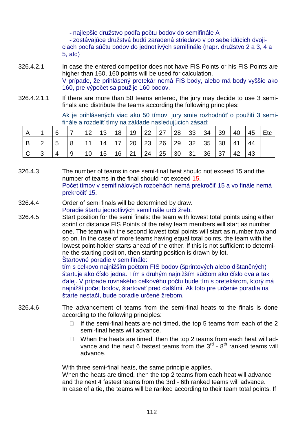- najlepšie družstvo podľa počtu bodov do semifinále A

- zostávajúce družstvá budú zaradená striedavo v po sebe idúcich dvojiciach podľa súčtu bodov do jednotlivých semifinále (napr. družstvo 2 a 3, 4 a 5, atd)

- 326.4.2.1 In case the entered competitor does not have FIS Points or his FIS Points are higher than 160, 160 points will be used for calculation. V prípade, že prihlásený pretekár nemá FIS body, alebo má body vyššie ako 160, pre výpočet sa použije 160 bodov.
- 326.4.2.1.1 If there are more than 50 teams entered, the jury may decide to use 3 semifinals and distribute the teams according the following principles:

 Ak je prihlásených viac ako 50 tímov, jury smie rozhodnúť o použití 3 semifinále a rozdeliť tímy na základe nasledujúcich zásad:

|   |    |    | 12 <sup>2</sup> |              | 13   18   19   22   27   28   33   34 |          |            |    | $ 39\rangle$ | 40 | 45 | Etc |
|---|----|----|-----------------|--------------|---------------------------------------|----------|------------|----|--------------|----|----|-----|
| B | -5 | 8  | 11              | 14           | 17   20   23   26   29                |          | 32         | 35 | 38           | 41 | 44 |     |
|   | 4  | ∣9 | $ 10\rangle$    | 15   16   21 |                                       | 24 25 30 | $\vert$ 31 | 36 | 37           | 42 | 43 |     |

- 326.4.3 The number of teams in one semi-final heat should not exceed 15 and the number of teams in the final should not exceed 15. Počet tímov v semifinálových rozbehách nemá prekročiť 15 a vo finále nemá prekročiť 15.
- 326.4.4 Order of semi finals will be determined by draw. Poradie štartu jednotlivých semifinále určí žreb.
- 326.4.5 Start position for the semi finals: the team with lowest total points using either sprint or distance FIS Points of the relay team members will start as number one. The team with the second lowest total points will start as number two and so on. In the case of more teams having equal total points, the team with the lowest point-holder starts ahead of the other. If this is not sufficient to determine the starting position, then starting position is drawn by lot. Štartovné poradie v semifinále:

tím s celkovo najnižším počtom FIS bodov (šprintových alebo dištančných) štartuje ako číslo jedna. Tím s druhým najnižším súčtom ako číslo dva a tak ďalej. V prípade rovnakého celkového počtu bude tím s pretekárom, ktorý má najnižší počet bodov, štartovať pred ďalšími. Ak toto pre určenie poradia na štarte nestačí, bude poradie určené žrebom.

- 326.4.6 The advancement of teams from the semi-final heats to the finals is done according to the following principles:
	- $\Box$  If the semi-final heats are not timed, the top 5 teams from each of the 2 semi-final heats will advance.
	- $\Box$  When the heats are timed, then the top 2 teams from each heat will advance and the next 6 fastest teams from the  $3<sup>rd</sup>$  -  $8<sup>th</sup>$  ranked teams will advance.

With three semi-final heats, the same principle applies.

When the heats are timed, then the top 2 teams from each heat will advance and the next 4 fastest teams from the 3rd - 6th ranked teams will advance. In case of a tie, the teams will be ranked according to their team total points. If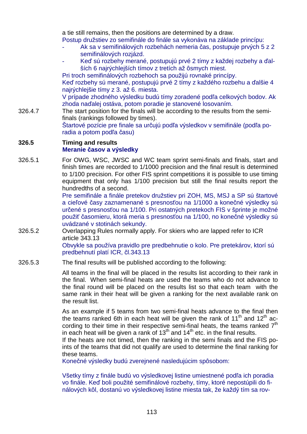a tie still remains, then the positions are determined by a draw. Postup družstiev zo semifinále do finále sa vykonáva na základe princípu:

- Ak sa v semifinálových rozbehách nemeria čas, postupuje prvých 5 z 2 semifinálových rozjázd.
- Keď sú rozbehy merané, postupujú prvé 2 tímy z každej rozbehy a ďalších 6 najrýchlejších tímov z tretích až ôsmych miest.

Pri troch semifinálových rozbehoch sa použijú rovnaké princípy.

Keď rozbehy sú merané, postupujú prvé 2 tímy z každého rozbehu a ďalšie 4 najrýchlejšie tímy z 3. až 6. miesta.

V prípade zhodného výsledku budú tímy zoradené podľa celkových bodov. Ak zhoda naďalej ostáva, potom poradie je stanovené losovaním.

326.4.7 The start position for the finals will be according to the results from the semifinals (rankings followed by times).

Štartové pozície pre finale sa určujú podľa výsledkov v semifinále (podľa poradia a potom podľa času)

#### **326.5 Timing and results Meranie časov a výsledky**

326.5.1 For OWG, WSC, JWSC and WC team sprint semi-finals and finals, start and finish times are recorded to 1/1000 precision and the final result is determined to 1/100 precision. For other FIS sprint competitions it is possible to use timing equipment that only has 1/100 precision but still the final results report the hundredths of a second.

Pre semifinále a finále pretekov družstiev pri ZOH, MS, MSJ a SP sú štartové a cieľové časy zaznamenané s presnosťou na 1/1000 a konečné výsledky sú určené s presnosťou na 1/100. Pri ostatných pretekoch FIS v šprinte je možné použiť časomieru, ktorá meria s presnosťou na 1/100, no konečné výsledky sú uvádzané v stotinách sekundy.

326.5.2 Overlapping Rules normally apply. For skiers who are lapped refer to ICR article 343.13

Obvykle sa používa pravidlo pre predbehnutie o kolo. Pre pretekárov, ktorí sú predbehnutí platí ICR, čl.343.13

326.5.3 The final results will be published according to the following:

 All teams in the final will be placed in the results list according to their rank in the final. When semi-final heats are used the teams who do not advance to the final round will be placed on the results list so that each team with the same rank in their heat will be given a ranking for the next available rank on the result list.

As an example if 5 teams from two semi-final heats advance to the final then the teams ranked 6th in each heat will be given the rank of  $11<sup>th</sup>$  and  $12<sup>th</sup>$  according to their time in their respective semi-final heats, the teams ranked  $7<sup>th</sup>$ in each heat will be given a rank of  $13<sup>th</sup>$  and  $14<sup>th</sup>$  etc. in the final results.

If the heats are not timed, then the ranking in the semi finals and the FIS points of the teams that did not qualify are used to determine the final ranking for these teams.

Konečné výsledky budú zverejnené nasledujúcim spôsobom:

Všetky tímy z finále budú vo výsledkovej listine umiestnené podľa ich poradia vo finále. Keď boli použité semifinálové rozbehy, tímy, ktoré nepostúpili do finálových kôl, dostanú vo výsledkovej listine miesta tak, že každý tím sa rov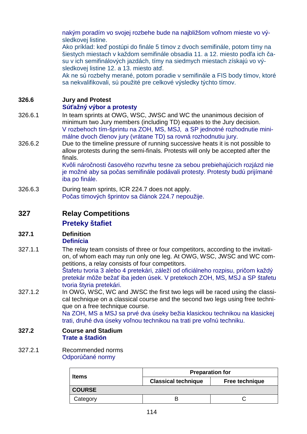nakým poradím vo svojej rozbehe bude na najbližšom voľnom mieste vo výsledkovej listine.

Ako príklad: keď postúpi do finále 5 tímov z dvoch semifinále, potom tímy na šiestych miestach v každom semifinále obsadia 11. a 12. miesto podľa ich času v ich semifinálových jazdách, tímy na siedmych miestach získajú vo výsledkovej listine 12. a 13. miesto atď.

Ak ne sú rozbehy merané, potom poradie v semifinále a FIS body tímov, ktoré sa nekvalifikovali, sú použité pre celkové výsledky týchto tímov.

### **326.6 Jury and Protest**

### **Súťažný výbor a protesty**

- 326.6.1 In team sprints at OWG, WSC, JWSC and WC the unanimous decision of minimum two Jury members (including TD) equates to the Jury decision. V rozbehoch tím-šprintu na ZOH, MS, MSJ, a SP jednotné rozhodnutie minimálne dvoch členov jury (vrátane TD) sa rovná rozhodnutiu jury.
- 326.6.2 Due to the timeline pressure of running successive heats it is not possible to allow protests during the semi-finals. Protests will only be accepted after the finals.

Kvôli náročnosti časového rozvrhu tesne za sebou prebiehajúcich rozjázd nie je možné aby sa počas semifinále podávali protesty. Protesty budú prijímané iba po finále.

326.6.3 During team sprints, ICR 224.7 does not apply. Počas tímových šprintov sa článok 224.7 nepoužije.

## **327 Relay Competitions**

### **Preteky štafiet**

#### **327.1 Definition Definícia**

327.1.1 The relay team consists of three or four competitors, according to the invitation, of whom each may run only one leg. At OWG, WSC, JWSC and WC competitions, a relay consists of four competitors.

Štafetu tvoria 3 alebo 4 pretekári, záleží od oficiálneho rozpisu, pričom každý pretekár môže bežať iba jeden úsek. V pretekoch ZOH, MS, MSJ a SP štafetu tvoria štyria pretekári.

327.1.2 In OWG, WSC, WC and JWSC the first two legs will be raced using the classical technique on a classical course and the second two legs using free technique on a free technique course.

Na ZOH, MS a MSJ sa prvé dva úseky bežia klasickou technikou na klasickej trati, druhé dva úseky voľnou technikou na trati pre voľnú techniku.

### **327.2 Course and Stadium Trate a štadión**

#### 327.2.1 Recommended norms Odporúčané normy

|               | <b>Preparation for</b>     |                |  |  |  |
|---------------|----------------------------|----------------|--|--|--|
| <b>Items</b>  | <b>Classical technique</b> | Free technique |  |  |  |
| <b>COURSE</b> |                            |                |  |  |  |
| Category      |                            |                |  |  |  |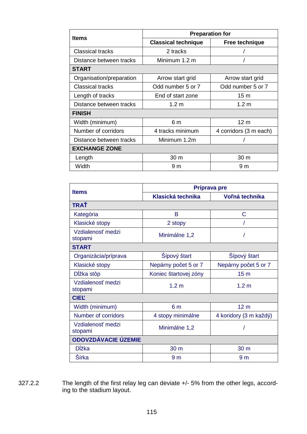|                          |                            | <b>Preparation for</b> |  |
|--------------------------|----------------------------|------------------------|--|
| <b>Items</b>             | <b>Classical technique</b> | Free technique         |  |
| <b>Classical tracks</b>  | 2 tracks                   |                        |  |
| Distance between tracks  | Minimum 1.2 m              |                        |  |
| <b>START</b>             |                            |                        |  |
| Organisation/preparation | Arrow start grid           | Arrow start grid       |  |
| <b>Classical tracks</b>  | Odd number 5 or 7          | Odd number 5 or 7      |  |
| Length of tracks         | End of start zone          | 15 <sub>m</sub>        |  |
| Distance between tracks  | 1.2 <sub>m</sub>           | 1.2 <sub>m</sub>       |  |
| <b>FINISH</b>            |                            |                        |  |
| Width (minimum)          | 6 m                        | 12 <sub>m</sub>        |  |
| Number of corridors      | 4 tracks minimum           | 4 corridors (3 m each) |  |
| Distance between tracks  | Minimum 1.2m               |                        |  |
| <b>EXCHANGE ZONE</b>     |                            |                        |  |
| Length                   | 30 m                       | 30 <sub>m</sub>        |  |
| Width                    | 9 <sub>m</sub>             | 9 <sub>m</sub>         |  |

|                              | Príprava pre             |                        |  |  |  |
|------------------------------|--------------------------|------------------------|--|--|--|
| <b>Items</b>                 | <b>Klasická technika</b> | Voľná technika         |  |  |  |
| <b>TRAŤ</b>                  |                          |                        |  |  |  |
| Kategória                    | B                        | C                      |  |  |  |
| Klasické stopy               | 2 stopy                  |                        |  |  |  |
| Vzdialenosť medzi<br>stopami | Minimálne 1,2            |                        |  |  |  |
| <b>START</b>                 |                          |                        |  |  |  |
| Organizácia/príprava         | Šípový štart             | Šípový štart           |  |  |  |
| Klasické stopy               | Nepárny počet 5 or 7     | Nepárny počet 5 or 7   |  |  |  |
| Dĺžka stôp                   | Koniec štartovej zóny    | 15 <sub>m</sub>        |  |  |  |
| Vzdialenosť medzi<br>stopami | 1.2 <sub>m</sub>         | 1.2 <sub>m</sub>       |  |  |  |
| <b>CIEL</b>                  |                          |                        |  |  |  |
| Width (minimum)              | 6 <sub>m</sub>           | 12 <sub>m</sub>        |  |  |  |
| <b>Number of corridors</b>   | 4 stopy minimálne        | 4 koridory (3 m každý) |  |  |  |
| Vzdialenosť medzi<br>stopami | Minimálne 1,2            |                        |  |  |  |
| <b>ODOVZDÁVACIE ÚZEMIE</b>   |                          |                        |  |  |  |
| Dĺžka                        | 30 m                     | 30 m                   |  |  |  |
| Šírka                        | 9 <sub>m</sub>           | 9 <sub>m</sub>         |  |  |  |

327.2.2 The length of the first relay leg can deviate +/- 5% from the other legs, according to the stadium layout.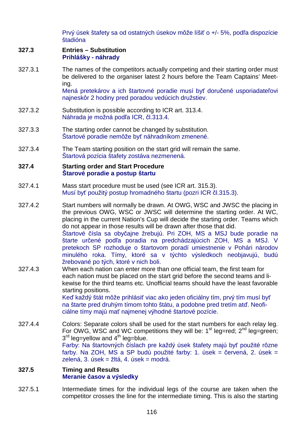Prvý úsek štafety sa od ostatných úsekov môže líšiť o +/- 5%, podľa dispozície štadióna

#### **327.3 Entries – Substitution Prihlášky - náhrady**

327.3.1 The names of the competitors actually competing and their starting order must be delivered to the organiser latest 2 hours before the Team Captains' Meeting.

Mená pretekárov a ich štartovné poradie musí byť doručené usporiadateľovi najneskôr 2 hodiny pred poradou vedúcich družstiev.

- 327.3.2 Substitution is possible according to ICR art. 313.4. Náhrada je možná podľa ICR, čl.313.4.
- 327.3.3 The starting order cannot be changed by substitution. Štartové poradie nemôže byť náhradníkom zmenené.
- 327.3.4 The Team starting position on the start grid will remain the same. Štartová pozícia štafety zostáva nezmenená.

#### **327.4 Starting order and Start Procedure Štarové poradie a postup štartu**

- 327.4.1 Mass start procedure must be used (see ICR art. 315.3). Musí byť použitý postup hromadného štartu (pozri ICR čl.315.3).
- 327.4.2 Start numbers will normally be drawn. At OWG, WSC and JWSC the placing in the previous OWG, WSC or JWSC will determine the starting order. At WC, placing in the current Nation's Cup will decide the starting order. Teams which do not appear in those results will be drawn after those that did. Štartové čísla sa obyčajne žrebujú. Pri ZOH, MS a MSJ bude poradie na štarte určené podľa poradia na predchádzajúcich ZOH, MS a MSJ. V pretekoch SP rozhoduje o štartovom poradí umiestnenie v Pohári národov minulého roka. Tímy, ktoré sa v týchto výsledkoch neobjavujú, budú žrebované po tých, ktoré v nich boli.
- 327.4.3 When each nation can enter more than one official team, the first team for each nation must be placed on the start grid before the second teams and likewise for the third teams etc. Unofficial teams should have the least favorable starting positions.

Keď každý štát môže prihlásiť viac ako jeden oficiálny tím, prvý tím musí byť na štarte pred druhým tímom tohto štátu, a podobne pred tretím atď. Neoficiálne tímy majú mať najmenej výhodné štartové pozície.

327.4.4 Colors: Separate colors shall be used for the start numbers for each relay leg. For OWG, WSC and WC competitions they will be:  $1<sup>st</sup>$  leg=red;  $2<sup>nd</sup>$  leg=green;  $3<sup>rd</sup>$  leg=yellow and 4<sup>th</sup> leg=blue. Farby: Na štartovných číslach pre každý úsek štafety majú byť použité rôzne farby. Na ZOH, MS a SP budú použité farby: 1. úsek = červená, 2. úsek = zelená, 3. úsek = žltá, 4. úsek = modrá.

### **327.5 Timing and Results Meranie časov a výsledky**

327.5.1 Intermediate times for the individual legs of the course are taken when the competitor crosses the line for the intermediate timing. This is also the starting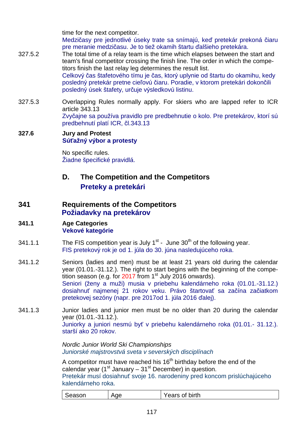time for the next competitor.

Medzičasy pre jednotlivé úseky trate sa snímajú, keď pretekár prekoná čiaru pre meranie medzičasu. Je to tiež okamih štartu ďalšieho pretekára.

- 327.5.2 The total time of a relay team is the time which elapses between the start and team's final competitor crossing the finish line. The order in which the competitors finish the last relay leg determines the result list. Celkový čas štafetového tímu je čas, ktorý uplynie od štartu do okamihu, kedy posledný pretekár pretne cieľovú čiaru. Poradie, v ktorom pretekári dokončili posledný úsek štafety, určuje výsledkovú listinu.
- 327.5.3 Overlapping Rules normally apply. For skiers who are lapped refer to ICR article 343.13 Zvyčajne sa používa pravidlo pre predbehnutie o kolo. Pre pretekárov, ktorí sú predbehnutí platí ICR, čl.343.13

### **327.6 Jury and Protest Súťažný výbor a protesty**

 No specific rules. Žiadne špecifické pravidlá.

# **D. The Competition and the Competitors Preteky a pretekári**

## **341 Requirements of the Competitors Požiadavky na pretekárov**

### **341.1 Age Categories Vekové kategórie**

- 341.1.1 The FIS competition year is July  $1<sup>st</sup>$  June 30<sup>th</sup> of the following year. FIS pretekový rok je od 1. júla do 30. júna nasledujúceho roka.
- 341.1.2 Seniors (ladies and men) must be at least 21 years old during the calendar year (01.01.-31.12.). The right to start begins with the beginning of the competition season (e.g. for  $2017$  from 1<sup>st</sup> July 2016 onwards). Seniori (ženy a muži) musia v priebehu kalendárneho roka (01.01.-31.12.) dosiahnuť najmenej 21 rokov veku. Právo štartovať sa začína začiatkom pretekovej sezóny (napr. pre 2017od 1. júla 2016 ďalej).
- 341.1.3 Junior ladies and junior men must be no older than 20 during the calendar year (01.01.-31.12.). Juniorky a juniori nesmú byť v priebehu kalendárneho roka (01.01.- 31.12.). starší ako 20 rokov.

Nordic Junior World Ski Championships Juniorské majstrovstvá sveta v severských disciplínach

A competitor must have reached his  $16<sup>th</sup>$  birthday before the end of the calendar year (1st January –  $31<sup>st</sup>$  December) in question. Pretekár musí dosiahnuť svoje 16. narodeniny pred koncom prislúchajúceho kalendárneho roka.

| Season | Age | Years of birth |  |
|--------|-----|----------------|--|
|--------|-----|----------------|--|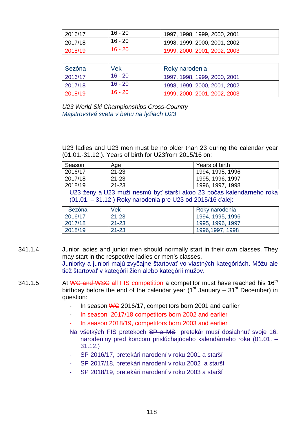| 2016/17 | 16 - 20 | 1997, 1998, 1999, 2000, 2001 |
|---------|---------|------------------------------|
| 2017/18 | 16 - 20 | 1998, 1999, 2000, 2001, 2002 |
| 2018/19 | 16 - 20 | 1999, 2000, 2001, 2002, 2003 |

| Sezóna  | Vek       | Roky narodenia               |
|---------|-----------|------------------------------|
| 2016/17 | $16 - 20$ | 1997, 1998, 1999, 2000, 2001 |
| 2017/18 | $16 - 20$ | 1998, 1999, 2000, 2001, 2002 |
| 2018/19 | 16 - 20   | 1999, 2000, 2001, 2002, 2003 |

U23 World Ski Championships Cross-Country Majstrovstvá sveta v behu na lyžiach U23

U23 ladies and U23 men must be no older than 23 during the calendar year (01.01.-31.12.). Years of birth for U23from 2015/16 on:

| Season  | Age       | Years of birth   |
|---------|-----------|------------------|
| 2016/17 | $21 - 23$ | 1994, 1995, 1996 |
| 2017/18 | $21 - 23$ | 1995, 1996, 1997 |
| 2018/19 | $21 - 23$ | 1996, 1997, 1998 |

 U23 ženy a U23 muži nesmú byť starší akoo 23 počas kalendárneho roka (01.01. – 31.12.) Roky narodenia pre U23 od 2015/16 ďalej:

| Sezóna  | Vek       | Roky narodenia   |
|---------|-----------|------------------|
| 2016/17 | $21 - 23$ | 1994, 1995, 1996 |
| 2017/18 | $21 - 23$ | 1995, 1996, 1997 |
| 2018/19 | $21 - 23$ | 1996,1997, 1998  |

- 341.1.4 Junior ladies and junior men should normally start in their own classes. They may start in the respective ladies or men's classes. Juniorky a juniori majú zvyčajne štartovať vo vlastných kategóriách. Môžu ale tiež štartovať v kategórii žien alebo kategórii mužov.
- 341.1.5 At WC and WSC all FIS competition a competitor must have reached his 16<sup>th</sup> birthday before the end of the calendar year (1<sup>st</sup> January – 31<sup>st</sup> December) in question:
	- In season WG 2016/17, competitors born 2001 and earlier
	- In season 2017/18 competitors born 2002 and earlier
	- In season 2018/19, competitors born 2003 and earlier
	- Na všetkých FIS pretekoch SP a MS pretekár musí dosiahnuť svoje 16. narodeniny pred koncom prislúchajúceho kalendárneho roka (01.01. – 31.12.)
	- SP 2016/17, pretekári narodení v roku 2001 a starší
	- SP 2017/18, pretekári narodení v roku 2002 a starší
	- SP 2018/19, pretekári narodení v roku 2003 a starší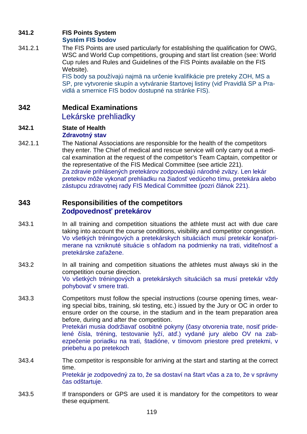## **341.2 FIS Points System**

### **Systém FIS bodov**

341.2.1 The FIS Points are used particularly for establishing the qualification for OWG, WSC and World Cup competitions, grouping and start list creation (see: World Cup rules and Rules and Guidelines of the FIS Points available on the FIS Website).

FIS body sa používajú najmä na určenie kvalifikácie pre preteky ZOH, MS a SP, pre vytvorenie skupín a vytváranie štartovej listiny (viď Pravidlá SP a Pravidlá a smernice FIS bodov dostupné na stránke FIS).

## **342 Medical Examinations**

Lekárske prehliadky

#### **342.1 State of Health Zdravotný stav**

342.1.1 The National Associations are responsible for the health of the competitors they enter. The Chief of medical and rescue service will only carry out a medical examination at the request of the competitor's Team Captain, competitor or the representative of the FIS Medical Committee (see article 221). Za zdravie prihlásených pretekárov zodpovedajú národné zväzy. Len lekár pretekov môže vykonať prehliadku na žiadosť vedúceho tímu, pretekára alebo zástupcu zdravotnej rady FIS Medical Committee (pozri článok 221).

## **343 Responsibilities of the competitors Zodpovednosť pretekárov**

- 343.1 In all training and competition situations the athlete must act with due care taking into account the course conditions, visibility and competitor congestion. Vo všetkých tréningových a pretekárskych situáciách musí pretekár konaťprimerane na vzniknuté situácie s ohľadom na podmienky na trati, viditeľnosť a pretekárske zaťažene.
- 343.2 In all training and competition situations the athletes must always ski in the competition course direction. Vo všetkých tréningových a pretekárskych situáciách sa musí pretekár vždy pohybovať v smere trati.
- 343.3 Competitors must follow the special instructions (course opening times, wearing special bibs, training, ski testing, etc.) issued by the Jury or OC in order to ensure order on the course, in the stadium and in the team preparation area before, during and after the competition. Pretekári musia dodržiavať osobitné pokyny (časy otvorenia trate, nosiť pridelené čísla, tréning, testovanie lyží, atď.) vydané jury alebo OV na zabezpečenie poriadku na trati, štadióne, v tímovom priestore pred pretekmi, v priebehu a po pretekoch
- 343.4 The competitor is responsible for arriving at the start and starting at the correct time. Pretekár je zodpovedný za to, že sa dostaví na štart včas a za to, že v správny čas odštartuje.
- 343.5 If transponders or GPS are used it is mandatory for the competitors to wear these equipment.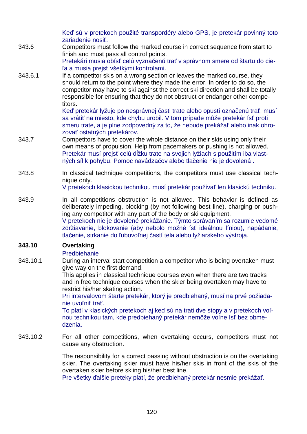Keď sú v pretekoch použité transpordéry alebo GPS, je pretekár povinný toto zariadenie nosiť.

- 343.6 Competitors must follow the marked course in correct sequence from start to finish and must pass all control points. Pretekári musia obísť celú vyznačenú trať v správnom smere od štartu do cieľa a musia prejsť všetkými kontrolami.
- 343.6.1 If a competitor skis on a wrong section or leaves the marked course, they should return to the point where they made the error. In order to do so, the competitor may have to ski against the correct ski direction and shall be totally responsible for ensuring that they do not obstruct or endanger other competitors.

Keď pretekár lyžuje po nesprávnej časti trate alebo opustí označenú trať, musí sa vrátiť na miesto, kde chybu urobil. V tom prípade môže pretekár ísť proti smeru trate, a je plne zodpovedný za to, že nebude prekážať alebo inak ohrozovať ostatných pretekárov.

- 343.7 Competitors have to cover the whole distance on their skis using only their own means of propulsion. Help from pacemakers or pushing is not allowed. Pretekár musí prejsť celú dĺžku trate na svojich lyžiach s použitím iba vlastných síl k pohybu. Pomoc navádzačov alebo tlačenie nie je dovolená .
- 343.8 In classical technique competitions, the competitors must use classical technique only.

V pretekoch klasickou technikou musí pretekár používať len klasickú techniku.

343.9 In all competitions obstruction is not allowed. This behavior is defined as deliberately impeding, blocking (by not following best line), charging or pushing any competitor with any part of the body or ski equipment. V pretekoch nie je dovolené prekážanie. Týmto správaním sa rozumie vedomé zdržiavanie, blokovanie (aby nebolo možné ísť ideálnou líniou), napádanie, tlačenie, strkanie do ľubovoľnej častí tela alebo lyžiarskeho výstroja.

### **343.10 Overtaking**

### Predbiehanie

343.10.1 During an interval start competition a competitor who is being overtaken must give way on the first demand.

This applies in classical technique courses even when there are two tracks and in free technique courses when the skier being overtaken may have to restrict his/her skating action.

Pri intervalovom štarte pretekár, ktorý je predbiehaný, musí na prvé požiadanie uvoľniť trať.

To platí v klasických pretekoch aj keď sú na trati dve stopy a v pretekoch voľnou technikou tam, kde predbiehaný pretekár nemôže voľne ísť bez obmedzenia.

343.10.2 For all other competitions, when overtaking occurs, competitors must not cause any obstruction.

> The responsibility for a correct passing without obstruction is on the overtaking skier. The overtaking skier must have his/her skis in front of the skis of the overtaken skier before skiing his/her best line.

Pre všetky ďalšie preteky platí, že predbiehaný pretekár nesmie prekážať.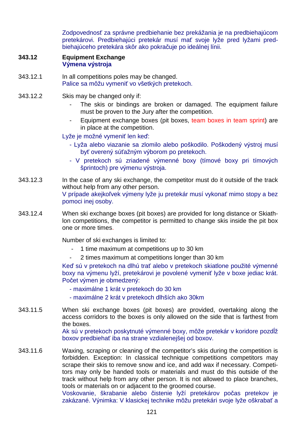Zodpovednosť za správne predbiehanie bez prekážania je na predbiehajúcom pretekárovi. Predbiehajúci pretekár musí mať svoje lyže pred lyžami predbiehajúceho pretekára skôr ako pokračuje po ideálnej línii.

#### **343.12 Equipment Exchange Výmena výstroja**

- 343.12.1 In all competitions poles may be changed. Palice sa môžu vymeniť vo všetkých pretekoch.
- 343.12.2 Skis may be changed only if:
	- The skis or bindings are broken or damaged. The equipment failure must be proven to the Jury after the competition.
	- Equipment exchange boxes (pit boxes, team boxes in team sprint) are in place at the competition.

Lyže je možné vymeniť len keď:

- Lyža alebo viazanie sa zlomilo alebo poškodilo. Poškodený výstroj musí byť overený súťažným výborom po pretekoch.
- V pretekoch sú zriadené výmenné boxy (tímové boxy pri tímových šprintoch) pre výmenu výstroja.
- 343.12.3 In the case of any ski exchange, the competitor must do it outside of the track without help from any other person. V prípade akejkoľvek výmeny lyže ju pretekár musí vykonať mimo stopy a bez pomoci inej osoby.
- 343.12.4 When ski exchange boxes (pit boxes) are provided for long distance or Skiathlon competitions, the competitor is permitted to change skis inside the pit box one or more times.

Number of ski exchanges is limited to:

- 1 time maximum at competitions up to 30 km
- 2 times maximum at competitions longer than 30 km

Keď sú v pretekoch na dlhú trať alebo v pretekoch skiatlone použité výmenné boxy na výmenu lyží, pretekárovi je povolené vymeniť lyže v boxe jediac krát. Počet výmen je obmedzený:

- maximálne 1 krát v pretekoch do 30 km
- maximálne 2 krát v pretekoch dlhších ako 30km
- 343.11.5 When ski exchange boxes (pit boxes) are provided, overtaking along the access corridors to the boxes is only allowed on the side that is farthest from the boxes.

Ak sú v pretekoch poskytnuté výmenné boxy, môže pretekár v koridore pozdĺž boxov predbiehať iba na strane vzdialenejšej od boxov.

343.11.6 Waxing, scraping or cleaning of the competitor's skis during the competition is forbidden. Exception: In classical technique competitions competitors may scrape their skis to remove snow and ice, and add wax if necessary. Competitors may only be handed tools or materials and must do this outside of the track without help from any other person. It is not allowed to place branches, tools or materials on or adjacent to the groomed course.

Voskovanie, škrabanie alebo čistenie lyží pretekárov počas pretekov je zakázané. Výnimka: V klasickej technike môžu pretekári svoje lyže oškrabať a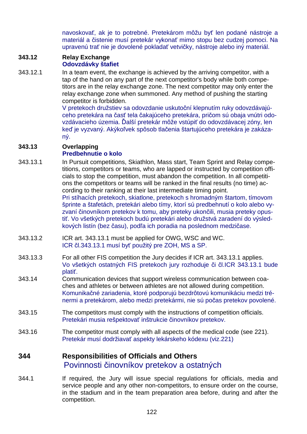navoskovať, ak je to potrebné. Pretekárom môžu byť len podané nástroje a materiál a čistenie musí pretekár vykonať mimo stopu bez cudzej pomoci. Na upravenú trať nie je dovolené pokladať vetvičky, nástroje alebo iný materiál.

#### **343.12 Relay Exchange Odovzdávky štafiet**

343.12.1 In a team event, the exchange is achieved by the arriving competitor, with a tap of the hand on any part of the next competitor's body while both competitors are in the relay exchange zone. The next competitor may only enter the relay exchange zone when summoned. Any method of pushing the starting competitor is forbidden.

V pretekoch družstiev sa odovzdanie uskutoční klepnutím ruky odovzdávajúceho pretekára na časť tela čakajúceho pretekára, pričom sú obaja vnútri odovzdávacieho územia. Ďalší pretekár môže vstúpiť do odovzdávacej zóny, len keď je vyzvaný. Akýkoľvek spôsob tlačenia štartujúceho pretekára je zakázaný.

### **343.13 Overlapping**

### **Predbehnutie o kolo**

- 343.13.1 In Pursuit competitions, Skiathlon, Mass start, Team Sprint and Relay competitions, competitors or teams, who are lapped or instructed by competition officials to stop the competition, must abandon the competition. In all competitions the competitors or teams will be ranked in the final results (no time) according to their ranking at their last intermediate timing point. Pri stíhacích pretekoch, skiatlone, pretekoch s hromadným štartom, tímovom šprinte a štafetách, pretekári alebo tímy, ktorí sú predbehnutí o kolo alebo vyzvaní činovníkom pretekov k tomu, aby preteky ukončili, musia preteky opustiť. Vo všetkých pretekoch budú pretekári alebo družstvá zaradení do výsledkových listín (bez času), podľa ich poradia na poslednom medzičase.
- 343.13.2 ICR art. 343.13.1 must be applied for OWG, WSC and WC. ICR čl.343.13.1 musí byť použitý pre ZOH, MS a SP.
- 343.13.3 For all other FIS competition the Jury decides if ICR art. 343.13.1 applies. Vo všetkých ostatných FIS pretekoch jury rozhoduje či čl.ICR 343.13.1 bude platiť.
- 343.14 Communication devices that support wireless communication between coaches and athletes or between athletes are not allowed during competition. Komunikačné zariadenia, ktoré podporujú bezdrôtovú komunikáciu medzi trénermi a pretekárom, alebo medzi pretekármi, nie sú počas pretekov povolené.
- 343.15 The competitors must comply with the instructions of competition officials. Pretekári musia rešpektovať inštrukcie činovníkov pretekov.
- 343.16 The competitor must comply with all aspects of the medical code (see 221). Pretekár musí dodržiavať aspekty lekárskeho kódexu (viz.221)

## **344 Responsibilities of Officials and Others** Povinnosti činovníkov pretekov a ostatných

344.1 If required, the Jury will issue special regulations for officials, media and service people and any other non-competitors, to ensure order on the course, in the stadium and in the team preparation area before, during and after the competition.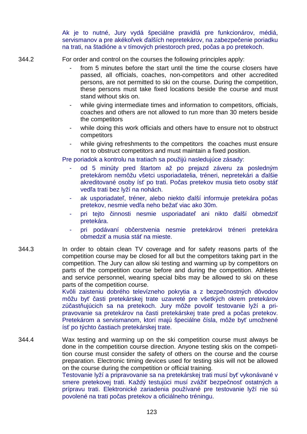Ak je to nutné, Jury vydá špeciálne pravidlá pre funkcionárov, médiá, servismanov a pre akékoľvek ďalších nepretekárov, na zabezpečenie poriadku na trati, na štadióne a v tímových priestoroch pred, počas a po pretekoch.

344.2 For order and control on the courses the following principles apply:

- from 5 minutes before the start until the time the course closers have passed, all officials, coaches, non-competitors and other accredited persons, are not permitted to ski on the course. During the competition, these persons must take fixed locations beside the course and must stand without skis on.
- while giving intermediate times and information to competitors, officials, coaches and others are not allowed to run more than 30 meters beside the competitors
- while doing this work officials and others have to ensure not to obstruct competitors
- while giving refreshments to the competitors the coaches must ensure not to obstruct competitors and must maintain a fixed position.

Pre poriadok a kontrolu na tratiach sa použijú nasledujúce zásady:

- od 5 minúty pred štartom až po prejazd záveru za posledným pretekárom nemôžu všetci usporiadatelia, tréneri, nepretekári a ďalšie akreditované osoby ísť po trati. Počas pretekov musia tieto osoby stáť vedľa trati bez lyží na nohách.
- ak usporiadateľ, tréner, alebo niekto ďalší informuje pretekára počas pretekov, nesmie vedľa neho bežať viac ako 30m.
- pri tejto činnosti nesmie usporiadateľ ani nikto ďalší obmedziť pretekára.
- pri podávaní občerstvenia nesmie pretekárovi tréneri pretekára obmedziť a musia stáť na mieste.
- 344.3 In order to obtain clean TV coverage and for safety reasons parts of the competition course may be closed for all but the competitors taking part in the competition. The Jury can allow ski testing and warming up by competitors on parts of the competition course before and during the competition. Athletes and service personnel, wearing special bibs may be allowed to ski on these parts of the competition course.

Kvôli zaisteniu dobrého televízneho pokrytia a z bezpečnostných dôvodov môžu byť časti pretekárskej trate uzavreté pre všetkých okrem pretekárov zúčastňujúcich sa na pretekoch. Jury môže povoliť testovanie lyží a pripravovanie sa pretekárov na časti pretekárskej trate pred a počas pretekov. Pretekárom a servismanom, ktorí majú špeciálne čísla, môže byť umožnené ísť po týchto častiach pretekárskej trate.

344.4 Wax testing and warming up on the ski competition course must always be done in the competition course direction. Anyone testing skis on the competition course must consider the safety of others on the course and the course preparation. Electronic timing devices used for testing skis will not be allowed on the course during the competition or official training. Testovanie lyží a pripravovanie sa na pretekárskej trati musí byť vykonávané v

smere pretekovej trati. Každý testujúci musí zvážiť bezpečnosť ostatných a prípravu trati. Elektronické zariadenia používané pre testovanie lyží nie sú povolené na trati počas pretekov a oficiálneho tréningu.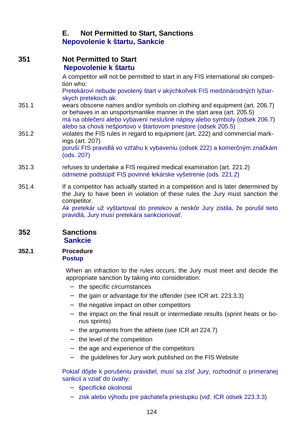## **E. Not Permitted to Start, Sanctions Nepovolenie k štartu, Sankcie**

| 351   | <b>Not Permitted to Start</b><br>Nepovolenie k štartu                                                                                                                                                                                                                                             |
|-------|---------------------------------------------------------------------------------------------------------------------------------------------------------------------------------------------------------------------------------------------------------------------------------------------------|
|       | A competitor will not be permitted to start in any FIS international ski competi-<br>tion who:                                                                                                                                                                                                    |
|       | Pretekárovi nebude povolený štart v akýchkoľvek FIS medzinárodných lyžiar-<br>skych pretekoch ak:                                                                                                                                                                                                 |
| 351.1 | wears obscene names and/or symbols on clothing and equipment (art. 206.7)<br>or behaves in an unsportsmanlike manner in the start area (art. 205.5)<br>má na oblečení alebo vybavení neslušné nápisy alebo symboly (odsek 206.7)<br>alebo sa chová nešportovo v štartovom priestore (odsek 205.5) |
| 351.2 | violates the FIS rules in regard to equipment (art. 222) and commercial mark-<br>ings (art. 207)<br>poruší FIS pravidlá vo vzťahu k vybaveniu (odsek 222) a komerčným značkám<br>(ods. 207)                                                                                                       |
| 351.3 | refuses to undertake a FIS required medical examination (art. 221.2)<br>odmietne podstúpiť FIS povinné lekárske vyšetrenie (ods. 221.2)                                                                                                                                                           |
| 351.4 | If a competitor has actually started in a competition and is later determined by<br>the Jury to have been in violation of these rules the Jury must sanction the<br>competitor.                                                                                                                   |
|       | Ak pretekár už vyštartoval do pretekov a neskôr Jury zistila, že porušil tieto<br>pravidlá, Jury musí pretekára sankcionovať.                                                                                                                                                                     |
| 352   | <b>Sanctions</b>                                                                                                                                                                                                                                                                                  |

# **Sankcie**

#### **352.1 Procedure Postup**

 When an infraction to the rules occurs, the Jury must meet and decide the appropriate sanction by taking into consideration:

- − the specific circumstances
- − the gain or advantage for the offender (see ICR art. 223.3.3)
- − the negative impact on other competitors
- − the impact on the final result or intermediate results (sprint heats or bonus sprints)
- − the arguments from the athlete (see ICR art 224.7)
- − the level of the competition
- − the age and experience of the competitors
- − the guidelines for Jury work published on the FIS Website

Pokiaľ dôjde k porušeniu pravidiel, musí sa zísť Jury, rozhodnúť o primeranej sankcii a vziať do úvahy:

- − špecifické okolnosti
- − zisk alebo výhodu pre páchateľa priestupku (viď. ICR odsek 223.3.3)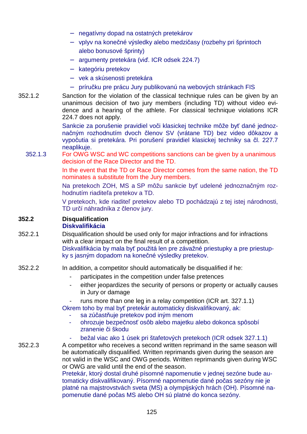- − negatívny dopad na ostatných pretekárov
- − vplyv na konečné výsledky alebo medzičasy (rozbehy pri šprintoch alebo bonusové šprinty)
- − argumenty pretekára (viď. ICR odsek 224.7)
- − kategóriu pretekov
- − vek a skúsenosti pretekára
- − príručku pre prácu Jury publikovanú na webových stránkach FIS
- 352.1.2 Sanction for the violation of the classical technique rules can be given by an unanimous decision of two jury members (including TD) without video evidence and a hearing of the athlete. For classical technique violations ICR 224.7 does not apply.

 Sankcie za porušenie pravidiel voči klasickej technike môže byť dané jednoznačným rozhodnutím dvoch členov SV (vrátane TD) bez video dôkazov a vypočutia si pretekára. Pri porušení pravidiel klasickej techniky sa čl. 227.7 neaplikuje.

352.1.3 For OWG WSC and WC competitions sanctions can be given by a unanimous decision of the Race Director and the TD.

> In the event that the TD or Race Director comes from the same nation, the TD nominates a substitute from the Jury members.

> Na pretekoch ZOH, MS a SP môžu sankcie byť udelené jednoznačným rozhodnutím riaditeľa pretekov a TD.

> V pretekoch, kde riaditeľ pretekov alebo TD pochádzajú z tej istej národnosti, TD určí náhradníka z členov jury.

### **352.2 Disqualification**

### **Diskvalifikácia**

- 352.2.1 Disqualification should be used only for major infractions and for infractions with a clear impact on the final result of a competition. Diskvalifikácia by mala byť použitá len pre závažné priestupky a pre priestupky s jasným dopadom na konečné výsledky pretekov.
- 352.2.2 In addition, a competitor should automatically be disqualified if he:
	- participates in the competition under false pretences
	- either jeopardizes the security of persons or property or actually causes in Jury or damage
	- runs more than one leg in a relay competition (ICR art. 327.1.1)

Okrem toho by mal byť pretekár automaticky diskvalifikovaný, ak:

- sa zúčastňuje pretekov pod iným menom
- ohrozuje bezpečnosť osôb alebo majetku alebo dokonca spôsobí zranenie či škodu
- bežal viac ako 1 úsek pri štafetových pretekoch (ICR odsek 327.1.1)

352.2.3 A competitor who receives a second written reprimand in the same season will be automatically disqualified. Written reprimands given during the season are not valid in the WSC and OWG periods. Written reprimands given during WSC or OWG are valid until the end of the season.

Pretekár, ktorý dostal druhé písomné napomenutie v jednej sezóne bude automaticky diskvalifikovaný. Písomné napomenutie dané počas sezóny nie je platné na majstrovstvách sveta (MS) a olympijských hrách (OH). Písomné napomenutie dané počas MS alebo OH sú platné do konca sezóny.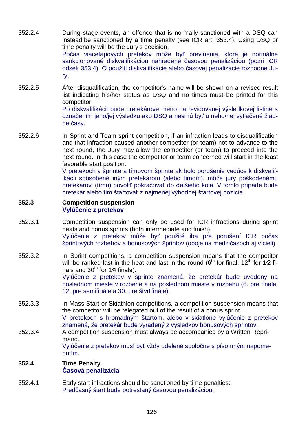- 352.2.4 During stage events, an offence that is normally sanctioned with a DSQ can instead be sanctioned by a time penalty (see ICR art. 353.4). Using DSQ or time penalty will be the Jury's decision. Počas viacetapových pretekov môže byť previnenie, ktoré je normálne sankcionované diskvalifikáciou nahradené časovou penalizáciou (pozri ICR odsek 353.4). O použití diskvalifikácie alebo časovej penalizácie rozhodne Jury.
- 352.2.5 After disqualification, the competitor's name will be shown on a revised result list indicating his/her status as DSQ and no times must be printed for this competitor.

Po diskvalifikácii bude pretekárove meno na revidovanej výsledkovej listine s označením jeho/jej výsledku ako DSQ a nesmú byť u neho/nej vytlačené žiadne časy.

352.2.6 In Sprint and Team sprint competition, if an infraction leads to disqualification and that infraction caused another competitor (or team) not to advance to the next round, the Jury may allow the competitor (or team) to proceed into the next round. In this case the competitor or team concerned will start in the least favorable start position.

> V pretekoch v šprinte a tímovom šprinte ak bolo porušenie vedúce k diskvalifikácii spôsobené iným pretekárom (alebo tímom), môže jury poškodenému pretekárovi (tímu) povoliť pokračovať do ďalšieho kola. V tomto prípade bude pretekár alebo tím štartovať z najmenej výhodnej štartovej pozície.

#### **352.3 Competition suspension Vylúčenie z pretekov**

- 352.3.1 Competition suspension can only be used for ICR infractions during sprint heats and bonus sprints (both intermediate and finish). Vylúčenie z pretekov môže byť použité iba pre porušení ICR počas šprintových rozbehov a bonusových šprintov (oboje na medzičasoch aj v cieli).
- 352.3.2 In Sprint competitions, a competition suspension means that the competitor will be ranked last in the heat and last in the round ( $6<sup>th</sup>$  for final, 12<sup>th</sup> for 1⁄2 finals and  $30<sup>th</sup>$  for 1/4 finals). Vylúčenie z pretekov v šprinte znamená, že pretekár bude uvedený na poslednom mieste v rozbehe a na poslednom mieste v rozbehu (6. pre finale, 12. pre semifinále a 30. pre štvrťfinále).
- 352.3.3 In Mass Start or Skiathlon competitions, a competition suspension means that the competitor will be relegated out of the result of a bonus sprint. V pretekoch s hromadným štartom, alebo v skiatlone vylúčenie z pretekov
- znamená, že pretekár bude vyradený z výsledkov bonusových šprintov. 352.3.4 A competition suspension must always be accompanied by a Written Reprimand. Vylúčenie z pretekov musí byť vždy udelené spoločne s písomným napomenutím.

### **352.4 Time Penalty Časová penalizácia**

352.4.1 Early start infractions should be sanctioned by time penalties: Predčasný štart bude potrestaný časovou penalizáciou: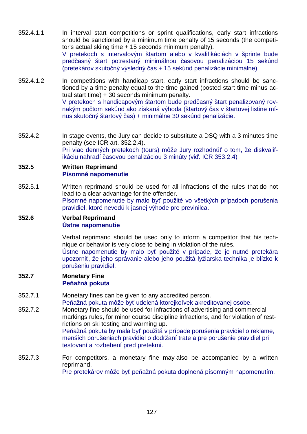- 352.4.1.1 In interval start competitions or sprint qualifications, early start infractions should be sanctioned by a minimum time penalty of 15 seconds (the competitor's actual skiing time + 15 seconds minimum penalty). V pretekoch s intervalovým štartom alebo v kvalifikáciách v šprinte bude predčasný štart potrestaný minimálnou časovou penalizáciou 15 sekúnd (pretekárov skutočný výsledný čas + 15 sekúnd penalizácie minimálne)
- 352.4.1.2 In competitions with handicap start, early start infractions should be sanctioned by a time penalty equal to the time gained (posted start time minus actual start time) + 30 seconds minimum penalty. V pretekoch s handicapovým štartom bude predčasný štart penalizovaný rovnakým počtom sekúnd ako získaná výhoda (štartový čas v štartovej listine mínus skutočný štartový čas) + minimálne 30 sekúnd penalizácie.
- 352.4.2 In stage events, the Jury can decide to substitute a DSQ with a 3 minutes time penalty (see ICR art. 352.2.4). Pri viac denných pretekoch (tours) môže Jury rozhodnúť o tom, že diskvalifikáciu nahradí časovou penalizáciou 3 minúty (viď. ICR 353.2.4)

#### **352.5 Written Reprimand Písomné napomenutie**

352.5.1 Written reprimand should be used for all infractions of the rules that do not lead to a clear advantage for the offender. Písomné napomenutie by malo byť použité vo všetkých prípadoch porušenia pravidiel, ktoré nevedú k jasnej výhode pre previnilca.

#### **352.6 Verbal Reprimand Ústne napomenutie**

 Verbal reprimand should be used only to inform a competitor that his technique or behavior is very close to being in violation of the rules. Ústne napomenutie by malo byť použité v prípade, že je nutné pretekára

upozorniť, že jeho správanie alebo jeho použitá lyžiarska technika je blízko k porušeniu pravidiel.

#### **352.7 Monetary Fine Peňažná pokuta**

352.7.1 Monetary fines can be given to any accredited person.

Peňažná pokuta môže byť udelená ktorejkoľvek akreditovanej osobe.

352.7.2 Monetary fine should be used for infractions of advertising and commercial markings rules, for minor course discipline infractions, and for violation of restrictions on ski testing and warming up. Peňažná pokuta by mala byť použitá v prípade porušenia pravidiel o reklame,

menších porušeniach pravidiel o dodržaní trate a pre porušenie pravidiel pri testovaní a rozbehení pred pretekmi.

352.7.3 For competitors, a monetary fine may also be accompanied by a written reprimand.

Pre pretekárov môže byť peňažná pokuta doplnená písomným napomenutím.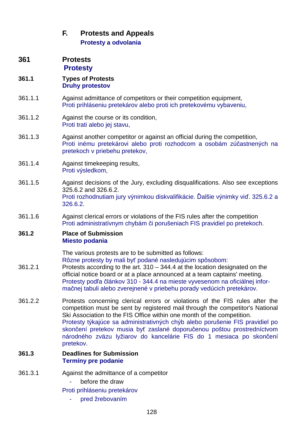## **F. Protests and Appeals Protesty a odvolania**

**361 Protests Protesty**

### **361.1 Types of Protests Druhy protestov**

- 361.1.1 Against admittance of competitors or their competition equipment, Proti prihláseniu pretekárov alebo proti ich pretekovému vybaveniu,
- 361.1.2 Against the course or its condition, Proti trati alebo jej stavu,
- 361.1.3 Against another competitor or against an official during the competition, Proti inému pretekárovi alebo proti rozhodcom a osobám zúčastnených na pretekoch v priebehu pretekov,
- 361.1.4 Against timekeeping results, Proti výsledkom,
- 361.1.5 Against decisions of the Jury, excluding disqualifications. Also see exceptions 325.6.2 and 326.6.2. Proti rozhodnutiam jury výnimkou diskvalifikácie. Ďalšie výnimky viď. 325.6.2 a 326.6.2.
- 361.1.6 Against clerical errors or violations of the FIS rules after the competition Proti administratívnym chybám či porušeniach FIS pravidiel po pretekoch.

### **361.2 Place of Submission Miesto podania**

The various protests are to be submitted as follows:

- Rôzne protesty by mali byť podané nasledujúcim spôsobom: 361.2.1 Protests according to the art. 310 – 344.4 at the location designated on the official notice board or at a place announced at a team captains' meeting. Protesty podľa článkov 310 - 344.4 na mieste vyvesenom na oficiálnej informačnej tabuli alebo zverejnené v priebehu porady vedúcich pretekárov.
- 361.2.2 Protests concerning clerical errors or violations of the FIS rules after the competition must be sent by registered mail through the competitor's National Ski Association to the FIS Office within one month of the competition. Protesty týkajúce sa administrativných chýb alebo porušenie FIS pravidiel po skončení pretekov musia byť zaslané doporučenou poštou prostredníctvom národného zväzu lyžiarov do kancelárie FIS do 1 mesiaca po skončení pretekov.

### **361.3 Deadlines for Submission Termíny pre podanie**

- 361.3.1 Against the admittance of a competitor
	- before the draw

Proti prihláseniu pretekárov

pred žrebovaním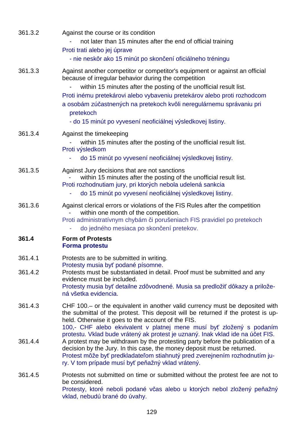| 361.3.2 | Against the course or its condition<br>not later than 15 minutes after the end of official training<br>Proti trati alebo jej úprave<br>- nie neskôr ako 15 minút po skončení oficiálneho tréningu                                                                                                                                                                                                                                         |
|---------|-------------------------------------------------------------------------------------------------------------------------------------------------------------------------------------------------------------------------------------------------------------------------------------------------------------------------------------------------------------------------------------------------------------------------------------------|
| 361.3.3 | Against another competitor or competitor's equipment or against an official<br>because of irregular behavior during the competition<br>within 15 minutes after the posting of the unofficial result list.<br>Proti inému pretekárovi alebo vybaveniu pretekárov alebo proti rozhodcom<br>a osobám zúčastnených na pretekoch kvôli neregulárnemu správaniu pri<br>pretekoch<br>- do 15 minút po vyvesení neoficiálnej výsledkovej listiny. |
| 361.3.4 | Against the timekeeping<br>within 15 minutes after the posting of the unofficial result list.<br>Proti výsledkom<br>do 15 minút po vyvesení neoficiálnej výsledkovej listiny.                                                                                                                                                                                                                                                             |
| 361.3.5 | Against Jury decisions that are not sanctions<br>within 15 minutes after the posting of the unofficial result list.<br>Proti rozhodnutiam jury, pri ktorých nebola udelená sankcia<br>do 15 minút po vyvesení neoficiálnej výsledkovej listiny.                                                                                                                                                                                           |
| 361.3.6 | Against clerical errors or violations of the FIS Rules after the competition<br>within one month of the competition.<br>Proti administratívnym chybám či porušeniach FIS pravidiel po pretekoch<br>do jedného mesiaca po skončení pretekov.                                                                                                                                                                                               |
| 361.4   | <b>Form of Protests</b><br><b>Forma protestu</b>                                                                                                                                                                                                                                                                                                                                                                                          |
| 361.4.1 | Protests are to be submitted in writing.<br>Protesty musia byť podané písomne.                                                                                                                                                                                                                                                                                                                                                            |
| 361.4.2 | Protests must be substantiated in detail. Proof must be submitted and any<br>evidence must be included.<br>Protesty musia byť detailne zdôvodnené. Musia sa predložiť dôkazy a prilože-<br>ná všetka evidencia.                                                                                                                                                                                                                           |
| 361.4.3 | CHF 100. – or the equivalent in another valid currency must be deposited with<br>the submittal of the protest. This deposit will be returned if the protest is up-<br>held. Otherwise it goes to the account of the FIS.<br>100,- CHF alebo ekvivalent v platnej mene musí byť zložený s podaním                                                                                                                                          |
| 361.4.4 | protestu. Vklad bude vrátený ak protest je uznaný. Inak vklad ide na účet FIS.<br>A protest may be withdrawn by the protesting party before the publication of a<br>decision by the Jury. In this case, the money deposit must be returned.<br>Protest môže byť predkladateľom stiahnutý pred zverejnením rozhodnutím ju-<br>ry. V tom prípade musí byť peňažný vklad vrátený.                                                            |
| 361.4.5 | Protests not submitted on time or submitted without the protest fee are not to<br>be considered.<br>Protesty, ktoré neboli podané včas alebo u ktorých nebol zložený peňažný<br>vklad, nebudú brané do úvahy.                                                                                                                                                                                                                             |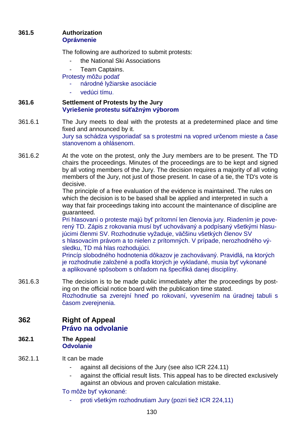### **361.5 Authorization Oprávnenie**

The following are authorized to submit protests:

- the National Ski Associations
- Team Captains.

Protesty môžu podať

- národné lyžiarske asociácie
- vedúci tímu.
- **361.6 Settlement of Protests by the Jury Vyriešenie protestu súťažným výborom**
- 361.6.1 The Jury meets to deal with the protests at a predetermined place and time fixed and announced by it. Jury sa schádza vysporiadať sa s protestmi na vopred určenom mieste a čase stanovenom a ohlásenom.
- 361.6.2 At the vote on the protest, only the Jury members are to be present. The TD chairs the proceedings. Minutes of the proceedings are to be kept and signed by all voting members of the Jury. The decision requires a majority of all voting members of the Jury, not just of those present. In case of a tie, the TD's vote is decisive.

The principle of a free evaluation of the evidence is maintained. The rules on which the decision is to be based shall be applied and interpreted in such a way that fair proceedings taking into account the maintenance of discipline are guaranteed.

Pri hlasovaní o proteste majú byť prítomní len členovia jury. Riadením je poverený TD. Zápis z rokovania musí byť uchovávaný a podpísaný všetkými hlasujúcimi členmi SV. Rozhodnutie vyžaduje, väčšinu všetkých členov SV s hlasovacím právom a to nielen z prítomných. V prípade, nerozhodného vý-

sledku, TD má hlas rozhodujúci.

Princíp slobodného hodnotenia dôkazov je zachovávaný. Pravidlá, na ktorých je rozhodnutie založené a podľa ktorých je vykladané, musia byť vykonané a aplikované spôsobom s ohľadom na špecifiká danej disciplíny.

- 361.6.3 The decision is to be made public immediately after the proceedings by posting on the official notice board with the publication time stated. Rozhodnutie sa zverejní hneď po rokovaní, vyvesením na úradnej tabuli s časom zverejnenia.
- **362 Right of Appeal Právo na odvolanie**
- **362.1 The Appeal Odvolanie**
- 362.1.1 It can be made
	- against all decisions of the Jury (see also ICR 224.11)
	- against the official result lists. This appeal has to be directed exclusively against an obvious and proven calculation mistake.

To môže byť vykonané:

proti všetkým rozhodnutiam Jury (pozri tiež ICR 224,11)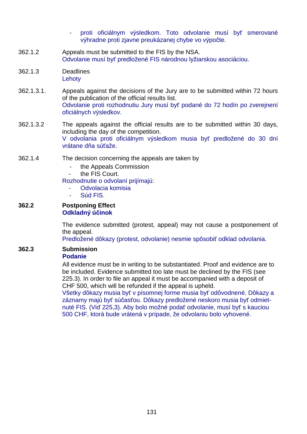- proti oficiálnym výsledkom. Toto odvolanie musí byť smerované výhradne proti zjavne preukázanej chybe vo výpočte.
- 362.1.2 Appeals must be submitted to the FIS by the NSA. Odvolanie musí byť predložené FIS národnou lyžiarskou asociáciou.
- 362.1.3 Deadlines **Lehoty**
- 362.1.3.1. Appeals against the decisions of the Jury are to be submitted within 72 hours of the publication of the official results list. Odvolanie proti rozhodnutiu Jury musí byť podané do 72 hodín po zverejnení oficiálnych výsledkov.
- 362.1.3.2 The appeals against the official results are to be submitted within 30 days, including the day of the competition. V odvolania proti oficiálnym výsledkom musia byť predložené do 30 dní vrátane dňa súťaže.
- 362.1.4 The decision concerning the appeals are taken by
	- the Appeals Commission
	- the FIS Court.

Rozhodnutie o odvolaní prijímajú:

- Odvolacia komisia
- Súd FIS.

#### **362.2 Postponing Effect Odkladný účinok**

The evidence submitted (protest, appeal) may not cause a postponement of the appeal.

Predložené dôkazy (protest, odvolanie) nesmie spôsobiť odklad odvolania.

### **362.3 Submission Podanie**

All evidence must be in writing to be substantiated. Proof and evidence are to be included. Evidence submitted too late must be declined by the FIS (see 225.3). In order to file an appeal it must be accompanied with a deposit of CHF 500, which will be refunded if the appeal is upheld.

Všetky dôkazy musia byť v písomnej forme musia byť odôvodnené. Dôkazy a záznamy majú byť súčasťou. Dôkazy predložené neskoro musia byť odmietnuté FIS. (Viď 225,3). Aby bolo možné podať odvolanie, musí byť s kauciou 500 CHF, ktorá bude vrátená v prípade, že odvolaniu bolo vyhovené.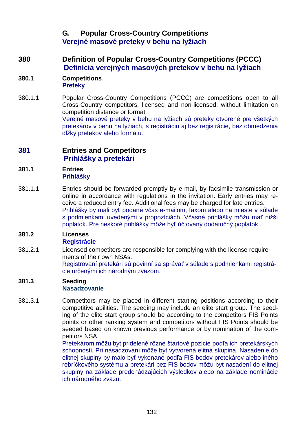## **G. Popular Cross-Country Competitions Verejné masové preteky v behu na lyžiach**

### **380 Definition of Popular Cross-Country Competitions (PCCC) Definícia verejných masových pretekov v behu na lyžiach**

#### **380.1 Competitions Preteky**

380.1.1 Popular Cross-Country Competitions (PCCC) are competitions open to all Cross-Country competitors, licensed and non-licensed, without limitation on competition distance or format. Verejné masové preteky v behu na lyžiach sú preteky otvorené pre všetkých pretekárov v behu na lyžiach, s registráciu aj bez registrácie, bez obmedzenia dĺžky pretekov alebo formátu.

### **381 Entries and Competitors Prihlášky a pretekári**

#### **381.1 Entries Prihlášky**

381.1.1 Entries should be forwarded promptly by e-mail, by facsimile transmission or online in accordance with regulations in the invitation. Early entries may receive a reduced entry fee. Additional fees may be charged for late entries. Prihlášky by mali byť podané včas e-mailom, faxom alebo na mieste v súlade s podmienkami uvedenými v propozíciách. Včasné prihlášky môžu mať nižší poplatok. Pre neskoré prihlášky môže byť účtovaný dodatočný poplatok.

#### **381.2 Licenses Registrácie**

381.2.1 Licensed competitors are responsible for complying with the license requirements of their own NSAs. Registrovaní pretekári sú povinní sa správať v súlade s podmienkami registrácie určenými ich národným zväzom.

### **381.3 Seeding Nasadzovanie**

381.3.1 Competitors may be placed in different starting positions according to their competitive abilities. The seeding may include an elite start group. The seeding of the elite start group should be according to the competitors FIS Points points or other ranking system and competitors without FIS Points should be seeded based on known previous performance or by nomination of the competitors NSA.

Pretekárom môžu byt pridelené rôzne štartové pozície podľa ich pretekárskych schopnosti. Pri nasadzovaní môže byt vytvorená elitná skupina. Nasadenie do elitnej skupiny by malo byť vykonané podľa FIS bodov pretekárov alebo iného rebríčkového systému a pretekári bez FIS bodov môžu byt nasadení do elitnej skupiny na základe predchádzajúcich výsledkov alebo na základe nominácie ich národného zväzu.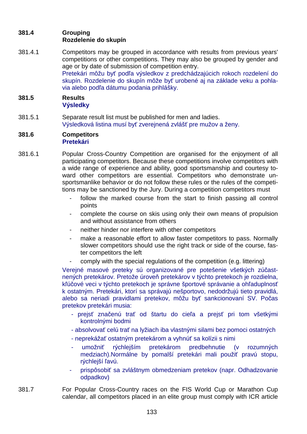### **381.4 Grouping Rozdelenie do skupín**

381.4.1 Competitors may be grouped in accordance with results from previous years' competitions or other competitions. They may also be grouped by gender and age or by date of submission of competition entry. Pretekári môžu byť podľa výsledkov z predchádzajúcich rokoch rozdelení do skupín. Rozdelenie do skupín môže byť urobené aj na základe veku a pohlavia alebo podľa dátumu podania prihlášky.

### **381.5 Results Výsledky**

381.5.1 Separate result list must be published for men and ladies. Výsledková listina musí byť zverejnená zvlášť pre mužov a ženy.

#### **381.6 Competitors Pretekári**

- 381.6.1 Popular Cross-Country Competition are organised for the enjoyment of all participating competitors. Because these competitions involve competitors with a wide range of experience and ability, good sportsmanship and courtesy toward other competitors are essential. Competitors who demonstrate unsportsmanlike behavior or do not follow these rules or the rules of the competitions may be sanctioned by the Jury. During a competition competitors must
	- follow the marked course from the start to finish passing all control points
	- complete the course on skis using only their own means of propulsion and without assistance from others
	- neither hinder nor interfere with other competitors
	- make a reasonable effort to allow faster competitors to pass. Normally slower competitors should use the right track or side of the course, faster competitors the left
	- comply with the special regulations of the competition (e.g. littering)

Verejné masové preteky sú organizované pre potešenie všetkých zúčastnených pretekárov. Pretože úroveň pretekárov v týchto pretekoch je rozdielna, kľúčové veci v týchto pretekoch je správne športové správanie a ohľaduplnosť k ostatným. Pretekári, ktorí sa správajú nešportovo, nedodržujú tieto pravidlá, alebo sa neriadi pravidlami pretekov, môžu byť sankcionovaní SV. Počas pretekov pretekári musia:

- prejsť značenú trať od štartu do cieľa a prejsť pri tom všetkými kontrolnými bodmi
- absolvovať celú trať na lyžiach iba vlastnými silami bez pomoci ostatných
- neprekážať ostatným pretekárom a vyhnúť sa kolízii s nimi
- umožniť rýchlejším pretekárom predbehnutie (v rozumných medziach).Normálne by pomalší pretekári mali použiť pravú stopu, rýchlejší ľavú.
- prispôsobiť sa zvláštnym obmedzeniam pretekov (napr. Odhadzovanie odpadkov)
- 381.7 For Popular Cross-Country races on the FIS World Cup or Marathon Cup calendar, all competitors placed in an elite group must comply with ICR article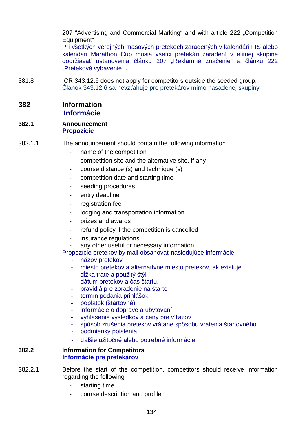207 "Advertising and Commercial Marking" and with article 222 .Competition Equipment"

Pri všetkých verejných masových pretekoch zaradených v kalendári FIS alebo kalendári Marathon Cup musia všetci pretekári zaradení v elitnej skupine dodržiavať ustanovenia článku 207 "Reklamné značenie" a článku 222 "Pretekové vybavenie ".

381.8 ICR 343.12.6 does not apply for competitors outside the seeded group. Článok 343.12.6 sa nevzťahuje pre pretekárov mimo nasadenej skupiny

### **382 Information Informácie**

#### **382.1 Announcement Propozície**

- 382.1.1 The announcement should contain the following information
	- name of the competition
	- competition site and the alternative site, if any
	- course distance (s) and technique (s)
	- competition date and starting time
	- seeding procedures
	- entry deadline
	- registration fee
	- lodging and transportation information
	- prizes and awards
	- refund policy if the competition is cancelled
	- insurance regulations
	- any other useful or necessary information
	- Propozície pretekov by mali obsahovať nasledujúce informácie:
		- názov pretekov
		- miesto pretekov a alternatívne miesto pretekov, ak existuje
		- dĺžka trate a použitý štýl
		- dátum pretekov a čas štartu.
		- pravidlá pre zoradenie na štarte
		- termín podania prihlášok
		- poplatok (štartovné)
		- informácie o doprave a ubytovaní
		- vyhlásenie výsledkov a ceny pre víťazov
		- spôsob zrušenia pretekov vrátane spôsobu vrátenia štartovného
		- podmienky poistenia
		- ďalšie užitočné alebo potrebné informácie

#### **382.2 Information for Competitors Informácie pre pretekárov**

- 382.2.1 Before the start of the competition, competitors should receive information regarding the following
	- starting time
	- course description and profile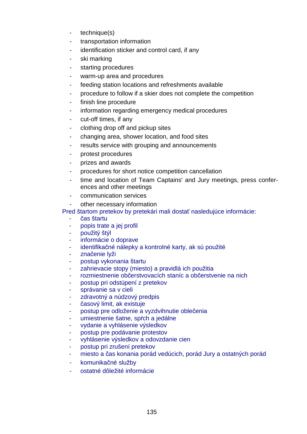- technique(s)
- transportation information
- identification sticker and control card, if any
- ski marking
- starting procedures
- warm-up area and procedures
- feeding station locations and refreshments available
- procedure to follow if a skier does not complete the competition
- finish line procedure
- information regarding emergency medical procedures
- cut-off times, if any
- clothing drop off and pickup sites
- changing area, shower location, and food sites
- results service with grouping and announcements
- protest procedures
- prizes and awards
- procedures for short notice competition cancellation
- time and location of Team Captains' and Jury meetings, press conferences and other meetings
- communication services
- other necessary information

Pred štartom pretekov by pretekári mali dostať nasledujúce informácie:

- čas štartu
- popis trate a jej profil
- použitý štýl
- informácie o doprave
- identifikačné nálepky a kontrolné karty, ak sú použité
- značenie lyži
- postup vykonania štartu
- zahrievacie stopy (miesto) a pravidlá ich použitia
- rozmiestnenie občerstvovacích staníc a občerstvenie na nich
- postup pri odstúpení z pretekov
- správanie sa v cieli
- zdravotný a núdzový predpis
- časový limit, ak existuje
- postup pre odloženie a vyzdvihnutie oblečenia
- umiestnenie šatne, spŕch a jedálne
- vydanie a vyhlásenie výsledkov
- postup pre podávanie protestov
- vyhlásenie výsledkov a odovzdanie cien
- postup pri zrušení pretekov
- miesto a čas konania porád vedúcich, porád Jury a ostatných porád
- komunikačné služby
- ostatné dôležité informácie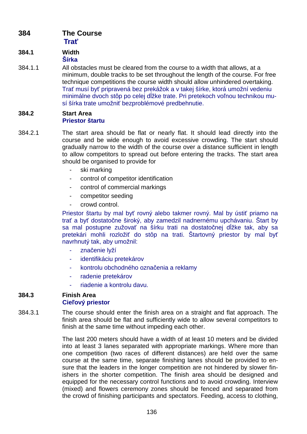## **384 The Course Trať**

#### **384.1 Width Šírka**

384.1.1 All obstacles must be cleared from the course to a width that allows, at a minimum, double tracks to be set throughout the length of the course. For free technique competitions the course width should allow unhindered overtaking. Trať musí byť pripravená bez prekážok a v takej šírke, ktorá umožní vedeniu minimálne dvoch stôp po celej dĺžke trate. Pri pretekoch voľnou technikou musí šírka trate umožniť bezproblémové predbehnutie.

### **384.2 Start Area Priestor štartu**

- 384.2.1 The start area should be flat or nearly flat. It should lead directly into the course and be wide enough to avoid excessive crowding. The start should gradually narrow to the width of the course over a distance sufficient in length to allow competitors to spread out before entering the tracks. The start area should be organised to provide for
	- ski marking
	- control of competitor identification
	- control of commercial markings
	- competitor seeding
	- crowd control.

Priestor štartu by mal byť rovný alebo takmer rovný. Mal by ústiť priamo na trať a byť dostatočne široký, aby zamedzil nadnernému upchávaniu. Štart by sa mal postupne zužovať na šírku trati na dostatočnej dĺžke tak, aby sa pretekári mohli rozložiť do stôp na trati. Štartovný priestor by mal byť navrhnutý tak, aby umožnil:

- značenie lyží
- identifikáciu pretekárov
- kontrolu obchodného označenia a reklamy
- radenie pretekárov
- riadenie a kontrolu davu.

#### **384.3 Finish Area Cieľový priestor**

384.3.1 The course should enter the finish area on a straight and flat approach. The finish area should be flat and sufficiently wide to allow several competitors to finish at the same time without impeding each other.

> The last 200 meters should have a width of at least 10 meters and be divided into at least 3 lanes separated with appropriate markings. Where more than one competition (two races of different distances) are held over the same course at the same time, separate finishing lanes should be provided to ensure that the leaders in the longer competition are not hindered by slower finishers in the shorter competition. The finish area should be designed and equipped for the necessary control functions and to avoid crowding. Interview (mixed) and flowers ceremony zones should be fenced and separated from the crowd of finishing participants and spectators. Feeding, access to clothing,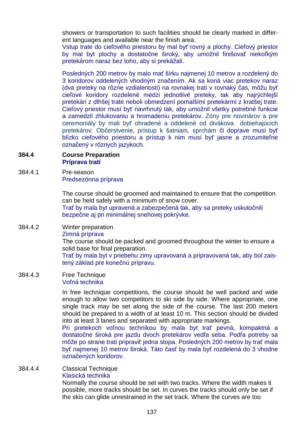showers or transportation to such facilities should be clearly marked in different languages and available near the finish area.

Vstup trate do cieľového priestoru by mal byť rovný a plochy. Cieľový priestor by mal byt plochy a dostatočne široký, aby umožnil finišovať niekoľkým pretekárom naraz bez toho, aby si prekážali.

Posledných 200 metrov by malo mať šírku najmenej 10 metrov a rozdelený do 3 koridorov oddelených vhodným značením. Ak sa koná viac pretekov naraz (dva preteky na rôzne vzdialenosti) na rovnakej trati v rovnaký čas, môžu byť cieľové koridory rozdelené medzi jednotlivé preteky, tak aby najrýchlejší pretekári z dlhšej trate neboli obmedzení pomalšími pretekármi z kratšej trate. Cieľový priestor musí byť navrhnutý tak, aby umožnil všetky potrebné funkcie a zamedzil zhlukovaniu a hromadeniu pretekárov. Zóny pre novinárov a pre ceremoniály by mali byť ohradené a oddelené od divákova dobiehajúcich pretekárov. Občerstvenie, prístup k šatniam, sprchám či doprave musí byť blízko cieľového priestoru a prístup k nim musí byť jasne a zrozumiteľne označený v rôznych jazykoch.

**384.4 Course Preparation Príprava tratí**

384.4.1 Pre-season Predsezónna príprava

> The course should be groomed and maintained to ensure that the competition can be held safely with a minimum of snow cover. Trať by mala byt upravená a zabezpečená tak, aby sa preteky uskutočnili bezpečne aj pri minimálnej snehovej pokrývke.

384.4.2 Winter preparation

Zimná príprava

The course should be packed and groomed throughout the winter to ensure a solid base for final preparation.

Trať by mala byt v priebehu zimy upravovaná a pripravovaná tak, aby bol zaistený základ pre konečnú prípravu.

384.4.3 Free Technique Voľná technika

> In free technique competitions, the course should be well packed and wide enough to allow two competitors to ski side by side. Where appropriate, one single track may be set along the side of the course. The last 200 meters should be prepared to a width of at least 10 m. This section should be divided into at least 3 lanes and separated with appropriate markings.

> Pri pretekoch voľnou technikou by mala byt trať pevná, kompaktná a dostatočne široká pre jazdu dvoch pretekárov vedľa seba. Podľa potreby sa môže po strane trati pripraviť jedna stopa. Posledných 200 metrov by trať mala byť najmenej 10 metrov široká. Táto časť by mala byť rozdelená do 3 vhodne označených koridorov.

384.4.4 Classical Technique Klasická technika

Normally the course should be set with two tracks. Where the width makes it possible, more tracks should be set. In curves the tracks should only be set if the skis can glide unrestrained in the set track. Where the curves are too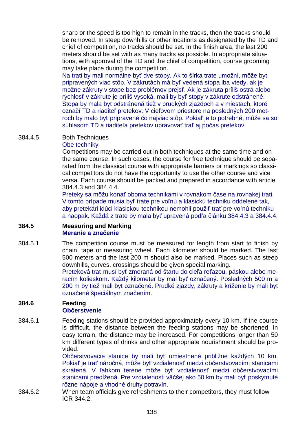sharp or the speed is too high to remain in the tracks, then the tracks should be removed. In steep downhills or other locations as designated by the TD and chief of competition, no tracks should be set. In the finish area, the last 200 meters should be set with as many tracks as possible. In appropriate situations, with approval of the TD and the chief of competition, course grooming may take place during the competition.

Na trati by mali normálne byť dve stopy. Ak to šírka trate umožní, môže byt pripravených viac stôp. V zákrutách má byť vedená stopa iba vtedy, ak je možne zákruty v stope bez problémov prejsť. Ak je zákruta príliš ostrá alebo rýchlosť v zákrute je príliš vysoká, mali by byť stopy v zákrute odstránené. Stopa by mala byt odstránená tiež v prudkých zjazdoch a v miestach, ktoré označí TD a riaditeľ pretekov. V cieľovom priestore na posledných 200 metroch by malo byť pripravené čo najviac stôp. Pokiaľ je to potrebné, môže sa so súhlasom TD a riaditeľa pretekov upravovať trať aj počas pretekov.

### 384.4.5 Both Techniques

### Obe techniky

Competitions may be carried out in both techniques at the same time and on the same course. In such cases, the course for free technique should be separated from the classical course with appropriate barriers or markings so classical competitors do not have the opportunity to use the other course and vice versa. Each course should be packed and prepared in accordance with article 384.4.3 and 384.4.4.

Preteky sa môžu konať oboma technikami v rovnakom čase na rovnakej trati. V tomto prípade musia byť trate pre voľnú a klasickú techniku oddelené tak, aby pretekári idúci klasickou technikou nemohli použiť trať pre voľnú techniku a naopak. Každá z trate by mala byť upravená podľa článku 384.4.3 a 384.4.4.

#### **384.5 Measuring and Marking Meranie a značenie**

384.5.1 The competition course must be measured for length from start to finish by chain, tape or measuring wheel. Each kilometer should be marked. The last 500 meters and the last 200 m should also be marked. Places such as steep downhills, curves, crossings should be given special marking.

Preteková trať musí byť zmeraná od štartu do cieľa reťazou, páskou alebo meracím kolieskom. Každý kilometer by mal byť označený. Posledných 500 m a 200 m by tiež mali byt označené. Prudké zjazdy, zákruty a kríženie by mali byt označené špeciálnym značením.

#### **384.6 Feeding Občerstvenie**

384.6.1 Feeding stations should be provided approximately every 10 km. If the course is difficult, the distance between the feeding stations may be shortened. In easy terrain, the distance may be increased. For competitions longer than 50 km different types of drinks and other appropriate nourishment should be provided.

Občerstvovacie stanice by mali byť umiestnené približne každých 10 km. Pokiaľ je trať náročná, môže byť vzdialenosť medzi občerstvovacími stanicami skrátená. V ľahkom teréne môže byť vzdialenosť medzi občerstvovacími stanicami predĺžená. Pre vzdialenosti väčšej ako 50 km by mali byť poskytnuté rôzne nápoje a vhodné druhy potravín.

384.6.2 When team officials give refreshments to their competitors, they must follow ICR 344.2.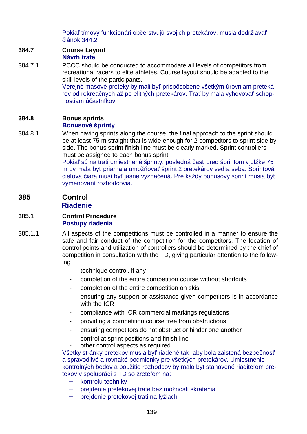Pokiaľ tímový funkcionári občerstvujú svojich pretekárov, musia dodržiavať článok 344.2

# **384.7 Course Layout**

- **Návrh trate**
- 384.7.1 PCCC should be conducted to accommodate all levels of competitors from recreational racers to elite athletes. Course layout should be adapted to the skill levels of the participants.

Verejné masové preteky by mali byť prispôsobené všetkým úrovniam pretekárov od rekreačných až po elitných pretekárov. Trať by mala vyhovovať schopnostiam účastníkov.

## **384.8 Bonus sprints**

### **Bonusové šprinty**

384.8.1 When having sprints along the course, the final approach to the sprint should be at least 75 m straight that is wide enough for 2 competitors to sprint side by side. The bonus sprint finish line must be clearly marked. Sprint controllers must be assigned to each bonus sprint.

Pokiaľ sú na trati umiestnené šprinty, posledná časť pred šprintom v dĺžke 75 m by mala byť priama a umožňovať šprint 2 pretekárov vedľa seba. Šprintová cieľová čiara musí byť jasne vyznačená. Pre každý bonusový šprint musia byť vymenovaní rozhodcovia.

### **385 Control Riadenie**

### **385.1 Control Procedure Postupy riadenia**

- 385.1.1 All aspects of the competitions must be controlled in a manner to ensure the safe and fair conduct of the competition for the competitors. The location of control points and utilization of controllers should be determined by the chief of competition in consultation with the TD, giving particular attention to the following
	- technique control, if any
	- completion of the entire competition course without shortcuts
	- completion of the entire competition on skis
	- ensuring any support or assistance given competitors is in accordance with the ICR
	- compliance with ICR commercial markings regulations
	- providing a competition course free from obstructions
	- ensuring competitors do not obstruct or hinder one another
	- control at sprint positions and finish line
	- other control aspects as required.

Všetky stránky pretekov musia byť riadené tak, aby bola zaistená bezpečnosť a spravodlivé a rovnaké podmienky pre všetkých pretekárov. Umiestnenie kontrolných bodov a použitie rozhodcov by malo byt stanovené riaditeľom pretekov v spolupráci s TD so zreteľom na:

- − kontrolu techniky
- − prejdenie pretekovej trate bez možnosti skrátenia
- − prejdenie pretekovej trati na lyžiach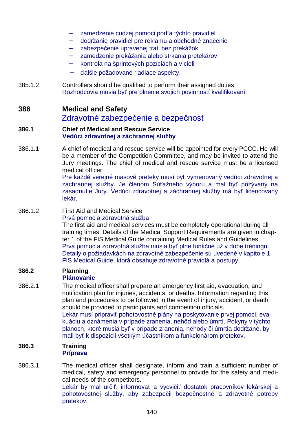- zamedzenie cudzej pomoci podľa týchto pravidiel
- − dodržanie pravidiel pre reklamu a obchodné značenie
- − zabezpečenie upravenej trati bez prekážok
- zamedzenie prekážania alebo strkania pretekárov
- − kontrola na šprintových pozíciách a v cieli
- − ďalšie požadované riadiace aspekty.
- 385.1.2 Controllers should be qualified to perform their assigned duties. Rozhodcovia musia byť pre plnenie svojich povinností kvalifikovaní.

### **386 Medical and Safety**

## Zdravotné zabezpečenie a bezpečnosť

#### **386.1 Chief of Medical and Rescue Service Vedúci zdravotnej a záchrannej služby**

386.1.1 A chief of medical and rescue service will be appointed for every PCCC. He will be a member of the Competition Committee, and may be invited to attend the Jury meetings. The chief of medical and rescue service must be a licensed medical officer.

Pre každé verejné masové preteky musí byť vymenovaný vedúci zdravotnej a záchrannej služby. Je členom Súťažného výboru a mal byť pozývaný na zasadnutie Jury. Vedúci zdravotnej a záchrannej služby má byť licencovaný lekár.

### 386.1.2 First Aid and Medical Service

### Prvá pomoc a zdravotná služba

The first aid and medical services must be completely operational during all training times. Details of the Medical Support Requirements are given in chapter 1 of the FIS Medical Guide containing Medical Rules and Guidelines. Prvá pomoc a zdravotná služba musia byť plne funkčné už v dobe tréningu. Detaily o požiadavkách na zdravotné zabezpečenie sú uvedené v kapitole 1 FIS Medical Guide, ktorá obsahuje zdravotné pravidlá a postupy.

#### **386.2 Planning Plánovanie**

386.2.1 The medical officer shall prepare an emergency first aid, evacuation, and notification plan for injuries, accidents, or deaths. Information regarding this plan and procedures to be followed in the event of injury, accident, or death should be provided to participants and competition officials. Lekár musí pripraviť pohotovostné plány na poskytovanie prvej pomoci, evakuáciu a oznámenia v prípade zranenia, nehôd alebo úmrtí. Pokyny v týchto plánoch, ktoré musia byť v prípade zranenia, nehody či úmrtia dodržané, by

### **386.3 Training Príprava**

386.3.1 The medical officer shall designate, inform and train a sufficient number of medical, safety and emergency personnel to provide for the safety and medical needs of the competitors. Lekár by mal určiť, informovať a vycvičiť dostatok pracovníkov lekárskej a

mali byť k dispozícii všetkým účastníkom a funkcionárom pretekov.

pohotovostnej služby, aby zabezpečil bezpečnostné a zdravotné potreby pretekov.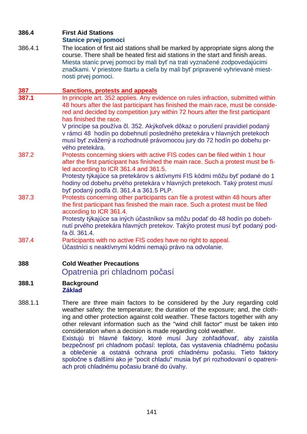### **386.4 First Aid Stations**

## **Stanice prvej pomoci**

386.4.1 The location of first aid stations shall be marked by appropriate signs along the course. There shall be heated first aid stations in the start and finish areas. Miesta staníc prvej pomoci by mali byť na trati vyznačené zodpovedajúcimi značkami. V priestore štartu a cieľa by mali byť pripravené vyhrievané miestnosti prvej pomoci.

## **387 Sanctions, protests and appeals**

**387.1** In principle art. 352 applies. Any evidence on rules infraction, submitted within 48 hours after the last participant has finished the main race, must be considered and decided by competition jury within 72 hours after the first participant has finished the race.

V princípe sa používa čl. 352. Akýkoľvek dôkaz o porušení pravidiel podaný v rámci 48 hodín po dobehnutí posledného pretekára v hlavných pretekoch musí byť zvážený a rozhodnuté právomocou jury do 72 hodín po dobehu prvého pretekára.

387.2 Protests concerning skiers with active FIS codes can be filed within 1 hour after the first participant has finished the main race. Such a protest must be filed according to ICR 361.4 and 361.5.

 Protesty týkajúce sa pretekárov s aktívnymi FIS kódmi môžu byť podané do 1 hodiny od dobehu prvého pretekára v hlavných pretekoch. Taký protest musí byť podaný podľa čl. 361.4 a 361.5 PLP.

387.3 Protests concerning other participants can file a protest within 48 hours after the first participant has finished the main race. Such a protest must be filed according to ICR 361.4.

 Protesty týkajúce sa iných účastníkov sa môžu podať do 48 hodín po dobehnutí prvého pretekára hlavných pretekov. Takýto protest musí byť podaný podľa čl. 361.4.

387.4 Participants with no active FIS codes have no right to appeal. Účastníci s neaktívnymi kódmi nemajú právo na odvolanie.

## **388 Cold Weather Precautions**

## Opatrenia pri chladnom počasí

- **388.1 Background Základ**
- 388.1.1 There are three main factors to be considered by the Jury regarding cold weather safety: the temperature; the duration of the exposure; and, the clothing and other protection against cold weather. These factors together with any other relevant information such as the "wind chill factor" must be taken into consideration when a decision is made regarding cold weather.

Existujú tri hlavné faktory, ktoré musí Jury zohľadňovať, aby zaistila bezpečnosť pri chladnom počasí: teplota, čas vystavenia chladnému počasiu a oblečenie a ostatná ochrana proti chladnému počasiu. Tieto faktory spoločne s ďalšími ako je "pocit chladu" musia byť pri rozhodovaní o opatreniach proti chladnému počasiu brané do úvahy.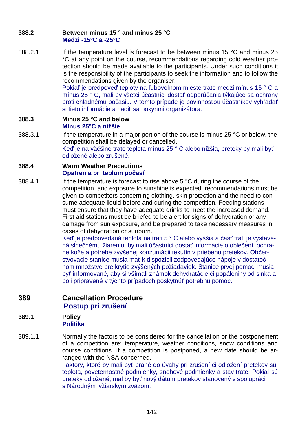### **388.2 Between minus 15 ° and minus 25 °C Medzi -15°C a -25°C**

388.2.1 If the temperature level is forecast to be between minus 15 °C and minus 25 °C at any point on the course, recommendations regarding cold weather protection should be made available to the participants. Under such conditions it is the responsibility of the participants to seek the information and to follow the recommendations given by the organiser.

> Pokiaľ je predpoveď teploty na ľubovoľnom mieste trate medzi mínus 15 ° C a mínus 25 ° C, mali by všetci účastníci dostať odporúčania týkajúce sa ochrany proti chladnému počasiu. V tomto prípade je povinnosťou účastníkov vyhľadať si tieto informácie a riadiť sa pokynmi organizátora.

### **388.3 Minus 25 °C and below Mínus 25°C a nižšie**

388.3.1 If the temperature in a major portion of the course is minus 25 °C or below, the competition shall be delayed or cancelled. Keď je na väčšine trate teplota mínus 25 ° C alebo nižšia, preteky by mali byť odložené alebo zrušené.

### **388.4 Warm Weather Precautions Opatrenia pri teplom počasí**

388.4.1 If the temperature is forecast to rise above 5 °C during the course of the competition, and exposure to sunshine is expected, recommendations must be given to competitors concerning clothing, skin protection and the need to consume adequate liquid before and during the competition. Feeding stations must ensure that they have adequate drinks to meet the increased demand. First aid stations must be briefed to be alert for signs of dehydration or any damage from sun exposure, and be prepared to take necessary measures in cases of dehydration or sunburn.

> Keď je predpovedaná teplota na trati 5 ° C alebo vyššia a časť trati je vystavená slnečnému žiareniu, by mali účastníci dostať informácie o oblečení, ochrane kože a potrebe zvýšenej konzumácii tekutín v priebehu pretekov. Občerstvovacie stanice musia mať k dispozícii zodpovedajúce nápoje v dostatočnom množstve pre krytie zvýšených požiadaviek. Stanice prvej pomoci musia byť informované, aby si všímali známok dehydratácie či popáleniny od slnka a boli pripravené v týchto prípadoch poskytnúť potrebnú pomoc.

### **389 Cancellation Procedure Postup pri zrušení**

#### **389.1 Policy Politika**

389.1.1 Normally the factors to be considered for the cancellation or the postponement of a competition are: temperature, weather conditions, snow conditions and course conditions. If a competition is postponed, a new date should be arranged with the NSA concerned.

Faktory, ktoré by mali byť brané do úvahy pri zrušení či odložení pretekov sú: teplota, poveternostné podmienky, snehové podmienky a stav trate. Pokiaľ sú preteky odložené, mal by byť nový dátum pretekov stanovený v spolupráci s Národným lyžiarskym zväzom.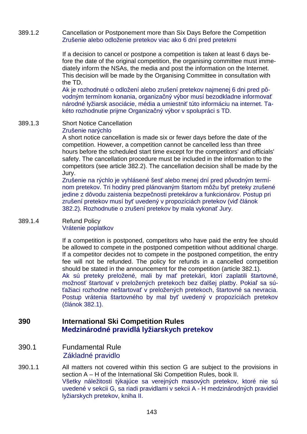### 389.1.2 Cancellation or Postponement more than Six Days Before the Competition Zrušenie alebo odloženie pretekov viac ako 6 dní pred pretekmi

If a decision to cancel or postpone a competition is taken at least 6 days before the date of the original competition, the organising committee must immediately inform the NSAs, the media and post the information on the Internet. This decision will be made by the Organising Committee in consultation with the TD.

Ak je rozhodnuté o odložení alebo zrušení pretekov najmenej 6 dni pred pôvodným termínom konania, organizačný výbor musí bezodkladne informovať národné lyžiarsk asociácie, média a umiestniť túto informáciu na internet. Takéto rozhodnutie prijme Organizačný výbor v spolupráci s TD.

#### 389.1.3 Short Notice Cancellation Zrušenie narýchlo

A short notice cancellation is made six or fewer days before the date of the competition. However, a competition cannot be cancelled less than three hours before the scheduled start time except for the competitors' and officials' safety. The cancellation procedure must be included in the information to the competitors (see article 382.2). The cancellation decision shall be made by the Jury.

Zrušenie na rýchlo je vyhlásené šesť alebo menej dní pred pôvodným termínom pretekov. Tri hodiny pred plánovaným štartom môžu byť preteky zrušené jedine z dôvodu zaistenia bezpečnosti pretekárov a funkcionárov. Postup pri zrušení pretekov musí byť uvedený v propozíciách pretekov (viď článok 382.2). Rozhodnutie o zrušení pretekov by mala vykonať Jury.

### 389.1.4 Refund Policy Vrátenie poplatkov

 If a competition is postponed, competitors who have paid the entry fee should be allowed to compete in the postponed competition without additional charge. If a competitor decides not to compete in the postponed competition, the entry fee will not be refunded. The policy for refunds in a cancelled competition should be stated in the announcement for the competition (article 382.1). Ak sú preteky preložené, mali by mať pretekári, ktorí zaplatili štartovné, možnosť štartovať v preložených pretekoch bez ďalšej platby. Pokiaľ sa súťažiaci rozhodne neštartovať v preložených pretekoch, štartovné sa nevracia. Postup vrátenia štartovného by mal byť uvedený v propozíciách pretekov (článok 382.1).

# **390 International Ski Competition Rules Medzinárodné pravidlá lyžiarskych pretekov**

## 390.1 Fundamental Rule Základné pravidlo

390.1.1 All matters not covered within this section G are subject to the provisions in section A – H of the International Ski Competition Rules, book II. Všetky náležitosti týkajúce sa verejných masových pretekov, ktoré nie sú uvedené v sekcii G, sa riadi pravidlami v sekcii A - H medzinárodných pravidiel lyžiarskych pretekov, kniha II.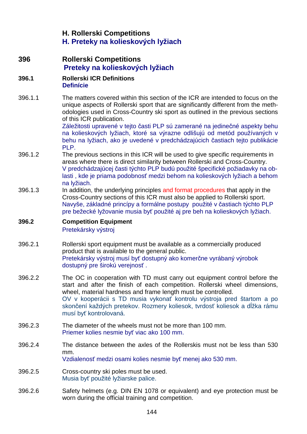# **H. Rollerski Competitions H. Preteky na kolieskových lyžiach**

**396 Rollerski Competitions Preteky na kolieskových lyžiach**

### **396.1 Rollerski ICR Definitions Definície**

396.1.1 The matters covered within this section of the ICR are intended to focus on the unique aspects of Rollerski sport that are significantly different from the methodologies used in Cross-Country ski sport as outlined in the previous sections of this ICR publication.

Záležitosti upravené v tejto časti PLP sú zamerané na jedinečné aspekty behu na kolieskových lyžiach, ktoré sa výrazne odlišujú od metód používaných v behu na lyžiach, ako je uvedené v predchádzajúcich častiach tejto publikácie PLP.

- 396.1.2 The previous sections in this ICR will be used to give specific requirements in areas where there is direct similarity between Rollerski and Cross-Country. V predchádzajúcej časti týchto PLP budú použité špecifické požiadavky na oblasti , kde je priama podobnosť medzi behom na kolieskových lyžiach a behom na lyžiach.
- 396.1.3 In addition, the underlying principles and format procedures that apply in the Cross-Country sections of this ICR must also be applied to Rollerski sport. Navyše, základné princípy a formálne postupy použité v častiach týchto PLP pre bežecké lyžovanie musia byť použité aj pre beh na kolieskových lyžiach.

### **396.2 Competition Equipment**  Pretekársky výstroj

- 396.2.1 Rollerski sport equipment must be available as a commercially produced product that is available to the general public. Pretekársky výstroj musí byť dostupný ako komerčne vyrábaný výrobok dostupný pre širokú verejnosť .
- 396.2.2 The OC in cooperation with TD must carry out equipment control before the start and after the finish of each competition. Rollerski wheel dimensions, wheel, material hardness and frame length must be controlled. OV v kooperácii s TD musia vykonať kontrolu výstroja pred štartom a po skončení každých pretekov. Rozmery koliesok, tvrdosť koliesok a dĺžka rámu musí byť kontrolovaná.
- 396.2.3 The diameter of the wheels must not be more than 100 mm. Priemer kolies nesmie byť viac ako 100 mm.
- 396.2.4 The distance between the axles of the Rollerskis must not be less than 530 mm. Vzdialenosť medzi osami kolies nesmie byť menej ako 530 mm.
- 396.2.5 Cross-country ski poles must be used. Musia byť použité lyžiarske palice.
- 396.2.6 Safety helmets (e.g. DIN EN 1078 or equivalent) and eye protection must be worn during the official training and competition.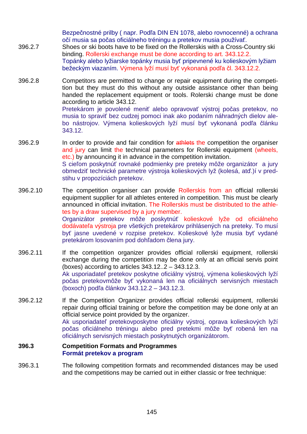Bezpečnostné prilby ( napr. Podľa DIN EN 1078, alebo rovnocenné) a ochrana očí musia sa počas oficiálneho tréningu a pretekov musia používať. 396.2.7 Shoes or ski boots have to be fixed on the Rollerskis with a Cross-Country ski binding. Rollerski exchange must be done according to art. 343.12.2. Topánky alebo lyžiarske topánky musia byť pripevnené ku kolieskovým lyžiam bežeckým viazaním. Výmena lyží musí byť vykonaná podľa čl. 343.12.2.

396.2.8 Competitors are permitted to change or repair equipment during the competition but they must do this without any outside assistance other than being handed the replacement equipment or tools. Rolerski change must be done according to article 343.12. Pretekárom je povolené meniť alebo opravovať výstroj počas pretekov, no musia to spraviť bez cudzej pomoci inak ako podaním náhradných dielov ale-

bo nástrojov. Výmena kolieskových lyží musí byť vykonaná podľa článku

- 396.2.9 In order to provide and fair condition for athlets the competition the organiser and jury can limit the technical parameters for Rollerski equipment (wheels, etc.) by announcing it in advance in the competition invitation. S cieľom poskytnúť rovnaké podmienky pre preteky môže organizátor a jury obmedziť technické parametre výstroja kolieskových lyž (kolesá, atď.)í v predstihu v propozíciách pretekov.
- 396.2.10 The competition organiser can provide Rollerskis from an official rollerski equipment supplier for all athletes entered in competition. This must be clearly announced in official invitation. The Rollerskis must be distributed to the athletes by a draw supervised by a jury member. Organizátor pretekov môže poskytnúť kolieskové lyže od oficiálneho dodávateľa výstroja pre všetkých pretekárov prihlásených na preteky. To musí byť jasne uvedené v rozpise pretekov. Kolieskové lyže musia byť vydané pretekárom losovaním pod dohľadom člena jury.
- 396.2.11 If the competition organizer provides official rollerski equipment, rollerski exchange during the competition may be done only at an official servis point (boxes) according to articles 343.12..2 – 343.12.3. Ak usporiadateľ pretekov poskytne oficiálny výstroj, výmena kolieskových lyží počas pretekovmôže byť vykonaná len na oficiálnych servisných miestach (boxoch) podľa článkov 343.12.2 – 343.12.3.
- 396.2.12 If the Competition Organizer provides official rollerski equipment, rollerski repair during official training or before the competition may be done only at an official service point provided by the organizer. Ak usporiadateľ pretekovposkytne oficiálny výstroj, oprava kolieskových lyží počas oficiálneho tréningu alebo pred pretekmi môže byť robená len na oficiálnych servisných miestach poskytnutých organizátorom.

### **396.3 Competition Formats and Programmes Formát pretekov a program**

343.12.

396.3.1 The following competition formats and recommended distances may be used and the competitions may be carried out in either classic or free technique: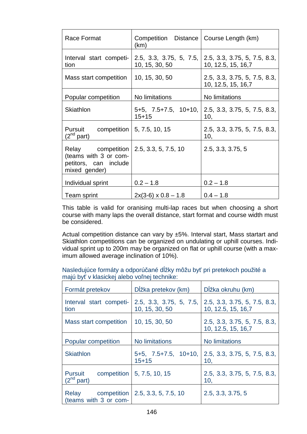| Race Format                                                                                                 | Competition Distance   Course Length (km)<br>(km) |                                                                            |
|-------------------------------------------------------------------------------------------------------------|---------------------------------------------------|----------------------------------------------------------------------------|
| Interval start competi-<br>tion                                                                             | 10, 15, 30, 50                                    | 2.5, 3.3, 3.75, 5, 7.5, 2.5, 3.3, 3.75, 5, 7.5, 8.3,<br>10, 12.5, 15, 16,7 |
| Mass start competition                                                                                      | 10, 15, 30, 50                                    | 2.5, 3.3, 3.75, 5, 7.5, 8.3,<br>10, 12.5, 15, 16,7                         |
| Popular competition                                                                                         | No limitations                                    | No limitations                                                             |
| Skiathlon                                                                                                   | $5+5$ , $7.5+7.5$ , $10+10$ ,<br>$15 + 15$        | 2.5, 3.3, 3.75, 5, 7.5, 8.3,<br>10,                                        |
| Pursuit competition $\vert 5, 7.5, 10, 15 \rangle$<br>$(2^{nd}$ part)                                       |                                                   | 2.5, 3.3, 3.75, 5, 7.5, 8.3,<br>10,                                        |
| Relay competition   2.5, 3.3, 5, 7.5, 10<br>(teams with 3 or com-<br>petitors, can include<br>mixed gender) |                                                   | 2.5, 3.3, 3.75, 5                                                          |
| Individual sprint                                                                                           | $0.2 - 1.8$                                       | $0.2 - 1.8$                                                                |
| Team sprint                                                                                                 | $2x(3-6) \times 0.8 - 1.8$                        | $0.4 - 1.8$                                                                |

 This table is valid for oranising multi-lap races but when choosing a short course with many laps the overall distance, start format and course width must be considered.

 Actual competition distance can vary by ±5%. Interval start, Mass startart and Skiathlon competitions can be organized on undulating or uphill courses. Individual sprint up to 200m may be organized on flat or uphill course (with a maximum allowed average inclination of 10%).

Nasledujúce formáty a odporúčané dĺžky môžu byť pri pretekoch použité a majú byť v klasickej alebo voľnej technike:

| Formát pretekov                                 | Dĺžka pretekov (km)                        | Dĺžka okruhu (km)                                  |
|-------------------------------------------------|--------------------------------------------|----------------------------------------------------|
| Interval start competi-<br>tion                 | 2.5, 3.3, 3.75, 5, 7.5,<br>10, 15, 30, 50  | 2.5, 3.3, 3.75, 5, 7.5, 8.3,<br>10, 12.5, 15, 16,7 |
| <b>Mass start competition</b>                   | 10, 15, 30, 50                             | 2.5, 3.3, 3.75, 5, 7.5, 8.3,<br>10, 12.5, 15, 16,7 |
| Popular competition                             | No limitations                             | No limitations                                     |
| <b>Skiathlon</b>                                | $5+5$ , $7.5+7.5$ , $10+10$ ,<br>$15 + 15$ | 2.5, 3.3, 3.75, 5, 7.5, 8.3,<br>10.                |
| <b>Pursuit</b><br>$(2^{nd}$ part)               | competition   5, 7.5, 10, 15               | 2.5, 3.3, 3.75, 5, 7.5, 8.3,<br>10,                |
| Relay<br>competition  <br>(teams with 3 or com- | 2.5, 3.3, 5, 7.5, 10                       | 2.5, 3.3, 3.75, 5                                  |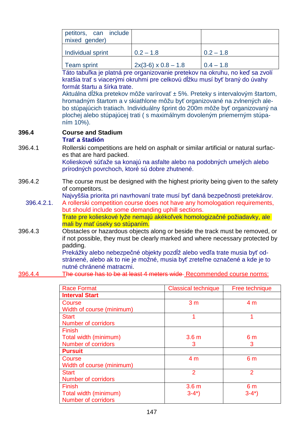| petitors, can include<br>mixed gender) |                            |              |
|----------------------------------------|----------------------------|--------------|
| Individual sprint                      | $0.2 - 1.8$                | $10.2 - 1.8$ |
| <b>Team sprint</b>                     | $2x(3-6) \times 0.8 - 1.8$ | $10.4 - 1.8$ |

Táto tabuľka je platná pre organizovanie pretekov na okruhu, no keď sa zvolí kratšia trať s viacerými okruhmi pre celkovú dĺžku musí byť braný do úvahy formát štartu a šírka trate.

Aktuálna dĺžka pretekov môže varírovať ± 5%. Preteky s intervalovým štartom, hromadným štartom a v skiathlone môžu byť organizované na zvlnených alebo stúpajúcich tratiach. Individuálny šprint do 200m môže byť organizovaný na plochej alebo stúpajúcej trati ( s maximálnym dovoleným priemerným stúpaním 10%).

#### **396.4 Course and Stadium Trať a štadión**

- 396.4.1 Rollerski competitions are held on asphalt or similar artificial or natural surfaces that are hard packed. Kolieskové súťaže sa konajú na asfalte alebo na podobných umelých alebo prírodných povrchoch, ktoré sú dobre zhutnené.
- 396.4.2 The course must be designed with the highest priority being given to the safety of competitors.

Najvyššia priorita pri navrhovaní trate musí byť daná bezpečnosti pretekárov.

396.4.2.1. A rollerski competition course does not have any homologation requirements, but should include some demanding uphill sections.

 Trate pre kolieskové lyže nemajú akékoľvek homologizačné požiadavky, ale mali by mať úseky so stúpaním.

396.4.3 Obstacles or hazardous objects along or beside the track must be removed, or if not possible, they must be clearly marked and where necessary protected by padding.

Prekážky alebo nebezpečné objekty pozdĺž alebo vedľa trate musia byť odstránené, alebo ak to nie je možné, musia byť zreteľne označené a kde je to nutné chránené matracmi.

396.4.4 The course has to be at least 4 meters wide Recommended course norms:

| <b>Race Format</b>         | <b>Classical technique</b> | Free technique |
|----------------------------|----------------------------|----------------|
| <b>Interval Start</b>      |                            |                |
| Course                     | 3 <sub>m</sub>             | 4 <sub>m</sub> |
| Width of course (minimum)  |                            |                |
| <b>Start</b>               | 1                          |                |
| <b>Number of corridors</b> |                            |                |
| <b>Finish</b>              |                            |                |
| Total width (minimum)      | 3.6 <sub>m</sub>           | 6 <sub>m</sub> |
| <b>Number of corridors</b> | 3                          | 3              |
| <b>Pursuit</b>             |                            |                |
| Course                     | 4 <sub>m</sub>             | 6 <sub>m</sub> |
| Width of course (minimum)  |                            |                |
| <b>Start</b>               | $\overline{2}$             | 2              |
| <b>Number of corridors</b> |                            |                |
| <b>Finish</b>              | 3.6 <sub>m</sub>           | 6 <sub>m</sub> |
| Total width (minimum)      | $3-4^*$                    | $3-4^*$        |
| <b>Number of corridors</b> |                            |                |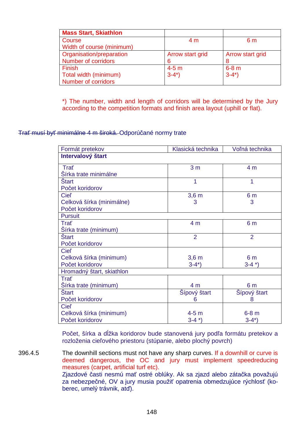| <b>Mass Start, Skiathlon</b> |                  |                  |
|------------------------------|------------------|------------------|
| Course                       | 4 m              | 6 m              |
| Width of course (minimum)    |                  |                  |
| Organisation/preparation     | Arrow start grid | Arrow start grid |
| Number of corridors          | 6                | 8                |
| <b>Finish</b>                | $4-5m$           | $6-8$ m          |
| Total width (minimum)        | $3-4^*$ )        | $3-4^*$          |
| Number of corridors          |                  |                  |

\*) The number, width and length of corridors will be determined by the Jury according to the competition formats and finish area layout (uphill or flat).

### Trať musí byť minimálne 4 m široká. Odporúčané normy trate

| Formát pretekov           | Klasická technika | Voľná technika |
|---------------------------|-------------------|----------------|
| Intervalový štart         |                   |                |
| Trat                      | 3 <sub>m</sub>    | 4 <sub>m</sub> |
| Šírka trate minimálne     |                   |                |
| <b>Start</b>              | 1                 | 1              |
| Počet koridorov           |                   |                |
| <b>Ciel'</b>              | 3,6m              | 6 <sub>m</sub> |
| Celková šírka (minimálne) | 3                 | 3              |
| Počet koridorov           |                   |                |
| <b>Pursuit</b>            |                   |                |
| Trat                      | 4 <sub>m</sub>    | 6 <sub>m</sub> |
| Šírka trate (minimum)     |                   |                |
| <b>Start</b>              | $\overline{2}$    | $\overline{2}$ |
| Počet koridorov           |                   |                |
| <b>Cieľ</b>               |                   |                |
| Celková šírka (minimum)   | 3,6m              | 6 <sub>m</sub> |
| Počet koridorov           | $3-4^*$           | $3-4$ *)       |
| Hromadný štart, skiathlon |                   |                |
| Trat                      |                   |                |
| Sírka trate (minimum)     | 4 m               | 6 m            |
| <b>Start</b>              | Šípový štart      | Šípový štart   |
| Počet koridorov           | 6                 | 8              |
| <b>Ciel'</b>              |                   |                |
| Celková šírka (minimum)   | $4-5m$            | $6-8$ m        |
| Počet koridorov           | $3-4$ *)          | $3-4^*$ )      |

Počet, šírka a dĺžka koridorov bude stanovená jury podľa formátu pretekov a rozloženia cieľového priestoru (stúpanie, alebo plochý povrch)

396.4.5 The downhill sections must not have any sharp curves. If a downhill or curve is deemed dangerous, the OC and jury must implement speedreducing measures (carpet, artificial turf etc). Zjazdové časti nesmú mať ostré oblúky. Ak sa zjazd alebo zátačka považujú za nebezpečné, OV a jury musia použiť opatrenia obmedzujúce rýchlosť (koberec, umelý trávnik, atď).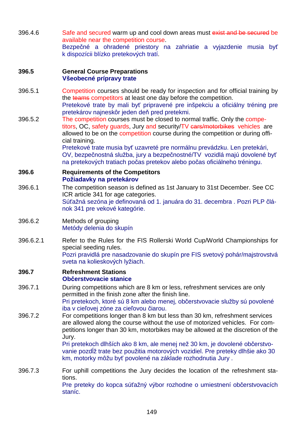396.4.6 Safe and secured warm up and cool down areas must exist and be secured be available near the competition course. Bezpečné a ohradené priestory na zahriatie a vyjazdenie musia byť k dispozícii blízko pretekových tratí.

### **396.5 General Course Preparations Všeobecné prípravy trate**

- 396.5.1 Competition courses should be ready for inspection and for official training by the teams competitors at least one day before the competition. Pretekové trate by mali byť pripravené pre inšpekciu a oficiálny tréning pre pretekárov najneskôr jeden deň pred pretekmi.
- 396.5.2 The competition courses must be closed to normal traffic. Only the competitors, OC, safety guards, Jury and security/TV cars/motorbikes vehicles are allowed to be on the competition course during the competition or during official training.

Pretekové trate musia byť uzavreté pre normálnu prevádzku. Len pretekári, OV, bezpečnostná služba, jury a bezpečnostné/TV vozidlá majú dovolené byť na pretekových tratiach počas pretekov alebo počas oficiálneho tréningu.

### **396.6 Requirements of the Competitors Požiadavky na pretekárov**

- 396.6.1 The competition season is defined as 1st January to 31st December. See CC ICR article 341 for age categories. Súťažná sezóna je definovaná od 1. januára do 31. decembra . Pozri PLP článok 341 pre vekové kategórie.
- 396.6.2 Methods of grouping Metódy delenia do skupín
- 396.6.2.1 Refer to the Rules for the FIS Rollerski World Cup/World Championships for special seeding rules. Pozri pravidlá pre nasadzovanie do skupín pre FIS svetový pohár/majstrovstvá sveta na kolieskových lyžiach.

#### **396.7 Refreshment Stations Občerstvovacie stanice**

- 396.7.1 During competitions which are 8 km or less, refreshment services are only permitted in the finish zone after the finish line. Pri pretekoch, ktoré sú 8 km alebo menej, občerstvovacie služby sú povolené
- iba v cieľovej zóne za cieľovou čiarou. 396.7.2 For competitions longer than 8 km but less than 30 km, refreshment services are allowed along the course without the use of motorized vehicles. For com
	- petitions longer than 30 km, motorbikes may be allowed at the discretion of the Jury.

Pri pretekoch dlhších ako 8 km, ale menej než 30 km, je dovolené občerstvovanie pozdĺž trate bez použitia motorových vozidiel. Pre preteky dlhšie ako 30 km, motorky môžu byť povolené na základe rozhodnutia Jury .

396.7.3 For uphill competitions the Jury decides the location of the refreshment stations. Pre preteky do kopca súťažný výbor rozhodne o umiestnení občerstvovacích staníc.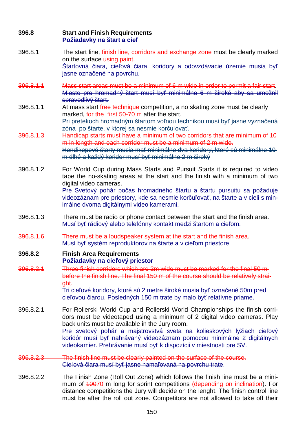### **396.8 Start and Finish Requirements Požiadavky na štart a cieľ**

- 396.8.1 The start line, finish line, corridors and exchange zone must be clearly marked on the surface using paint. Štartovná čiara, cieľová čiara, koridory a odovzdávacie územie musia byť jasne označené na povrchu.
- 396.8.1.1 Mass start areas must be a minimum of 6 m wide in order to permit a fair start. Miesto pre hromadný štart musí byť minimálne 6 m široké aby sa umožnil spravodlivý štart.
- 396.8.1.1 At mass start free technique competition, a no skating zone must be clearly marked, for the first 50-70 m after the start. Pri pretekoch hromadným štartom voľnou technikou musí byť jasne vyznačená

zóna po štarte, v ktorej sa nesmie korčuľovať.

- 396.8.1.3 Handicap starts must have a minimum of two corridors that are minimum of 10 m in length and each corridor must be a minimum of 2 m wide. Hendikepové štarty musia mať minimálne dva koridory, ktoré sú minimálne 10 m dlhé a každý koridor musí byť minimálne 2 m široký
- 396.8.1.2 For World Cup during Mass Starts and Pursuit Starts it is required to video tape the no-skating areas at the start and the finish with a minimum of two digital video cameras. Pre Svetový pohár počas hromadného štartu a štartu pursuitu sa požaduje videozáznam pre priestory, kde sa nesmie korčuľovať, na štarte a v cieli s minimálne dvoma digitálnymi video kamerami.
- 396.8.1.3 There must be radio or phone contact between the start and the finish area. Musí byť rádiový alebo telefónny kontakt medzi štartom a cieľom.
- 396.8.1.6 There must be a loudspeaker system at the start and the finish area. Musí byť systém reproduktorov na štarte a v cieľom priestore.

### **396.8.2 Finish Area Requirements Požiadavky na cieľový priestor**

396.8.2.1 Three finish corridors which are 2m wide must be marked for the final 50 m before the finish line. The final 150 m of the course should be relatively straight.

Tri cieľové koridory, ktoré sú 2 metre široké musia byť označené 50m pred cieľovou čiarou. Posledných 150 m trate by malo byť relatívne priame.

- 396.8.2.1 For Rollerski World Cup and Rollerski World Championships the finish corridors must be videotaped using a minimum of 2 digital video cameras. Play back units must be available in the Jury room. Pre svetový pohár a majstrovstvá sveta na kolieskových lyžiach cieľový koridór musí byť nahrávaný videozáznam pomocou minimálne 2 digitálnych videokamier. Prehrávanie musí byť k dispozícii v miestnosti pre SV.
- 396.8.2.3 The finish line must be clearly painted on the surface of the course. Cieľová čiara musí byť jasne namaľovaná na povrchu trate.
- 396.8.2.2 The Finish Zone (Roll Out Zone) which follows the finish line must be a minimum of 40070 m long for sprint competitions (depending on inclination). For distance competitions the Jury will decide on the lenght. The finish control line must be after the roll out zone. Competitors are not allowed to take off their